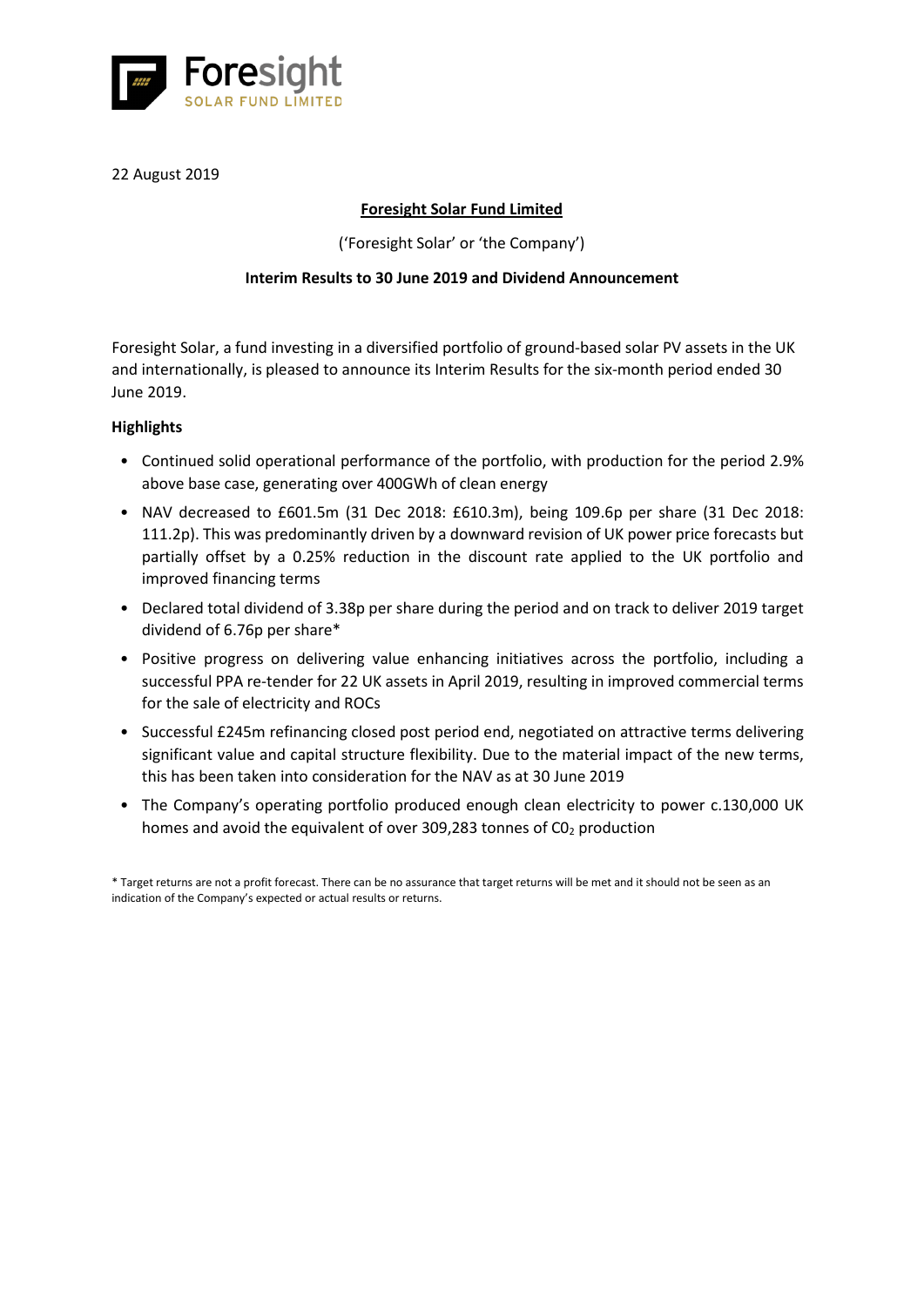

# 22 August 2019

# **Foresight Solar Fund Limited**

('Foresight Solar' or 'the Company')

# **Interim Results to 30 June 2019 and Dividend Announcement**

Foresight Solar, a fund investing in a diversified portfolio of ground-based solar PV assets in the UK and internationally, is pleased to announce its Interim Results for the six-month period ended 30 June 2019.

# **Highlights**

- Continued solid operational performance of the portfolio, with production for the period 2.9% above base case, generating over 400GWh of clean energy
- NAV decreased to £601.5m (31 Dec 2018: £610.3m), being 109.6p per share (31 Dec 2018: 111.2p). This was predominantly driven by a downward revision of UK power price forecasts but partially offset by a 0.25% reduction in the discount rate applied to the UK portfolio and improved financing terms
- Declared total dividend of 3.38p per share during the period and on track to deliver 2019 target dividend of 6.76p per share\*
- Positive progress on delivering value enhancing initiatives across the portfolio, including a successful PPA re-tender for 22 UK assets in April 2019, resulting in improved commercial terms for the sale of electricity and ROCs
- Successful £245m refinancing closed post period end, negotiated on attractive terms delivering significant value and capital structure flexibility. Due to the material impact of the new terms, this has been taken into consideration for the NAV as at 30 June 2019
- The Company's operating portfolio produced enough clean electricity to power c.130,000 UK homes and avoid the equivalent of over 309,283 tonnes of  $CO<sub>2</sub>$  production

<sup>\*</sup> Target returns are not a profit forecast. There can be no assurance that target returns will be met and it should not be seen as an indication of the Company's expected or actual results or returns.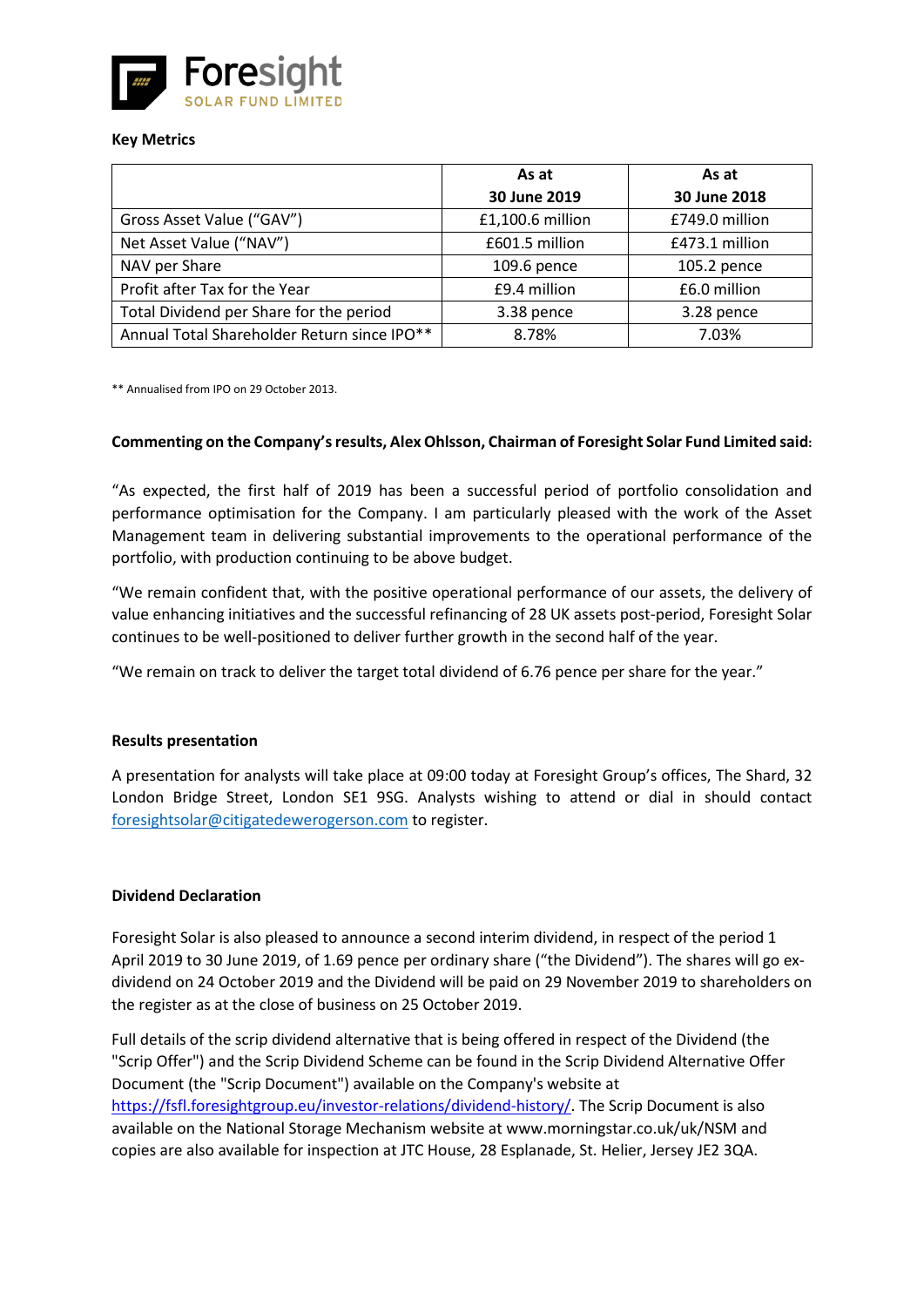

### **Key Metrics**

|                                             | As at            | As at          |
|---------------------------------------------|------------------|----------------|
|                                             | 30 June 2019     | 30 June 2018   |
| Gross Asset Value ("GAV")                   | £1,100.6 million | £749.0 million |
| Net Asset Value ("NAV")                     | £601.5 million   | £473.1 million |
| NAV per Share                               | 109.6 pence      | 105.2 pence    |
| Profit after Tax for the Year               | £9.4 million     | £6.0 million   |
| Total Dividend per Share for the period     | 3.38 pence       | 3.28 pence     |
| Annual Total Shareholder Return since IPO** | 8.78%            | 7.03%          |

\*\* Annualised from IPO on 29 October 2013.

### **Commenting on the Company's results, Alex Ohlsson, Chairman of Foresight Solar Fund Limited said:**

"As expected, the first half of 2019 has been a successful period of portfolio consolidation and performance optimisation for the Company. I am particularly pleased with the work of the Asset Management team in delivering substantial improvements to the operational performance of the portfolio, with production continuing to be above budget.

"We remain confident that, with the positive operational performance of our assets, the delivery of value enhancing initiatives and the successful refinancing of 28 UK assets post-period, Foresight Solar continues to be well-positioned to deliver further growth in the second half of the year.

"We remain on track to deliver the target total dividend of 6.76 pence per share for the year."

# **Results presentation**

A presentation for analysts will take place at 09:00 today at Foresight Group's offices, The Shard, 32 London Bridge Street, London SE1 9SG. Analysts wishing to attend or dial in should contact [foresightsolar@citigatedewerogerson.com](mailto:foresightsolar@citigatedewerogerson.com) to register.

# **Dividend Declaration**

Foresight Solar is also pleased to announce a second interim dividend, in respect of the period 1 April 2019 to 30 June 2019, of 1.69 pence per ordinary share ("the Dividend"). The shares will go exdividend on 24 October 2019 and the Dividend will be paid on 29 November 2019 to shareholders on the register as at the close of business on 25 October 2019.

Full details of the scrip dividend alternative that is being offered in respect of the Dividend (the "Scrip Offer") and the Scrip Dividend Scheme can be found in the Scrip Dividend Alternative Offer Document (the "Scrip Document") available on the Company's website at [https://fsfl.foresightgroup.eu/investor-relations/dividend-history/.](https://fsfl.foresightgroup.eu/investor-relations/dividend-history/) The Scrip Document is also available on the National Storage Mechanism website at www.morningstar.co.uk/uk/NSM and copies are also available for inspection at JTC House, 28 Esplanade, St. Helier, Jersey JE2 3QA.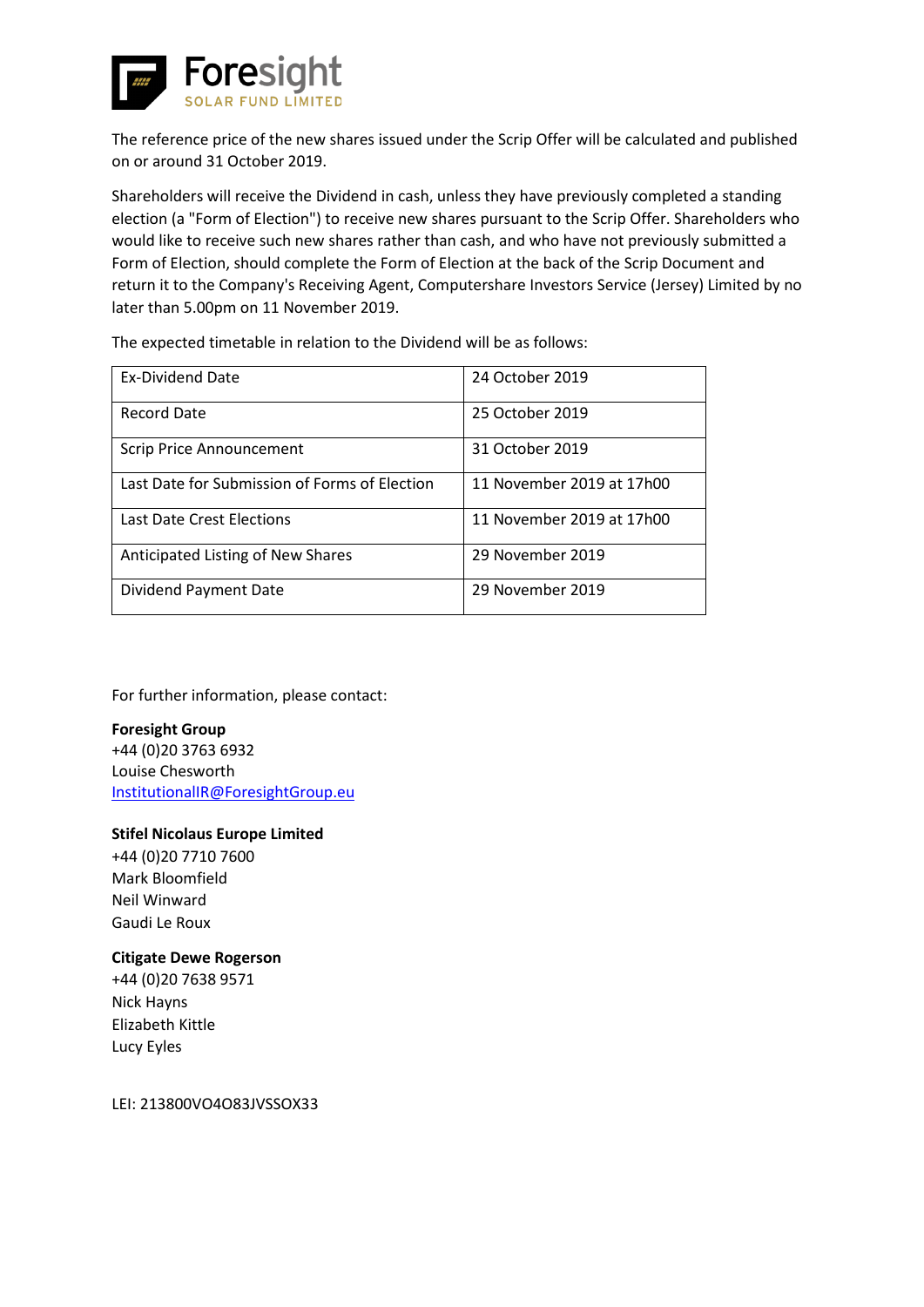

The reference price of the new shares issued under the Scrip Offer will be calculated and published on or around 31 October 2019.

Shareholders will receive the Dividend in cash, unless they have previously completed a standing election (a "Form of Election") to receive new shares pursuant to the Scrip Offer. Shareholders who would like to receive such new shares rather than cash, and who have not previously submitted a Form of Election, should complete the Form of Election at the back of the Scrip Document and return it to the Company's Receiving Agent, Computershare Investors Service (Jersey) Limited by no later than 5.00pm on 11 November 2019.

The expected timetable in relation to the Dividend will be as follows:

| <b>Ex-Dividend Date</b>                       | 24 October 2019           |
|-----------------------------------------------|---------------------------|
| Record Date                                   | 25 October 2019           |
| <b>Scrip Price Announcement</b>               | 31 October 2019           |
| Last Date for Submission of Forms of Election | 11 November 2019 at 17h00 |
| Last Date Crest Elections                     | 11 November 2019 at 17h00 |
| Anticipated Listing of New Shares             | 29 November 2019          |
| Dividend Payment Date                         | 29 November 2019          |

For further information, please contact:

**Foresight Group** +44 (0)20 3763 6932 Louise Chesworth [InstitutionalIR@ForesightGroup.eu](mailto:InstitutionalIR@ForesightGroup.eu)

# **Stifel Nicolaus Europe Limited**

+44 (0)20 7710 7600 Mark Bloomfield Neil Winward Gaudi Le Roux

# **Citigate Dewe Rogerson**

+44 (0)20 7638 9571 Nick Hayns Elizabeth Kittle Lucy Eyles

LEI: 213800VO4O83JVSSOX33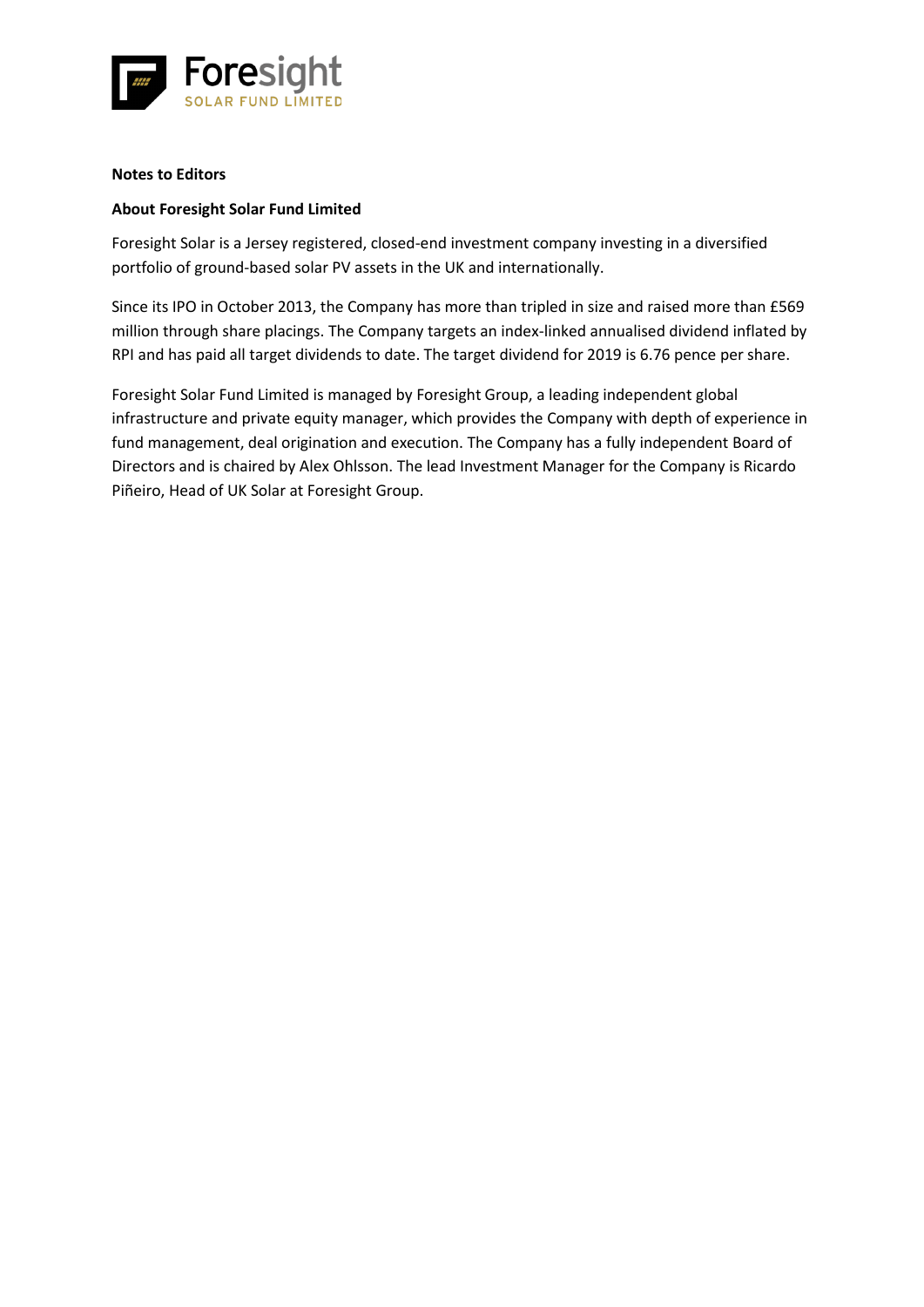

### **Notes to Editors**

# **About Foresight Solar Fund Limited**

Foresight Solar is a Jersey registered, closed-end investment company investing in a diversified portfolio of ground-based solar PV assets in the UK and internationally.

Since its IPO in October 2013, the Company has more than tripled in size and raised more than £569 million through share placings. The Company targets an index-linked annualised dividend inflated by RPI and has paid all target dividends to date. The target dividend for 2019 is 6.76 pence per share.

Foresight Solar Fund Limited is managed by Foresight Group, a leading independent global infrastructure and private equity manager, which provides the Company with depth of experience in fund management, deal origination and execution. The Company has a fully independent Board of Directors and is chaired by Alex Ohlsson. The lead Investment Manager for the Company is Ricardo Piñeiro, Head of UK Solar at Foresight Group.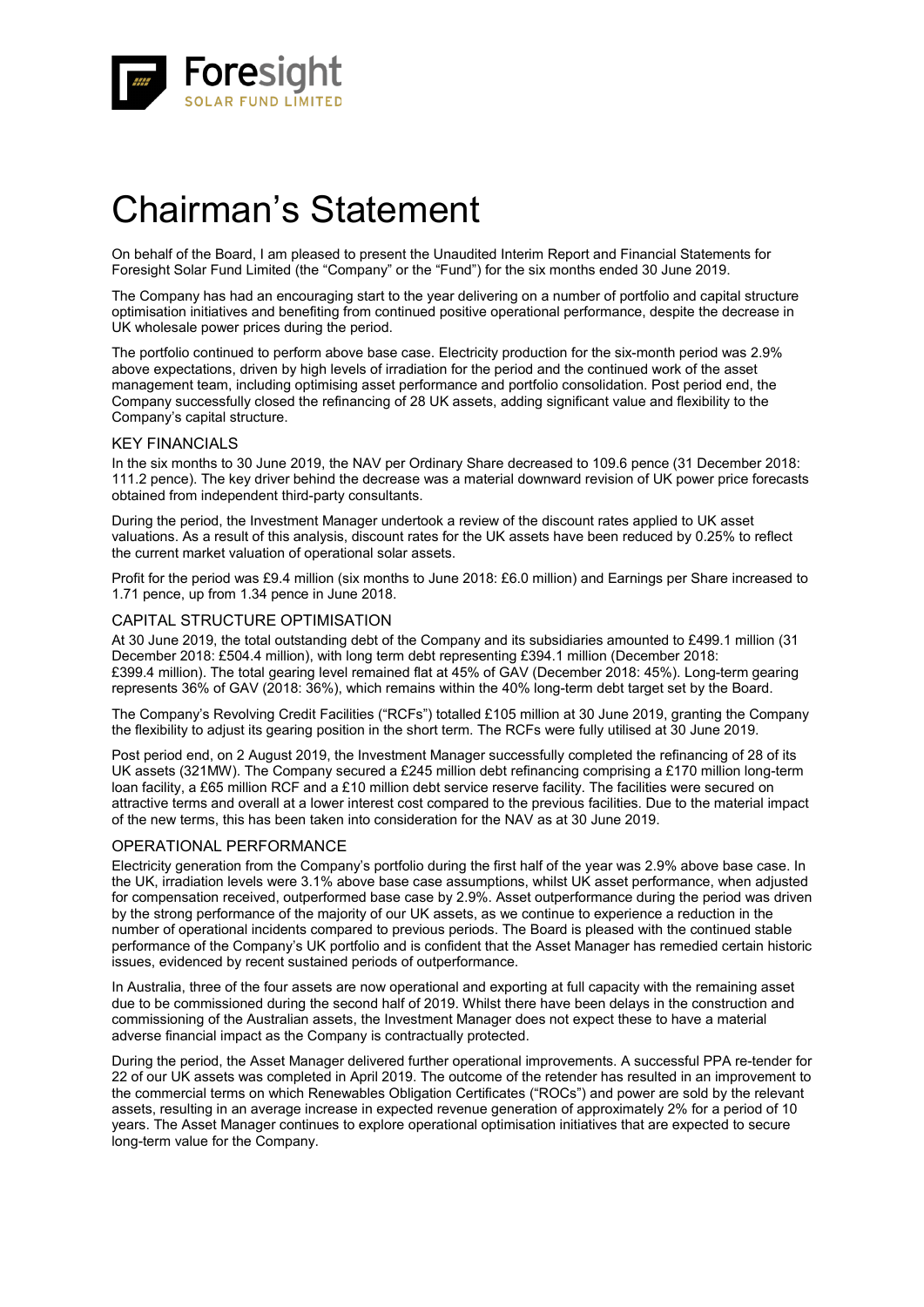

# Chairman's Statement

On behalf of the Board, I am pleased to present the Unaudited Interim Report and Financial Statements for Foresight Solar Fund Limited (the "Company" or the "Fund") for the six months ended 30 June 2019.

The Company has had an encouraging start to the year delivering on a number of portfolio and capital structure optimisation initiatives and benefiting from continued positive operational performance, despite the decrease in UK wholesale power prices during the period.

The portfolio continued to perform above base case. Electricity production for the six-month period was 2.9% above expectations, driven by high levels of irradiation for the period and the continued work of the asset management team, including optimising asset performance and portfolio consolidation. Post period end, the Company successfully closed the refinancing of 28 UK assets, adding significant value and flexibility to the Company's capital structure.

### KEY FINANCIALS

In the six months to 30 June 2019, the NAV per Ordinary Share decreased to 109.6 pence (31 December 2018: 111.2 pence). The key driver behind the decrease was a material downward revision of UK power price forecasts obtained from independent third-party consultants.

During the period, the Investment Manager undertook a review of the discount rates applied to UK asset valuations. As a result of this analysis, discount rates for the UK assets have been reduced by 0.25% to reflect the current market valuation of operational solar assets.

Profit for the period was £9.4 million (six months to June 2018: £6.0 million) and Earnings per Share increased to 1.71 pence, up from 1.34 pence in June 2018.

### CAPITAL STRUCTURE OPTIMISATION

At 30 June 2019, the total outstanding debt of the Company and its subsidiaries amounted to £499.1 million (31 December 2018: £504.4 million), with long term debt representing £394.1 million (December 2018: £399.4 million). The total gearing level remained flat at 45% of GAV (December 2018: 45%). Long-term gearing represents 36% of GAV (2018: 36%), which remains within the 40% long-term debt target set by the Board.

The Company's Revolving Credit Facilities ("RCFs") totalled £105 million at 30 June 2019, granting the Company the flexibility to adjust its gearing position in the short term. The RCFs were fully utilised at 30 June 2019.

Post period end, on 2 August 2019, the Investment Manager successfully completed the refinancing of 28 of its UK assets (321MW). The Company secured a £245 million debt refinancing comprising a £170 million long-term loan facility, a £65 million RCF and a £10 million debt service reserve facility. The facilities were secured on attractive terms and overall at a lower interest cost compared to the previous facilities. Due to the material impact of the new terms, this has been taken into consideration for the NAV as at 30 June 2019.

### OPERATIONAL PERFORMANCE

Electricity generation from the Company's portfolio during the first half of the year was 2.9% above base case. In the UK, irradiation levels were 3.1% above base case assumptions, whilst UK asset performance, when adjusted for compensation received, outperformed base case by 2.9%. Asset outperformance during the period was driven by the strong performance of the majority of our UK assets, as we continue to experience a reduction in the number of operational incidents compared to previous periods. The Board is pleased with the continued stable performance of the Company's UK portfolio and is confident that the Asset Manager has remedied certain historic issues, evidenced by recent sustained periods of outperformance.

In Australia, three of the four assets are now operational and exporting at full capacity with the remaining asset due to be commissioned during the second half of 2019. Whilst there have been delays in the construction and commissioning of the Australian assets, the Investment Manager does not expect these to have a material adverse financial impact as the Company is contractually protected.

During the period, the Asset Manager delivered further operational improvements. A successful PPA re-tender for 22 of our UK assets was completed in April 2019. The outcome of the retender has resulted in an improvement to the commercial terms on which Renewables Obligation Certificates ("ROCs") and power are sold by the relevant assets, resulting in an average increase in expected revenue generation of approximately 2% for a period of 10 years. The Asset Manager continues to explore operational optimisation initiatives that are expected to secure long-term value for the Company.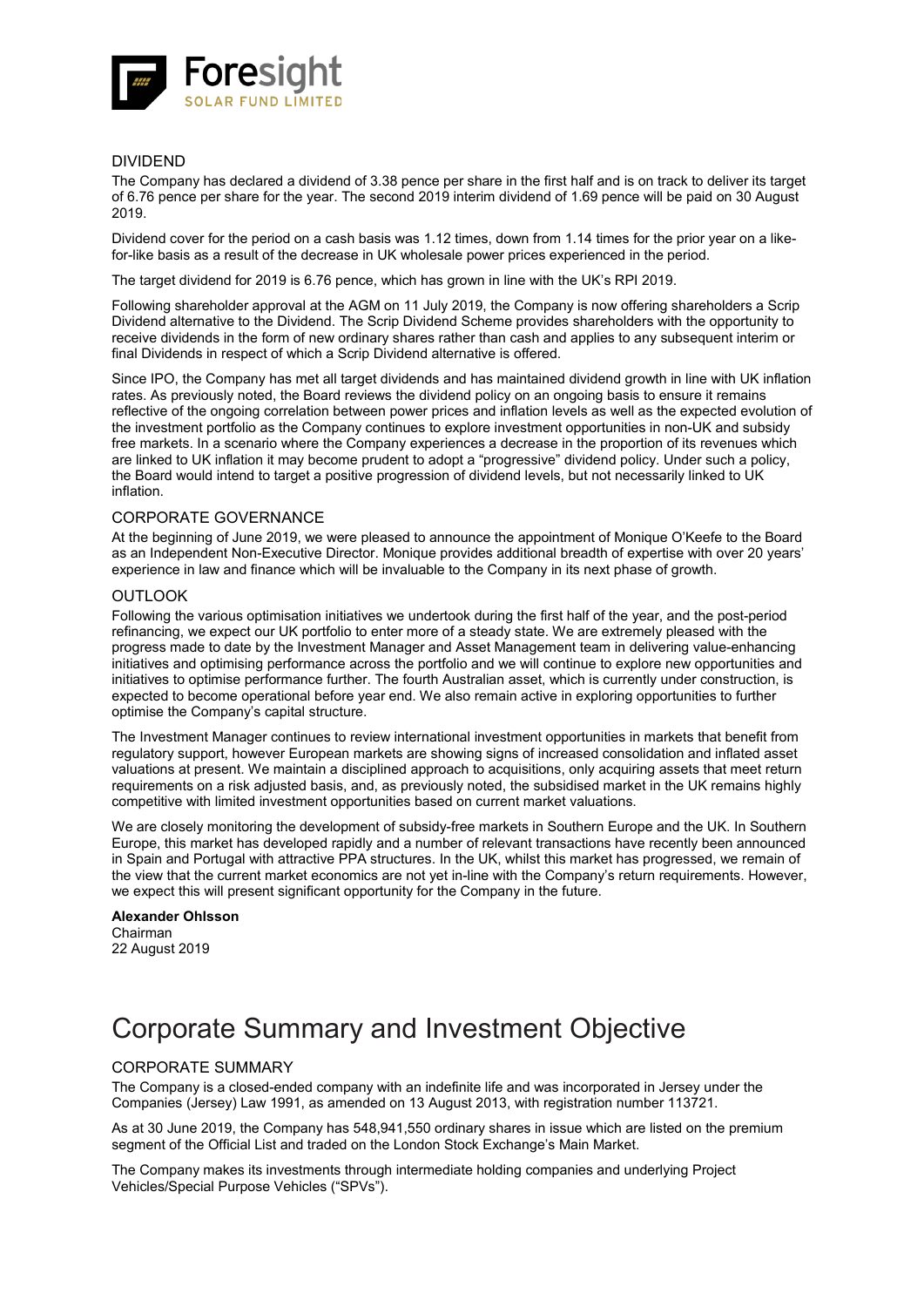

### DIVIDEND

The Company has declared a dividend of 3.38 pence per share in the first half and is on track to deliver its target of 6.76 pence per share for the year. The second 2019 interim dividend of 1.69 pence will be paid on 30 August 2019.

Dividend cover for the period on a cash basis was 1.12 times, down from 1.14 times for the prior year on a likefor-like basis as a result of the decrease in UK wholesale power prices experienced in the period.

The target dividend for 2019 is 6.76 pence, which has grown in line with the UK's RPI 2019.

Following shareholder approval at the AGM on 11 July 2019, the Company is now offering shareholders a Scrip Dividend alternative to the Dividend. The Scrip Dividend Scheme provides shareholders with the opportunity to receive dividends in the form of new ordinary shares rather than cash and applies to any subsequent interim or final Dividends in respect of which a Scrip Dividend alternative is offered.

Since IPO, the Company has met all target dividends and has maintained dividend growth in line with UK inflation rates. As previously noted, the Board reviews the dividend policy on an ongoing basis to ensure it remains reflective of the ongoing correlation between power prices and inflation levels as well as the expected evolution of the investment portfolio as the Company continues to explore investment opportunities in non-UK and subsidy free markets. In a scenario where the Company experiences a decrease in the proportion of its revenues which are linked to UK inflation it may become prudent to adopt a "progressive" dividend policy. Under such a policy, the Board would intend to target a positive progression of dividend levels, but not necessarily linked to UK inflation.

### CORPORATE GOVERNANCE

At the beginning of June 2019, we were pleased to announce the appointment of Monique O'Keefe to the Board as an Independent Non-Executive Director. Monique provides additional breadth of expertise with over 20 years' experience in law and finance which will be invaluable to the Company in its next phase of growth.

### **OUTLOOK**

Following the various optimisation initiatives we undertook during the first half of the year, and the post-period refinancing, we expect our UK portfolio to enter more of a steady state. We are extremely pleased with the progress made to date by the Investment Manager and Asset Management team in delivering value-enhancing initiatives and optimising performance across the portfolio and we will continue to explore new opportunities and initiatives to optimise performance further. The fourth Australian asset, which is currently under construction, is expected to become operational before year end. We also remain active in exploring opportunities to further optimise the Company's capital structure.

The Investment Manager continues to review international investment opportunities in markets that benefit from regulatory support, however European markets are showing signs of increased consolidation and inflated asset valuations at present. We maintain a disciplined approach to acquisitions, only acquiring assets that meet return requirements on a risk adjusted basis, and, as previously noted, the subsidised market in the UK remains highly competitive with limited investment opportunities based on current market valuations.

We are closely monitoring the development of subsidy-free markets in Southern Europe and the UK. In Southern Europe, this market has developed rapidly and a number of relevant transactions have recently been announced in Spain and Portugal with attractive PPA structures. In the UK, whilst this market has progressed, we remain of the view that the current market economics are not yet in-line with the Company's return requirements. However, we expect this will present significant opportunity for the Company in the future.

#### **Alexander Ohlsson** Chairman 22 August 2019

# Corporate Summary and Investment Objective

### CORPORATE SUMMARY

The Company is a closed-ended company with an indefinite life and was incorporated in Jersey under the Companies (Jersey) Law 1991, as amended on 13 August 2013, with registration number 113721.

As at 30 June 2019, the Company has 548,941,550 ordinary shares in issue which are listed on the premium segment of the Official List and traded on the London Stock Exchange's Main Market.

The Company makes its investments through intermediate holding companies and underlying Project Vehicles/Special Purpose Vehicles ("SPVs").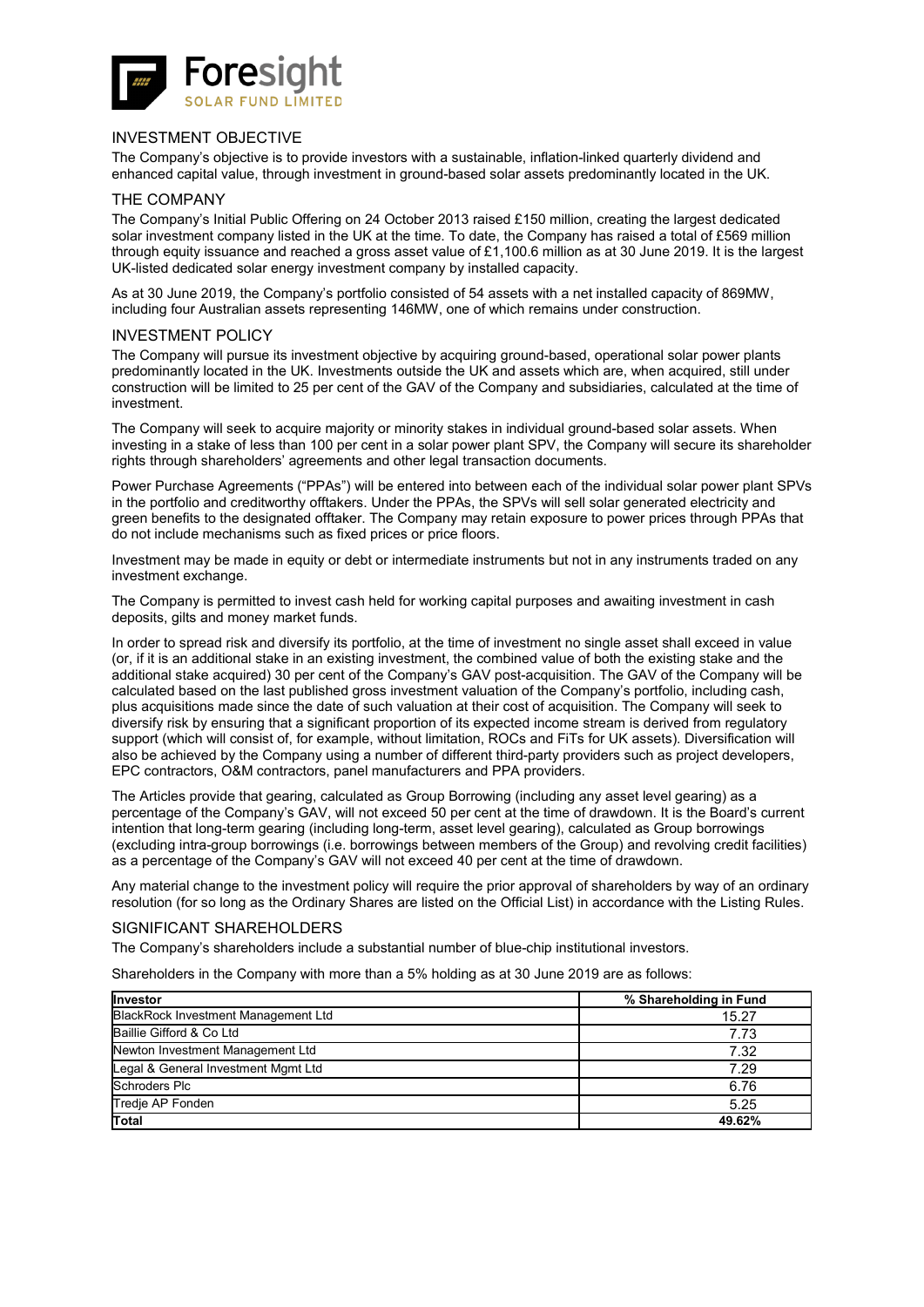

### INVESTMENT OBJECTIVE

The Company's objective is to provide investors with a sustainable, inflation-linked quarterly dividend and enhanced capital value, through investment in ground-based solar assets predominantly located in the UK.

### THE COMPANY

The Company's Initial Public Offering on 24 October 2013 raised £150 million, creating the largest dedicated solar investment company listed in the UK at the time. To date, the Company has raised a total of £569 million through equity issuance and reached a gross asset value of £1,100.6 million as at 30 June 2019. It is the largest UK-listed dedicated solar energy investment company by installed capacity.

As at 30 June 2019, the Company's portfolio consisted of 54 assets with a net installed capacity of 869MW, including four Australian assets representing 146MW, one of which remains under construction.

### INVESTMENT POLICY

The Company will pursue its investment objective by acquiring ground-based, operational solar power plants predominantly located in the UK. Investments outside the UK and assets which are, when acquired, still under construction will be limited to 25 per cent of the GAV of the Company and subsidiaries, calculated at the time of investment.

The Company will seek to acquire majority or minority stakes in individual ground-based solar assets. When investing in a stake of less than 100 per cent in a solar power plant SPV, the Company will secure its shareholder rights through shareholders' agreements and other legal transaction documents.

Power Purchase Agreements ("PPAs") will be entered into between each of the individual solar power plant SPVs in the portfolio and creditworthy offtakers. Under the PPAs, the SPVs will sell solar generated electricity and green benefits to the designated offtaker. The Company may retain exposure to power prices through PPAs that do not include mechanisms such as fixed prices or price floors.

Investment may be made in equity or debt or intermediate instruments but not in any instruments traded on any investment exchange.

The Company is permitted to invest cash held for working capital purposes and awaiting investment in cash deposits, gilts and money market funds.

In order to spread risk and diversify its portfolio, at the time of investment no single asset shall exceed in value (or, if it is an additional stake in an existing investment, the combined value of both the existing stake and the additional stake acquired) 30 per cent of the Company's GAV post-acquisition. The GAV of the Company will be calculated based on the last published gross investment valuation of the Company's portfolio, including cash, plus acquisitions made since the date of such valuation at their cost of acquisition. The Company will seek to diversify risk by ensuring that a significant proportion of its expected income stream is derived from regulatory support (which will consist of, for example, without limitation, ROCs and FiTs for UK assets). Diversification will also be achieved by the Company using a number of different third-party providers such as project developers, EPC contractors, O&M contractors, panel manufacturers and PPA providers.

The Articles provide that gearing, calculated as Group Borrowing (including any asset level gearing) as a percentage of the Company's GAV, will not exceed 50 per cent at the time of drawdown. It is the Board's current intention that long-term gearing (including long-term, asset level gearing), calculated as Group borrowings (excluding intra-group borrowings (i.e. borrowings between members of the Group) and revolving credit facilities) as a percentage of the Company's GAV will not exceed 40 per cent at the time of drawdown.

Any material change to the investment policy will require the prior approval of shareholders by way of an ordinary resolution (for so long as the Ordinary Shares are listed on the Official List) in accordance with the Listing Rules.

### SIGNIFICANT SHAREHOLDERS

The Company's shareholders include a substantial number of blue-chip institutional investors.

Shareholders in the Company with more than a 5% holding as at 30 June 2019 are as follows:

| <b>Investor</b>                     | % Shareholding in Fund |
|-------------------------------------|------------------------|
| BlackRock Investment Management Ltd | 15.27                  |
| Baillie Gifford & Co Ltd            | 7.73                   |
| Newton Investment Management Ltd    | 7.32                   |
| Legal & General Investment Mgmt Ltd | 7.29                   |
| <b>Schroders Plc</b>                | 6.76                   |
| Tredje AP Fonden                    | 5.25                   |
| Total                               | 49.62%                 |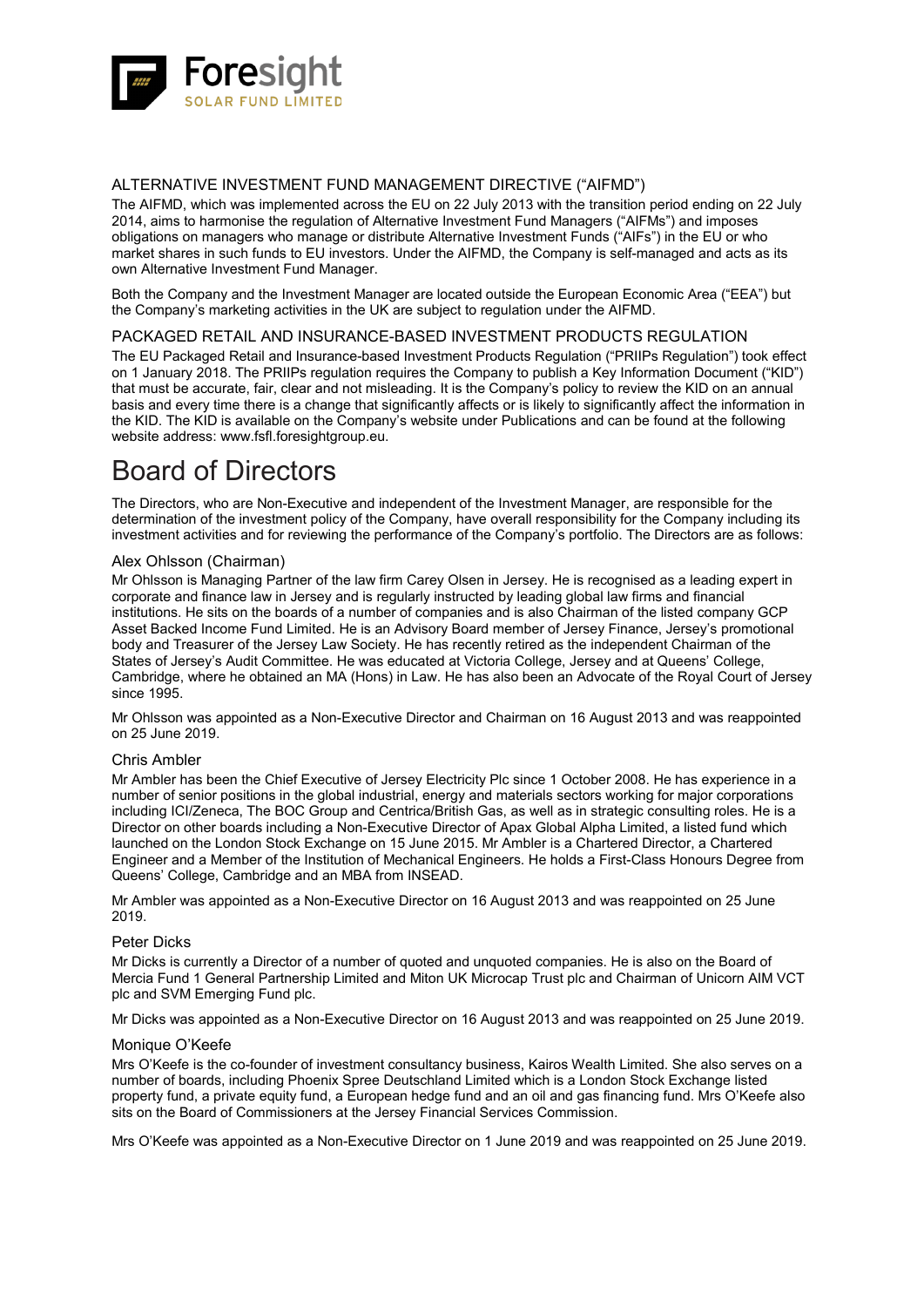

### ALTERNATIVE INVESTMENT FUND MANAGEMENT DIRECTIVE ("AIFMD")

The AIFMD, which was implemented across the EU on 22 July 2013 with the transition period ending on 22 July 2014, aims to harmonise the regulation of Alternative Investment Fund Managers ("AIFMs") and imposes obligations on managers who manage or distribute Alternative Investment Funds ("AIFs") in the EU or who market shares in such funds to EU investors. Under the AIFMD, the Company is self-managed and acts as its own Alternative Investment Fund Manager.

Both the Company and the Investment Manager are located outside the European Economic Area ("EEA") but the Company's marketing activities in the UK are subject to regulation under the AIFMD.

### PACKAGED RETAIL AND INSURANCE-BASED INVESTMENT PRODUCTS REGULATION

The EU Packaged Retail and Insurance-based Investment Products Regulation ("PRIIPs Regulation") took effect on 1 January 2018. The PRIIPs regulation requires the Company to publish a Key Information Document ("KID") that must be accurate, fair, clear and not misleading. It is the Company's policy to review the KID on an annual basis and every time there is a change that significantly affects or is likely to significantly affect the information in the KID. The KID is available on the Company's website under Publications and can be found at the following website address: [www.fsfl.foresightgroup.eu.](http://www.fsfl.foresightgroup.eu/)

# Board of Directors

The Directors, who are Non-Executive and independent of the Investment Manager, are responsible for the determination of the investment policy of the Company, have overall responsibility for the Company including its investment activities and for reviewing the performance of the Company's portfolio. The Directors are as follows:

### Alex Ohlsson (Chairman)

Mr Ohlsson is Managing Partner of the law firm Carey Olsen in Jersey. He is recognised as a leading expert in corporate and finance law in Jersey and is regularly instructed by leading global law firms and financial institutions. He sits on the boards of a number of companies and is also Chairman of the listed company GCP Asset Backed Income Fund Limited. He is an Advisory Board member of Jersey Finance, Jersey's promotional body and Treasurer of the Jersey Law Society. He has recently retired as the independent Chairman of the States of Jersey's Audit Committee. He was educated at Victoria College, Jersey and at Queens' College, Cambridge, where he obtained an MA (Hons) in Law. He has also been an Advocate of the Royal Court of Jersey since 1995.

Mr Ohlsson was appointed as a Non-Executive Director and Chairman on 16 August 2013 and was reappointed on 25 June 2019.

### Chris Ambler

Mr Ambler has been the Chief Executive of Jersey Electricity Plc since 1 October 2008. He has experience in a number of senior positions in the global industrial, energy and materials sectors working for major corporations including ICI/Zeneca, The BOC Group and Centrica/British Gas, as well as in strategic consulting roles. He is a Director on other boards including a Non-Executive Director of Apax Global Alpha Limited, a listed fund which launched on the London Stock Exchange on 15 June 2015. Mr Ambler is a Chartered Director, a Chartered Engineer and a Member of the Institution of Mechanical Engineers. He holds a First-Class Honours Degree from Queens' College, Cambridge and an MBA from INSEAD.

Mr Ambler was appointed as a Non-Executive Director on 16 August 2013 and was reappointed on 25 June 2019.

### Peter Dicks

Mr Dicks is currently a Director of a number of quoted and unquoted companies. He is also on the Board of Mercia Fund 1 General Partnership Limited and Miton UK Microcap Trust plc and Chairman of Unicorn AIM VCT plc and SVM Emerging Fund plc.

Mr Dicks was appointed as a Non-Executive Director on 16 August 2013 and was reappointed on 25 June 2019.

### Monique O'Keefe

Mrs O'Keefe is the co-founder of investment consultancy business, Kairos Wealth Limited. She also serves on a number of boards, including Phoenix Spree Deutschland Limited which is a London Stock Exchange listed property fund, a private equity fund, a European hedge fund and an oil and gas financing fund. Mrs O'Keefe also sits on the Board of Commissioners at the Jersey Financial Services Commission.

Mrs O'Keefe was appointed as a Non-Executive Director on 1 June 2019 and was reappointed on 25 June 2019.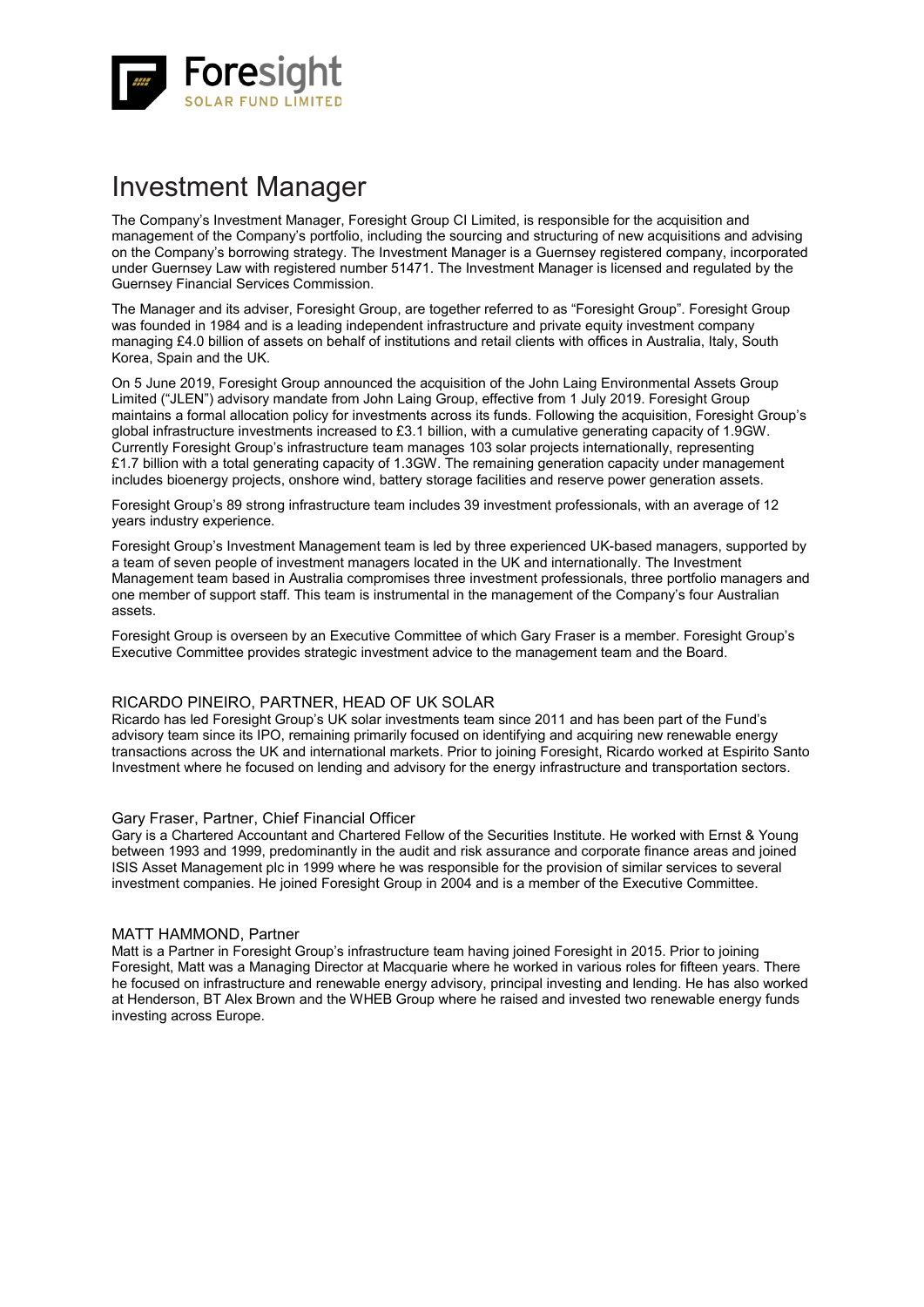

# Investment Manager

The Company's Investment Manager, Foresight Group CI Limited, is responsible for the acquisition and management of the Company's portfolio, including the sourcing and structuring of new acquisitions and advising on the Company's borrowing strategy. The Investment Manager is a Guernsey registered company, incorporated under Guernsey Law with registered number 51471. The Investment Manager is licensed and regulated by the Guernsey Financial Services Commission.

The Manager and its adviser, Foresight Group, are together referred to as "Foresight Group". Foresight Group was founded in 1984 and is a leading independent infrastructure and private equity investment company managing £4.0 billion of assets on behalf of institutions and retail clients with offices in Australia, Italy, South Korea, Spain and the UK.

On 5 June 2019, Foresight Group announced the acquisition of the John Laing Environmental Assets Group Limited ("JLEN") advisory mandate from John Laing Group, effective from 1 July 2019. Foresight Group maintains a formal allocation policy for investments across its funds. Following the acquisition, Foresight Group's global infrastructure investments increased to £3.1 billion, with a cumulative generating capacity of 1.9GW. Currently Foresight Group's infrastructure team manages 103 solar projects internationally, representing £1.7 billion with a total generating capacity of 1.3GW. The remaining generation capacity under management includes bioenergy projects, onshore wind, battery storage facilities and reserve power generation assets.

Foresight Group's 89 strong infrastructure team includes 39 investment professionals, with an average of 12 years industry experience.

Foresight Group's Investment Management team is led by three experienced UK-based managers, supported by a team of seven people of investment managers located in the UK and internationally. The Investment Management team based in Australia compromises three investment professionals, three portfolio managers and one member of support staff. This team is instrumental in the management of the Company's four Australian assets.

Foresight Group is overseen by an Executive Committee of which Gary Fraser is a member. Foresight Group's Executive Committee provides strategic investment advice to the management team and the Board.

### RICARDO PINEIRO, PARTNER, HEAD OF UK SOLAR

Ricardo has led Foresight Group's UK solar investments team since 2011 and has been part of the Fund's advisory team since its IPO, remaining primarily focused on identifying and acquiring new renewable energy transactions across the UK and international markets. Prior to joining Foresight, Ricardo worked at Espirito Santo Investment where he focused on lending and advisory for the energy infrastructure and transportation sectors.

### Gary Fraser, Partner, Chief Financial Officer

Gary is a Chartered Accountant and Chartered Fellow of the Securities Institute. He worked with Ernst & Young between 1993 and 1999, predominantly in the audit and risk assurance and corporate finance areas and joined ISIS Asset Management plc in 1999 where he was responsible for the provision of similar services to several investment companies. He joined Foresight Group in 2004 and is a member of the Executive Committee.

### MATT HAMMOND, Partner

Matt is a Partner in Foresight Group's infrastructure team having joined Foresight in 2015. Prior to joining Foresight, Matt was a Managing Director at Macquarie where he worked in various roles for fifteen years. There he focused on infrastructure and renewable energy advisory, principal investing and lending. He has also worked at Henderson, BT Alex Brown and the WHEB Group where he raised and invested two renewable energy funds investing across Europe.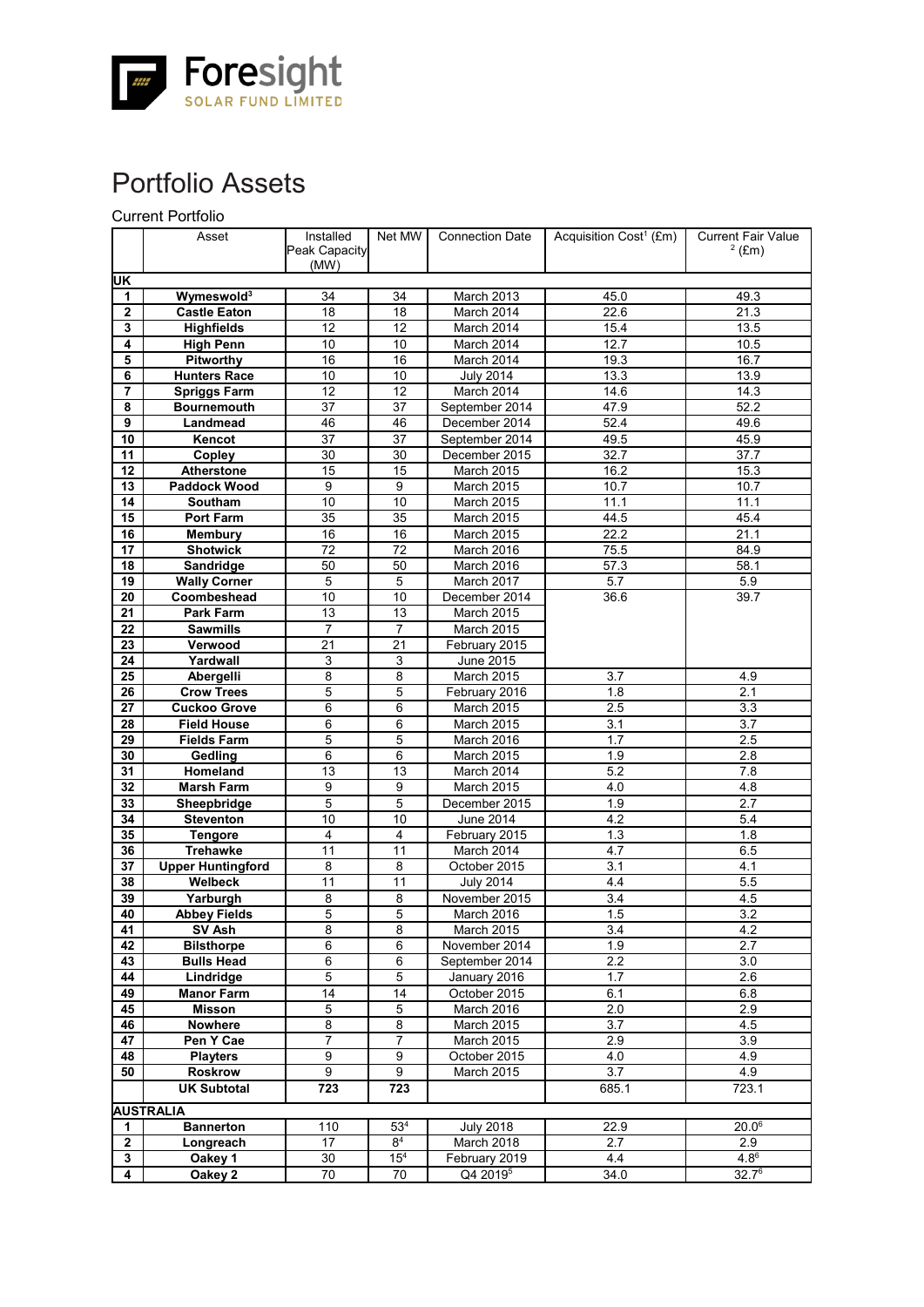

# Portfolio Assets

Current Portfolio

|                     | Asset                               | Installed            | Net MW          | <b>Connection Date</b>          | Acquisition Cost <sup>1</sup> (£m) | <b>Current Fair Value</b> |
|---------------------|-------------------------------------|----------------------|-----------------|---------------------------------|------------------------------------|---------------------------|
|                     |                                     | Peak Capacity        |                 |                                 |                                    | $2$ (£m)                  |
|                     |                                     | (MW)                 |                 |                                 |                                    |                           |
| UK                  |                                     |                      |                 |                                 |                                    |                           |
| 1                   | Wymeswold <sup>3</sup>              | 34                   | 34              | March 2013                      | 45.0                               | 49.3                      |
| 2                   | <b>Castle Eaton</b>                 | 18                   | 18              | March 2014                      | 22.6                               | 21.3                      |
| 3                   | <b>Highfields</b>                   | 12                   | 12              | March 2014                      | 15.4                               | 13.5                      |
| 4                   | <b>High Penn</b>                    | 10                   | 10              | March 2014                      | 12.7                               | 10.5                      |
| 5                   | Pitworthy                           | 16                   | 16              | March 2014                      | 19.3                               | 16.7                      |
| 6                   | <b>Hunters Race</b>                 | 10                   | 10              | <b>July 2014</b>                | 13.3                               | 13.9                      |
| 7                   | <b>Spriggs Farm</b>                 | 12                   | 12              | March 2014                      | 14.6                               | 14.3                      |
| 8<br>$\overline{9}$ | <b>Bournemouth</b>                  | 37<br>46             | 37<br>46        | September 2014                  | 47.9                               | 52.2                      |
|                     | Landmead                            |                      |                 | December 2014                   | 52.4                               | 49.6                      |
| 10<br>11            | Kencot                              | 37                   | 37              | September 2014<br>December 2015 | 49.5                               | 45.9                      |
|                     | Copley                              | 30                   | 30              |                                 | 32.7                               | 37.7                      |
| 12                  | Atherstone                          | 15<br>9              | 15<br>9         | March 2015                      | 16.2                               | 15.3                      |
| 13                  | Paddock Wood                        | 10                   |                 | March 2015                      | 10.7                               | 10.7                      |
| 14                  | Southam                             |                      | 10              | March 2015                      | 11.1                               | 11.1                      |
| 15<br>16            | <b>Port Farm</b>                    | 35<br>16             | 35<br>16        | March 2015                      | 44.5<br>22.2                       | 45.4<br>21.1              |
|                     | <b>Membury</b>                      |                      |                 | March 2015                      |                                    |                           |
| 17<br>18            | <b>Shotwick</b><br><b>Sandridge</b> | 72<br>50             | 72<br>50        | March 2016                      | 75.5                               | 84.9                      |
| 19                  | <b>Wally Corner</b>                 | 5                    | 5               | March 2016<br>March 2017        | 57.3<br>5.7                        | 58.1<br>5.9               |
| 20                  | Coombeshead                         | 10                   | 10              | December 2014                   | 36.6                               | 39.7                      |
|                     | <b>Park Farm</b>                    |                      |                 | March 2015                      |                                    |                           |
| 21<br>22            | <b>Sawmills</b>                     | 13<br>$\overline{7}$ | 13<br>7         | March 2015                      |                                    |                           |
| 23                  | Verwood                             | 21                   | 21              | February 2015                   |                                    |                           |
| 24                  | Yardwall                            | 3                    | 3               | June 2015                       |                                    |                           |
| 25                  | Abergelli                           | 8                    | 8               | March 2015                      | 3.7                                | 4.9                       |
| 26                  | <b>Crow Trees</b>                   | 5                    | 5               | February 2016                   | 1.8                                | 2.1                       |
| 27                  | <b>Cuckoo Grove</b>                 | 6                    | 6               | March 2015                      | 2.5                                | 3.3                       |
| 28                  | <b>Field House</b>                  | 6                    | 6               | March 2015                      | 3.1                                | 3.7                       |
| 29                  | <b>Fields Farm</b>                  | 5                    | $\overline{5}$  | March 2016                      | 1.7                                | 2.5                       |
| 30                  | Gedling                             | 6                    | 6               | March 2015                      | 1.9                                | 2.8                       |
| 31                  | Homeland                            | 13                   | 13              | March 2014                      | 5.2                                | 7.8                       |
| 32                  | <b>Marsh Farm</b>                   | 9                    | 9               | March 2015                      | 4.0                                | 4.8                       |
| 33                  | Sheepbridge                         | 5                    | 5               | December 2015                   | 1.9                                | 2.7                       |
| 34                  | <b>Steventon</b>                    | 10                   | 10              | <b>June 2014</b>                | 4.2                                | 5.4                       |
| 35                  | <b>Tengore</b>                      | $\overline{4}$       | 4               | February 2015                   | 1.3                                | 1.8                       |
| 36                  | <b>Trehawke</b>                     | 11                   | 11              | March 2014                      | 4.7                                | 6.5                       |
| 37                  | <b>Upper Huntingford</b>            | 8                    | 8               | October 2015                    | 3.1                                | 4.1                       |
| 38                  | Welbeck                             | 11                   | 11              | <b>July 2014</b>                | 4.4                                | 5.5                       |
| 39                  | Yarburgh                            | 8                    | 8               | November 2015                   | 3.4                                | 4.5                       |
| 40                  | <b>Abbey Fields</b>                 | 5                    | 5               | March 2016                      | 1.5                                | 3.2                       |
| 41                  | SV Ash                              | 8                    | 8               | <b>March 2015</b>               | 3.4                                | 4.2                       |
| 42                  | <b>Bilsthorpe</b>                   | 6                    | 6               | November 2014                   | 1.9                                | 2.7                       |
| 43                  | <b>Bulls Head</b>                   | 6                    | 6               | September 2014                  | 2.2                                | 3.0                       |
| 44                  | Lindridge                           | $\overline{5}$       | $\overline{5}$  | January 2016                    | 1.7                                | 2.6                       |
| 49                  | <b>Manor Farm</b>                   | 14                   | 14              | October 2015                    | 6.1                                | 6.8                       |
| 45                  | <b>Misson</b>                       | 5                    | $\overline{5}$  | March 2016                      | 2.0                                | 2.9                       |
| 46                  | <b>Nowhere</b>                      | $\overline{8}$       | $\overline{8}$  | March 2015                      | 3.7                                | 4.5                       |
| 47                  | Pen Y Cae                           | $\overline{7}$       | 7               | March 2015                      | 2.9                                | 3.9                       |
| 48                  | <b>Playters</b>                     | 9                    | $\overline{9}$  | October 2015                    | 4.0                                | 4.9                       |
| 50                  | <b>Roskrow</b>                      | 9                    | 9               | March 2015                      | 3.7                                | 4.9                       |
|                     | <b>UK Subtotal</b>                  | 723                  | 723             |                                 | 685.1                              | 723.1                     |
|                     | <b>AUSTRALIA</b>                    |                      |                 |                                 |                                    |                           |
| 1                   | <b>Bannerton</b>                    | 110                  | 53 <sup>4</sup> | <b>July 2018</b>                | 22.9                               | $20.0^6$                  |
| $\mathbf{2}$        | Longreach                           | 17                   | 8 <sup>4</sup>  | March 2018                      | 2.7                                | 2.9                       |
| 3                   | Oakey 1                             | 30                   | 15 <sup>4</sup> | February 2019                   | 4.4                                | $4.8^6$                   |
| 4                   | Oakey 2                             | $\overline{70}$      | 70              | Q4 2019 <sup>5</sup>            | 34.0                               | $32.7^6$                  |
|                     |                                     |                      |                 |                                 |                                    |                           |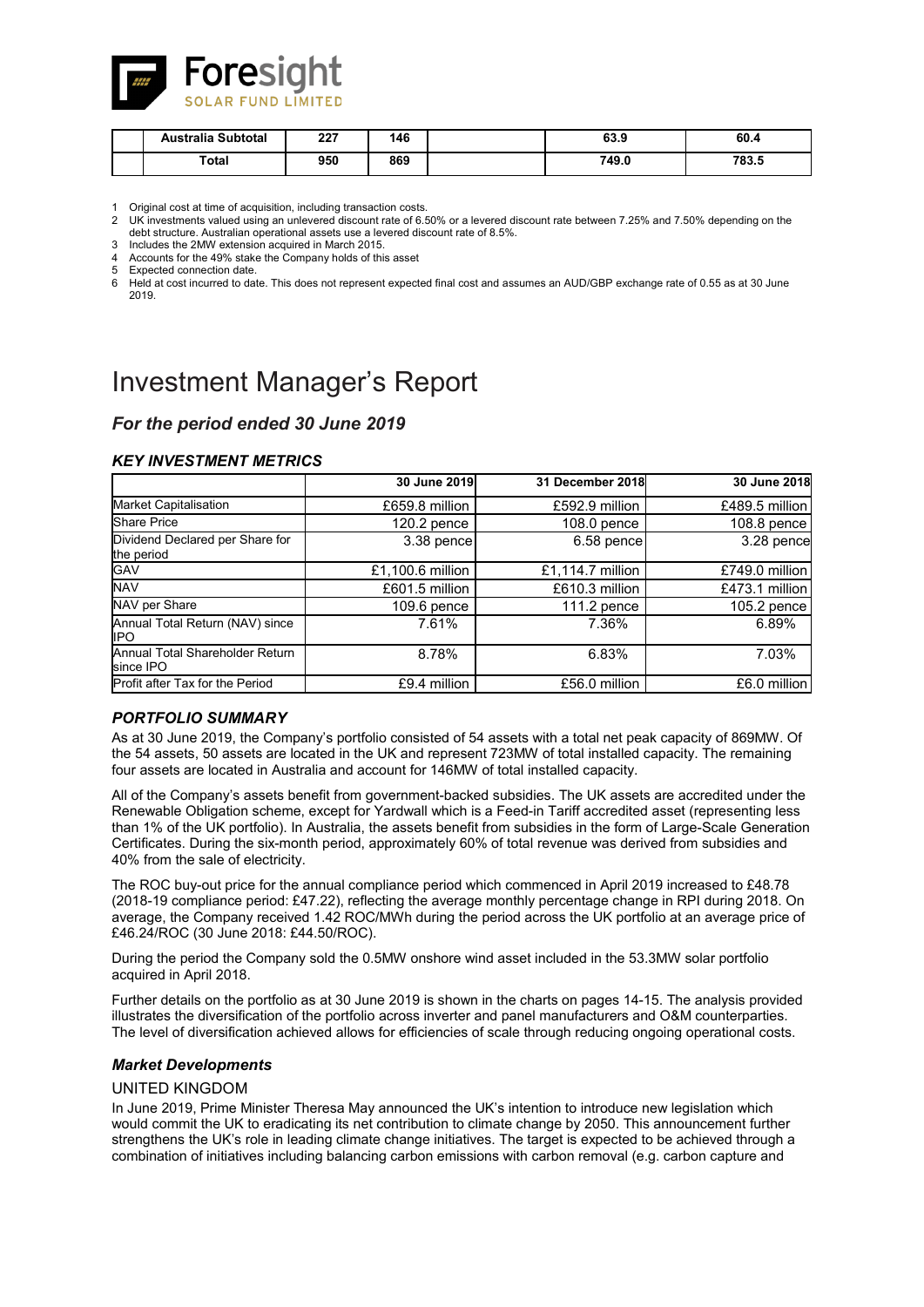

| Australia Subtotal | 007<br>221 | 146 | 63 O<br>ხა.უ | 60.4            |
|--------------------|------------|-----|--------------|-----------------|
| Total              | 950        | 869 | 749.0        | 709 E<br>٬ გა.ხ |

Original cost at time of acquisition, including transaction costs.

2 UK investments valued using an unlevered discount rate of 6.50% or a levered discount rate between 7.25% and 7.50% depending on the debt structure. Australian operational assets use a levered discount rate of 8.5%.

3 Includes the 2MW extension acquired in March 2015.

Accounts for the 49% stake the Company holds of this asset

5 Expected connection date.<br>6 Held at cost incurred to date. 6 Held at cost incurred to date. This does not represent expected final cost and assumes an AUD/GBP exchange rate of 0.55 as at 30 June 2019.

# Investment Manager's Report

# *For the period ended 30 June 2019*

### *KEY INVESTMENT METRICS*

|                                               | 30 June 2019     | 31 December 2018 | 30 June 2018   |
|-----------------------------------------------|------------------|------------------|----------------|
| Market Capitalisation                         | £659.8 million   | £592.9 million   | £489.5 million |
| <b>Share Price</b>                            | $120.2$ pence    | 108.0 pence      | 108.8 pence    |
| Dividend Declared per Share for<br>the period | 3.38 pence       | 6.58 pence       | 3.28 pence     |
| GAV                                           | £1,100.6 million | £1,114.7 million | £749.0 million |
| <b>NAV</b>                                    | £601.5 million   | £610.3 million   | £473.1 million |
| NAV per Share                                 | $109.6$ pence    | 111.2 pence      | 105.2 pence    |
| Annual Total Return (NAV) since<br>IPO        | 7.61%            | 7.36%            | 6.89%          |
| Annual Total Shareholder Return<br>since IPO  | 8.78%            | 6.83%            | 7.03%          |
| Profit after Tax for the Period               | £9.4 million     | £56.0 million    | £6.0 million   |

### *PORTFOLIO SUMMARY*

As at 30 June 2019, the Company's portfolio consisted of 54 assets with a total net peak capacity of 869MW. Of the 54 assets, 50 assets are located in the UK and represent 723MW of total installed capacity. The remaining four assets are located in Australia and account for 146MW of total installed capacity.

All of the Company's assets benefit from government-backed subsidies. The UK assets are accredited under the Renewable Obligation scheme, except for Yardwall which is a Feed-in Tariff accredited asset (representing less than 1% of the UK portfolio). In Australia, the assets benefit from subsidies in the form of Large-Scale Generation Certificates. During the six-month period, approximately 60% of total revenue was derived from subsidies and 40% from the sale of electricity.

The ROC buy-out price for the annual compliance period which commenced in April 2019 increased to £48.78 (2018-19 compliance period: £47.22), reflecting the average monthly percentage change in RPI during 2018. On average, the Company received 1.42 ROC/MWh during the period across the UK portfolio at an average price of £46.24/ROC (30 June 2018: £44.50/ROC).

During the period the Company sold the 0.5MW onshore wind asset included in the 53.3MW solar portfolio acquired in April 2018.

Further details on the portfolio as at 30 June 2019 is shown in the charts on pages 14-15. The analysis provided illustrates the diversification of the portfolio across inverter and panel manufacturers and O&M counterparties. The level of diversification achieved allows for efficiencies of scale through reducing ongoing operational costs.

### *Market Developments*

### UNITED KINGDOM

In June 2019, Prime Minister Theresa May announced the UK's intention to introduce new legislation which would commit the UK to eradicating its net contribution to climate change by 2050. This announcement further strengthens the UK's role in leading climate change initiatives. The target is expected to be achieved through a combination of initiatives including balancing carbon emissions with carbon removal (e.g. carbon capture and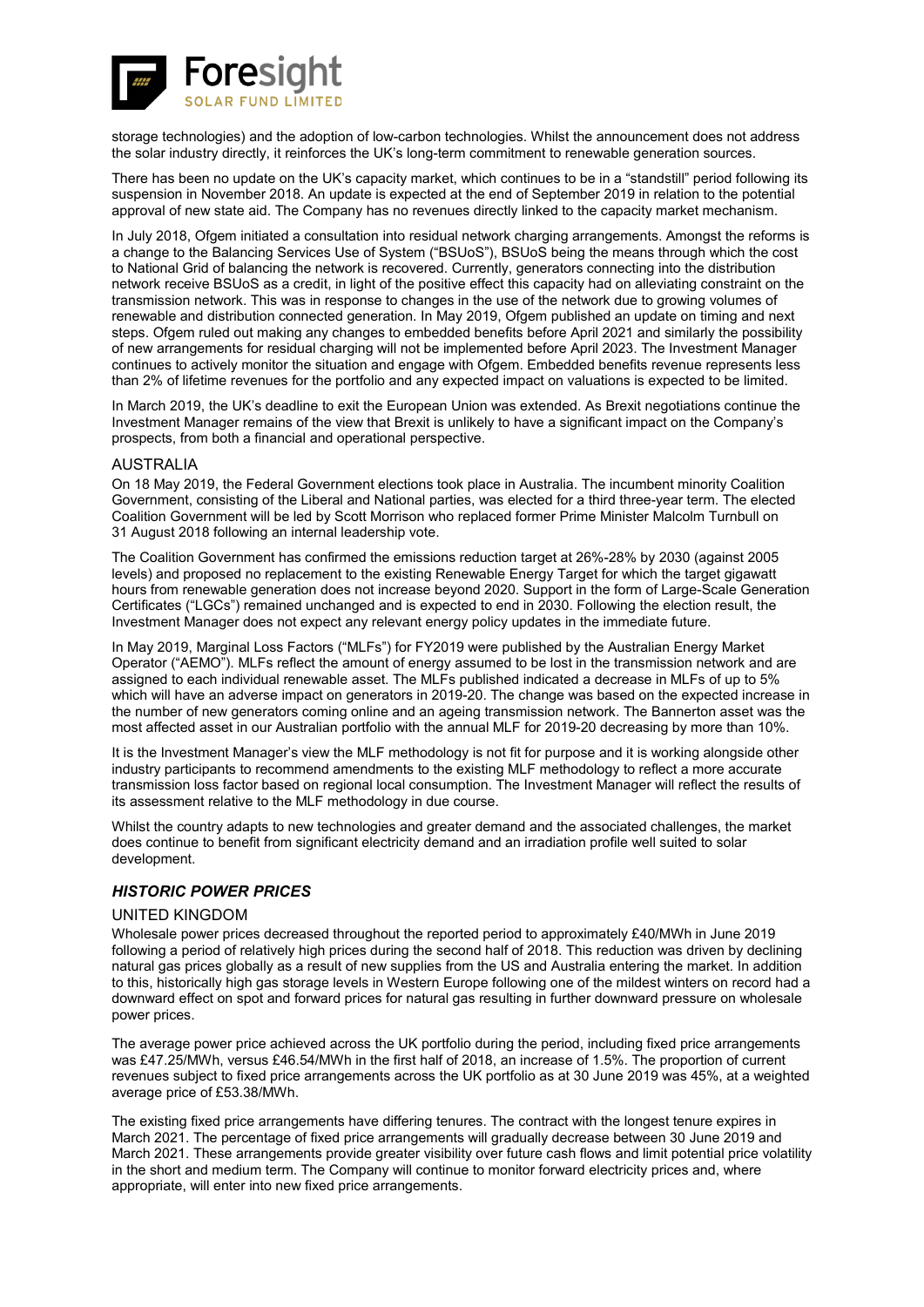

storage technologies) and the adoption of low-carbon technologies. Whilst the announcement does not address the solar industry directly, it reinforces the UK's long-term commitment to renewable generation sources.

There has been no update on the UK's capacity market, which continues to be in a "standstill" period following its suspension in November 2018. An update is expected at the end of September 2019 in relation to the potential approval of new state aid. The Company has no revenues directly linked to the capacity market mechanism.

In July 2018. Ofgem initiated a consultation into residual network charging arrangements. Amongst the reforms is a change to the Balancing Services Use of System ("BSUoS"), BSUoS being the means through which the cost to National Grid of balancing the network is recovered. Currently, generators connecting into the distribution network receive BSUoS as a credit, in light of the positive effect this capacity had on alleviating constraint on the transmission network. This was in response to changes in the use of the network due to growing volumes of renewable and distribution connected generation. In May 2019, Ofgem published an update on timing and next steps. Ofgem ruled out making any changes to embedded benefits before April 2021 and similarly the possibility of new arrangements for residual charging will not be implemented before April 2023. The Investment Manager continues to actively monitor the situation and engage with Ofgem. Embedded benefits revenue represents less than 2% of lifetime revenues for the portfolio and any expected impact on valuations is expected to be limited.

In March 2019, the UK's deadline to exit the European Union was extended. As Brexit negotiations continue the Investment Manager remains of the view that Brexit is unlikely to have a significant impact on the Company's prospects, from both a financial and operational perspective.

### AUSTRALIA

On 18 May 2019, the Federal Government elections took place in Australia. The incumbent minority Coalition Government, consisting of the Liberal and National parties, was elected for a third three-year term. The elected Coalition Government will be led by Scott Morrison who replaced former Prime Minister Malcolm Turnbull on 31 August 2018 following an internal leadership vote.

The Coalition Government has confirmed the emissions reduction target at 26%-28% by 2030 (against 2005 levels) and proposed no replacement to the existing Renewable Energy Target for which the target gigawatt hours from renewable generation does not increase beyond 2020. Support in the form of Large-Scale Generation Certificates ("LGCs") remained unchanged and is expected to end in 2030. Following the election result, the Investment Manager does not expect any relevant energy policy updates in the immediate future.

In May 2019, Marginal Loss Factors ("MLFs") for FY2019 were published by the Australian Energy Market Operator ("AEMO"). MLFs reflect the amount of energy assumed to be lost in the transmission network and are assigned to each individual renewable asset. The MLFs published indicated a decrease in MLFs of up to 5% which will have an adverse impact on generators in 2019-20. The change was based on the expected increase in the number of new generators coming online and an ageing transmission network. The Bannerton asset was the most affected asset in our Australian portfolio with the annual MLF for 2019-20 decreasing by more than 10%.

It is the Investment Manager's view the MLF methodology is not fit for purpose and it is working alongside other industry participants to recommend amendments to the existing MLF methodology to reflect a more accurate transmission loss factor based on regional local consumption. The Investment Manager will reflect the results of its assessment relative to the MLF methodology in due course.

Whilst the country adapts to new technologies and greater demand and the associated challenges, the market does continue to benefit from significant electricity demand and an irradiation profile well suited to solar development.

### *HISTORIC POWER PRICES*

### UNITED KINGDOM

Wholesale power prices decreased throughout the reported period to approximately £40/MWh in June 2019 following a period of relatively high prices during the second half of 2018. This reduction was driven by declining natural gas prices globally as a result of new supplies from the US and Australia entering the market. In addition to this, historically high gas storage levels in Western Europe following one of the mildest winters on record had a downward effect on spot and forward prices for natural gas resulting in further downward pressure on wholesale power prices.

The average power price achieved across the UK portfolio during the period, including fixed price arrangements was £47.25/MWh, versus £46.54/MWh in the first half of 2018, an increase of 1.5%. The proportion of current revenues subject to fixed price arrangements across the UK portfolio as at 30 June 2019 was 45%, at a weighted average price of £53.38/MWh.

The existing fixed price arrangements have differing tenures. The contract with the longest tenure expires in March 2021. The percentage of fixed price arrangements will gradually decrease between 30 June 2019 and March 2021. These arrangements provide greater visibility over future cash flows and limit potential price volatility in the short and medium term. The Company will continue to monitor forward electricity prices and, where appropriate, will enter into new fixed price arrangements.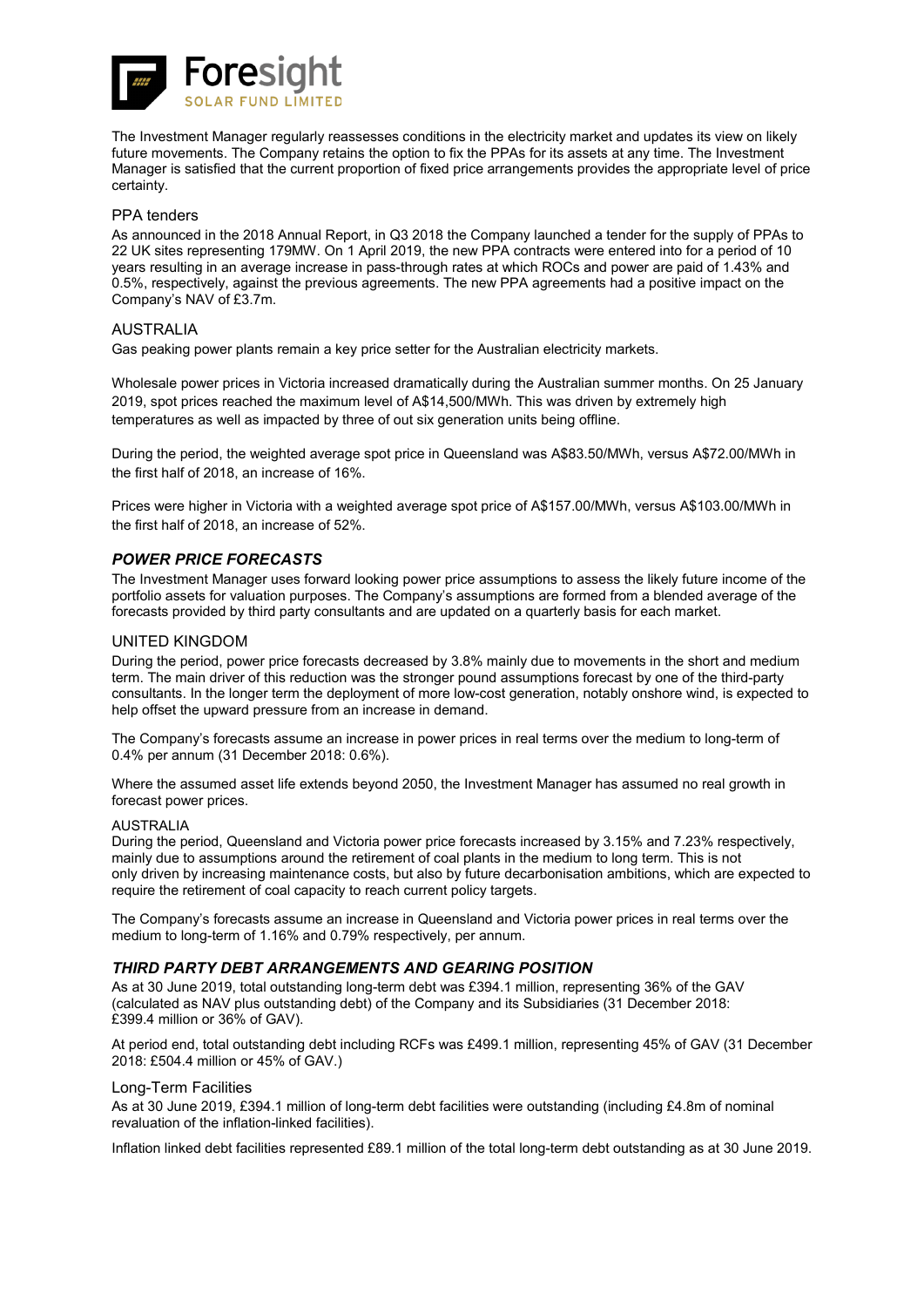

The Investment Manager regularly reassesses conditions in the electricity market and updates its view on likely future movements. The Company retains the option to fix the PPAs for its assets at any time. The Investment Manager is satisfied that the current proportion of fixed price arrangements provides the appropriate level of price certainty.

### PPA tenders

As announced in the 2018 Annual Report, in Q3 2018 the Company launched a tender for the supply of PPAs to 22 UK sites representing 179MW. On 1 April 2019, the new PPA contracts were entered into for a period of 10 years resulting in an average increase in pass-through rates at which ROCs and power are paid of 1.43% and 0.5%, respectively, against the previous agreements. The new PPA agreements had a positive impact on the Company's NAV of £3.7m.

### AUSTRALIA

Gas peaking power plants remain a key price setter for the Australian electricity markets.

Wholesale power prices in Victoria increased dramatically during the Australian summer months. On 25 January 2019, spot prices reached the maximum level of A\$14,500/MWh. This was driven by extremely high temperatures as well as impacted by three of out six generation units being offline.

During the period, the weighted average spot price in Queensland was A\$83.50/MWh, versus A\$72.00/MWh in the first half of 2018, an increase of 16%.

Prices were higher in Victoria with a weighted average spot price of A\$157.00/MWh, versus A\$103.00/MWh in the first half of 2018, an increase of 52%.

### *POWER PRICE FORECASTS*

The Investment Manager uses forward looking power price assumptions to assess the likely future income of the portfolio assets for valuation purposes. The Company's assumptions are formed from a blended average of the forecasts provided by third party consultants and are updated on a quarterly basis for each market.

### UNITED KINGDOM

During the period, power price forecasts decreased by 3.8% mainly due to movements in the short and medium term. The main driver of this reduction was the stronger pound assumptions forecast by one of the third-party consultants. In the longer term the deployment of more low-cost generation, notably onshore wind, is expected to help offset the upward pressure from an increase in demand.

The Company's forecasts assume an increase in power prices in real terms over the medium to long-term of 0.4% per annum (31 December 2018: 0.6%).

Where the assumed asset life extends beyond 2050, the Investment Manager has assumed no real growth in forecast power prices.

### AUSTRALIA

During the period, Queensland and Victoria power price forecasts increased by 3.15% and 7.23% respectively, mainly due to assumptions around the retirement of coal plants in the medium to long term. This is not only driven by increasing maintenance costs, but also by future decarbonisation ambitions, which are expected to require the retirement of coal capacity to reach current policy targets.

The Company's forecasts assume an increase in Queensland and Victoria power prices in real terms over the medium to long-term of 1.16% and 0.79% respectively, per annum.

### *THIRD PARTY DEBT ARRANGEMENTS AND GEARING POSITION*

As at 30 June 2019, total outstanding long-term debt was £394.1 million, representing 36% of the GAV (calculated as NAV plus outstanding debt) of the Company and its Subsidiaries (31 December 2018: £399.4 million or 36% of GAV).

At period end, total outstanding debt including RCFs was £499.1 million, representing 45% of GAV (31 December 2018: £504.4 million or 45% of GAV.)

### Long-Term Facilities

As at 30 June 2019, £394.1 million of long-term debt facilities were outstanding (including £4.8m of nominal revaluation of the inflation-linked facilities).

Inflation linked debt facilities represented £89.1 million of the total long-term debt outstanding as at 30 June 2019.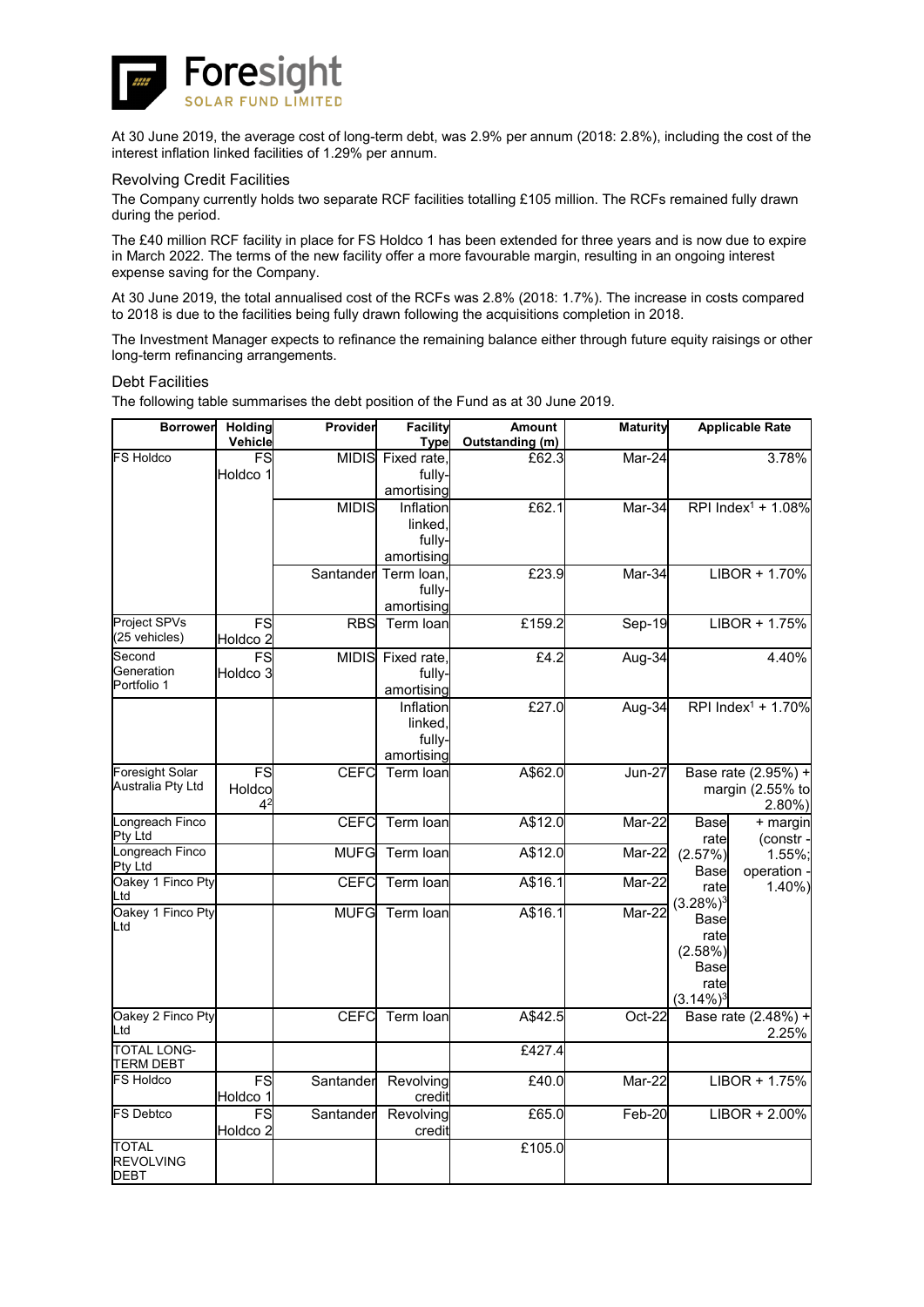

At 30 June 2019, the average cost of long-term debt, was 2.9% per annum (2018: 2.8%), including the cost of the interest inflation linked facilities of 1.29% per annum.

### Revolving Credit Facilities

The Company currently holds two separate RCF facilities totalling £105 million. The RCFs remained fully drawn during the period.

The £40 million RCF facility in place for FS Holdco 1 has been extended for three years and is now due to expire in March 2022. The terms of the new facility offer a more favourable margin, resulting in an ongoing interest expense saving for the Company.

At 30 June 2019, the total annualised cost of the RCFs was 2.8% (2018: 1.7%). The increase in costs compared to 2018 is due to the facilities being fully drawn following the acquisitions completion in 2018.

The Investment Manager expects to refinance the remaining balance either through future equity raisings or other long-term refinancing arrangements.

### Debt Facilities

The following table summarises the debt position of the Fund as at 30 June 2019.

| <b>Borrower</b>                 | <b>Holding</b><br>Vehicle           | Provider     | <b>Facility</b><br><b>Type</b> | <b>Amount</b><br>Outstanding (m) | <b>Maturity</b> | <b>Applicable Rate</b>               |
|---------------------------------|-------------------------------------|--------------|--------------------------------|----------------------------------|-----------------|--------------------------------------|
| <b>FS Holdco</b>                | FS                                  |              | MIDIS Fixed rate               | £62.3                            | Mar-24          | 3.78%                                |
|                                 | Holdco 1                            |              | fully-                         |                                  |                 |                                      |
|                                 |                                     |              | amortising                     |                                  |                 |                                      |
|                                 |                                     | <b>MIDIS</b> | Inflation<br>linked.           | £62.1                            | Mar-34          | RPI Index <sup>1</sup> + 1.08%       |
|                                 |                                     |              | fully-                         |                                  |                 |                                      |
|                                 |                                     |              | amortising                     |                                  |                 |                                      |
|                                 |                                     | Santander    | Term loan                      | £23.9                            | Mar-34          | $LIBOR + 1.70%$                      |
|                                 |                                     |              | fully-<br>amortising           |                                  |                 |                                      |
| Project SPVs                    | FS                                  | <b>RBS</b>   | Term Ioan                      | £159.2                           | Sep-19          | LIBOR + 1.75%                        |
| (25 vehicles)                   | Holdco <sub>2</sub>                 |              |                                |                                  |                 |                                      |
| Second<br>Generation            | FS                                  | <b>MIDIS</b> | Fixed rate                     | E4.2                             | Aug-34          | 4.40%                                |
| Portfolio 1                     | Holdco <sub>3</sub>                 |              | fully-<br>amortising           |                                  |                 |                                      |
|                                 |                                     |              | Inflation                      | £27.0                            | Aug-34          | RPI Index $1 + 1.70\%$               |
|                                 |                                     |              | linked                         |                                  |                 |                                      |
|                                 |                                     |              | fully-                         |                                  |                 |                                      |
| <b>Foresight Solar</b>          | FS                                  | <b>CEFC</b>  | amortising<br>Term loan        | A\$62.0                          | <b>Jun-27</b>   | Base rate (2.95%) +                  |
| Australia Pty Ltd               | Holdco                              |              |                                |                                  |                 | margin (2.55% to                     |
|                                 | $4^2$                               |              |                                |                                  |                 | $2.80\%$ )                           |
| Longreach Finco<br>Pty Ltd      |                                     | <b>CEFC</b>  | Term loan                      | A\$12.0                          | Mar-22          | <b>Base</b><br>+ margin              |
| Longreach Finco                 |                                     | <b>MUFG</b>  | Term loan                      | A\$12.0                          | Mar-22          | (constr<br>rate<br>(2.57%)<br>1.55%; |
| Pty Ltd                         |                                     |              |                                |                                  |                 | operation<br>Base                    |
| Oakey 1 Finco Pty<br>Ltd        |                                     | CEFC         | Term loan                      | A\$16.1                          | Mar-22          | 1.40%<br>rate                        |
| Oakey 1 Finco Pty               |                                     | <b>MUFG</b>  | Term loan                      | A\$16.1                          | Mar-22          | $(3.28\%)$ <sup>3</sup><br>Base      |
| Ltd                             |                                     |              |                                |                                  |                 | rate                                 |
|                                 |                                     |              |                                |                                  |                 | (2.58%)                              |
|                                 |                                     |              |                                |                                  |                 | Base<br>rate                         |
|                                 |                                     |              |                                |                                  |                 | $(3.14\%)$ <sup>3</sup>              |
| Oakey 2 Finco Pty               |                                     | <b>CEFC</b>  | Term loan                      | A\$42.5                          | Oct-22          | Base rate (2.48%) +                  |
| Ltd                             |                                     |              |                                |                                  |                 | 2.25%                                |
| <b>TOTAL LONG-</b><br>TERM DEBT |                                     |              |                                | £427.4                           |                 |                                      |
| <b>FS Holdco</b>                | FS                                  | Santander    | Revolving                      | £40.0                            | Mar-22          | $LIBOR + 1.75%$                      |
|                                 | Holdco 1                            |              | credit                         |                                  |                 |                                      |
| <b>FS Debtco</b>                | $\overline{\mathsf{s}}$<br>Holdco 2 | Santander    | Revolving<br>credit            | £65.0                            | Feb-20          | LIBOR + 2.00%                        |
| <b>TOTAL</b>                    |                                     |              |                                | £105.0                           |                 |                                      |
| <b>REVOLVING</b>                |                                     |              |                                |                                  |                 |                                      |
| <b>DEBT</b>                     |                                     |              |                                |                                  |                 |                                      |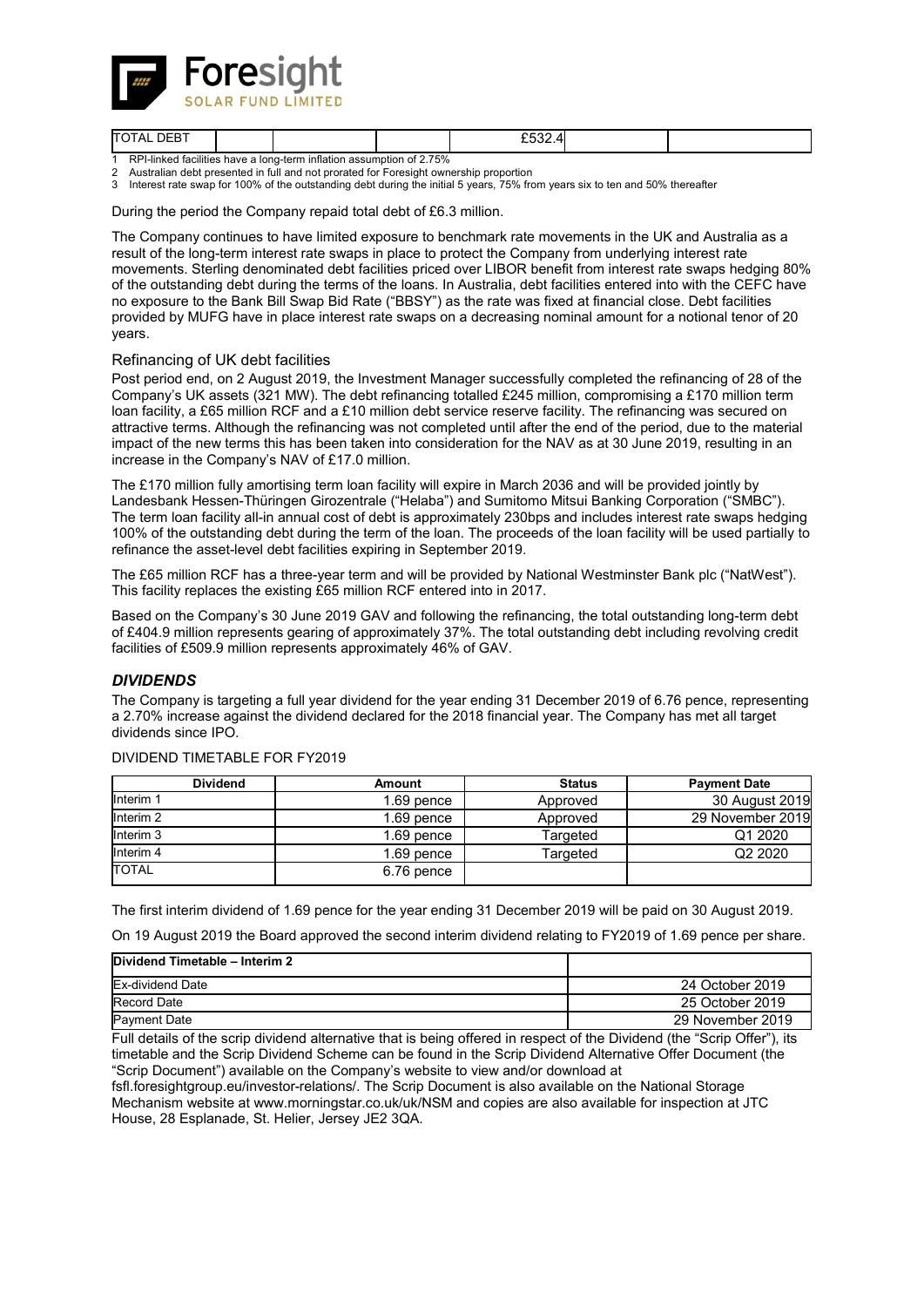

| DERT<br><b>TO</b><br>Δ. |  |             | ----<br>$- - - -$ |  |
|-------------------------|--|-------------|-------------------|--|
| .<br>___.<br>. .<br>. . |  | $- - - - -$ |                   |  |

1 RPI-linked facilities have a long-term inflation assumption of 2.75%

2 Australian debt presented in full and not prorated for Foresight ownership proportion<br>3 Interest rate swap for 100% of the outstanding debt during the initial 5 years 75% from Interest rate swap for 100% of the outstanding debt during the initial 5 years, 75% from years six to ten and 50% thereafter

During the period the Company repaid total debt of £6.3 million.

The Company continues to have limited exposure to benchmark rate movements in the UK and Australia as a result of the long-term interest rate swaps in place to protect the Company from underlying interest rate movements. Sterling denominated debt facilities priced over LIBOR benefit from interest rate swaps hedging 80% of the outstanding debt during the terms of the loans. In Australia, debt facilities entered into with the CEFC have no exposure to the Bank Bill Swap Bid Rate ("BBSY") as the rate was fixed at financial close. Debt facilities provided by MUFG have in place interest rate swaps on a decreasing nominal amount for a notional tenor of 20 years.

### Refinancing of UK debt facilities

Post period end, on 2 August 2019, the Investment Manager successfully completed the refinancing of 28 of the Company's UK assets (321 MW). The debt refinancing totalled £245 million, compromising a £170 million term loan facility, a £65 million RCF and a £10 million debt service reserve facility. The refinancing was secured on attractive terms. Although the refinancing was not completed until after the end of the period, due to the material impact of the new terms this has been taken into consideration for the NAV as at 30 June 2019, resulting in an increase in the Company's NAV of £17.0 million.

The £170 million fully amortising term loan facility will expire in March 2036 and will be provided jointly by Landesbank Hessen-Thüringen Girozentrale ("Helaba") and Sumitomo Mitsui Banking Corporation ("SMBC"). The term loan facility all-in annual cost of debt is approximately 230bps and includes interest rate swaps hedging 100% of the outstanding debt during the term of the loan. The proceeds of the loan facility will be used partially to refinance the asset-level debt facilities expiring in September 2019.

The £65 million RCF has a three-year term and will be provided by National Westminster Bank plc ("NatWest"). This facility replaces the existing £65 million RCF entered into in 2017.

Based on the Company's 30 June 2019 GAV and following the refinancing, the total outstanding long-term debt of £404.9 million represents gearing of approximately 37%. The total outstanding debt including revolving credit facilities of £509.9 million represents approximately 46% of GAV.

### *DIVIDENDS*

The Company is targeting a full year dividend for the year ending 31 December 2019 of 6.76 pence, representing a 2.70% increase against the dividend declared for the 2018 financial year. The Company has met all target dividends since IPO.

|                      | <b>Dividend</b> | Amount       | <b>Status</b> | <b>Payment Date</b> |
|----------------------|-----------------|--------------|---------------|---------------------|
| Interim 1            |                 | $1.69$ pence | Approved      | 30 August 2019      |
| Interim <sub>2</sub> |                 | $1.69$ pence | Approved      | 29 November 2019    |
| Interim <sub>3</sub> |                 | $1.69$ pence | Targeted      | Q1 2020             |
| Interim <sub>4</sub> |                 | $1.69$ pence | Targeted      | Q <sub>2</sub> 2020 |
| <b>TOTAL</b>         |                 | 6.76 pence   |               |                     |

DIVIDEND TIMETABLE FOR FY2019

The first interim dividend of 1.69 pence for the year ending 31 December 2019 will be paid on 30 August 2019.

On 19 August 2019 the Board approved the second interim dividend relating to FY2019 of 1.69 pence per share.

| Dividend Timetable - Interim 2 |                  |
|--------------------------------|------------------|
| Ex-dividend Date               | 24 October 2019  |
| Record Date                    | 25 October 2019  |
| <b>Payment Date</b>            | 29 November 2019 |

Full details of the scrip dividend alternative that is being offered in respect of the Dividend (the "Scrip Offer"), its timetable and the Scrip Dividend Scheme can be found in the Scrip Dividend Alternative Offer Document (the "Scrip Document") available on the Company's website to view and/or download at

fsfl.foresightgroup.eu/investor-relations/. The Scrip Document is also available on the National Storage Mechanism website at www.morningstar.co.uk/uk/NSM and copies are also available for inspection at JTC House, 28 Esplanade, St. Helier, Jersey JE2 3QA.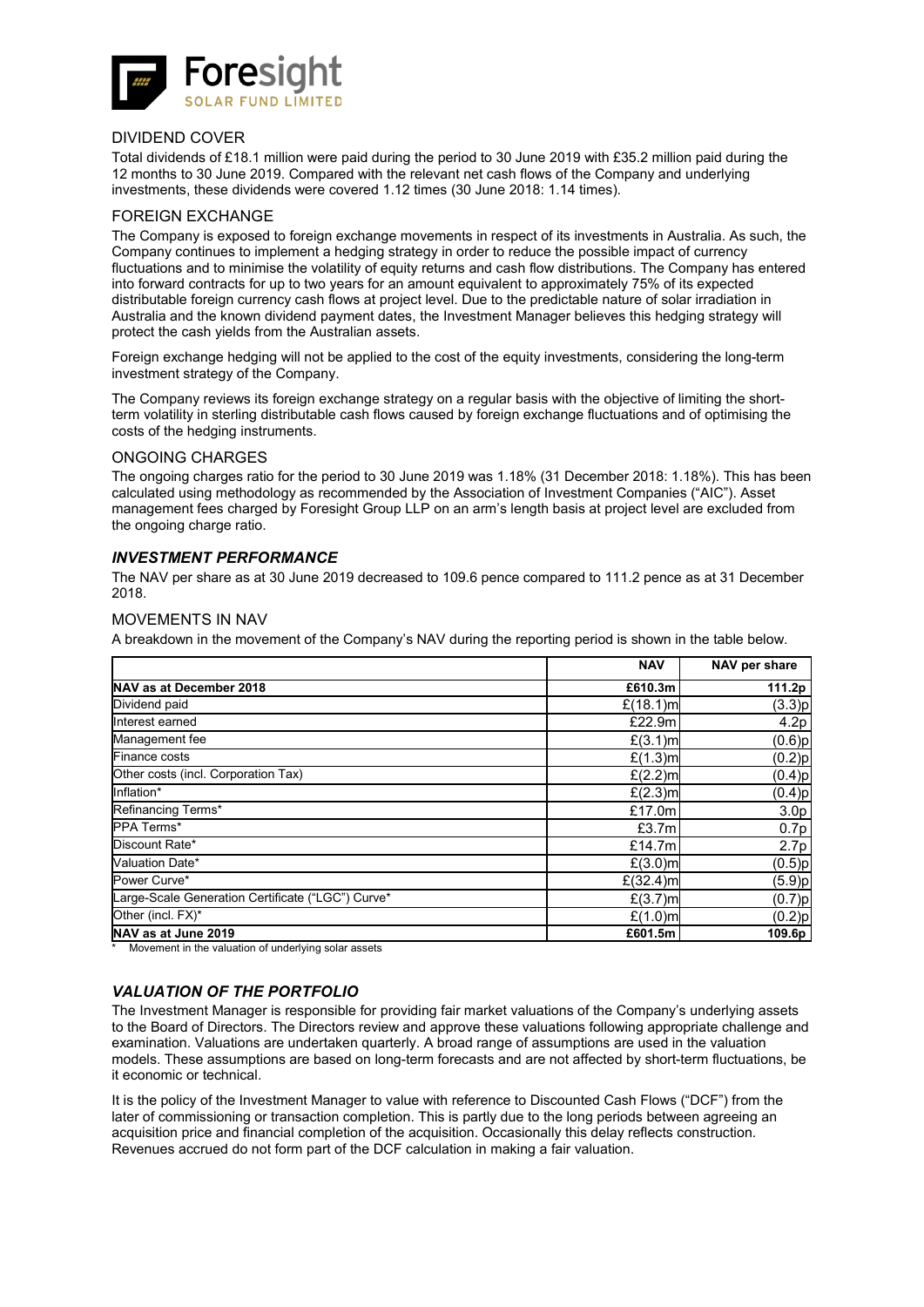![](_page_15_Picture_0.jpeg)

### DIVIDEND COVER

Total dividends of £18.1 million were paid during the period to 30 June 2019 with £35.2 million paid during the 12 months to 30 June 2019. Compared with the relevant net cash flows of the Company and underlying investments, these dividends were covered 1.12 times (30 June 2018: 1.14 times).

### FOREIGN EXCHANGE

The Company is exposed to foreign exchange movements in respect of its investments in Australia. As such, the Company continues to implement a hedging strategy in order to reduce the possible impact of currency fluctuations and to minimise the volatility of equity returns and cash flow distributions. The Company has entered into forward contracts for up to two years for an amount equivalent to approximately 75% of its expected distributable foreign currency cash flows at project level. Due to the predictable nature of solar irradiation in Australia and the known dividend payment dates, the Investment Manager believes this hedging strategy will protect the cash yields from the Australian assets.

Foreign exchange hedging will not be applied to the cost of the equity investments, considering the long-term investment strategy of the Company.

The Company reviews its foreign exchange strategy on a regular basis with the objective of limiting the shortterm volatility in sterling distributable cash flows caused by foreign exchange fluctuations and of optimising the costs of the hedging instruments.

### ONGOING CHARGES

The ongoing charges ratio for the period to 30 June 2019 was 1.18% (31 December 2018: 1.18%). This has been calculated using methodology as recommended by the Association of Investment Companies ("AIC"). Asset management fees charged by Foresight Group LLP on an arm's length basis at project level are excluded from the ongoing charge ratio.

### *INVESTMENT PERFORMANCE*

The NAV per share as at 30 June 2019 decreased to 109.6 pence compared to 111.2 pence as at 31 December 2018.

#### MOVEMENTS IN NAV

A breakdown in the movement of the Company's NAV during the reporting period is shown in the table below.

|                                                   | <b>NAV</b>        | NAV per share    |
|---------------------------------------------------|-------------------|------------------|
| NAV as at December 2018                           | £610.3m           | 111.2p           |
| Dividend paid                                     | $£(18.1)$ m       | (3.3)p           |
| Interest earned                                   | £22.9m            | 4.2p             |
| Management fee                                    | $E(3.1)$ m        | (0.6)p           |
| <b>Finance costs</b>                              | £(1.3)m           | $(0.2)$ p        |
| Other costs (incl. Corporation Tax)               | $E(2.2)$ m        | $(0.4)$ p        |
| Inflation*                                        | $E(2.3)$ m        | (0.4)p           |
| Refinancing Terms*                                | £17.0ml           | 3.0 <sub>p</sub> |
| <b>PPA Terms*</b>                                 | £3.7 <sub>m</sub> | 0.7p             |
| Discount Rate*                                    | £14.7 $m$         | 2.7p             |
| Valuation Date*                                   | $E(3.0)$ m        | (0.5)p           |
| Power Curve*                                      | $£(32.4)$ m       | (5.9)p           |
| Large-Scale Generation Certificate ("LGC") Curve* | £(3.7)ml          | (0.7)p           |
| Other (incl. FX)*                                 | £(1.0)ml          | (0.2) p          |
| NAV as at June 2019                               | £601.5m           | 109.6p           |

\* Movement in the valuation of underlying solar assets

### *VALUATION OF THE PORTFOLIO*

The Investment Manager is responsible for providing fair market valuations of the Company's underlying assets to the Board of Directors. The Directors review and approve these valuations following appropriate challenge and examination. Valuations are undertaken quarterly. A broad range of assumptions are used in the valuation models. These assumptions are based on long-term forecasts and are not affected by short-term fluctuations, be it economic or technical.

It is the policy of the Investment Manager to value with reference to Discounted Cash Flows ("DCF") from the later of commissioning or transaction completion. This is partly due to the long periods between agreeing an acquisition price and financial completion of the acquisition. Occasionally this delay reflects construction. Revenues accrued do not form part of the DCF calculation in making a fair valuation.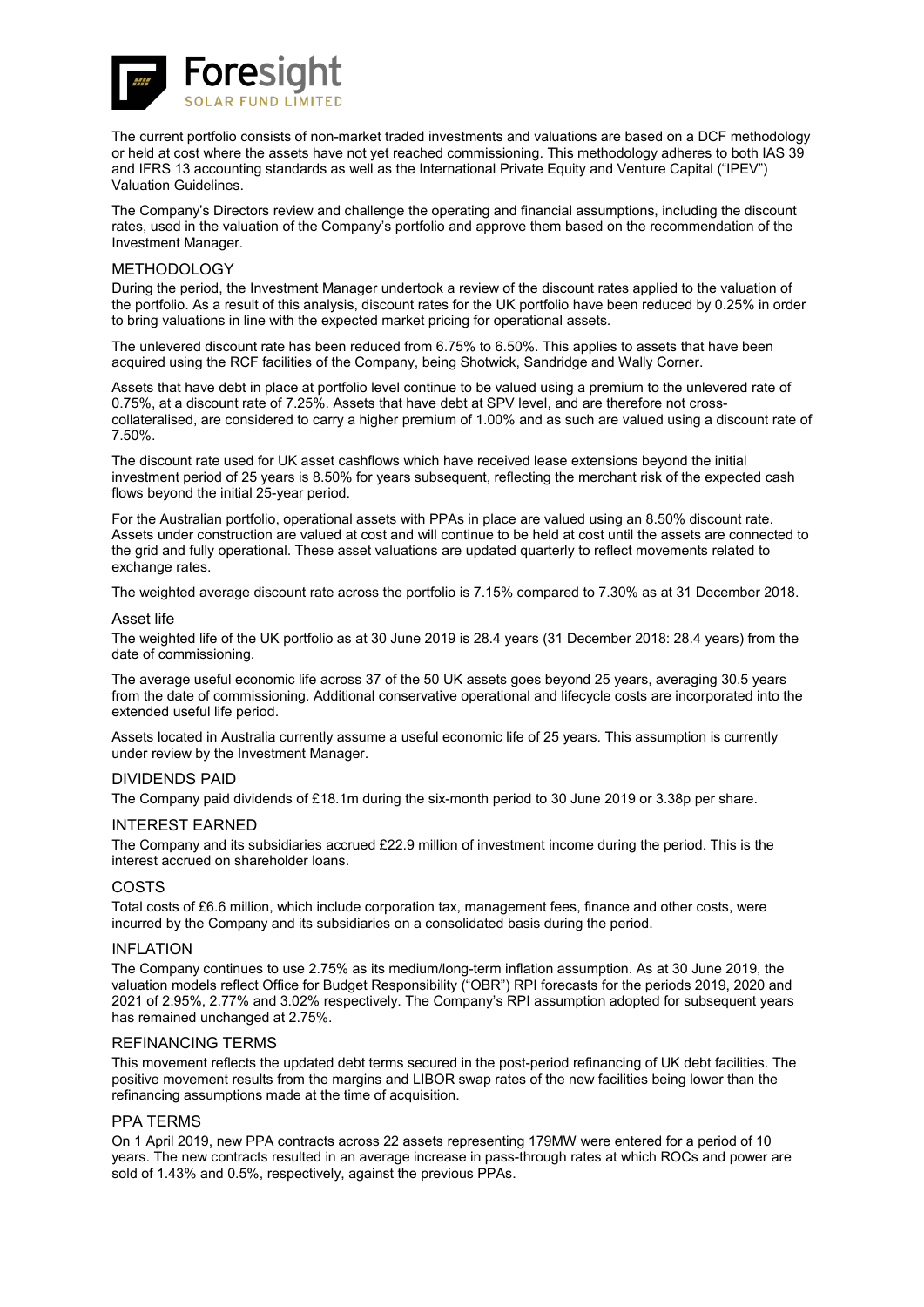![](_page_16_Picture_0.jpeg)

The current portfolio consists of non-market traded investments and valuations are based on a DCF methodology or held at cost where the assets have not yet reached commissioning. This methodology adheres to both IAS 39 and IFRS 13 accounting standards as well as the International Private Equity and Venture Capital ("IPEV") Valuation Guidelines.

The Company's Directors review and challenge the operating and financial assumptions, including the discount rates, used in the valuation of the Company's portfolio and approve them based on the recommendation of the Investment Manager.

#### METHODOLOGY

During the period, the Investment Manager undertook a review of the discount rates applied to the valuation of the portfolio. As a result of this analysis, discount rates for the UK portfolio have been reduced by 0.25% in order to bring valuations in line with the expected market pricing for operational assets.

The unlevered discount rate has been reduced from 6.75% to 6.50%. This applies to assets that have been acquired using the RCF facilities of the Company, being Shotwick, Sandridge and Wally Corner.

Assets that have debt in place at portfolio level continue to be valued using a premium to the unlevered rate of 0.75%, at a discount rate of 7.25%. Assets that have debt at SPV level, and are therefore not crosscollateralised, are considered to carry a higher premium of 1.00% and as such are valued using a discount rate of 7.50%.

The discount rate used for UK asset cashflows which have received lease extensions beyond the initial investment period of 25 years is 8.50% for years subsequent, reflecting the merchant risk of the expected cash flows beyond the initial 25-year period.

For the Australian portfolio, operational assets with PPAs in place are valued using an 8.50% discount rate. Assets under construction are valued at cost and will continue to be held at cost until the assets are connected to the grid and fully operational. These asset valuations are updated quarterly to reflect movements related to exchange rates.

The weighted average discount rate across the portfolio is 7.15% compared to 7.30% as at 31 December 2018.

#### Asset life

The weighted life of the UK portfolio as at 30 June 2019 is 28.4 years (31 December 2018: 28.4 years) from the date of commissioning.

The average useful economic life across 37 of the 50 UK assets goes beyond 25 years, averaging 30.5 years from the date of commissioning. Additional conservative operational and lifecycle costs are incorporated into the extended useful life period.

Assets located in Australia currently assume a useful economic life of 25 years. This assumption is currently under review by the Investment Manager.

### DIVIDENDS PAID

The Company paid dividends of £18.1m during the six-month period to 30 June 2019 or 3.38p per share.

#### INTEREST EARNED

The Company and its subsidiaries accrued £22.9 million of investment income during the period. This is the interest accrued on shareholder loans.

### **COSTS**

Total costs of £6.6 million, which include corporation tax, management fees, finance and other costs, were incurred by the Company and its subsidiaries on a consolidated basis during the period.

#### INFLATION

The Company continues to use 2.75% as its medium/long-term inflation assumption. As at 30 June 2019, the valuation models reflect Office for Budget Responsibility ("OBR") RPI forecasts for the periods 2019, 2020 and 2021 of 2.95%, 2.77% and 3.02% respectively. The Company's RPI assumption adopted for subsequent years has remained unchanged at 2.75%.

### REFINANCING TERMS

This movement reflects the updated debt terms secured in the post-period refinancing of UK debt facilities. The positive movement results from the margins and LIBOR swap rates of the new facilities being lower than the refinancing assumptions made at the time of acquisition.

### PPA TERMS

On 1 April 2019, new PPA contracts across 22 assets representing 179MW were entered for a period of 10 years. The new contracts resulted in an average increase in pass-through rates at which ROCs and power are sold of 1.43% and 0.5%, respectively, against the previous PPAs.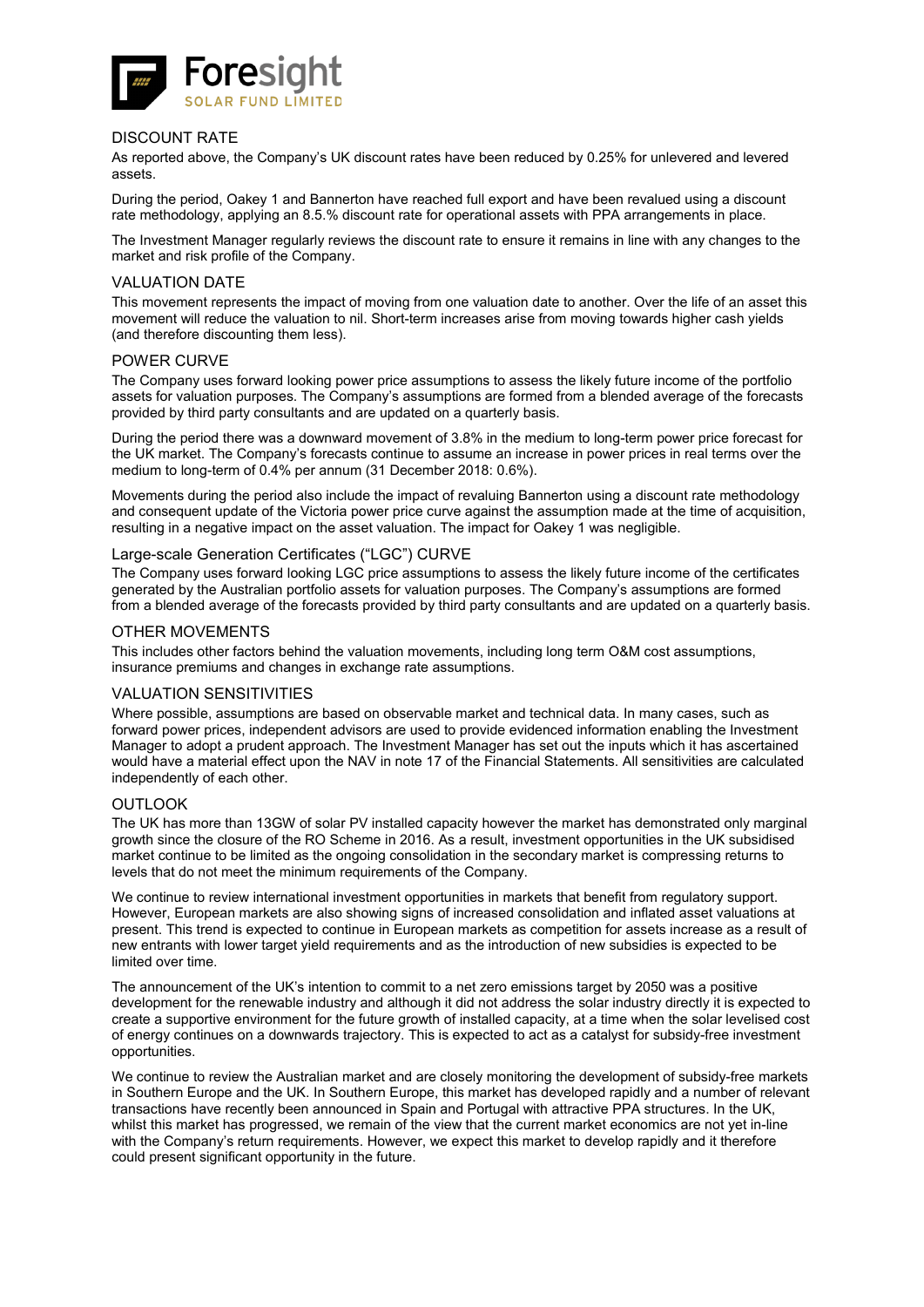![](_page_17_Picture_0.jpeg)

### DISCOUNT RATE

As reported above, the Company's UK discount rates have been reduced by 0.25% for unlevered and levered assets.

During the period, Oakey 1 and Bannerton have reached full export and have been revalued using a discount rate methodology, applying an 8.5.% discount rate for operational assets with PPA arrangements in place.

The Investment Manager regularly reviews the discount rate to ensure it remains in line with any changes to the market and risk profile of the Company.

### VALUATION DATE

This movement represents the impact of moving from one valuation date to another. Over the life of an asset this movement will reduce the valuation to nil. Short-term increases arise from moving towards higher cash yields (and therefore discounting them less).

#### POWER CURVE

The Company uses forward looking power price assumptions to assess the likely future income of the portfolio assets for valuation purposes. The Company's assumptions are formed from a blended average of the forecasts provided by third party consultants and are updated on a quarterly basis.

During the period there was a downward movement of 3.8% in the medium to long-term power price forecast for the UK market. The Company's forecasts continue to assume an increase in power prices in real terms over the medium to long-term of 0.4% per annum (31 December 2018: 0.6%).

Movements during the period also include the impact of revaluing Bannerton using a discount rate methodology and consequent update of the Victoria power price curve against the assumption made at the time of acquisition, resulting in a negative impact on the asset valuation. The impact for Oakey 1 was negligible.

### Large-scale Generation Certificates ("LGC") CURVE

The Company uses forward looking LGC price assumptions to assess the likely future income of the certificates generated by the Australian portfolio assets for valuation purposes. The Company's assumptions are formed from a blended average of the forecasts provided by third party consultants and are updated on a quarterly basis.

#### OTHER MOVEMENTS

This includes other factors behind the valuation movements, including long term O&M cost assumptions, insurance premiums and changes in exchange rate assumptions.

### VALUATION SENSITIVITIES

Where possible, assumptions are based on observable market and technical data. In many cases, such as forward power prices, independent advisors are used to provide evidenced information enabling the Investment Manager to adopt a prudent approach. The Investment Manager has set out the inputs which it has ascertained would have a material effect upon the NAV in note 17 of the Financial Statements. All sensitivities are calculated independently of each other.

#### **OUTLOOK**

The UK has more than 13GW of solar PV installed capacity however the market has demonstrated only marginal growth since the closure of the RO Scheme in 2016. As a result, investment opportunities in the UK subsidised market continue to be limited as the ongoing consolidation in the secondary market is compressing returns to levels that do not meet the minimum requirements of the Company.

We continue to review international investment opportunities in markets that benefit from regulatory support. However, European markets are also showing signs of increased consolidation and inflated asset valuations at present. This trend is expected to continue in European markets as competition for assets increase as a result of new entrants with lower target yield requirements and as the introduction of new subsidies is expected to be limited over time.

The announcement of the UK's intention to commit to a net zero emissions target by 2050 was a positive development for the renewable industry and although it did not address the solar industry directly it is expected to create a supportive environment for the future growth of installed capacity, at a time when the solar levelised cost of energy continues on a downwards trajectory. This is expected to act as a catalyst for subsidy-free investment opportunities.

We continue to review the Australian market and are closely monitoring the development of subsidy-free markets in Southern Europe and the UK. In Southern Europe, this market has developed rapidly and a number of relevant transactions have recently been announced in Spain and Portugal with attractive PPA structures. In the UK, whilst this market has progressed, we remain of the view that the current market economics are not yet in-line with the Company's return requirements. However, we expect this market to develop rapidly and it therefore could present significant opportunity in the future.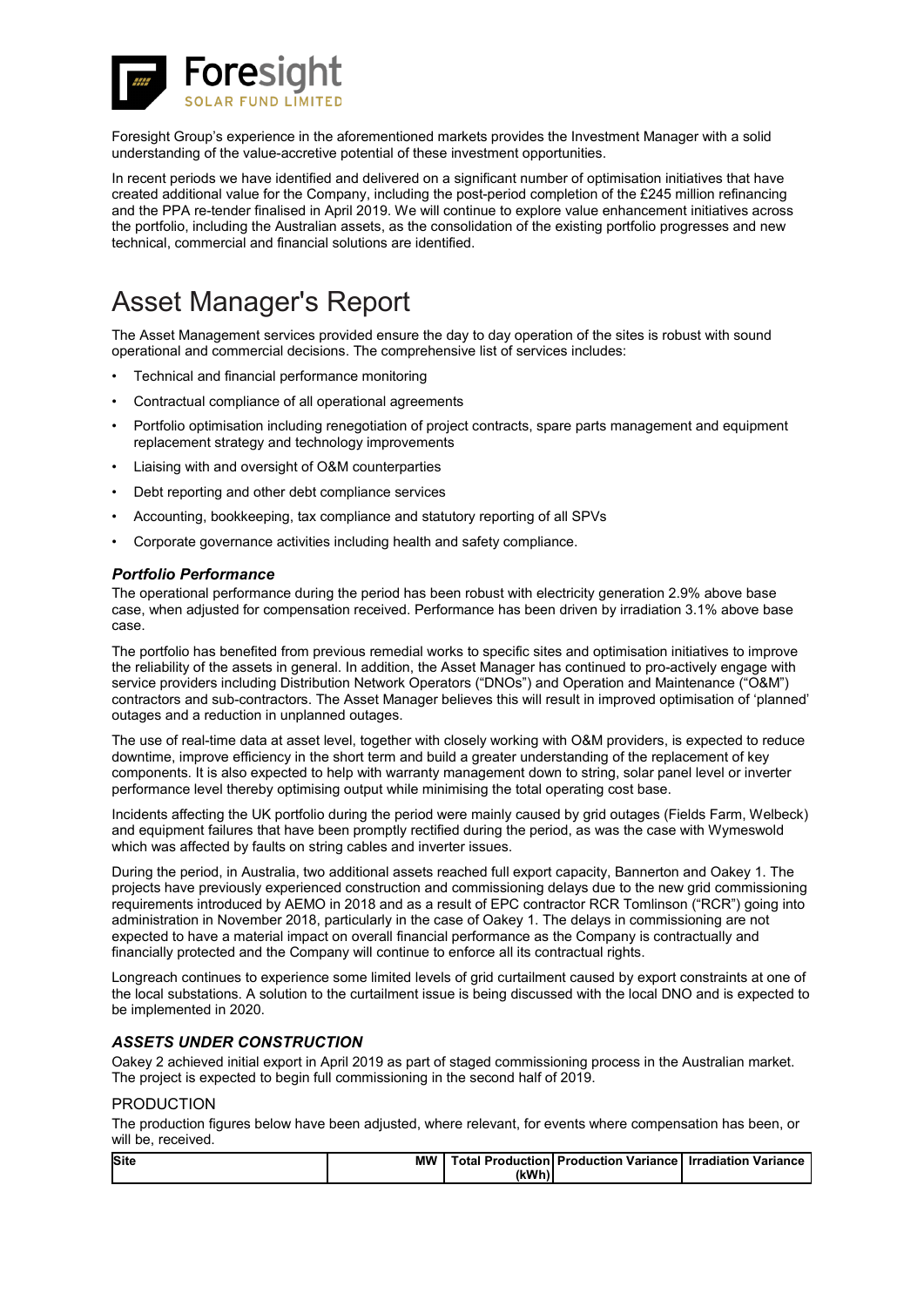![](_page_18_Picture_0.jpeg)

Foresight Group's experience in the aforementioned markets provides the Investment Manager with a solid understanding of the value-accretive potential of these investment opportunities.

In recent periods we have identified and delivered on a significant number of optimisation initiatives that have created additional value for the Company, including the post-period completion of the £245 million refinancing and the PPA re-tender finalised in April 2019. We will continue to explore value enhancement initiatives across the portfolio, including the Australian assets, as the consolidation of the existing portfolio progresses and new technical, commercial and financial solutions are identified.

# Asset Manager's Report

The Asset Management services provided ensure the day to day operation of the sites is robust with sound operational and commercial decisions. The comprehensive list of services includes:

- Technical and financial performance monitoring
- Contractual compliance of all operational agreements
- Portfolio optimisation including renegotiation of project contracts, spare parts management and equipment replacement strategy and technology improvements
- Liaising with and oversight of O&M counterparties
- Debt reporting and other debt compliance services
- Accounting, bookkeeping, tax compliance and statutory reporting of all SPVs
- Corporate governance activities including health and safety compliance.

### *Portfolio Performance*

The operational performance during the period has been robust with electricity generation 2.9% above base case, when adjusted for compensation received. Performance has been driven by irradiation 3.1% above base case.

The portfolio has benefited from previous remedial works to specific sites and optimisation initiatives to improve the reliability of the assets in general. In addition, the Asset Manager has continued to pro-actively engage with service providers including Distribution Network Operators ("DNOs") and Operation and Maintenance ("O&M") contractors and sub-contractors. The Asset Manager believes this will result in improved optimisation of 'planned' outages and a reduction in unplanned outages.

The use of real-time data at asset level, together with closely working with O&M providers, is expected to reduce downtime, improve efficiency in the short term and build a greater understanding of the replacement of key components. It is also expected to help with warranty management down to string, solar panel level or inverter performance level thereby optimising output while minimising the total operating cost base.

Incidents affecting the UK portfolio during the period were mainly caused by grid outages (Fields Farm, Welbeck) and equipment failures that have been promptly rectified during the period, as was the case with Wymeswold which was affected by faults on string cables and inverter issues.

During the period, in Australia, two additional assets reached full export capacity, Bannerton and Oakey 1. The projects have previously experienced construction and commissioning delays due to the new grid commissioning requirements introduced by AEMO in 2018 and as a result of EPC contractor RCR Tomlinson ("RCR") going into administration in November 2018, particularly in the case of Oakey 1. The delays in commissioning are not expected to have a material impact on overall financial performance as the Company is contractually and financially protected and the Company will continue to enforce all its contractual rights.

Longreach continues to experience some limited levels of grid curtailment caused by export constraints at one of the local substations. A solution to the curtailment issue is being discussed with the local DNO and is expected to be implemented in 2020.

### *ASSETS UNDER CONSTRUCTION*

Oakey 2 achieved initial export in April 2019 as part of staged commissioning process in the Australian market. The project is expected to begin full commissioning in the second half of 2019.

### PRODUCTION

The production figures below have been adjusted, where relevant, for events where compensation has been, or will be, received.

| <b>Site</b> | <b>MW</b> |       | <b>Total Production   Production Variance   Irradiation Variance</b> |  |
|-------------|-----------|-------|----------------------------------------------------------------------|--|
|             |           | (kWh) |                                                                      |  |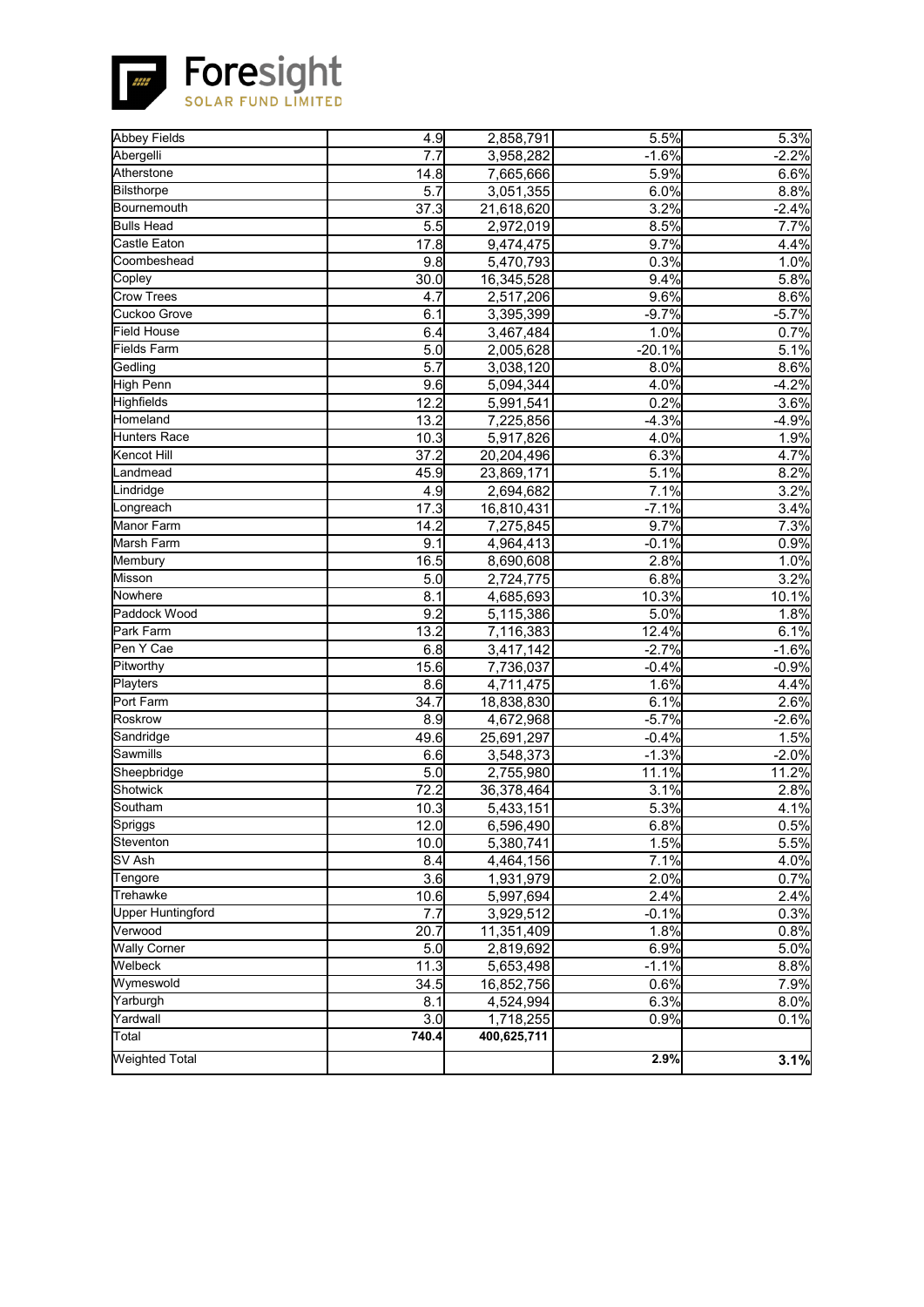![](_page_19_Picture_0.jpeg)

Foresight

| <b>Abbey Fields</b><br>4.9<br>5.5%<br>2,858,791<br>Abergelli<br>7.7<br>3,958,282<br>$-1.6%$<br>Atherstone<br>5.9%<br>14.8<br>7,665,666<br>5.7<br>6.0%<br><b>Bilsthorpe</b><br>3,051,355<br>Bournemouth<br>3.2%<br>37.3<br>21,618,620<br><b>Bulls</b> Head<br>5.5<br>8.5%<br>2,972,019<br>17.8<br>9.7%<br><b>Castle Eaton</b><br>9,474,475<br>Coombeshead<br>9.8<br>5,470,793<br>0.3%<br>Copley<br>30.0<br>9.4%<br>16,345,528<br><b>Crow Trees</b><br>2,517,206<br>9.6%<br>4.7<br>Cuckoo Grove<br>$-9.7%$<br>6.1<br>3,395,399<br><b>Field House</b><br>6.4<br>1.0%<br>3,467,484<br>Fields Farm<br>$\overline{5.0}$<br>$-20.1%$<br>2,005,628<br>$\overline{5.7}$<br>Gedling<br>3,038,120<br>8.0%<br><b>High Penn</b><br>9.6<br>4.0%<br>5,094,344<br>12.2<br>0.2%<br>Highfields<br>5,991,541<br>13.2<br>Homeland<br>$-4.3%$<br>7,225,856<br><b>Hunters Race</b><br>10.3<br>4.0%<br>5,917,826<br>Kencot Hill<br>37.2<br>6.3%<br>20,204,496<br>Landmead<br>5.1%<br>45.9<br>23,869,171<br>7.1%<br>4.9<br>Lindridge<br>2,694,682<br>Longreach<br>17.3<br>$-7.1%$<br>16,810,431<br><b>Manor Farm</b><br>14.2<br>9.7%<br>7,275,845<br>Marsh Farm<br>9.1<br>$-0.1%$<br>4,964,413<br>2.8%<br>16.5<br>Membury<br>8,690,608<br>Misson<br>5.0<br>6.8%<br>2,724,775<br>Nowhere<br>8.1<br>10.3%<br>4,685,693<br>Paddock Wood<br>9.2<br>5,115,386<br>5.0%<br>Park Farm<br>13.2<br>7,116,383<br>12.4%<br>Pen Y Cae<br>6.8<br>$-2.7%$<br>3,417,142<br>Pitworthy<br>15.6<br>$-0.4%$<br>7,736,037<br>$\overline{8.6}$<br>1.6%<br>Playters<br>4,711,475<br>Port Farm<br>34.7<br>6.1%<br>18,838,830<br><b>Roskrow</b><br>$-5.7%$<br>8.9<br>4,672,968<br>Sandridge<br>49.6<br>$-0.4%$<br>25,691,297<br>Sawmills<br>6.6<br>$-1.3%$<br>3,548,373<br>Sheepbridge<br>5.0<br>11.1%<br>2,755,980<br>Shotwick<br>72.2<br>3.1%<br>36,378,464<br>Southam<br>5.3%<br>10.3<br>5,433,151<br>6.8%<br>Spriggs<br>12.0<br>6,596,490<br>Steventon<br>1.5%<br>10.0<br>5,380,741<br>SV Ash<br>7.1%<br>8.4<br>4,464,156<br>Tengore<br>3.6<br>1,931,979<br>2.0%<br>2.4%<br>10.6<br>Trehawke<br>5,997,694<br><b>Upper Huntingford</b><br>7.7<br>$-0.1%$<br>3,929,512<br>Verwood<br>20.7<br>1.8%<br>11,351,409<br><b>Wally Corner</b><br>5.0<br>2,819,692<br>6.9%<br>Welbeck<br>11.3<br>$-1.1%$<br>5,653,498<br>Wymeswold<br>34.5<br>0.6%<br>16,852,756<br>Yarburgh<br>6.3%<br>8.1<br>4,524,994<br>Yardwall<br>3.0<br>0.9%<br>1,718,255<br>Total<br>740.4<br>400,625,711<br><b>Weighted Total</b><br>2.9% |  |  |                    |
|-------------------------------------------------------------------------------------------------------------------------------------------------------------------------------------------------------------------------------------------------------------------------------------------------------------------------------------------------------------------------------------------------------------------------------------------------------------------------------------------------------------------------------------------------------------------------------------------------------------------------------------------------------------------------------------------------------------------------------------------------------------------------------------------------------------------------------------------------------------------------------------------------------------------------------------------------------------------------------------------------------------------------------------------------------------------------------------------------------------------------------------------------------------------------------------------------------------------------------------------------------------------------------------------------------------------------------------------------------------------------------------------------------------------------------------------------------------------------------------------------------------------------------------------------------------------------------------------------------------------------------------------------------------------------------------------------------------------------------------------------------------------------------------------------------------------------------------------------------------------------------------------------------------------------------------------------------------------------------------------------------------------------------------------------------------------------------------------------------------------------------------------------------------------------------------------------------------------------------------------------------------------------------------------------------------------------------------------------------------------------------------------------------------------------------------------------------------|--|--|--------------------|
|                                                                                                                                                                                                                                                                                                                                                                                                                                                                                                                                                                                                                                                                                                                                                                                                                                                                                                                                                                                                                                                                                                                                                                                                                                                                                                                                                                                                                                                                                                                                                                                                                                                                                                                                                                                                                                                                                                                                                                                                                                                                                                                                                                                                                                                                                                                                                                                                                                                             |  |  | 5.3%               |
|                                                                                                                                                                                                                                                                                                                                                                                                                                                                                                                                                                                                                                                                                                                                                                                                                                                                                                                                                                                                                                                                                                                                                                                                                                                                                                                                                                                                                                                                                                                                                                                                                                                                                                                                                                                                                                                                                                                                                                                                                                                                                                                                                                                                                                                                                                                                                                                                                                                             |  |  | $-2.2%$            |
|                                                                                                                                                                                                                                                                                                                                                                                                                                                                                                                                                                                                                                                                                                                                                                                                                                                                                                                                                                                                                                                                                                                                                                                                                                                                                                                                                                                                                                                                                                                                                                                                                                                                                                                                                                                                                                                                                                                                                                                                                                                                                                                                                                                                                                                                                                                                                                                                                                                             |  |  | 6.6%               |
|                                                                                                                                                                                                                                                                                                                                                                                                                                                                                                                                                                                                                                                                                                                                                                                                                                                                                                                                                                                                                                                                                                                                                                                                                                                                                                                                                                                                                                                                                                                                                                                                                                                                                                                                                                                                                                                                                                                                                                                                                                                                                                                                                                                                                                                                                                                                                                                                                                                             |  |  | 8.8%               |
|                                                                                                                                                                                                                                                                                                                                                                                                                                                                                                                                                                                                                                                                                                                                                                                                                                                                                                                                                                                                                                                                                                                                                                                                                                                                                                                                                                                                                                                                                                                                                                                                                                                                                                                                                                                                                                                                                                                                                                                                                                                                                                                                                                                                                                                                                                                                                                                                                                                             |  |  | $-2.4%$            |
|                                                                                                                                                                                                                                                                                                                                                                                                                                                                                                                                                                                                                                                                                                                                                                                                                                                                                                                                                                                                                                                                                                                                                                                                                                                                                                                                                                                                                                                                                                                                                                                                                                                                                                                                                                                                                                                                                                                                                                                                                                                                                                                                                                                                                                                                                                                                                                                                                                                             |  |  | 7.7%               |
|                                                                                                                                                                                                                                                                                                                                                                                                                                                                                                                                                                                                                                                                                                                                                                                                                                                                                                                                                                                                                                                                                                                                                                                                                                                                                                                                                                                                                                                                                                                                                                                                                                                                                                                                                                                                                                                                                                                                                                                                                                                                                                                                                                                                                                                                                                                                                                                                                                                             |  |  | 4.4%               |
|                                                                                                                                                                                                                                                                                                                                                                                                                                                                                                                                                                                                                                                                                                                                                                                                                                                                                                                                                                                                                                                                                                                                                                                                                                                                                                                                                                                                                                                                                                                                                                                                                                                                                                                                                                                                                                                                                                                                                                                                                                                                                                                                                                                                                                                                                                                                                                                                                                                             |  |  | 1.0%               |
|                                                                                                                                                                                                                                                                                                                                                                                                                                                                                                                                                                                                                                                                                                                                                                                                                                                                                                                                                                                                                                                                                                                                                                                                                                                                                                                                                                                                                                                                                                                                                                                                                                                                                                                                                                                                                                                                                                                                                                                                                                                                                                                                                                                                                                                                                                                                                                                                                                                             |  |  | 5.8%               |
|                                                                                                                                                                                                                                                                                                                                                                                                                                                                                                                                                                                                                                                                                                                                                                                                                                                                                                                                                                                                                                                                                                                                                                                                                                                                                                                                                                                                                                                                                                                                                                                                                                                                                                                                                                                                                                                                                                                                                                                                                                                                                                                                                                                                                                                                                                                                                                                                                                                             |  |  | 8.6%               |
|                                                                                                                                                                                                                                                                                                                                                                                                                                                                                                                                                                                                                                                                                                                                                                                                                                                                                                                                                                                                                                                                                                                                                                                                                                                                                                                                                                                                                                                                                                                                                                                                                                                                                                                                                                                                                                                                                                                                                                                                                                                                                                                                                                                                                                                                                                                                                                                                                                                             |  |  | $-5.7%$            |
|                                                                                                                                                                                                                                                                                                                                                                                                                                                                                                                                                                                                                                                                                                                                                                                                                                                                                                                                                                                                                                                                                                                                                                                                                                                                                                                                                                                                                                                                                                                                                                                                                                                                                                                                                                                                                                                                                                                                                                                                                                                                                                                                                                                                                                                                                                                                                                                                                                                             |  |  | 0.7%               |
|                                                                                                                                                                                                                                                                                                                                                                                                                                                                                                                                                                                                                                                                                                                                                                                                                                                                                                                                                                                                                                                                                                                                                                                                                                                                                                                                                                                                                                                                                                                                                                                                                                                                                                                                                                                                                                                                                                                                                                                                                                                                                                                                                                                                                                                                                                                                                                                                                                                             |  |  | $\overline{5.1\%}$ |
|                                                                                                                                                                                                                                                                                                                                                                                                                                                                                                                                                                                                                                                                                                                                                                                                                                                                                                                                                                                                                                                                                                                                                                                                                                                                                                                                                                                                                                                                                                                                                                                                                                                                                                                                                                                                                                                                                                                                                                                                                                                                                                                                                                                                                                                                                                                                                                                                                                                             |  |  | 8.6%               |
|                                                                                                                                                                                                                                                                                                                                                                                                                                                                                                                                                                                                                                                                                                                                                                                                                                                                                                                                                                                                                                                                                                                                                                                                                                                                                                                                                                                                                                                                                                                                                                                                                                                                                                                                                                                                                                                                                                                                                                                                                                                                                                                                                                                                                                                                                                                                                                                                                                                             |  |  | $-4.2%$            |
|                                                                                                                                                                                                                                                                                                                                                                                                                                                                                                                                                                                                                                                                                                                                                                                                                                                                                                                                                                                                                                                                                                                                                                                                                                                                                                                                                                                                                                                                                                                                                                                                                                                                                                                                                                                                                                                                                                                                                                                                                                                                                                                                                                                                                                                                                                                                                                                                                                                             |  |  | 3.6%               |
|                                                                                                                                                                                                                                                                                                                                                                                                                                                                                                                                                                                                                                                                                                                                                                                                                                                                                                                                                                                                                                                                                                                                                                                                                                                                                                                                                                                                                                                                                                                                                                                                                                                                                                                                                                                                                                                                                                                                                                                                                                                                                                                                                                                                                                                                                                                                                                                                                                                             |  |  | $-4.9%$            |
|                                                                                                                                                                                                                                                                                                                                                                                                                                                                                                                                                                                                                                                                                                                                                                                                                                                                                                                                                                                                                                                                                                                                                                                                                                                                                                                                                                                                                                                                                                                                                                                                                                                                                                                                                                                                                                                                                                                                                                                                                                                                                                                                                                                                                                                                                                                                                                                                                                                             |  |  | 1.9%               |
|                                                                                                                                                                                                                                                                                                                                                                                                                                                                                                                                                                                                                                                                                                                                                                                                                                                                                                                                                                                                                                                                                                                                                                                                                                                                                                                                                                                                                                                                                                                                                                                                                                                                                                                                                                                                                                                                                                                                                                                                                                                                                                                                                                                                                                                                                                                                                                                                                                                             |  |  | 4.7%               |
|                                                                                                                                                                                                                                                                                                                                                                                                                                                                                                                                                                                                                                                                                                                                                                                                                                                                                                                                                                                                                                                                                                                                                                                                                                                                                                                                                                                                                                                                                                                                                                                                                                                                                                                                                                                                                                                                                                                                                                                                                                                                                                                                                                                                                                                                                                                                                                                                                                                             |  |  | 8.2%               |
|                                                                                                                                                                                                                                                                                                                                                                                                                                                                                                                                                                                                                                                                                                                                                                                                                                                                                                                                                                                                                                                                                                                                                                                                                                                                                                                                                                                                                                                                                                                                                                                                                                                                                                                                                                                                                                                                                                                                                                                                                                                                                                                                                                                                                                                                                                                                                                                                                                                             |  |  | 3.2%               |
|                                                                                                                                                                                                                                                                                                                                                                                                                                                                                                                                                                                                                                                                                                                                                                                                                                                                                                                                                                                                                                                                                                                                                                                                                                                                                                                                                                                                                                                                                                                                                                                                                                                                                                                                                                                                                                                                                                                                                                                                                                                                                                                                                                                                                                                                                                                                                                                                                                                             |  |  | 3.4%               |
|                                                                                                                                                                                                                                                                                                                                                                                                                                                                                                                                                                                                                                                                                                                                                                                                                                                                                                                                                                                                                                                                                                                                                                                                                                                                                                                                                                                                                                                                                                                                                                                                                                                                                                                                                                                                                                                                                                                                                                                                                                                                                                                                                                                                                                                                                                                                                                                                                                                             |  |  | 7.3%               |
|                                                                                                                                                                                                                                                                                                                                                                                                                                                                                                                                                                                                                                                                                                                                                                                                                                                                                                                                                                                                                                                                                                                                                                                                                                                                                                                                                                                                                                                                                                                                                                                                                                                                                                                                                                                                                                                                                                                                                                                                                                                                                                                                                                                                                                                                                                                                                                                                                                                             |  |  | 0.9%               |
|                                                                                                                                                                                                                                                                                                                                                                                                                                                                                                                                                                                                                                                                                                                                                                                                                                                                                                                                                                                                                                                                                                                                                                                                                                                                                                                                                                                                                                                                                                                                                                                                                                                                                                                                                                                                                                                                                                                                                                                                                                                                                                                                                                                                                                                                                                                                                                                                                                                             |  |  | 1.0%               |
|                                                                                                                                                                                                                                                                                                                                                                                                                                                                                                                                                                                                                                                                                                                                                                                                                                                                                                                                                                                                                                                                                                                                                                                                                                                                                                                                                                                                                                                                                                                                                                                                                                                                                                                                                                                                                                                                                                                                                                                                                                                                                                                                                                                                                                                                                                                                                                                                                                                             |  |  | 3.2%               |
|                                                                                                                                                                                                                                                                                                                                                                                                                                                                                                                                                                                                                                                                                                                                                                                                                                                                                                                                                                                                                                                                                                                                                                                                                                                                                                                                                                                                                                                                                                                                                                                                                                                                                                                                                                                                                                                                                                                                                                                                                                                                                                                                                                                                                                                                                                                                                                                                                                                             |  |  | 10.1%              |
|                                                                                                                                                                                                                                                                                                                                                                                                                                                                                                                                                                                                                                                                                                                                                                                                                                                                                                                                                                                                                                                                                                                                                                                                                                                                                                                                                                                                                                                                                                                                                                                                                                                                                                                                                                                                                                                                                                                                                                                                                                                                                                                                                                                                                                                                                                                                                                                                                                                             |  |  | 1.8%               |
|                                                                                                                                                                                                                                                                                                                                                                                                                                                                                                                                                                                                                                                                                                                                                                                                                                                                                                                                                                                                                                                                                                                                                                                                                                                                                                                                                                                                                                                                                                                                                                                                                                                                                                                                                                                                                                                                                                                                                                                                                                                                                                                                                                                                                                                                                                                                                                                                                                                             |  |  | 6.1%               |
|                                                                                                                                                                                                                                                                                                                                                                                                                                                                                                                                                                                                                                                                                                                                                                                                                                                                                                                                                                                                                                                                                                                                                                                                                                                                                                                                                                                                                                                                                                                                                                                                                                                                                                                                                                                                                                                                                                                                                                                                                                                                                                                                                                                                                                                                                                                                                                                                                                                             |  |  | $-1.6%$            |
|                                                                                                                                                                                                                                                                                                                                                                                                                                                                                                                                                                                                                                                                                                                                                                                                                                                                                                                                                                                                                                                                                                                                                                                                                                                                                                                                                                                                                                                                                                                                                                                                                                                                                                                                                                                                                                                                                                                                                                                                                                                                                                                                                                                                                                                                                                                                                                                                                                                             |  |  | $-0.9%$            |
|                                                                                                                                                                                                                                                                                                                                                                                                                                                                                                                                                                                                                                                                                                                                                                                                                                                                                                                                                                                                                                                                                                                                                                                                                                                                                                                                                                                                                                                                                                                                                                                                                                                                                                                                                                                                                                                                                                                                                                                                                                                                                                                                                                                                                                                                                                                                                                                                                                                             |  |  | 4.4%               |
|                                                                                                                                                                                                                                                                                                                                                                                                                                                                                                                                                                                                                                                                                                                                                                                                                                                                                                                                                                                                                                                                                                                                                                                                                                                                                                                                                                                                                                                                                                                                                                                                                                                                                                                                                                                                                                                                                                                                                                                                                                                                                                                                                                                                                                                                                                                                                                                                                                                             |  |  | 2.6%               |
|                                                                                                                                                                                                                                                                                                                                                                                                                                                                                                                                                                                                                                                                                                                                                                                                                                                                                                                                                                                                                                                                                                                                                                                                                                                                                                                                                                                                                                                                                                                                                                                                                                                                                                                                                                                                                                                                                                                                                                                                                                                                                                                                                                                                                                                                                                                                                                                                                                                             |  |  | $-2.6%$            |
|                                                                                                                                                                                                                                                                                                                                                                                                                                                                                                                                                                                                                                                                                                                                                                                                                                                                                                                                                                                                                                                                                                                                                                                                                                                                                                                                                                                                                                                                                                                                                                                                                                                                                                                                                                                                                                                                                                                                                                                                                                                                                                                                                                                                                                                                                                                                                                                                                                                             |  |  | 1.5%               |
|                                                                                                                                                                                                                                                                                                                                                                                                                                                                                                                                                                                                                                                                                                                                                                                                                                                                                                                                                                                                                                                                                                                                                                                                                                                                                                                                                                                                                                                                                                                                                                                                                                                                                                                                                                                                                                                                                                                                                                                                                                                                                                                                                                                                                                                                                                                                                                                                                                                             |  |  | $-2.0%$            |
|                                                                                                                                                                                                                                                                                                                                                                                                                                                                                                                                                                                                                                                                                                                                                                                                                                                                                                                                                                                                                                                                                                                                                                                                                                                                                                                                                                                                                                                                                                                                                                                                                                                                                                                                                                                                                                                                                                                                                                                                                                                                                                                                                                                                                                                                                                                                                                                                                                                             |  |  | 11.2%              |
|                                                                                                                                                                                                                                                                                                                                                                                                                                                                                                                                                                                                                                                                                                                                                                                                                                                                                                                                                                                                                                                                                                                                                                                                                                                                                                                                                                                                                                                                                                                                                                                                                                                                                                                                                                                                                                                                                                                                                                                                                                                                                                                                                                                                                                                                                                                                                                                                                                                             |  |  | 2.8%               |
|                                                                                                                                                                                                                                                                                                                                                                                                                                                                                                                                                                                                                                                                                                                                                                                                                                                                                                                                                                                                                                                                                                                                                                                                                                                                                                                                                                                                                                                                                                                                                                                                                                                                                                                                                                                                                                                                                                                                                                                                                                                                                                                                                                                                                                                                                                                                                                                                                                                             |  |  | 4.1%               |
|                                                                                                                                                                                                                                                                                                                                                                                                                                                                                                                                                                                                                                                                                                                                                                                                                                                                                                                                                                                                                                                                                                                                                                                                                                                                                                                                                                                                                                                                                                                                                                                                                                                                                                                                                                                                                                                                                                                                                                                                                                                                                                                                                                                                                                                                                                                                                                                                                                                             |  |  | 0.5%               |
|                                                                                                                                                                                                                                                                                                                                                                                                                                                                                                                                                                                                                                                                                                                                                                                                                                                                                                                                                                                                                                                                                                                                                                                                                                                                                                                                                                                                                                                                                                                                                                                                                                                                                                                                                                                                                                                                                                                                                                                                                                                                                                                                                                                                                                                                                                                                                                                                                                                             |  |  | 5.5%               |
|                                                                                                                                                                                                                                                                                                                                                                                                                                                                                                                                                                                                                                                                                                                                                                                                                                                                                                                                                                                                                                                                                                                                                                                                                                                                                                                                                                                                                                                                                                                                                                                                                                                                                                                                                                                                                                                                                                                                                                                                                                                                                                                                                                                                                                                                                                                                                                                                                                                             |  |  | 4.0%               |
|                                                                                                                                                                                                                                                                                                                                                                                                                                                                                                                                                                                                                                                                                                                                                                                                                                                                                                                                                                                                                                                                                                                                                                                                                                                                                                                                                                                                                                                                                                                                                                                                                                                                                                                                                                                                                                                                                                                                                                                                                                                                                                                                                                                                                                                                                                                                                                                                                                                             |  |  | 0.7%               |
|                                                                                                                                                                                                                                                                                                                                                                                                                                                                                                                                                                                                                                                                                                                                                                                                                                                                                                                                                                                                                                                                                                                                                                                                                                                                                                                                                                                                                                                                                                                                                                                                                                                                                                                                                                                                                                                                                                                                                                                                                                                                                                                                                                                                                                                                                                                                                                                                                                                             |  |  | 2.4%               |
|                                                                                                                                                                                                                                                                                                                                                                                                                                                                                                                                                                                                                                                                                                                                                                                                                                                                                                                                                                                                                                                                                                                                                                                                                                                                                                                                                                                                                                                                                                                                                                                                                                                                                                                                                                                                                                                                                                                                                                                                                                                                                                                                                                                                                                                                                                                                                                                                                                                             |  |  | 0.3%               |
|                                                                                                                                                                                                                                                                                                                                                                                                                                                                                                                                                                                                                                                                                                                                                                                                                                                                                                                                                                                                                                                                                                                                                                                                                                                                                                                                                                                                                                                                                                                                                                                                                                                                                                                                                                                                                                                                                                                                                                                                                                                                                                                                                                                                                                                                                                                                                                                                                                                             |  |  | 0.8%               |
|                                                                                                                                                                                                                                                                                                                                                                                                                                                                                                                                                                                                                                                                                                                                                                                                                                                                                                                                                                                                                                                                                                                                                                                                                                                                                                                                                                                                                                                                                                                                                                                                                                                                                                                                                                                                                                                                                                                                                                                                                                                                                                                                                                                                                                                                                                                                                                                                                                                             |  |  | 5.0%               |
|                                                                                                                                                                                                                                                                                                                                                                                                                                                                                                                                                                                                                                                                                                                                                                                                                                                                                                                                                                                                                                                                                                                                                                                                                                                                                                                                                                                                                                                                                                                                                                                                                                                                                                                                                                                                                                                                                                                                                                                                                                                                                                                                                                                                                                                                                                                                                                                                                                                             |  |  | 8.8%               |
|                                                                                                                                                                                                                                                                                                                                                                                                                                                                                                                                                                                                                                                                                                                                                                                                                                                                                                                                                                                                                                                                                                                                                                                                                                                                                                                                                                                                                                                                                                                                                                                                                                                                                                                                                                                                                                                                                                                                                                                                                                                                                                                                                                                                                                                                                                                                                                                                                                                             |  |  | 7.9%               |
|                                                                                                                                                                                                                                                                                                                                                                                                                                                                                                                                                                                                                                                                                                                                                                                                                                                                                                                                                                                                                                                                                                                                                                                                                                                                                                                                                                                                                                                                                                                                                                                                                                                                                                                                                                                                                                                                                                                                                                                                                                                                                                                                                                                                                                                                                                                                                                                                                                                             |  |  | 8.0%               |
|                                                                                                                                                                                                                                                                                                                                                                                                                                                                                                                                                                                                                                                                                                                                                                                                                                                                                                                                                                                                                                                                                                                                                                                                                                                                                                                                                                                                                                                                                                                                                                                                                                                                                                                                                                                                                                                                                                                                                                                                                                                                                                                                                                                                                                                                                                                                                                                                                                                             |  |  | 0.1%               |
|                                                                                                                                                                                                                                                                                                                                                                                                                                                                                                                                                                                                                                                                                                                                                                                                                                                                                                                                                                                                                                                                                                                                                                                                                                                                                                                                                                                                                                                                                                                                                                                                                                                                                                                                                                                                                                                                                                                                                                                                                                                                                                                                                                                                                                                                                                                                                                                                                                                             |  |  |                    |
|                                                                                                                                                                                                                                                                                                                                                                                                                                                                                                                                                                                                                                                                                                                                                                                                                                                                                                                                                                                                                                                                                                                                                                                                                                                                                                                                                                                                                                                                                                                                                                                                                                                                                                                                                                                                                                                                                                                                                                                                                                                                                                                                                                                                                                                                                                                                                                                                                                                             |  |  | 3.1%               |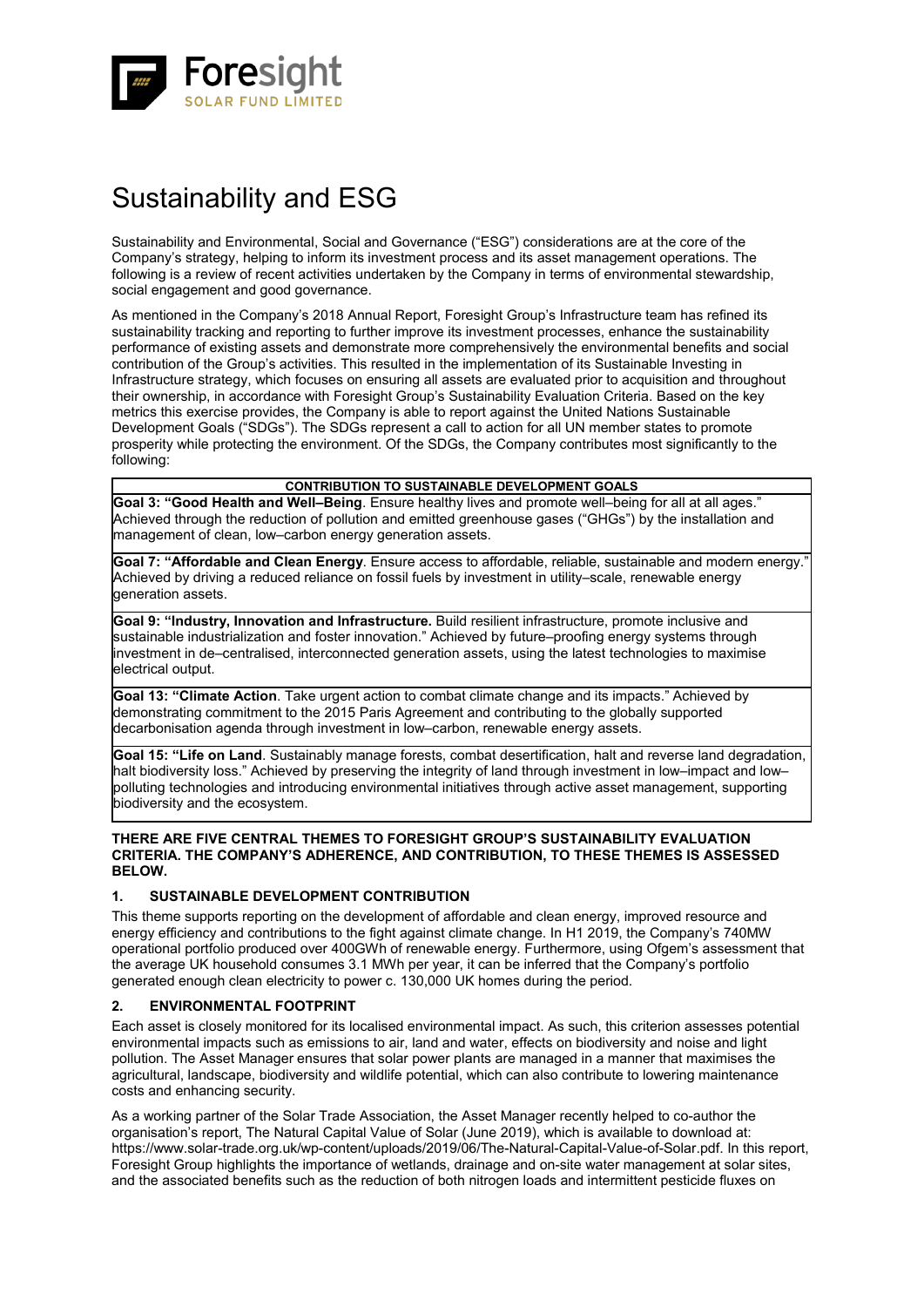![](_page_20_Picture_0.jpeg)

# Sustainability and ESG

Sustainability and Environmental, Social and Governance ("ESG") considerations are at the core of the Company's strategy, helping to inform its investment process and its asset management operations. The following is a review of recent activities undertaken by the Company in terms of environmental stewardship, social engagement and good governance.

As mentioned in the Company's 2018 Annual Report, Foresight Group's Infrastructure team has refined its sustainability tracking and reporting to further improve its investment processes, enhance the sustainability performance of existing assets and demonstrate more comprehensively the environmental benefits and social contribution of the Group's activities. This resulted in the implementation of its Sustainable Investing in Infrastructure strategy, which focuses on ensuring all assets are evaluated prior to acquisition and throughout their ownership, in accordance with Foresight Group's Sustainability Evaluation Criteria. Based on the key metrics this exercise provides, the Company is able to report against the United Nations Sustainable Development Goals ("SDGs"). The SDGs represent a call to action for all UN member states to promote prosperity while protecting the environment. Of the SDGs, the Company contributes most significantly to the following:

### **CONTRIBUTION TO SUSTAINABLE DEVELOPMENT GOALS**

**Goal 3: "Good Health and Well–Being**. Ensure healthy lives and promote well–being for all at all ages." Achieved through the reduction of pollution and emitted greenhouse gases ("GHGs") by the installation and management of clean, low–carbon energy generation assets.

Goal 7: "Affordable and Clean Energy. Ensure access to affordable, reliable, sustainable and modern energy. Achieved by driving a reduced reliance on fossil fuels by investment in utility–scale, renewable energy generation assets.

**Goal 9: "Industry, Innovation and Infrastructure.** Build resilient infrastructure, promote inclusive and sustainable industrialization and foster innovation." Achieved by future–proofing energy systems through investment in de–centralised, interconnected generation assets, using the latest technologies to maximise electrical output.

**Goal 13: "Climate Action**. Take urgent action to combat climate change and its impacts." Achieved by demonstrating commitment to the 2015 Paris Agreement and contributing to the globally supported decarbonisation agenda through investment in low–carbon, renewable energy assets.

**Goal 15: "Life on Land**. Sustainably manage forests, combat desertification, halt and reverse land degradation, halt biodiversity loss." Achieved by preserving the integrity of land through investment in low–impact and low– polluting technologies and introducing environmental initiatives through active asset management, supporting biodiversity and the ecosystem.

### **THERE ARE FIVE CENTRAL THEMES TO FORESIGHT GROUP'S SUSTAINABILITY EVALUATION CRITERIA. THE COMPANY'S ADHERENCE, AND CONTRIBUTION, TO THESE THEMES IS ASSESSED BELOW.**

### **1. SUSTAINABLE DEVELOPMENT CONTRIBUTION**

This theme supports reporting on the development of affordable and clean energy, improved resource and energy efficiency and contributions to the fight against climate change. In H1 2019, the Company's 740MW operational portfolio produced over 400GWh of renewable energy. Furthermore, using Ofgem's assessment that the average UK household consumes 3.1 MWh per year, it can be inferred that the Company's portfolio generated enough clean electricity to power c. 130,000 UK homes during the period.

### **2. ENVIRONMENTAL FOOTPRINT**

Each asset is closely monitored for its localised environmental impact. As such, this criterion assesses potential environmental impacts such as emissions to air, land and water, effects on biodiversity and noise and light pollution. The Asset Manager ensures that solar power plants are managed in a manner that maximises the agricultural, landscape, biodiversity and wildlife potential, which can also contribute to lowering maintenance costs and enhancing security.

As a working partner of the Solar Trade Association, the Asset Manager recently helped to co-author the organisation's report, The Natural Capital Value of Solar (June 2019), which is available to download at: https://www.solar-trade.org.uk/wp-content/uploads/2019/06/The-Natural-Capital-Value-of-Solar.pdf. In this report, Foresight Group highlights the importance of wetlands, drainage and on-site water management at solar sites, and the associated benefits such as the reduction of both nitrogen loads and intermittent pesticide fluxes on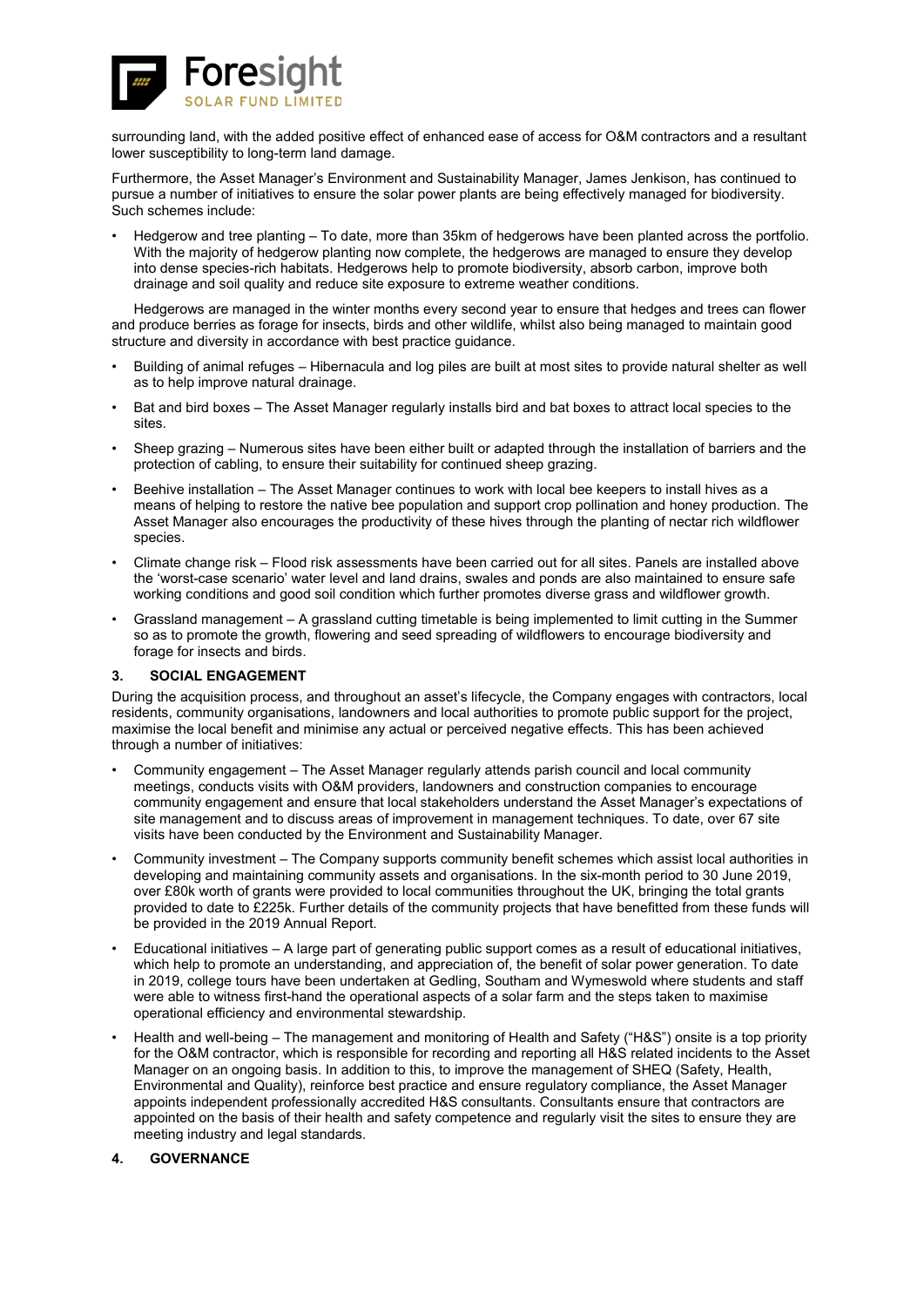![](_page_21_Picture_0.jpeg)

surrounding land, with the added positive effect of enhanced ease of access for O&M contractors and a resultant lower susceptibility to long-term land damage.

Furthermore, the Asset Manager's Environment and Sustainability Manager, James Jenkison, has continued to pursue a number of initiatives to ensure the solar power plants are being effectively managed for biodiversity. Such schemes include:

• Hedgerow and tree planting – To date, more than 35km of hedgerows have been planted across the portfolio. With the majority of hedgerow planting now complete, the hedgerows are managed to ensure they develop into dense species-rich habitats. Hedgerows help to promote biodiversity, absorb carbon, improve both drainage and soil quality and reduce site exposure to extreme weather conditions.

Hedgerows are managed in the winter months every second year to ensure that hedges and trees can flower and produce berries as forage for insects, birds and other wildlife, whilst also being managed to maintain good structure and diversity in accordance with best practice guidance.

- Building of animal refuges Hibernacula and log piles are built at most sites to provide natural shelter as well as to help improve natural drainage.
- Bat and bird boxes The Asset Manager regularly installs bird and bat boxes to attract local species to the sites.
- Sheep grazing Numerous sites have been either built or adapted through the installation of barriers and the protection of cabling, to ensure their suitability for continued sheep grazing.
- Beehive installation The Asset Manager continues to work with local bee keepers to install hives as a means of helping to restore the native bee population and support crop pollination and honey production. The Asset Manager also encourages the productivity of these hives through the planting of nectar rich wildflower species.
- Climate change risk Flood risk assessments have been carried out for all sites. Panels are installed above the 'worst-case scenario' water level and land drains, swales and ponds are also maintained to ensure safe working conditions and good soil condition which further promotes diverse grass and wildflower growth.
- Grassland management A grassland cutting timetable is being implemented to limit cutting in the Summer so as to promote the growth, flowering and seed spreading of wildflowers to encourage biodiversity and forage for insects and birds.

### **3. SOCIAL ENGAGEMENT**

During the acquisition process, and throughout an asset's lifecycle, the Company engages with contractors, local residents, community organisations, landowners and local authorities to promote public support for the project, maximise the local benefit and minimise any actual or perceived negative effects. This has been achieved through a number of initiatives:

- Community engagement The Asset Manager regularly attends parish council and local community meetings, conducts visits with O&M providers, landowners and construction companies to encourage community engagement and ensure that local stakeholders understand the Asset Manager's expectations of site management and to discuss areas of improvement in management techniques. To date, over 67 site visits have been conducted by the Environment and Sustainability Manager.
- Community investment The Company supports community benefit schemes which assist local authorities in developing and maintaining community assets and organisations. In the six-month period to 30 June 2019, over £80k worth of grants were provided to local communities throughout the UK, bringing the total grants provided to date to £225k. Further details of the community projects that have benefitted from these funds will be provided in the 2019 Annual Report.
- Educational initiatives A large part of generating public support comes as a result of educational initiatives, which help to promote an understanding, and appreciation of, the benefit of solar power generation. To date in 2019, college tours have been undertaken at Gedling, Southam and Wymeswold where students and staff were able to witness first-hand the operational aspects of a solar farm and the steps taken to maximise operational efficiency and environmental stewardship.
- Health and well-being The management and monitoring of Health and Safety ("H&S") onsite is a top priority for the O&M contractor, which is responsible for recording and reporting all H&S related incidents to the Asset Manager on an ongoing basis. In addition to this, to improve the management of SHEQ (Safety, Health, Environmental and Quality), reinforce best practice and ensure regulatory compliance, the Asset Manager appoints independent professionally accredited H&S consultants. Consultants ensure that contractors are appointed on the basis of their health and safety competence and regularly visit the sites to ensure they are meeting industry and legal standards.

### **4. GOVERNANCE**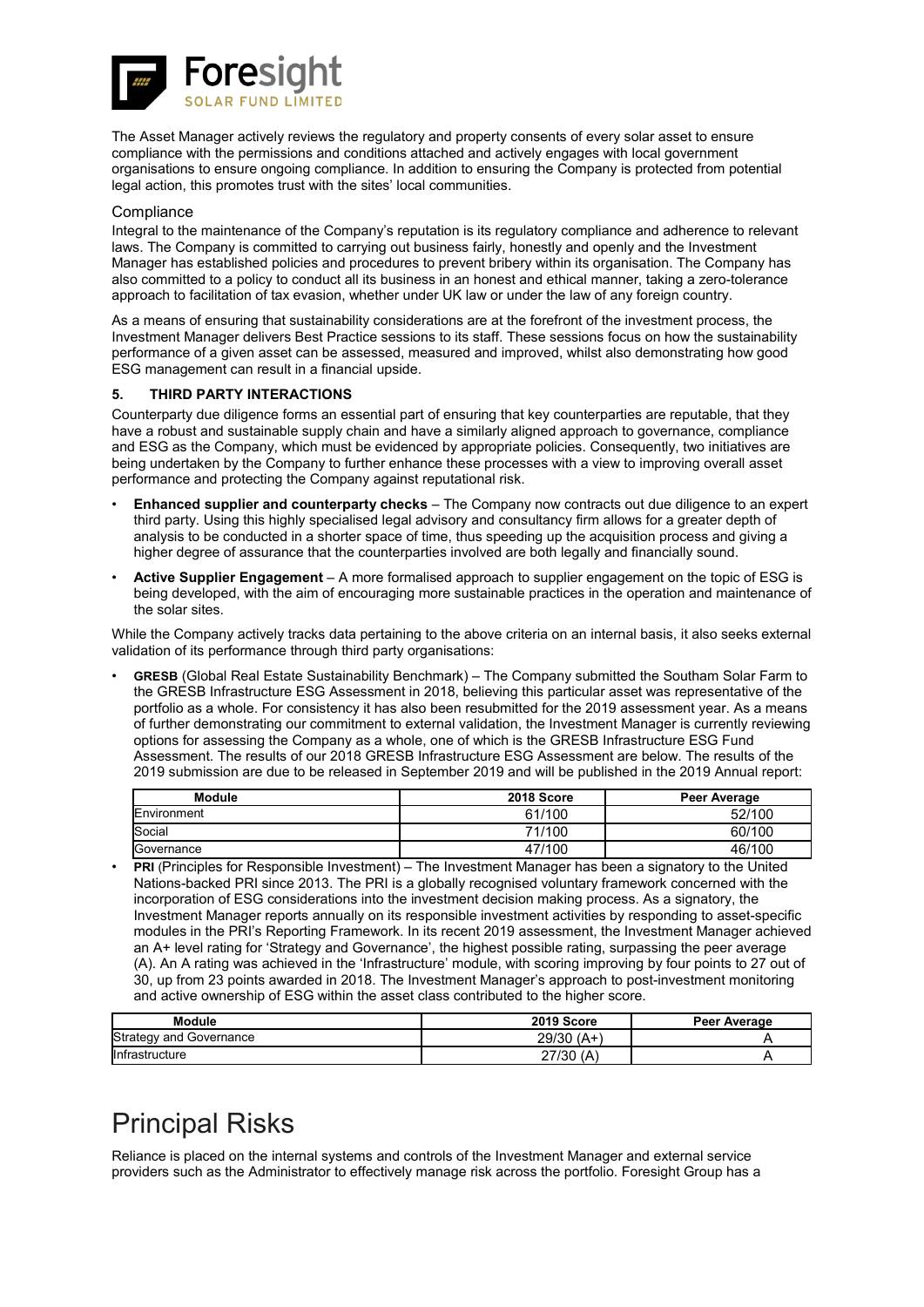![](_page_22_Picture_0.jpeg)

The Asset Manager actively reviews the regulatory and property consents of every solar asset to ensure compliance with the permissions and conditions attached and actively engages with local government organisations to ensure ongoing compliance. In addition to ensuring the Company is protected from potential legal action, this promotes trust with the sites' local communities.

### **Compliance**

Integral to the maintenance of the Company's reputation is its regulatory compliance and adherence to relevant laws. The Company is committed to carrying out business fairly, honestly and openly and the Investment Manager has established policies and procedures to prevent bribery within its organisation. The Company has also committed to a policy to conduct all its business in an honest and ethical manner, taking a zero-tolerance approach to facilitation of tax evasion, whether under UK law or under the law of any foreign country.

As a means of ensuring that sustainability considerations are at the forefront of the investment process, the Investment Manager delivers Best Practice sessions to its staff. These sessions focus on how the sustainability performance of a given asset can be assessed, measured and improved, whilst also demonstrating how good ESG management can result in a financial upside.

### **5. THIRD PARTY INTERACTIONS**

Counterparty due diligence forms an essential part of ensuring that key counterparties are reputable, that they have a robust and sustainable supply chain and have a similarly aligned approach to governance, compliance and ESG as the Company, which must be evidenced by appropriate policies. Consequently, two initiatives are being undertaken by the Company to further enhance these processes with a view to improving overall asset performance and protecting the Company against reputational risk.

- **Enhanced supplier and counterparty checks** The Company now contracts out due diligence to an expert third party. Using this highly specialised legal advisory and consultancy firm allows for a greater depth of analysis to be conducted in a shorter space of time, thus speeding up the acquisition process and giving a higher degree of assurance that the counterparties involved are both legally and financially sound.
- **Active Supplier Engagement** A more formalised approach to supplier engagement on the topic of ESG is being developed, with the aim of encouraging more sustainable practices in the operation and maintenance of the solar sites.

While the Company actively tracks data pertaining to the above criteria on an internal basis, it also seeks external validation of its performance through third party organisations:

• **GRESB** (Global Real Estate Sustainability Benchmark) – The Company submitted the Southam Solar Farm to the GRESB Infrastructure ESG Assessment in 2018, believing this particular asset was representative of the portfolio as a whole. For consistency it has also been resubmitted for the 2019 assessment year. As a means of further demonstrating our commitment to external validation, the Investment Manager is currently reviewing options for assessing the Company as a whole, one of which is the GRESB Infrastructure ESG Fund Assessment. The results of our 2018 GRESB Infrastructure ESG Assessment are below. The results of the 2019 submission are due to be released in September 2019 and will be published in the 2019 Annual report:

| <b>Module</b> | 2018 Score | Peer Average |
|---------------|------------|--------------|
| Environment   | 61/100     | 52/100       |
| Social        | 71/100     | 60/100       |
| Governance    | 47/100     | 46/100       |

• **PRI** (Principles for Responsible Investment) – The Investment Manager has been a signatory to the United Nations-backed PRI since 2013. The PRI is a globally recognised voluntary framework concerned with the incorporation of ESG considerations into the investment decision making process. As a signatory, the Investment Manager reports annually on its responsible investment activities by responding to asset-specific modules in the PRI's Reporting Framework. In its recent 2019 assessment, the Investment Manager achieved an A+ level rating for 'Strategy and Governance', the highest possible rating, surpassing the peer average (A). An A rating was achieved in the 'Infrastructure' module, with scoring improving by four points to 27 out of 30, up from 23 points awarded in 2018. The Investment Manager's approach to post-investment monitoring and active ownership of ESG within the asset class contributed to the higher score.

| <b>Module</b>                  | 2019 Score      | Peer Average |
|--------------------------------|-----------------|--------------|
| <b>Strategy and Governance</b> | $(A+)$<br>29/30 |              |
| Infrastructure                 | 27/30<br>`A     |              |

# Principal Risks

Reliance is placed on the internal systems and controls of the Investment Manager and external service providers such as the Administrator to effectively manage risk across the portfolio. Foresight Group has a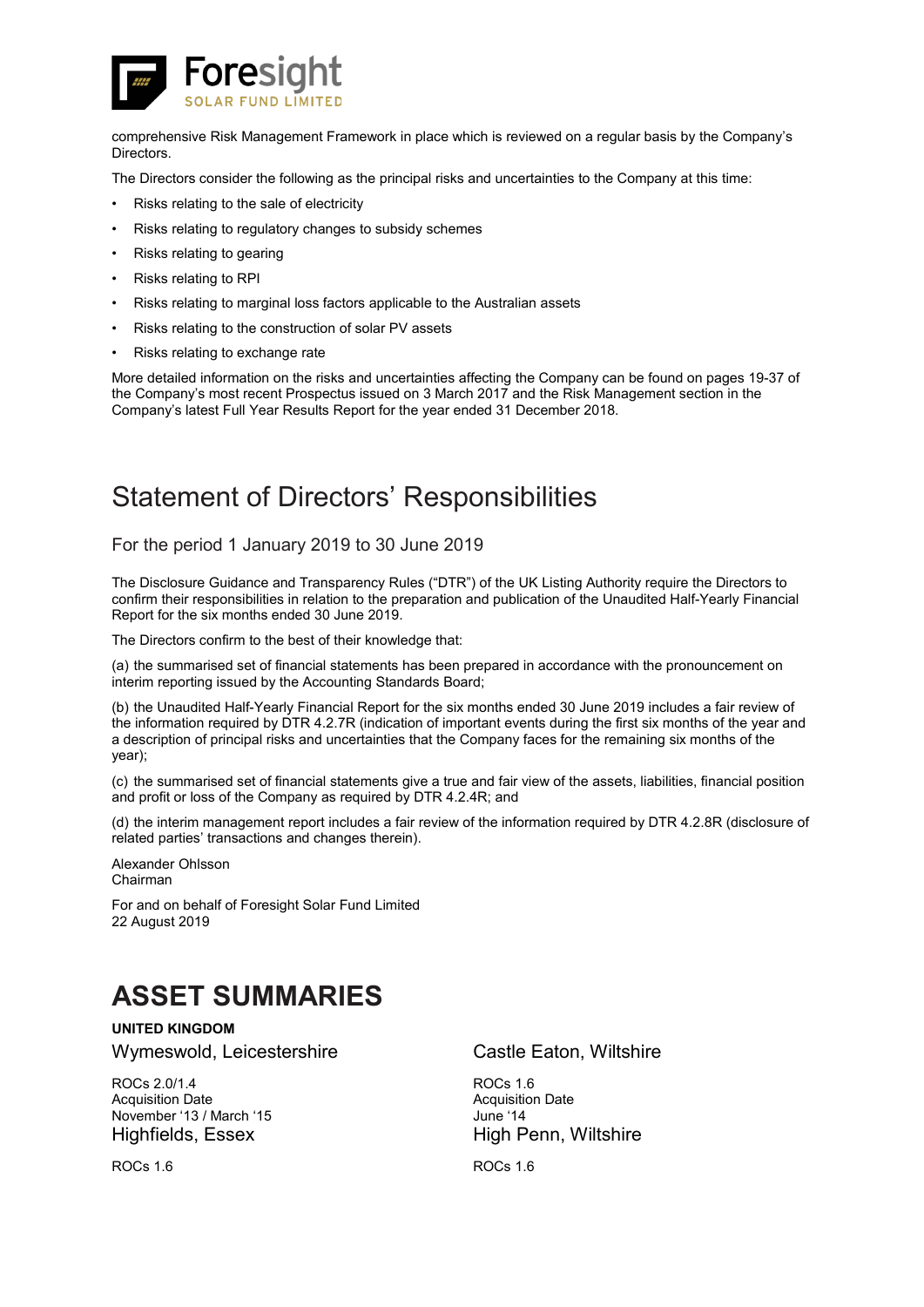![](_page_23_Picture_0.jpeg)

comprehensive Risk Management Framework in place which is reviewed on a regular basis by the Company's Directors.

The Directors consider the following as the principal risks and uncertainties to the Company at this time:

- Risks relating to the sale of electricity
- Risks relating to regulatory changes to subsidy schemes
- Risks relating to gearing
- Risks relating to RPI
- Risks relating to marginal loss factors applicable to the Australian assets
- Risks relating to the construction of solar PV assets
- Risks relating to exchange rate

More detailed information on the risks and uncertainties affecting the Company can be found on pages 19-37 of the Company's most recent Prospectus issued on 3 March 2017 and the Risk Management section in the Company's latest Full Year Results Report for the year ended 31 December 2018.

# Statement of Directors' Responsibilities

For the period 1 January 2019 to 30 June 2019

The Disclosure Guidance and Transparency Rules ("DTR") of the UK Listing Authority require the Directors to confirm their responsibilities in relation to the preparation and publication of the Unaudited Half-Yearly Financial Report for the six months ended 30 June 2019.

The Directors confirm to the best of their knowledge that:

(a) the summarised set of financial statements has been prepared in accordance with the pronouncement on interim reporting issued by the Accounting Standards Board;

(b) the Unaudited Half-Yearly Financial Report for the six months ended 30 June 2019 includes a fair review of the information required by DTR 4.2.7R (indication of important events during the first six months of the year and a description of principal risks and uncertainties that the Company faces for the remaining six months of the year);

(c) the summarised set of financial statements give a true and fair view of the assets, liabilities, financial position and profit or loss of the Company as required by DTR 4.2.4R; and

(d) the interim management report includes a fair review of the information required by DTR 4.2.8R (disclosure of related parties' transactions and changes therein).

Alexander Ohlsson Chairman

For and on behalf of Foresight Solar Fund Limited 22 August 2019

# **ASSET SUMMARIES**

**UNITED KINGDOM**

ROCs 2.0/1.4 Acquisition Date November '13 / March '15

Wymeswold, Leicestershire **Castle Eaton, Wiltshire** 

ROCs 1.6 Acquisition Date June '14 Highfields, Essex High Penn, Wiltshire

ROCs 1.6 ROCs 1.6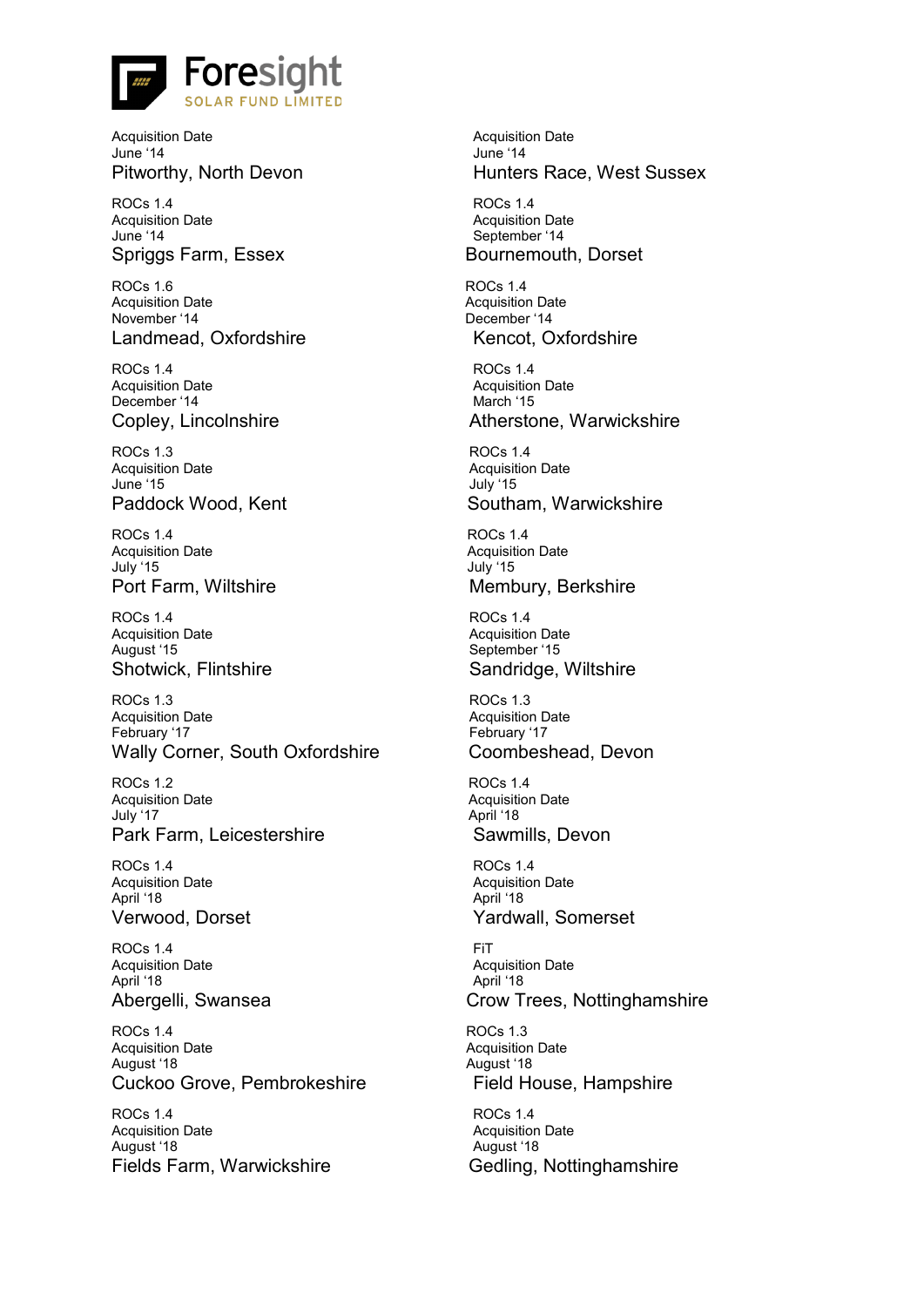![](_page_24_Picture_0.jpeg)

Acquisition Date June '14

ROCs 1.4 Acquisition Date June '14

ROCs 1.6 Acquisition Date November '14 Landmead, Oxfordshire Kencot, Oxfordshire

ROCs 1.4 Acquisition Date December '14

ROCs 1.3 Acquisition Date June '15

ROCs 1.4 Acquisition Date July '15

ROCs 1.4 Acquisition Date August '15

ROCs 1.3 Acquisition Date February '17 Wally Corner, South Oxfordshire Coombeshead, Devon

ROCs 1.2 Acquisition Date July '17 Park Farm, Leicestershire Sawmills, Devon

ROCs 1.4 Acquisition Date April '18

ROCs 1.4 Acquisition Date April '18

ROCs 1.4 Acquisition Date August '18 Cuckoo Grove, Pembrokeshire Field House, Hampshire

ROCs 1.4 Acquisition Date August '18 Fields Farm, Warwickshire Gedling, Nottinghamshire

Acquisition Date June '14 Pitworthy, North Devon **Hunters Race, West Sussex** 

ROCs 1.4 Acquisition Date September '14 Spriggs Farm, Essex Bournemouth, Dorset

> ROCs 1.4 Acquisition Date December '14

ROCs 1.4 Acquisition Date March '15 Copley, Lincolnshire **Atherstone**, Warwickshire

ROCs 1.4 Acquisition Date July '15 Paddock Wood, Kent Southam, Warwickshire

ROCs 1.4 Acquisition Date July '15 Port Farm, Wiltshire Membury, Berkshire

ROCs 1.4 Acquisition Date September '15 Shotwick, Flintshire Shotwick, Sandridge, Wiltshire

> ROCs 1.3 Acquisition Date February '17

ROCs 1.4 Acquisition Date April '18

ROCs 1.4 Acquisition Date April '18 Verwood, Dorset **Yardwall**, Somerset

FiT Acquisition Date April '18 Abergelli, Swansea Crow Trees, Nottinghamshire

> ROCs 1.3 Acquisition Date August '18

ROCs 1.4 Acquisition Date August '18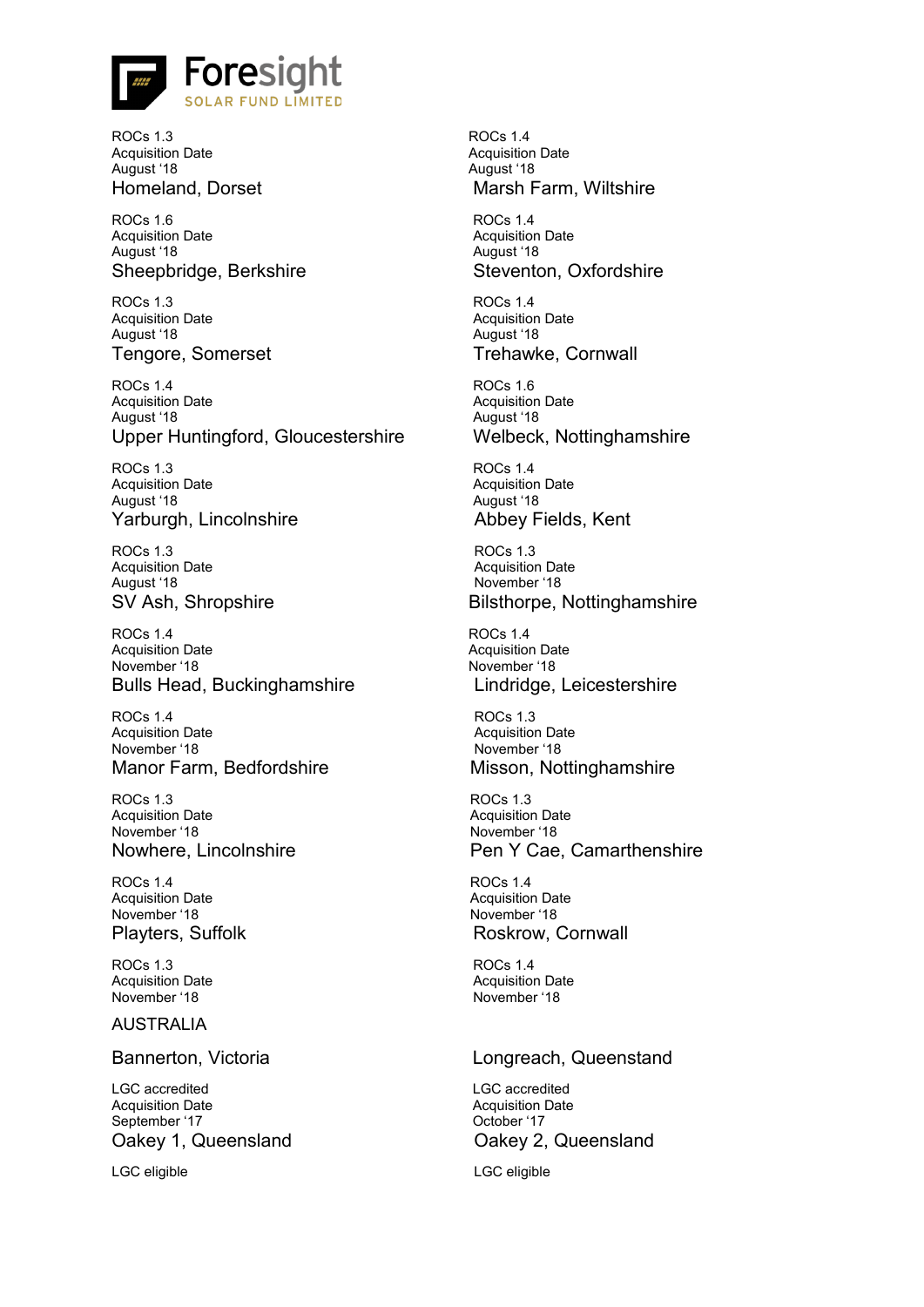![](_page_25_Picture_0.jpeg)

ROCs 1.3 Acquisition Date August '18

ROCs 1.6 Acquisition Date August '18 Sheepbridge, Berkshire Steventon, Oxfordshire

ROCs 1.3 Acquisition Date August '18 Tengore, Somerset Trehawke, Cornwall

ROCs 1.4 Acquisition Date August '18 Upper Huntingford, Gloucestershire Welbeck, Nottinghamshire

ROCs 1.3 Acquisition Date August '18 Yarburgh, Lincolnshire **Abbey Fields, Kent** 

ROCs 1.3 Acquisition Date August '18

ROCs 1.4 Acquisition Date November '18 Bulls Head, Buckinghamshire Lindridge, Leicestershire

ROCs 1.4 Acquisition Date November '18 Manor Farm, Bedfordshire Misson, Nottinghamshire

ROCs 1.3 Acquisition Date November '18

ROCs 1.4 Acquisition Date November '18

ROCs 1.3 Acquisition Date November '18

### AUSTRALIA

LGC accredited Acquisition Date September '17 Oakey 1, Queensland **Oakey 2, Queensland** 

LGC eligible LGC eligible

ROCs 1.4 Acquisition Date August '18 Homeland, Dorset Marsh Farm, Wiltshire

> ROCs 1.4 Acquisition Date August '18

ROCs 1.4 Acquisition Date August '18

ROCs 1.6 Acquisition Date August '18

ROCs 1.4 Acquisition Date August '18

ROCs 1.3 Acquisition Date November '18 SV Ash, Shropshire Bilsthorpe, Nottinghamshire

> ROCs 1.4 Acquisition Date November '18

ROCs 1.3 Acquisition Date November '18

ROCs 1.3 Acquisition Date November '18 Nowhere, Lincolnshire **Pen Y Cae, Camarthenshire** Pen Y Cae, Camarthenshire

ROCs 1.4 Acquisition Date November '18 Playters, Suffolk **Roskrow**, Cornwall

> ROCs 1.4 Acquisition Date November '18

# Bannerton, Victoria **Longreach, Queenstand**

LGC accredited Acquisition Date October '17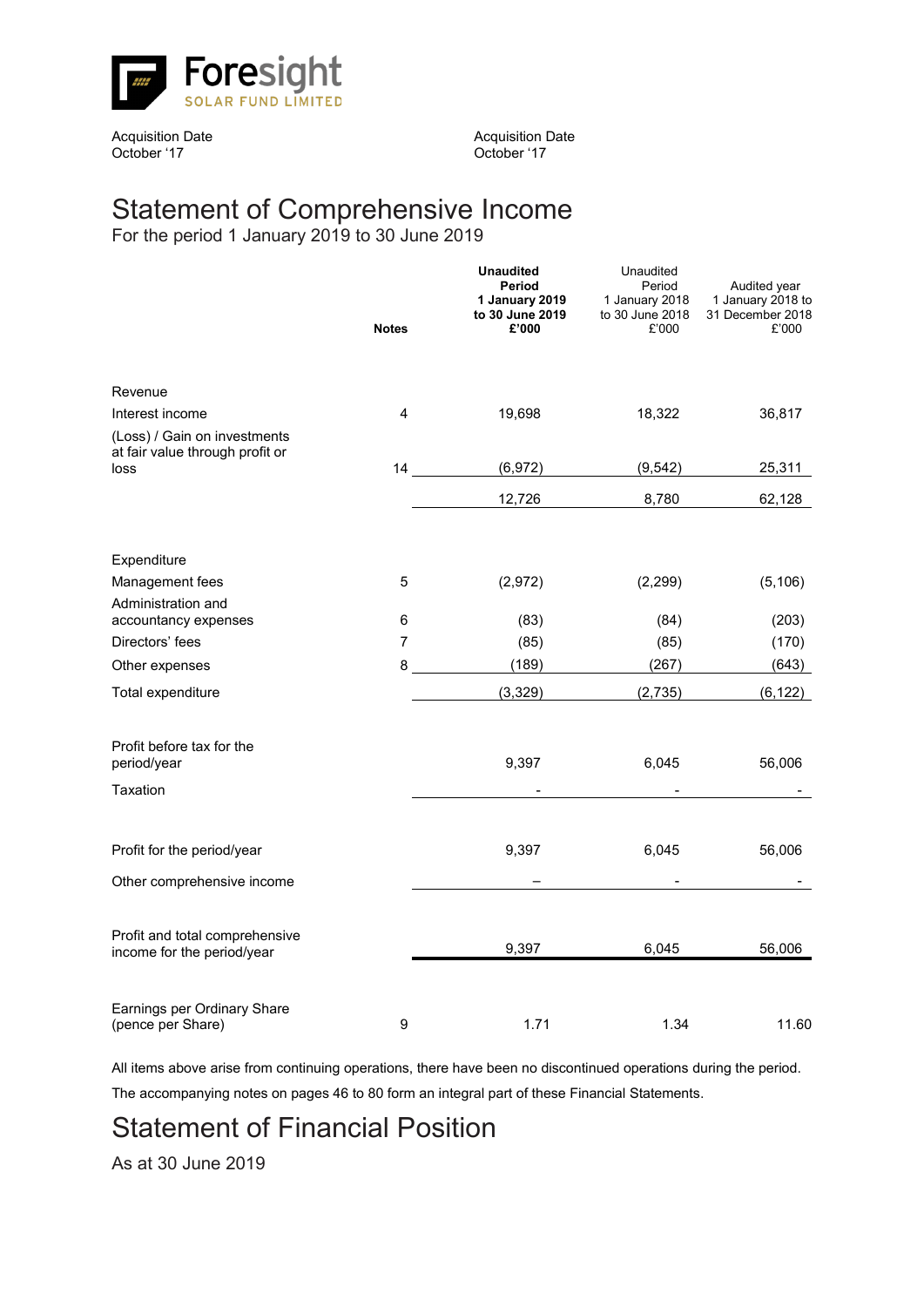![](_page_26_Picture_0.jpeg)

Acquisition Date October '17

Acquisition Date October '17

# Statement of Comprehensive Income

For the period 1 January 2019 to 30 June 2019

|                                                                 | <b>Notes</b> | <b>Unaudited</b><br>Period<br>1 January 2019<br>to 30 June 2019<br>£'000 | Unaudited<br>Period<br>1 January 2018<br>to 30 June 2018<br>£'000 | Audited year<br>1 January 2018 to<br>31 December 2018<br>£'000 |
|-----------------------------------------------------------------|--------------|--------------------------------------------------------------------------|-------------------------------------------------------------------|----------------------------------------------------------------|
| Revenue                                                         |              |                                                                          |                                                                   |                                                                |
| Interest income                                                 | 4            | 19,698                                                                   | 18,322                                                            | 36,817                                                         |
| (Loss) / Gain on investments<br>at fair value through profit or |              | (6,972)                                                                  |                                                                   |                                                                |
| loss                                                            | 14 —         |                                                                          | (9, 542)                                                          | 25,311                                                         |
|                                                                 |              | 12,726                                                                   | 8,780                                                             | 62,128                                                         |
| Expenditure                                                     |              |                                                                          |                                                                   |                                                                |
| Management fees                                                 | 5            | (2,972)                                                                  | (2, 299)                                                          | (5, 106)                                                       |
| Administration and                                              |              |                                                                          |                                                                   |                                                                |
| accountancy expenses                                            | 6            | (83)                                                                     | (84)                                                              | (203)                                                          |
| Directors' fees                                                 | 7            | (85)                                                                     | (85)                                                              | (170)                                                          |
| Other expenses                                                  | 8            | (189)                                                                    | (267)                                                             | (643)                                                          |
| Total expenditure                                               |              | (3,329)                                                                  | (2,735)                                                           | (6, 122)                                                       |
| Profit before tax for the<br>period/year                        |              | 9,397                                                                    | 6,045                                                             | 56,006                                                         |
| Taxation                                                        |              |                                                                          |                                                                   |                                                                |
| Profit for the period/year                                      |              | 9,397                                                                    | 6,045                                                             | 56,006                                                         |
| Other comprehensive income                                      |              |                                                                          |                                                                   |                                                                |
| Profit and total comprehensive<br>income for the period/year    |              | 9,397                                                                    | 6,045                                                             | 56,006                                                         |
| Earnings per Ordinary Share<br>(pence per Share)                | 9            | 1.71                                                                     | 1.34                                                              | 11.60                                                          |

All items above arise from continuing operations, there have been no discontinued operations during the period.

The accompanying notes on pages 46 to 80 form an integral part of these Financial Statements.

# Statement of Financial Position

As at 30 June 2019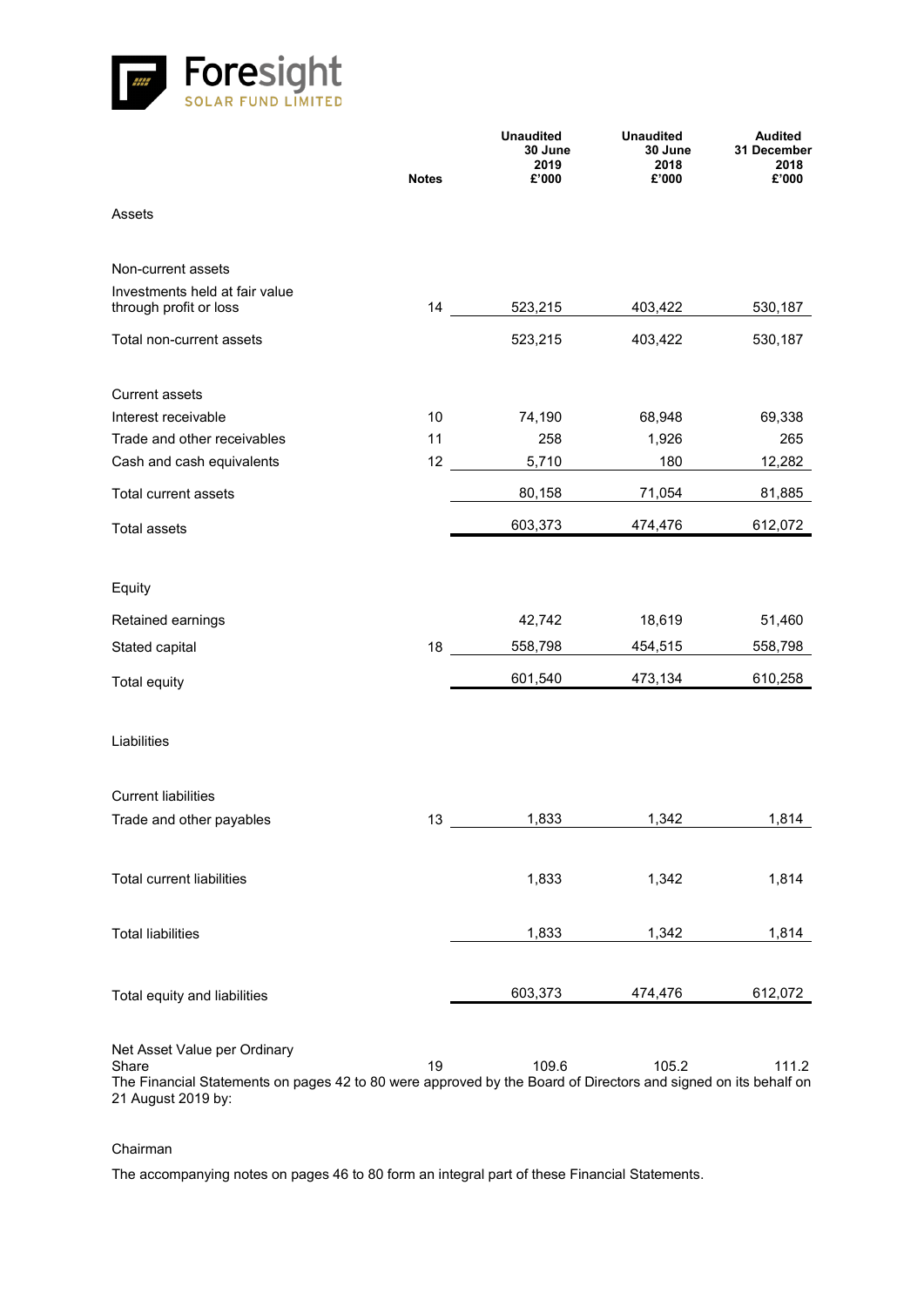![](_page_27_Picture_0.jpeg)

|                                                                                                                                                                               | <b>Notes</b> | <b>Unaudited</b><br>30 June<br>2019<br>£'000 | <b>Unaudited</b><br>30 June<br>2018<br>£'000 | <b>Audited</b><br>31 December<br>2018<br>£'000 |
|-------------------------------------------------------------------------------------------------------------------------------------------------------------------------------|--------------|----------------------------------------------|----------------------------------------------|------------------------------------------------|
| Assets                                                                                                                                                                        |              |                                              |                                              |                                                |
| Non-current assets                                                                                                                                                            |              |                                              |                                              |                                                |
| Investments held at fair value<br>through profit or loss                                                                                                                      | 14           | 523,215                                      | 403,422                                      | 530,187                                        |
| Total non-current assets                                                                                                                                                      |              | 523,215                                      | 403,422                                      | 530,187                                        |
| <b>Current assets</b>                                                                                                                                                         |              |                                              |                                              |                                                |
| Interest receivable                                                                                                                                                           | 10           | 74,190                                       | 68,948                                       | 69,338                                         |
| Trade and other receivables                                                                                                                                                   | 11           | 258                                          | 1,926                                        | 265                                            |
| Cash and cash equivalents                                                                                                                                                     | 12           | 5,710                                        | 180                                          | 12,282                                         |
| Total current assets                                                                                                                                                          |              | 80,158                                       | 71,054                                       | 81,885                                         |
| <b>Total assets</b>                                                                                                                                                           |              | 603,373                                      | 474,476                                      | 612,072                                        |
| Equity                                                                                                                                                                        |              |                                              |                                              |                                                |
|                                                                                                                                                                               |              |                                              |                                              |                                                |
| Retained earnings                                                                                                                                                             |              | 42,742                                       | 18,619                                       | 51,460                                         |
| Stated capital                                                                                                                                                                | 18           | 558,798                                      | 454,515                                      | 558,798                                        |
| <b>Total equity</b>                                                                                                                                                           |              | 601,540                                      | 473,134                                      | 610,258                                        |
| Liabilities                                                                                                                                                                   |              |                                              |                                              |                                                |
| <b>Current liabilities</b>                                                                                                                                                    |              |                                              |                                              |                                                |
| Trade and other payables                                                                                                                                                      | 13           | 1,833                                        | 1,342                                        | 1,814                                          |
| Total current liabilities                                                                                                                                                     |              | 1,833                                        | 1,342                                        | 1,814                                          |
| <b>Total liabilities</b>                                                                                                                                                      |              | 1,833                                        | 1,342                                        | 1,814                                          |
| Total equity and liabilities                                                                                                                                                  |              | 603,373                                      | 474,476                                      | 612,072                                        |
| Net Asset Value per Ordinary<br>Share<br>The Financial Statements on pages 42 to 80 were approved by the Board of Directors and signed on its behalf on<br>21 August 2019 by: | 19           | 109.6                                        | 105.2                                        | 111.2                                          |

# Chairman

The accompanying notes on pages 46 to 80 form an integral part of these Financial Statements.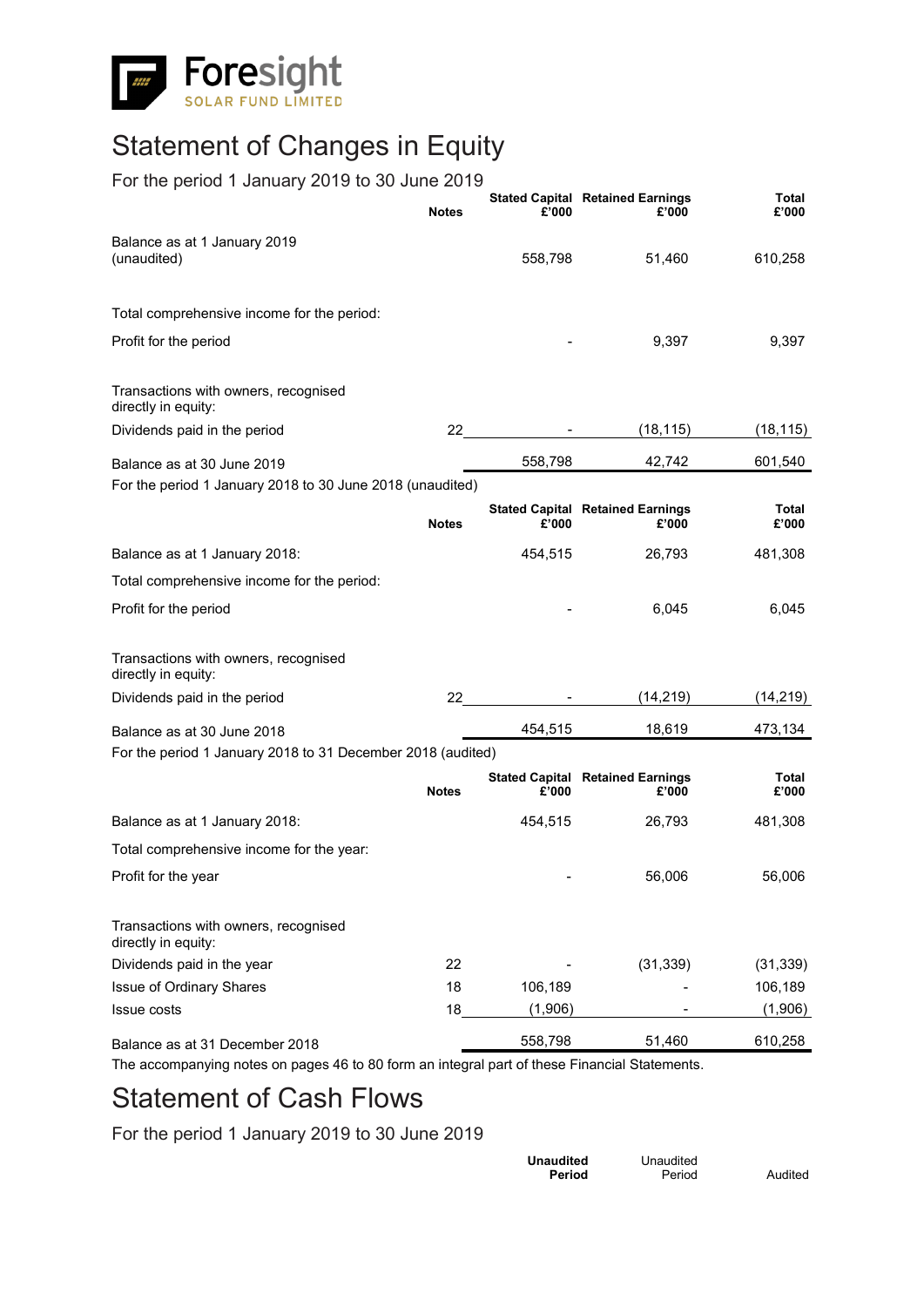![](_page_28_Picture_0.jpeg)

# Statement of Changes in Equity

# For the period 1 January 2019 to 30 June 2019

|                                                             | <b>Notes</b> | £'000   | <b>Stated Capital Retained Earnings</b><br>£'000 | <b>Total</b><br>£'000 |
|-------------------------------------------------------------|--------------|---------|--------------------------------------------------|-----------------------|
| Balance as at 1 January 2019<br>(unaudited)                 |              | 558,798 | 51,460                                           | 610,258               |
| Total comprehensive income for the period:                  |              |         |                                                  |                       |
| Profit for the period                                       |              |         | 9,397                                            | 9,397                 |
| Transactions with owners, recognised<br>directly in equity: |              |         |                                                  |                       |
| Dividends paid in the period                                | 22           |         | (18, 115)                                        | (18, 115)             |
| Balance as at 30 June 2019                                  |              | 558,798 | 42,742                                           | 601,540               |
| For the period 1 January 2018 to 30 June 2018 (unaudited)   |              |         |                                                  |                       |
|                                                             | <b>Notes</b> | £'000   | <b>Stated Capital Retained Earnings</b><br>£'000 | Total<br>£'000        |
| Balance as at 1 January 2018:                               |              | 454,515 | 26,793                                           | 481,308               |
| Total comprehensive income for the period:                  |              |         |                                                  |                       |
| Profit for the period                                       |              |         | 6,045                                            | 6,045                 |
| Transactions with owners, recognised<br>directly in equity: |              |         |                                                  |                       |
| Dividends paid in the period                                | 22           |         | (14, 219)                                        | (14, 219)             |
| Balance as at 30 June 2018                                  |              | 454,515 | 18,619                                           | 473,134               |
| For the period 1 January 2018 to 31 December 2018 (audited) |              |         |                                                  |                       |
|                                                             | <b>Notes</b> | £'000   | <b>Stated Capital Retained Earnings</b><br>£'000 | Total<br>£'000        |
| Balance as at 1 January 2018:                               |              | 454,515 | 26,793                                           | 481,308               |
| Total comprehensive income for the year:                    |              |         |                                                  |                       |
| Profit for the year                                         |              |         | 56,006                                           | 56,006                |
| Transactions with owners, recognised<br>directly in equity: |              |         |                                                  |                       |
| Dividends paid in the year                                  | 22           |         | (31, 339)                                        | (31, 339)             |
| Issue of Ordinary Shares                                    | 18           | 106,189 |                                                  | 106,189               |
| Issue costs                                                 | 18           | (1,906) |                                                  | (1,906)               |
| Balance as at 31 December 2018                              |              | 558,798 | 51,460                                           | 610,258               |

The accompanying notes on pages 46 to 80 form an integral part of these Financial Statements.

# Statement of Cash Flows

For the period 1 January 2019 to 30 June 2019

| Unaudited | Unaudited |         |
|-----------|-----------|---------|
| Period    | Period    | Audited |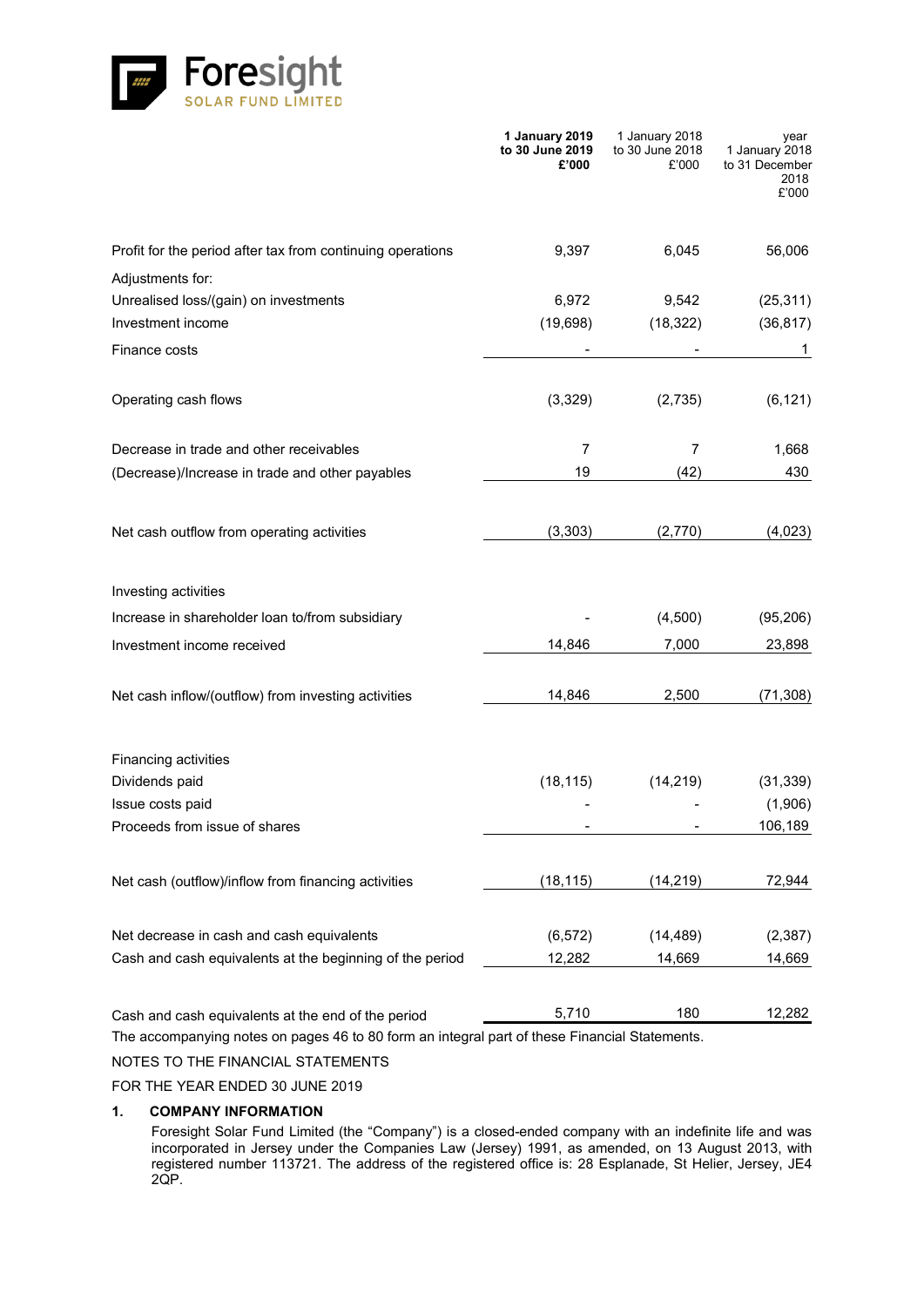![](_page_29_Picture_0.jpeg)

|                                                            | 1 January 2019<br>to 30 June 2019<br>£'000 | 1 January 2018<br>to 30 June 2018<br>£'000 | year<br>1 January 2018<br>to 31 December<br>2018<br>£'000 |
|------------------------------------------------------------|--------------------------------------------|--------------------------------------------|-----------------------------------------------------------|
| Profit for the period after tax from continuing operations | 9,397                                      | 6,045                                      | 56,006                                                    |
| Adjustments for:                                           |                                            |                                            |                                                           |
| Unrealised loss/(gain) on investments                      | 6,972                                      | 9,542                                      | (25, 311)                                                 |
| Investment income                                          | (19, 698)                                  | (18, 322)                                  | (36, 817)                                                 |
| Finance costs                                              |                                            |                                            | 1                                                         |
| Operating cash flows                                       | (3,329)                                    | (2,735)                                    | (6, 121)                                                  |
| Decrease in trade and other receivables                    | $\overline{7}$                             | 7                                          | 1,668                                                     |
| (Decrease)/Increase in trade and other payables            | 19                                         | (42)                                       | 430                                                       |
| Net cash outflow from operating activities                 | (3,303)                                    | (2,770)                                    | (4,023)                                                   |
| Investing activities                                       |                                            |                                            |                                                           |
| Increase in shareholder loan to/from subsidiary            |                                            | (4,500)                                    | (95, 206)                                                 |
| Investment income received                                 | 14,846                                     | 7,000                                      | 23,898                                                    |
| Net cash inflow/(outflow) from investing activities        | 14,846                                     | 2,500                                      | (71, 308)                                                 |
| Financing activities                                       |                                            |                                            |                                                           |
| Dividends paid                                             | (18, 115)                                  | (14, 219)                                  | (31, 339)                                                 |
| Issue costs paid                                           |                                            |                                            | (1,906)                                                   |
| Proceeds from issue of shares                              |                                            |                                            | 106,189                                                   |
| Net cash (outflow)/inflow from financing activities        | (18, 115)                                  | (14, 219)                                  | 72,944                                                    |
| Net decrease in cash and cash equivalents                  | (6, 572)                                   | (14, 489)                                  | (2, 387)                                                  |
| Cash and cash equivalents at the beginning of the period   | 12,282                                     | 14,669                                     | 14,669                                                    |
| Cash and cash equivalents at the end of the period         | 5,710                                      | 180                                        | 12,282                                                    |

The accompanying notes on pages 46 to 80 form an integral part of these Financial Statements.

NOTES TO THE FINANCIAL STATEMENTS

FOR THE YEAR ENDED 30 JUNE 2019

### **1. COMPANY INFORMATION**

Foresight Solar Fund Limited (the "Company") is a closed-ended company with an indefinite life and was incorporated in Jersey under the Companies Law (Jersey) 1991, as amended, on 13 August 2013, with registered number 113721. The address of the registered office is: 28 Esplanade, St Helier, Jersey, JE4 2QP.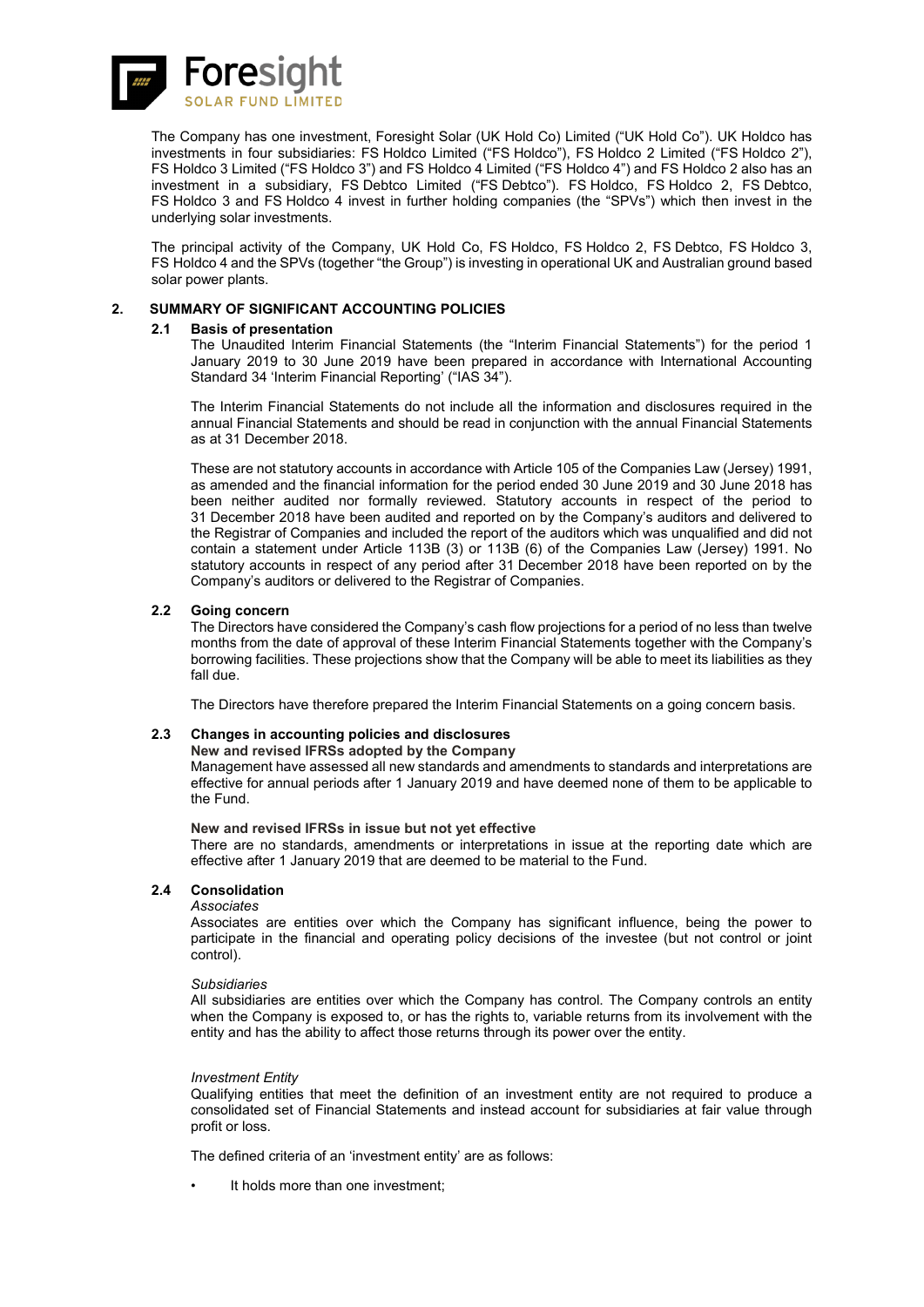![](_page_30_Picture_0.jpeg)

The Company has one investment, Foresight Solar (UK Hold Co) Limited ("UK Hold Co"). UK Holdco has investments in four subsidiaries: FS Holdco Limited ("FS Holdco"), FS Holdco 2 Limited ("FS Holdco 2"), FS Holdco 3 Limited ("FS Holdco 3") and FS Holdco 4 Limited ("FS Holdco 4") and FS Holdco 2 also has an investment in a subsidiary, FS Debtco Limited ("FS Debtco"). FS Holdco, FS Holdco 2, FS Debtco, FS Holdco 3 and FS Holdco 4 invest in further holding companies (the "SPVs") which then invest in the underlying solar investments.

The principal activity of the Company, UK Hold Co, FS Holdco, FS Holdco 2, FS Debtco, FS Holdco 3, FS Holdco 4 and the SPVs (together "the Group") is investing in operational UK and Australian ground based solar power plants.

### **2. SUMMARY OF SIGNIFICANT ACCOUNTING POLICIES**

### **2.1 Basis of presentation**

The Unaudited Interim Financial Statements (the "Interim Financial Statements") for the period 1 January 2019 to 30 June 2019 have been prepared in accordance with International Accounting Standard 34 'Interim Financial Reporting' ("IAS 34").

The Interim Financial Statements do not include all the information and disclosures required in the annual Financial Statements and should be read in conjunction with the annual Financial Statements as at 31 December 2018.

These are not statutory accounts in accordance with Article 105 of the Companies Law (Jersey) 1991, as amended and the financial information for the period ended 30 June 2019 and 30 June 2018 has been neither audited nor formally reviewed. Statutory accounts in respect of the period to 31 December 2018 have been audited and reported on by the Company's auditors and delivered to the Registrar of Companies and included the report of the auditors which was unqualified and did not contain a statement under Article 113B (3) or 113B (6) of the Companies Law (Jersey) 1991. No statutory accounts in respect of any period after 31 December 2018 have been reported on by the Company's auditors or delivered to the Registrar of Companies.

### **2.2 Going concern**

The Directors have considered the Company's cash flow projections for a period of no less than twelve months from the date of approval of these Interim Financial Statements together with the Company's borrowing facilities. These projections show that the Company will be able to meet its liabilities as they fall due.

The Directors have therefore prepared the Interim Financial Statements on a going concern basis.

### **2.3 Changes in accounting policies and disclosures**

**New and revised IFRSs adopted by the Company**

Management have assessed all new standards and amendments to standards and interpretations are effective for annual periods after 1 January 2019 and have deemed none of them to be applicable to the Fund.

### **New and revised IFRSs in issue but not yet effective**

There are no standards, amendments or interpretations in issue at the reporting date which are effective after 1 January 2019 that are deemed to be material to the Fund.

### **2.4 Consolidation**

### *Associates*

Associates are entities over which the Company has significant influence, being the power to participate in the financial and operating policy decisions of the investee (but not control or joint control).

### *Subsidiaries*

All subsidiaries are entities over which the Company has control. The Company controls an entity when the Company is exposed to, or has the rights to, variable returns from its involvement with the entity and has the ability to affect those returns through its power over the entity.

### *Investment Entity*

Qualifying entities that meet the definition of an investment entity are not required to produce a consolidated set of Financial Statements and instead account for subsidiaries at fair value through profit or loss.

The defined criteria of an 'investment entity' are as follows:

It holds more than one investment: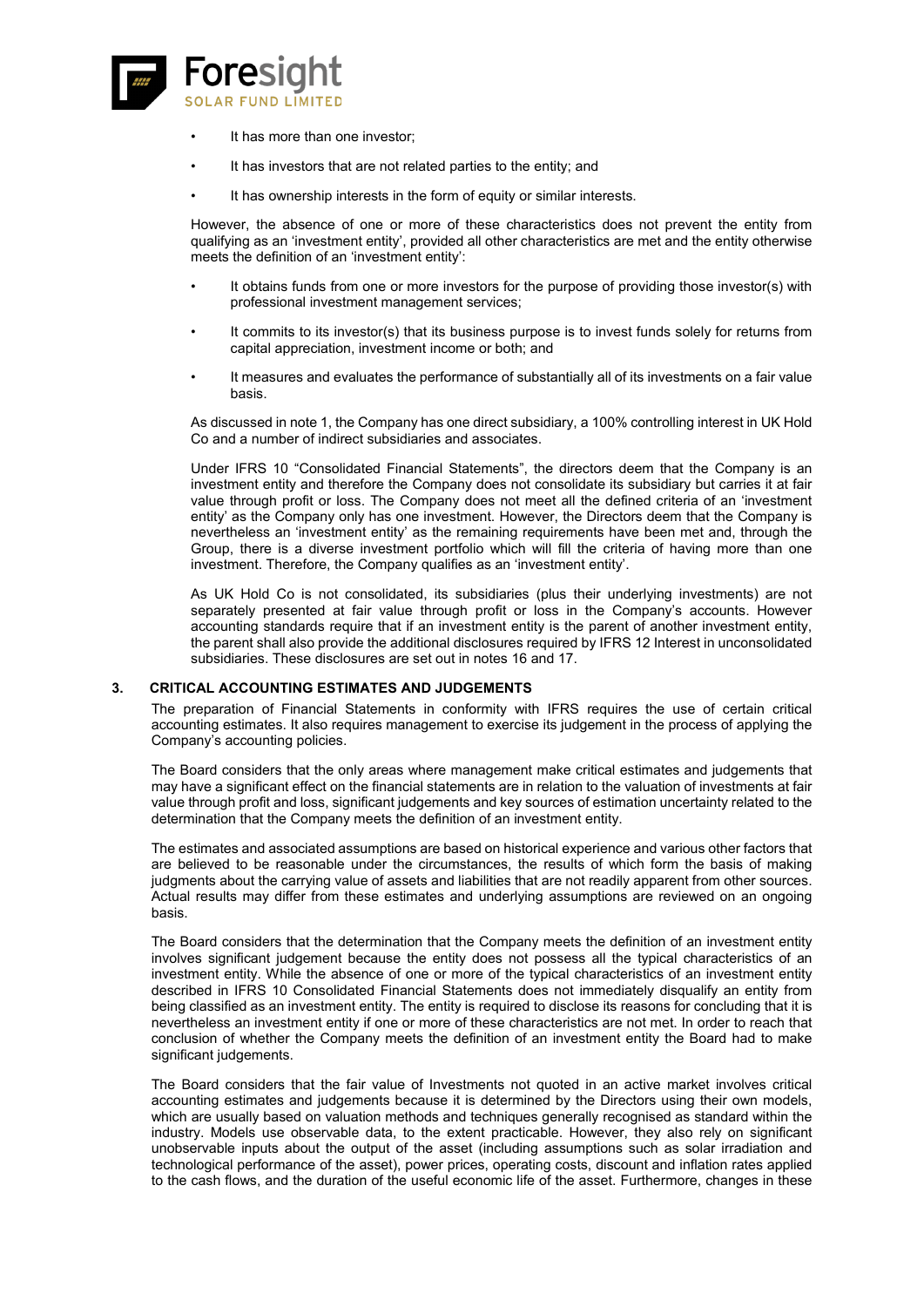![](_page_31_Picture_0.jpeg)

- It has more than one investor;
- It has investors that are not related parties to the entity; and
- It has ownership interests in the form of equity or similar interests.

However, the absence of one or more of these characteristics does not prevent the entity from qualifying as an 'investment entity', provided all other characteristics are met and the entity otherwise meets the definition of an 'investment entity':

- It obtains funds from one or more investors for the purpose of providing those investor(s) with professional investment management services;
- It commits to its investor(s) that its business purpose is to invest funds solely for returns from capital appreciation, investment income or both; and
- It measures and evaluates the performance of substantially all of its investments on a fair value basis.

As discussed in note 1, the Company has one direct subsidiary, a 100% controlling interest in UK Hold Co and a number of indirect subsidiaries and associates.

Under IFRS 10 "Consolidated Financial Statements", the directors deem that the Company is an investment entity and therefore the Company does not consolidate its subsidiary but carries it at fair value through profit or loss. The Company does not meet all the defined criteria of an 'investment entity' as the Company only has one investment. However, the Directors deem that the Company is nevertheless an 'investment entity' as the remaining requirements have been met and, through the Group, there is a diverse investment portfolio which will fill the criteria of having more than one investment. Therefore, the Company qualifies as an 'investment entity'.

As UK Hold Co is not consolidated, its subsidiaries (plus their underlying investments) are not separately presented at fair value through profit or loss in the Company's accounts. However accounting standards require that if an investment entity is the parent of another investment entity, the parent shall also provide the additional disclosures required by IFRS 12 Interest in unconsolidated subsidiaries. These disclosures are set out in notes 16 and 17.

### **3. CRITICAL ACCOUNTING ESTIMATES AND JUDGEMENTS**

The preparation of Financial Statements in conformity with IFRS requires the use of certain critical accounting estimates. It also requires management to exercise its judgement in the process of applying the Company's accounting policies.

The Board considers that the only areas where management make critical estimates and judgements that may have a significant effect on the financial statements are in relation to the valuation of investments at fair value through profit and loss, significant judgements and key sources of estimation uncertainty related to the determination that the Company meets the definition of an investment entity.

The estimates and associated assumptions are based on historical experience and various other factors that are believed to be reasonable under the circumstances, the results of which form the basis of making judgments about the carrying value of assets and liabilities that are not readily apparent from other sources. Actual results may differ from these estimates and underlying assumptions are reviewed on an ongoing basis.

The Board considers that the determination that the Company meets the definition of an investment entity involves significant judgement because the entity does not possess all the typical characteristics of an investment entity. While the absence of one or more of the typical characteristics of an investment entity described in IFRS 10 Consolidated Financial Statements does not immediately disqualify an entity from being classified as an investment entity. The entity is required to disclose its reasons for concluding that it is nevertheless an investment entity if one or more of these characteristics are not met. In order to reach that conclusion of whether the Company meets the definition of an investment entity the Board had to make significant judgements.

The Board considers that the fair value of Investments not quoted in an active market involves critical accounting estimates and judgements because it is determined by the Directors using their own models, which are usually based on valuation methods and techniques generally recognised as standard within the industry. Models use observable data, to the extent practicable. However, they also rely on significant unobservable inputs about the output of the asset (including assumptions such as solar irradiation and technological performance of the asset), power prices, operating costs, discount and inflation rates applied to the cash flows, and the duration of the useful economic life of the asset. Furthermore, changes in these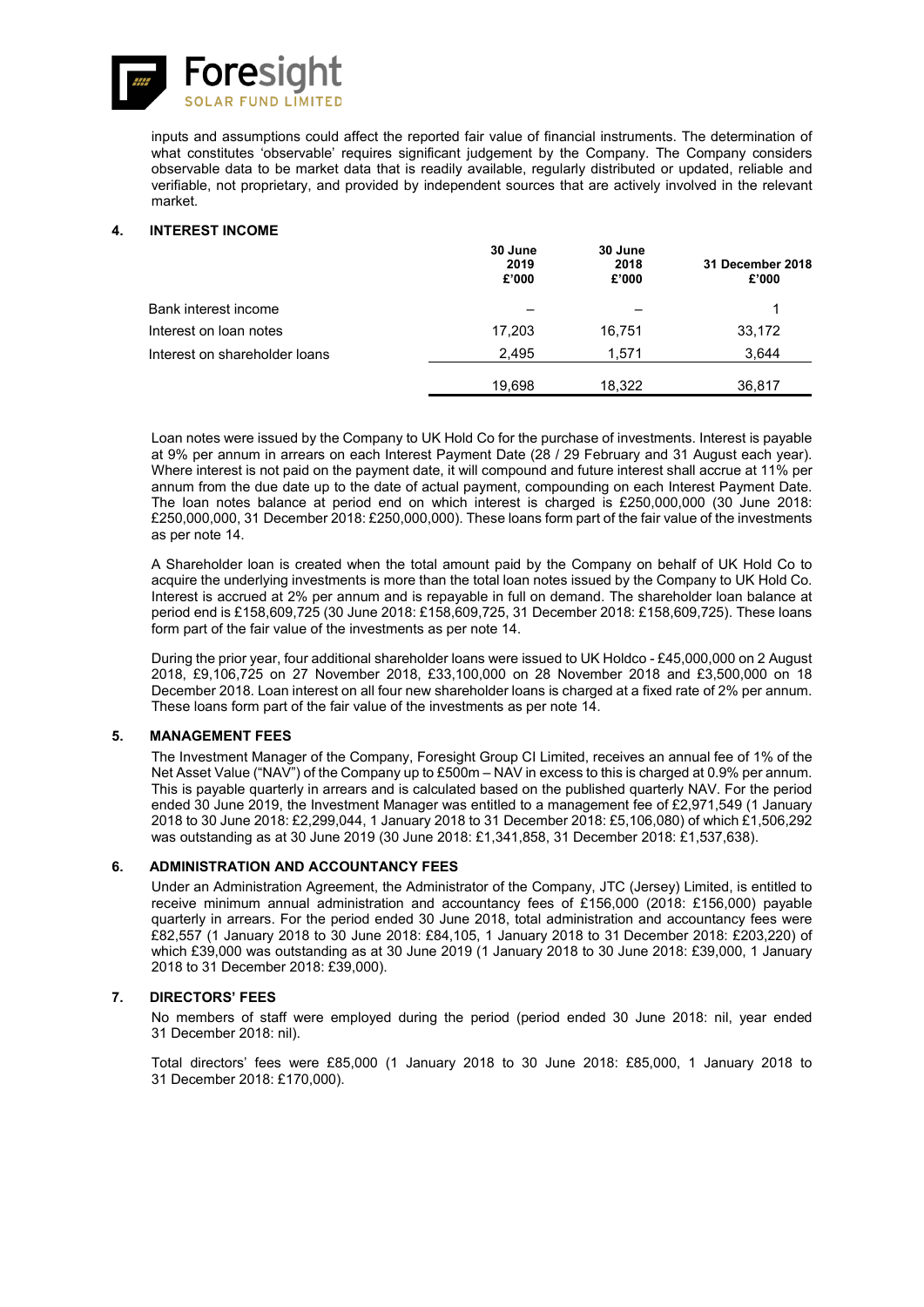![](_page_32_Picture_0.jpeg)

inputs and assumptions could affect the reported fair value of financial instruments. The determination of what constitutes 'observable' requires significant judgement by the Company. The Company considers observable data to be market data that is readily available, regularly distributed or updated, reliable and verifiable, not proprietary, and provided by independent sources that are actively involved in the relevant market.

### **4. INTEREST INCOME**

|                               | 30 June<br>2019<br>£'000 | 30 June<br>2018<br>£'000 | 31 December 2018<br>£'000 |
|-------------------------------|--------------------------|--------------------------|---------------------------|
| Bank interest income          |                          |                          |                           |
| Interest on loan notes        | 17,203                   | 16.751                   | 33,172                    |
| Interest on shareholder loans | 2.495                    | 1.571                    | 3,644                     |
|                               | 19.698                   | 18.322                   | 36,817                    |

Loan notes were issued by the Company to UK Hold Co for the purchase of investments. Interest is payable at 9% per annum in arrears on each Interest Payment Date (28 / 29 February and 31 August each year). Where interest is not paid on the payment date, it will compound and future interest shall accrue at 11% per annum from the due date up to the date of actual payment, compounding on each Interest Payment Date. The loan notes balance at period end on which interest is charged is £250,000,000 (30 June 2018: £250,000,000, 31 December 2018: £250,000,000). These loans form part of the fair value of the investments as per note 14.

A Shareholder loan is created when the total amount paid by the Company on behalf of UK Hold Co to acquire the underlying investments is more than the total loan notes issued by the Company to UK Hold Co. Interest is accrued at 2% per annum and is repayable in full on demand. The shareholder loan balance at period end is £158,609,725 (30 June 2018: £158,609,725, 31 December 2018: £158,609,725). These loans form part of the fair value of the investments as per note 14.

During the prior year, four additional shareholder loans were issued to UK Holdco - £45,000,000 on 2 August 2018, £9,106,725 on 27 November 2018, £33,100,000 on 28 November 2018 and £3,500,000 on 18 December 2018. Loan interest on all four new shareholder loans is charged at a fixed rate of 2% per annum. These loans form part of the fair value of the investments as per note 14.

### **5. MANAGEMENT FEES**

The Investment Manager of the Company, Foresight Group CI Limited, receives an annual fee of 1% of the Net Asset Value ("NAV") of the Company up to £500m – NAV in excess to this is charged at 0.9% per annum. This is payable quarterly in arrears and is calculated based on the published quarterly NAV. For the period ended 30 June 2019, the Investment Manager was entitled to a management fee of £2,971,549 (1 January 2018 to 30 June 2018: £2,299,044, 1 January 2018 to 31 December 2018: £5,106,080) of which £1,506,292 was outstanding as at 30 June 2019 (30 June 2018: £1,341,858, 31 December 2018: £1,537,638).

### **6. ADMINISTRATION AND ACCOUNTANCY FEES**

Under an Administration Agreement, the Administrator of the Company, JTC (Jersey) Limited, is entitled to receive minimum annual administration and accountancy fees of £156,000 (2018: £156,000) payable quarterly in arrears. For the period ended 30 June 2018, total administration and accountancy fees were £82,557 (1 January 2018 to 30 June 2018: £84,105, 1 January 2018 to 31 December 2018: £203,220) of which £39,000 was outstanding as at 30 June 2019 (1 January 2018 to 30 June 2018: £39,000, 1 January 2018 to 31 December 2018: £39,000).

### **7. DIRECTORS' FEES**

No members of staff were employed during the period (period ended 30 June 2018: nil, year ended 31 December 2018: nil).

Total directors' fees were £85,000 (1 January 2018 to 30 June 2018: £85,000, 1 January 2018 to 31 December 2018: £170,000).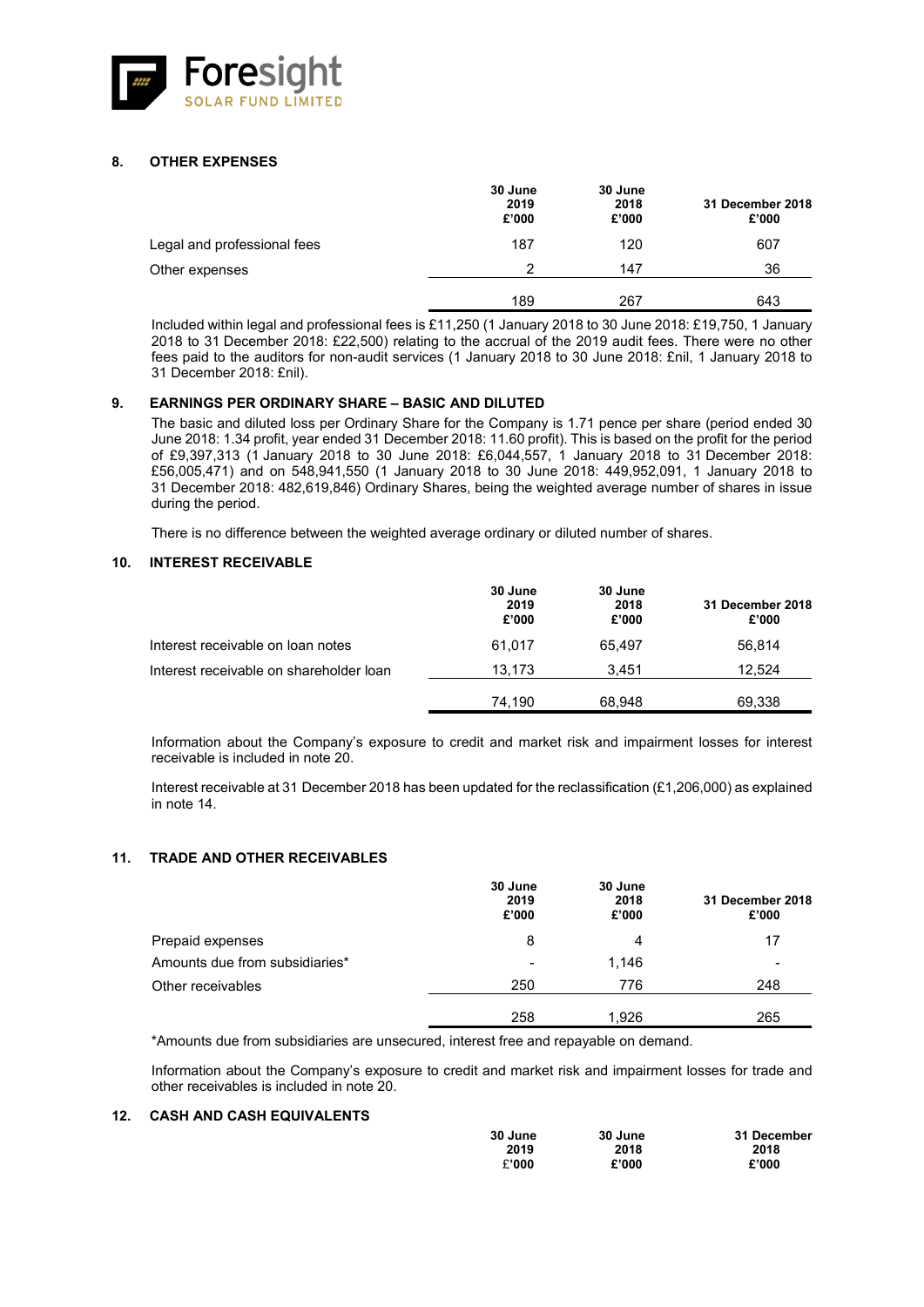![](_page_33_Picture_0.jpeg)

### **8. OTHER EXPENSES**

|                             | 30 June<br>2019<br>£'000 | 30 June<br>2018<br>£'000 | 31 December 2018<br>£'000 |
|-----------------------------|--------------------------|--------------------------|---------------------------|
| Legal and professional fees | 187                      | 120                      | 607                       |
| Other expenses              | っ                        | 147                      | 36                        |
|                             | 189                      | 267                      | 643                       |

Included within legal and professional fees is £11,250 (1 January 2018 to 30 June 2018: £19,750, 1 January 2018 to 31 December 2018: £22,500) relating to the accrual of the 2019 audit fees. There were no other fees paid to the auditors for non-audit services (1 January 2018 to 30 June 2018: £nil, 1 January 2018 to 31 December 2018: £nil).

### **9. EARNINGS PER ORDINARY SHARE – BASIC AND DILUTED**

The basic and diluted loss per Ordinary Share for the Company is 1.71 pence per share (period ended 30 June 2018: 1.34 profit, year ended 31 December 2018: 11.60 profit). This is based on the profit for the period of £9,397,313 (1 January 2018 to 30 June 2018: £6,044,557, 1 January 2018 to 31 December 2018: £56,005,471) and on 548,941,550 (1 January 2018 to 30 June 2018: 449,952,091, 1 January 2018 to 31 December 2018: 482,619,846) Ordinary Shares, being the weighted average number of shares in issue during the period.

There is no difference between the weighted average ordinary or diluted number of shares.

### **10. INTEREST RECEIVABLE**

|                                         | 30 June<br>2019<br>£'000 | 30 June<br>2018<br>£'000 | 31 December 2018<br>£'000 |
|-----------------------------------------|--------------------------|--------------------------|---------------------------|
| Interest receivable on loan notes       | 61.017                   | 65.497                   | 56.814                    |
| Interest receivable on shareholder loan | 13.173                   | 3.451                    | 12.524                    |
|                                         | 74,190                   | 68.948                   | 69,338                    |

Information about the Company's exposure to credit and market risk and impairment losses for interest receivable is included in note 20.

Interest receivable at 31 December 2018 has been updated for the reclassification (£1,206,000) as explained in note 14.

### **11. TRADE AND OTHER RECEIVABLES**

|                                | 30 June<br>2019<br>£'000 | 30 June<br>2018<br>£'000 | 31 December 2018<br>£'000 |
|--------------------------------|--------------------------|--------------------------|---------------------------|
| Prepaid expenses               | 8                        | 4                        | 17                        |
| Amounts due from subsidiaries* | $\,$                     | 1.146                    | $\overline{\phantom{0}}$  |
| Other receivables              | 250                      | 776                      | 248                       |
|                                | 258                      | 1.926                    | 265                       |

\*Amounts due from subsidiaries are unsecured, interest free and repayable on demand.

Information about the Company's exposure to credit and market risk and impairment losses for trade and other receivables is included in note 20.

### **12. CASH AND CASH EQUIVALENTS**

| 30 June | 30 June | 31 December |
|---------|---------|-------------|
| 2019    | 2018    | 2018        |
| £'000   | £'000   | £'000       |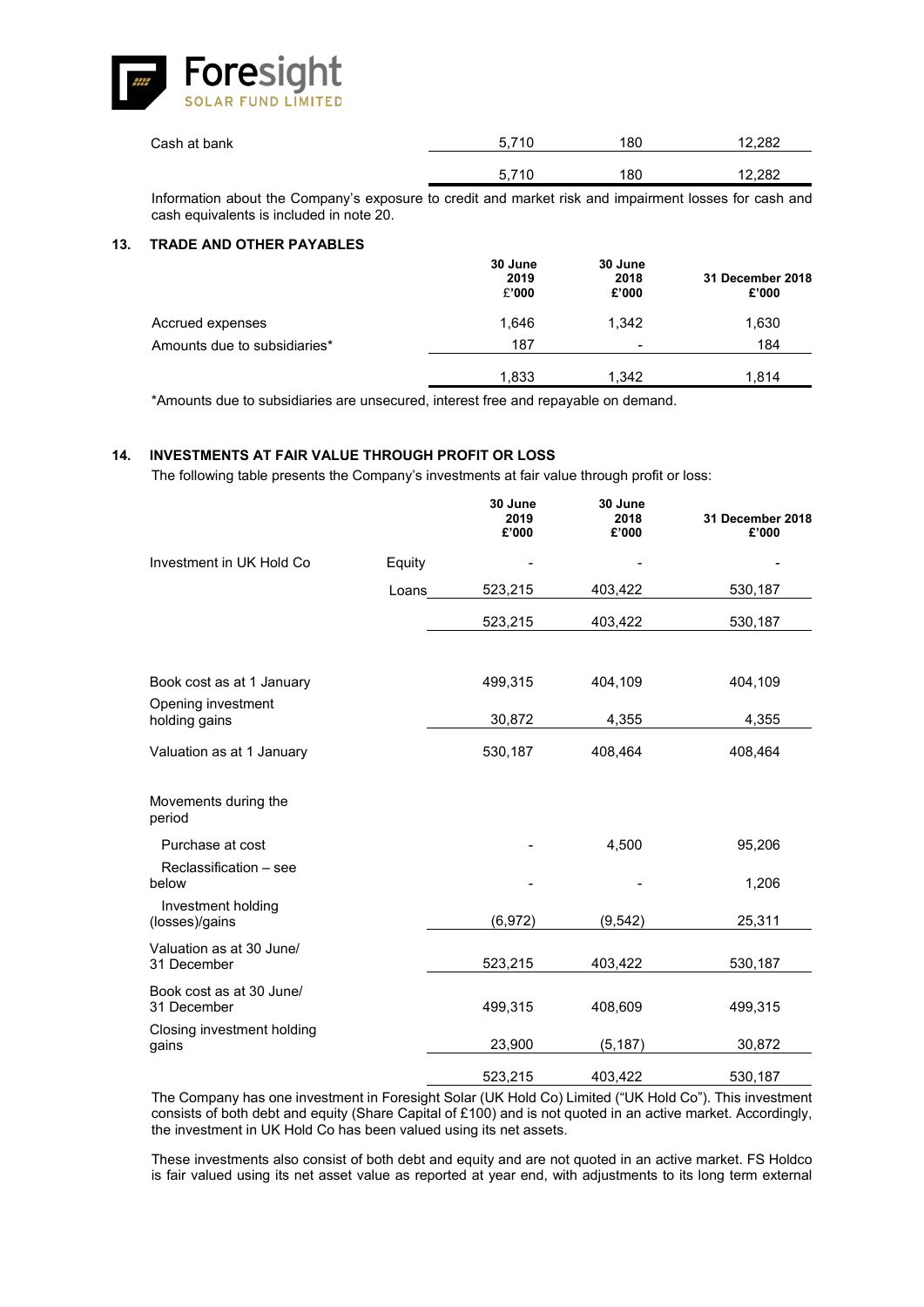![](_page_34_Picture_0.jpeg)

| Cash at bank | 5.710 | 180 | 12.282 |
|--------------|-------|-----|--------|
|              | 5.710 | 180 | 12,282 |
|              |       |     |        |

Information about the Company's exposure to credit and market risk and impairment losses for cash and cash equivalents is included in note 20.

#### **13. TRADE AND OTHER PAYABLES**

|                              | 30 June<br>2019<br>£'000 | 30 June<br>2018<br>£'000 | 31 December 2018<br>£'000 |
|------------------------------|--------------------------|--------------------------|---------------------------|
| Accrued expenses             | 1.646                    | 1.342                    | 1,630                     |
| Amounts due to subsidiaries* | 187                      | $\,$                     | 184                       |
|                              | 1,833                    | 1,342                    | 1.814                     |

\*Amounts due to subsidiaries are unsecured, interest free and repayable on demand.

### **14. INVESTMENTS AT FAIR VALUE THROUGH PROFIT OR LOSS**

The following table presents the Company's investments at fair value through profit or loss:

|                                         |        | 30 June<br>2019<br>£'000 | 30 June<br>2018<br>£'000 | 31 December 2018<br>£'000 |
|-----------------------------------------|--------|--------------------------|--------------------------|---------------------------|
| Investment in UK Hold Co                | Equity |                          |                          |                           |
|                                         | Loans  | 523,215                  | 403,422                  | 530,187                   |
|                                         |        | 523,215                  | 403,422                  | 530,187                   |
| Book cost as at 1 January               |        | 499,315                  | 404,109                  | 404,109                   |
| Opening investment<br>holding gains     |        | 30,872                   | 4,355                    | 4,355                     |
| Valuation as at 1 January               |        | 530,187                  | 408,464                  | 408,464                   |
| Movements during the<br>period          |        |                          |                          |                           |
| Purchase at cost                        |        |                          | 4,500                    | 95,206                    |
| Reclassification - see<br>below         |        |                          |                          | 1,206                     |
| Investment holding<br>(losses)/gains    |        | (6,972)                  | (9, 542)                 | 25,311                    |
| Valuation as at 30 June/<br>31 December |        | 523,215                  | 403,422                  | 530,187                   |
| Book cost as at 30 June/<br>31 December |        | 499,315                  | 408,609                  | 499,315                   |
| Closing investment holding<br>gains     |        | 23,900                   | (5, 187)                 | 30,872                    |
|                                         |        | 523,215                  | 403,422                  | 530,187                   |

The Company has one investment in Foresight Solar (UK Hold Co) Limited ("UK Hold Co"). This investment consists of both debt and equity (Share Capital of £100) and is not quoted in an active market. Accordingly, the investment in UK Hold Co has been valued using its net assets.

These investments also consist of both debt and equity and are not quoted in an active market. FS Holdco is fair valued using its net asset value as reported at year end, with adjustments to its long term external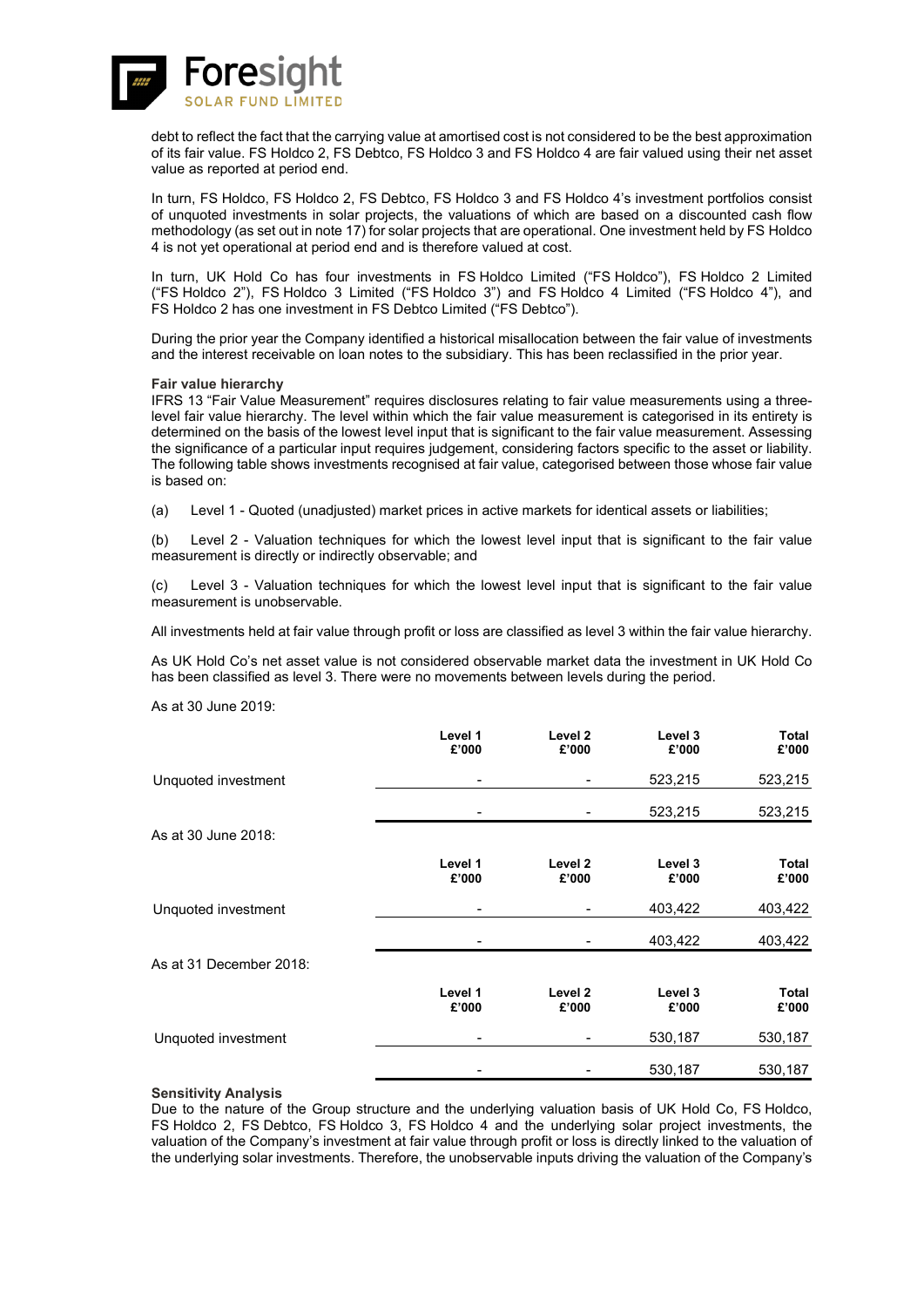![](_page_35_Picture_0.jpeg)

debt to reflect the fact that the carrying value at amortised cost is not considered to be the best approximation of its fair value. FS Holdco 2, FS Debtco, FS Holdco 3 and FS Holdco 4 are fair valued using their net asset value as reported at period end.

In turn, FS Holdco, FS Holdco 2, FS Debtco, FS Holdco 3 and FS Holdco 4's investment portfolios consist of unquoted investments in solar projects, the valuations of which are based on a discounted cash flow methodology (as set out in note 17) for solar projects that are operational. One investment held by FS Holdco 4 is not yet operational at period end and is therefore valued at cost.

In turn, UK Hold Co has four investments in FS Holdco Limited ("FS Holdco"), FS Holdco 2 Limited ("FS Holdco 2"), FS Holdco 3 Limited ("FS Holdco 3") and FS Holdco 4 Limited ("FS Holdco 4"), and FS Holdco 2 has one investment in FS Debtco Limited ("FS Debtco").

During the prior year the Company identified a historical misallocation between the fair value of investments and the interest receivable on loan notes to the subsidiary. This has been reclassified in the prior year.

#### **Fair value hierarchy**

IFRS 13 "Fair Value Measurement" requires disclosures relating to fair value measurements using a threelevel fair value hierarchy. The level within which the fair value measurement is categorised in its entirety is determined on the basis of the lowest level input that is significant to the fair value measurement. Assessing the significance of a particular input requires judgement, considering factors specific to the asset or liability. The following table shows investments recognised at fair value, categorised between those whose fair value is based on:

(a) Level 1 - Quoted (unadjusted) market prices in active markets for identical assets or liabilities;

(b) Level 2 - Valuation techniques for which the lowest level input that is significant to the fair value measurement is directly or indirectly observable; and

(c) Level 3 - Valuation techniques for which the lowest level input that is significant to the fair value measurement is unobservable.

All investments held at fair value through profit or loss are classified as level 3 within the fair value hierarchy.

As UK Hold Co's net asset value is not considered observable market data the investment in UK Hold Co has been classified as level 3. There were no movements between levels during the period.

As at 30 June 2019:

|                         | Level 1<br>£'000 | Level 2<br>£'000 | Level 3<br>£'000 | <b>Total</b><br>£'000 |
|-------------------------|------------------|------------------|------------------|-----------------------|
| Unquoted investment     | $\overline{a}$   |                  | 523,215          | 523,215               |
|                         |                  |                  | 523,215          | 523,215               |
| As at 30 June 2018:     |                  |                  |                  |                       |
|                         | Level 1<br>£'000 | Level 2<br>£'000 | Level 3<br>£'000 | <b>Total</b><br>£'000 |
| Unquoted investment     |                  |                  | 403,422          | 403,422               |
|                         |                  |                  | 403,422          | 403,422               |
| As at 31 December 2018: |                  |                  |                  |                       |
|                         | Level 1<br>£'000 | Level 2<br>£'000 | Level 3<br>£'000 | <b>Total</b><br>£'000 |
| Unquoted investment     |                  |                  | 530,187          | 530,187               |
|                         |                  |                  | 530,187          | 530,187               |

### **Sensitivity Analysis**

Due to the nature of the Group structure and the underlying valuation basis of UK Hold Co, FS Holdco, FS Holdco 2, FS Debtco, FS Holdco 3, FS Holdco 4 and the underlying solar project investments, the valuation of the Company's investment at fair value through profit or loss is directly linked to the valuation of the underlying solar investments. Therefore, the unobservable inputs driving the valuation of the Company's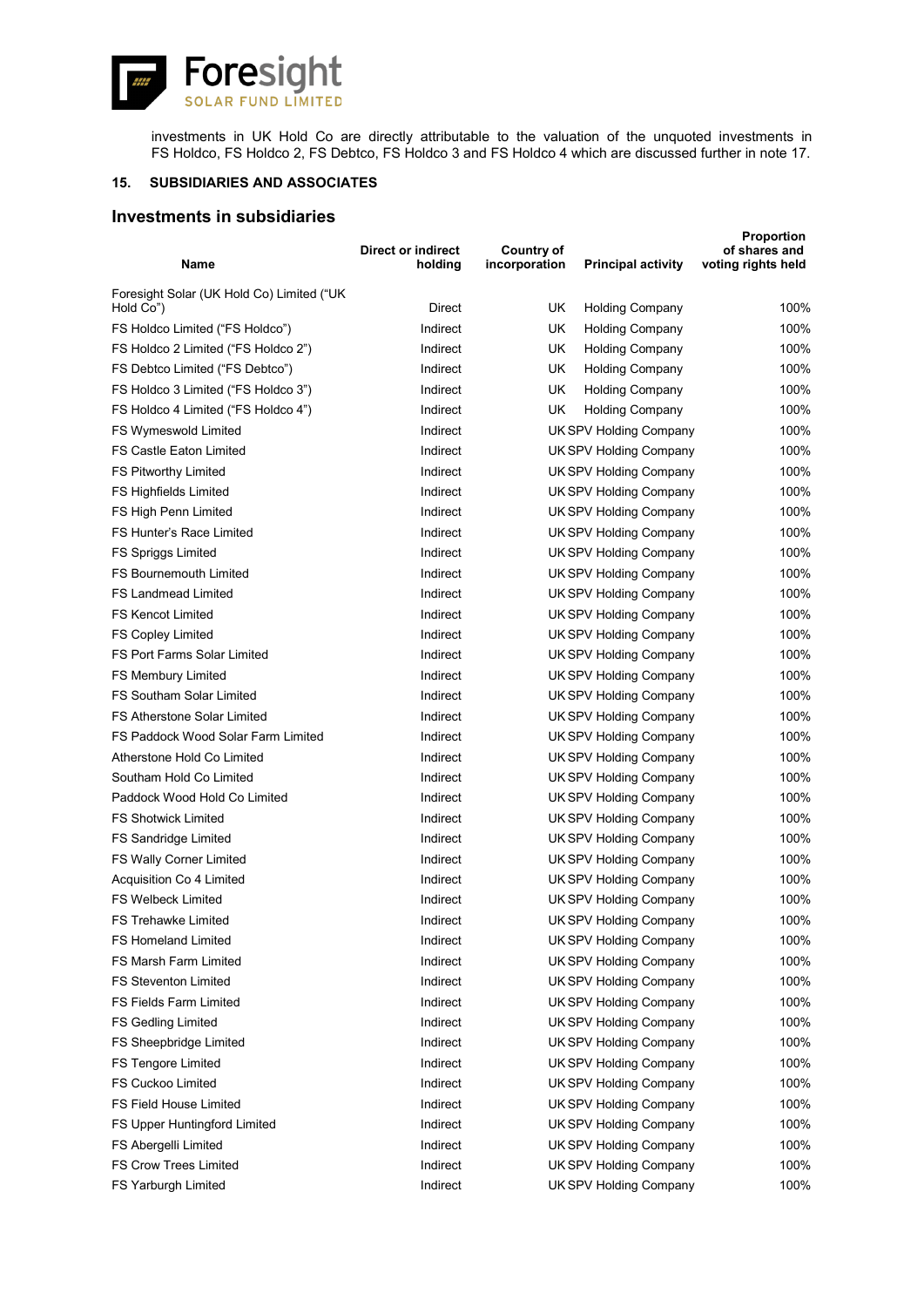![](_page_36_Picture_0.jpeg)

investments in UK Hold Co are directly attributable to the valuation of the unquoted investments in FS Holdco, FS Holdco 2, FS Debtco, FS Holdco 3 and FS Holdco 4 which are discussed further in note 17.

### **15. SUBSIDIARIES AND ASSOCIATES**

# **Investments in subsidiaries**

| Name                                      | Direct or indirect<br>holding | Country of<br>incorporation | <b>Principal activity</b>     | <b>Proportion</b><br>of shares and<br>voting rights held |
|-------------------------------------------|-------------------------------|-----------------------------|-------------------------------|----------------------------------------------------------|
| Foresight Solar (UK Hold Co) Limited ("UK |                               |                             |                               |                                                          |
| Hold Co")                                 | Direct                        | UK                          | <b>Holding Company</b>        | 100%                                                     |
| FS Holdco Limited ("FS Holdco")           | Indirect                      | UK                          | <b>Holding Company</b>        | 100%                                                     |
| FS Holdco 2 Limited ("FS Holdco 2")       | Indirect                      | UK                          | <b>Holding Company</b>        | 100%                                                     |
| FS Debtco Limited ("FS Debtco")           | Indirect                      | UK                          | <b>Holding Company</b>        | 100%                                                     |
| FS Holdco 3 Limited ("FS Holdco 3")       | Indirect                      | UK                          | <b>Holding Company</b>        | 100%                                                     |
| FS Holdco 4 Limited ("FS Holdco 4")       | Indirect                      | UK                          | <b>Holding Company</b>        | 100%                                                     |
| FS Wymeswold Limited                      | Indirect                      |                             | <b>UK SPV Holding Company</b> | 100%                                                     |
| FS Castle Eaton Limited                   | Indirect                      |                             | UK SPV Holding Company        | 100%                                                     |
| FS Pitworthy Limited                      | Indirect                      |                             | UK SPV Holding Company        | 100%                                                     |
| FS Highfields Limited                     | Indirect                      |                             | UK SPV Holding Company        | 100%                                                     |
| FS High Penn Limited                      | Indirect                      |                             | <b>UK SPV Holding Company</b> | 100%                                                     |
| FS Hunter's Race Limited                  | Indirect                      |                             | <b>UK SPV Holding Company</b> | 100%                                                     |
| <b>FS Spriggs Limited</b>                 | Indirect                      |                             | <b>UK SPV Holding Company</b> | 100%                                                     |
| <b>FS Bournemouth Limited</b>             | Indirect                      |                             | <b>UK SPV Holding Company</b> | 100%                                                     |
| <b>FS Landmead Limited</b>                | Indirect                      |                             | <b>UK SPV Holding Company</b> | 100%                                                     |
| <b>FS Kencot Limited</b>                  | Indirect                      |                             | <b>UK SPV Holding Company</b> | 100%                                                     |
| <b>FS Copley Limited</b>                  | Indirect                      |                             | <b>UK SPV Holding Company</b> | 100%                                                     |
| <b>FS Port Farms Solar Limited</b>        | Indirect                      |                             | UK SPV Holding Company        | 100%                                                     |
| FS Membury Limited                        | Indirect                      |                             | <b>UK SPV Holding Company</b> | 100%                                                     |
| <b>FS Southam Solar Limited</b>           | Indirect                      |                             | <b>UK SPV Holding Company</b> | 100%                                                     |
| <b>FS Atherstone Solar Limited</b>        | Indirect                      |                             | <b>UK SPV Holding Company</b> | 100%                                                     |
| FS Paddock Wood Solar Farm Limited        | Indirect                      |                             | <b>UK SPV Holding Company</b> | 100%                                                     |
| Atherstone Hold Co Limited                | Indirect                      |                             | UK SPV Holding Company        | 100%                                                     |
| Southam Hold Co Limited                   | Indirect                      |                             | <b>UK SPV Holding Company</b> | 100%                                                     |
| Paddock Wood Hold Co Limited              | Indirect                      |                             | <b>UK SPV Holding Company</b> | 100%                                                     |
| <b>FS Shotwick Limited</b>                | Indirect                      |                             | UK SPV Holding Company        | 100%                                                     |
| <b>FS Sandridge Limited</b>               | Indirect                      |                             | UK SPV Holding Company        | 100%                                                     |
| FS Wally Corner Limited                   | Indirect                      |                             | <b>UK SPV Holding Company</b> | 100%                                                     |
| Acquisition Co 4 Limited                  | Indirect                      |                             | <b>UK SPV Holding Company</b> | 100%                                                     |
| FS Welbeck Limited                        | Indirect                      |                             | UK SPV Holding Company        | 100%                                                     |
| FS Trehawke Limited                       | Indirect                      |                             | <b>UK SPV Holding Company</b> | 100%                                                     |
| FS Homeland Limited                       | Indirect                      |                             | <b>UK SPV Holding Company</b> | 100%                                                     |
| FS Marsh Farm Limited                     | Indirect                      |                             | <b>UK SPV Holding Company</b> | 100%                                                     |
| <b>FS Steventon Limited</b>               | Indirect                      |                             | UK SPV Holding Company        | 100%                                                     |
| FS Fields Farm Limited                    | Indirect                      |                             | UK SPV Holding Company        | 100%                                                     |
| <b>FS Gedling Limited</b>                 | Indirect                      |                             | <b>UK SPV Holding Company</b> | 100%                                                     |
| FS Sheepbridge Limited                    | Indirect                      |                             | <b>UK SPV Holding Company</b> | 100%                                                     |
| FS Tengore Limited                        | Indirect                      |                             | <b>UK SPV Holding Company</b> | 100%                                                     |
| FS Cuckoo Limited                         | Indirect                      |                             | <b>UK SPV Holding Company</b> | 100%                                                     |
| FS Field House Limited                    | Indirect                      |                             | <b>UK SPV Holding Company</b> | 100%                                                     |
| FS Upper Huntingford Limited              | Indirect                      |                             | <b>UK SPV Holding Company</b> | 100%                                                     |
| FS Abergelli Limited                      | Indirect                      |                             | <b>UK SPV Holding Company</b> | 100%                                                     |
| FS Crow Trees Limited                     | Indirect                      |                             | <b>UK SPV Holding Company</b> | 100%                                                     |
| FS Yarburgh Limited                       | Indirect                      |                             | UK SPV Holding Company        | 100%                                                     |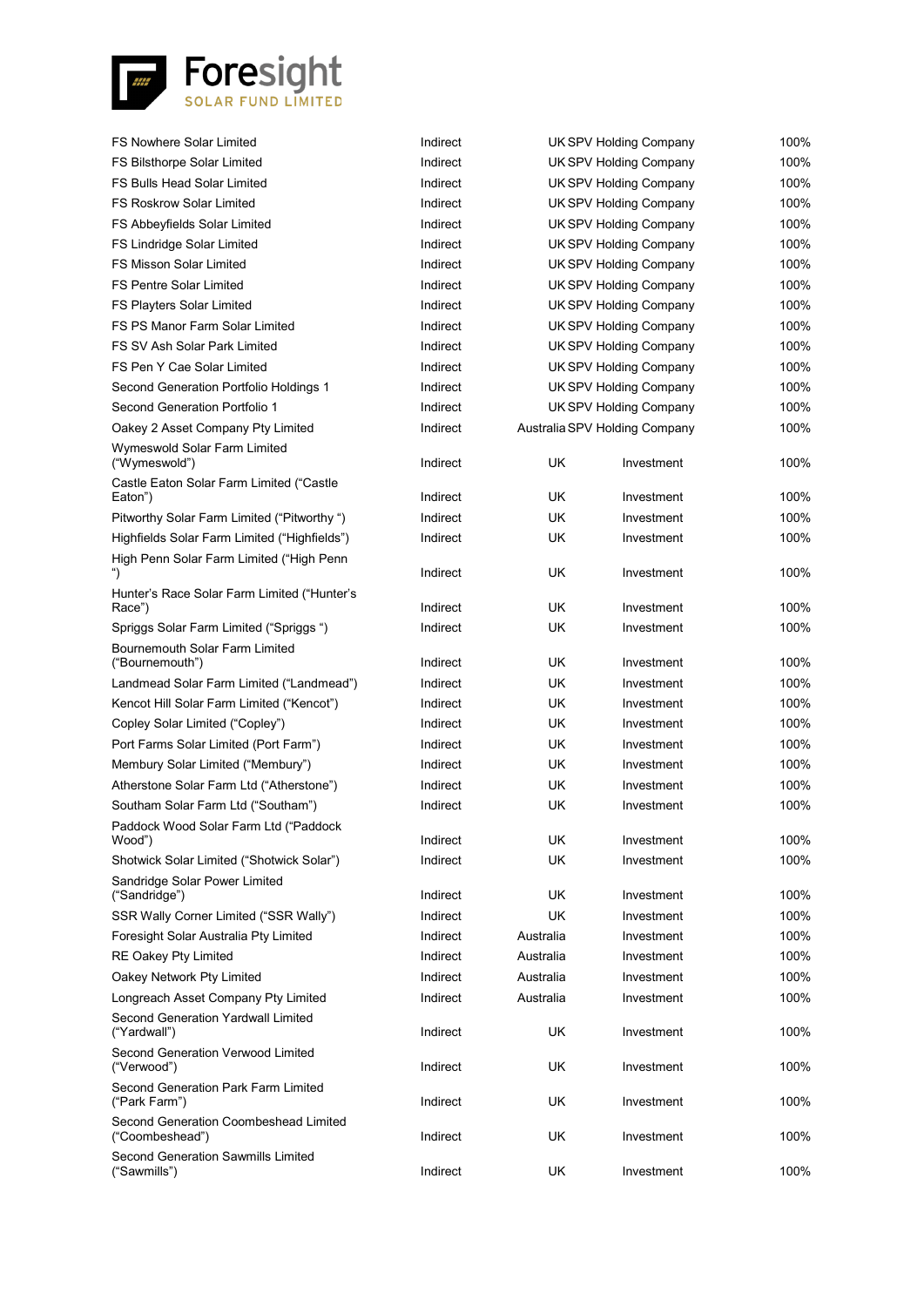![](_page_37_Picture_0.jpeg)

| <b>FS Nowhere Solar Limited</b>                          | Indirect |           | <b>UK SPV Holding Company</b> | 100% |
|----------------------------------------------------------|----------|-----------|-------------------------------|------|
| FS Bilsthorpe Solar Limited                              | Indirect |           | <b>UK SPV Holding Company</b> | 100% |
| FS Bulls Head Solar Limited                              | Indirect |           | UK SPV Holding Company        | 100% |
| <b>FS Roskrow Solar Limited</b>                          | Indirect |           | <b>UK SPV Holding Company</b> | 100% |
| FS Abbeyfields Solar Limited                             | Indirect |           | UK SPV Holding Company        | 100% |
| FS Lindridge Solar Limited                               | Indirect |           | UK SPV Holding Company        | 100% |
| <b>FS Misson Solar Limited</b>                           | Indirect |           | UK SPV Holding Company        | 100% |
| <b>FS Pentre Solar Limited</b>                           | Indirect |           | <b>UK SPV Holding Company</b> | 100% |
| FS Playters Solar Limited                                | Indirect |           | <b>UK SPV Holding Company</b> | 100% |
| FS PS Manor Farm Solar Limited                           | Indirect |           | <b>UK SPV Holding Company</b> | 100% |
| FS SV Ash Solar Park Limited                             | Indirect |           | <b>UK SPV Holding Company</b> | 100% |
| FS Pen Y Cae Solar Limited                               | Indirect |           | <b>UK SPV Holding Company</b> | 100% |
| Second Generation Portfolio Holdings 1                   | Indirect |           | <b>UK SPV Holding Company</b> | 100% |
| Second Generation Portfolio 1                            | Indirect |           | UK SPV Holding Company        | 100% |
| Oakey 2 Asset Company Pty Limited                        | Indirect |           | Australia SPV Holding Company | 100% |
| Wymeswold Solar Farm Limited<br>("Wymeswold")            | Indirect | UK        | Investment                    | 100% |
| Castle Eaton Solar Farm Limited ("Castle                 |          |           |                               |      |
| Eaton")                                                  | Indirect | UK        | Investment                    | 100% |
| Pitworthy Solar Farm Limited ("Pitworthy")               | Indirect | <b>UK</b> | Investment                    | 100% |
| Highfields Solar Farm Limited ("Highfields")             | Indirect | UK        | Investment                    | 100% |
| High Penn Solar Farm Limited ("High Penn                 | Indirect | UK        | Investment                    | 100% |
| Hunter's Race Solar Farm Limited ("Hunter's<br>Race")    | Indirect | UK        | Investment                    | 100% |
| Spriggs Solar Farm Limited ("Spriggs")                   | Indirect | UK        | Investment                    | 100% |
| Bournemouth Solar Farm Limited                           |          |           |                               |      |
| ("Bournemouth")                                          | Indirect | UK        | Investment                    | 100% |
| Landmead Solar Farm Limited ("Landmead")                 | Indirect | <b>UK</b> | Investment                    | 100% |
| Kencot Hill Solar Farm Limited ("Kencot")                | Indirect | UK        | Investment                    | 100% |
| Copley Solar Limited ("Copley")                          | Indirect | UK        | Investment                    | 100% |
| Port Farms Solar Limited (Port Farm")                    | Indirect | UK        | Investment                    | 100% |
| Membury Solar Limited ("Membury")                        | Indirect | UK        | Investment                    | 100% |
| Atherstone Solar Farm Ltd ("Atherstone")                 | Indirect | UK        | Investment                    | 100% |
| Southam Solar Farm Ltd ("Southam")                       | Indirect | UK        | Investment                    | 100% |
| Paddock Wood Solar Farm Ltd ("Paddock<br>Wood")          | Indirect | UK        | Investment                    | 100% |
| Shotwick Solar Limited ("Shotwick Solar")                | Indirect | UK        | Investment                    | 100% |
| Sandridge Solar Power Limited<br>("Sandridge")           | Indirect | UK        | Investment                    | 100% |
| SSR Wally Corner Limited ("SSR Wally")                   | Indirect | UK        | Investment                    | 100% |
| Foresight Solar Australia Pty Limited                    | Indirect | Australia | Investment                    | 100% |
| RE Oakey Pty Limited                                     | Indirect | Australia | Investment                    | 100% |
| Oakey Network Pty Limited                                | Indirect | Australia | Investment                    | 100% |
| Longreach Asset Company Pty Limited                      | Indirect | Australia | Investment                    | 100% |
| <b>Second Generation Yardwall Limited</b>                |          |           |                               |      |
| ("Yardwall")                                             | Indirect | UK        | Investment                    | 100% |
| Second Generation Verwood Limited<br>("Verwood")         | Indirect | UK        | Investment                    | 100% |
| Second Generation Park Farm Limited<br>("Park Farm")     | Indirect | UK        | Investment                    | 100% |
| Second Generation Coombeshead Limited<br>("Coombeshead") | Indirect | UK        | Investment                    | 100% |
| Second Generation Sawmills Limited<br>("Sawmills")       | Indirect | <b>UK</b> | Investment                    | 100% |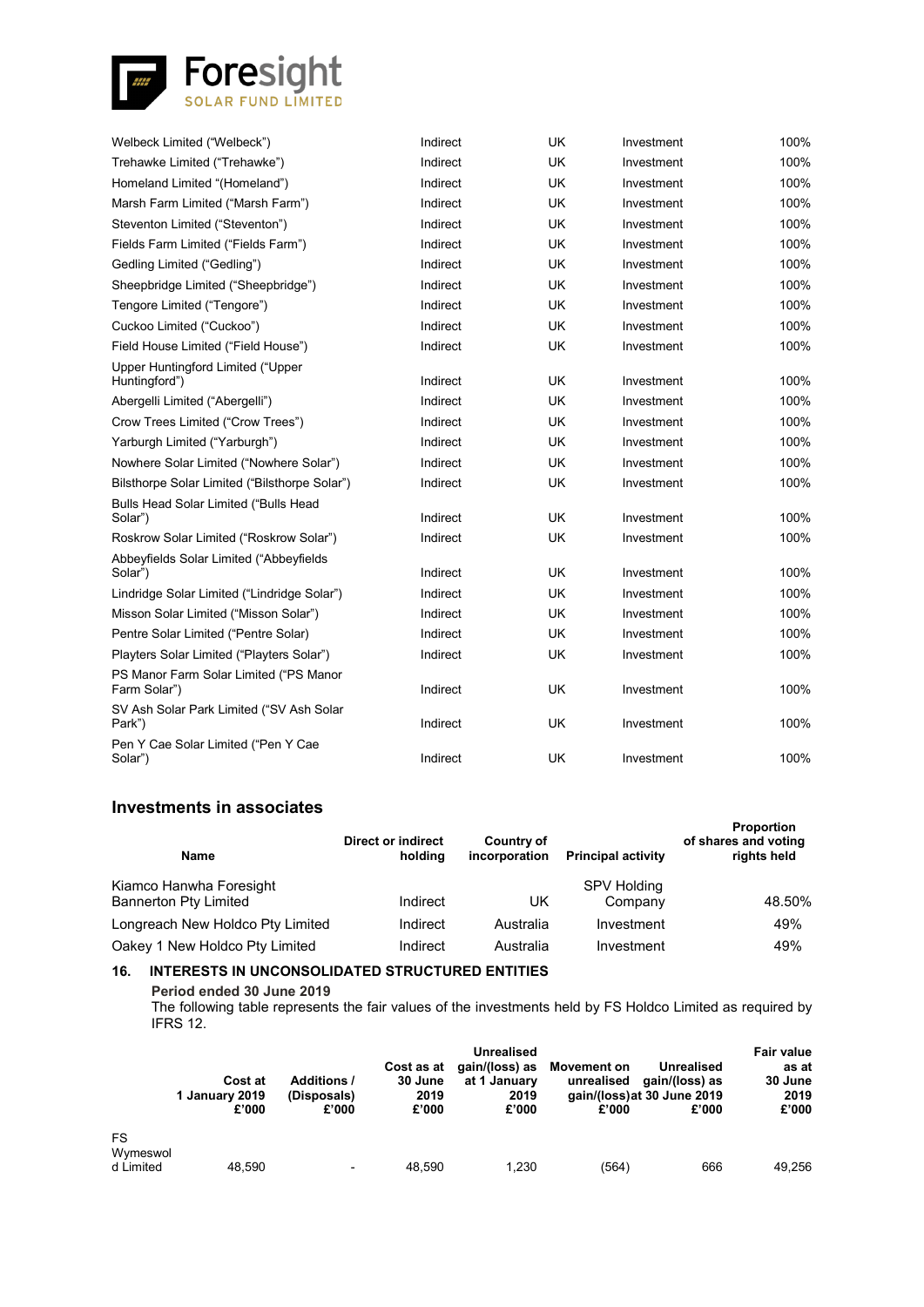![](_page_38_Picture_0.jpeg)

| Welbeck Limited ("Welbeck")                             | Indirect | <b>UK</b> | Investment | 100% |
|---------------------------------------------------------|----------|-----------|------------|------|
| Trehawke Limited ("Trehawke")                           | Indirect | <b>UK</b> | Investment | 100% |
| Homeland Limited "(Homeland")                           | Indirect | <b>UK</b> | Investment | 100% |
| Marsh Farm Limited ("Marsh Farm")                       | Indirect | <b>UK</b> | Investment | 100% |
| Steventon Limited ("Steventon")                         | Indirect | <b>UK</b> | Investment | 100% |
| Fields Farm Limited ("Fields Farm")                     | Indirect | <b>UK</b> | Investment | 100% |
| Gedling Limited ("Gedling")                             | Indirect | <b>UK</b> | Investment | 100% |
| Sheepbridge Limited ("Sheepbridge")                     | Indirect | <b>UK</b> | Investment | 100% |
| Tengore Limited ("Tengore")                             | Indirect | <b>UK</b> | Investment | 100% |
| Cuckoo Limited ("Cuckoo")                               | Indirect | <b>UK</b> | Investment | 100% |
| Field House Limited ("Field House")                     | Indirect | <b>UK</b> | Investment | 100% |
| Upper Huntingford Limited ("Upper<br>Huntingford")      | Indirect | <b>UK</b> | Investment | 100% |
| Abergelli Limited ("Abergelli")                         | Indirect | <b>UK</b> | Investment | 100% |
| Crow Trees Limited ("Crow Trees")                       | Indirect | <b>UK</b> | Investment | 100% |
| Yarburgh Limited ("Yarburgh")                           | Indirect | <b>UK</b> | Investment | 100% |
| Nowhere Solar Limited ("Nowhere Solar")                 | Indirect | <b>UK</b> | Investment | 100% |
| Bilsthorpe Solar Limited ("Bilsthorpe Solar")           | Indirect | UK        | Investment | 100% |
| <b>Bulls Head Solar Limited ("Bulls Head</b><br>Solar") | Indirect | <b>UK</b> | Investment | 100% |
| Roskrow Solar Limited ("Roskrow Solar")                 | Indirect | UK        | Investment | 100% |
| Abbeyfields Solar Limited ("Abbeyfields<br>Solar")      | Indirect | <b>UK</b> | Investment | 100% |
| Lindridge Solar Limited ("Lindridge Solar")             | Indirect | <b>UK</b> | Investment | 100% |
| Misson Solar Limited ("Misson Solar")                   | Indirect | UK        | Investment | 100% |
| Pentre Solar Limited ("Pentre Solar)                    | Indirect | <b>UK</b> | Investment | 100% |
| Playters Solar Limited ("Playters Solar")               | Indirect | <b>UK</b> | Investment | 100% |
| PS Manor Farm Solar Limited ("PS Manor<br>Farm Solar")  | Indirect | UK        | Investment | 100% |
| SV Ash Solar Park Limited ("SV Ash Solar<br>Park")      | Indirect | <b>UK</b> | Investment | 100% |
| Pen Y Cae Solar Limited ("Pen Y Cae<br>Solar")          | Indirect | <b>UK</b> | Investment | 100% |
|                                                         |          |           |            |      |

# **Investments in associates**

| <b>Name</b>                                             | Direct or indirect<br>holdina | Country of<br>incorporation | <b>Principal activity</b>     | <b>Proportion</b><br>of shares and voting<br>rights held |
|---------------------------------------------------------|-------------------------------|-----------------------------|-------------------------------|----------------------------------------------------------|
| Kiamco Hanwha Foresight<br><b>Bannerton Pty Limited</b> | Indirect                      | UK                          | <b>SPV Holding</b><br>Company | 48.50%                                                   |
| Longreach New Holdco Pty Limited                        | Indirect                      | Australia                   | Investment                    | 49%                                                      |
| Oakey 1 New Holdco Pty Limited                          | Indirect                      | Australia                   | Investment                    | 49%                                                      |

### **16. INTERESTS IN UNCONSOLIDATED STRUCTURED ENTITIES**

**Period ended 30 June 2019**

The following table represents the fair values of the investments held by FS Holdco Limited as required by IFRS 12.

|                              | <b>Cost at</b><br>1 January 2019<br>£'000 | <b>Additions /</b><br>(Disposals)<br>£'000 | Cost as at<br>30 June<br>2019<br>£'000 | <b>Unrealised</b><br>gain/(loss) as<br>at 1 January<br>2019<br>£'000 | <b>Movement on</b><br>unrealised<br>£'000 | Unrealised<br>gain/(loss) as<br>gain/(loss) at 30 June 2019<br>£'000 | <b>Fair value</b><br>as at<br>30 June<br>2019<br>£'000 |
|------------------------------|-------------------------------------------|--------------------------------------------|----------------------------------------|----------------------------------------------------------------------|-------------------------------------------|----------------------------------------------------------------------|--------------------------------------------------------|
| FS.<br>Wymeswol<br>d Limited | 48.590                                    | $\overline{\phantom{0}}$                   | 48.590                                 | 1.230                                                                | (564)                                     | 666                                                                  | 49.256                                                 |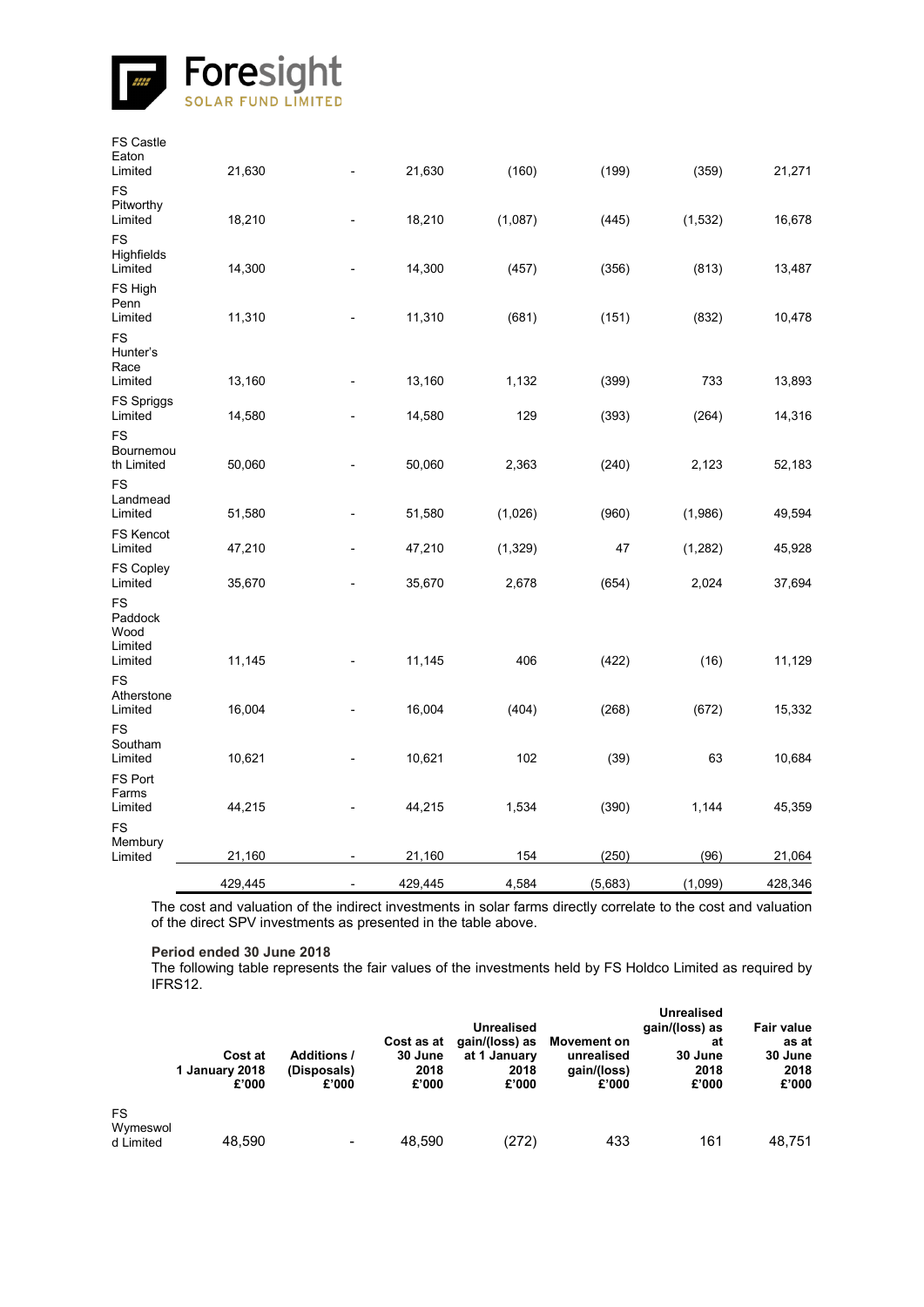![](_page_39_Picture_0.jpeg)

|                                                    | 429,445 |                          | 429,445 | 4,584    | (5,683) | (1,099)  | 428,346 |
|----------------------------------------------------|---------|--------------------------|---------|----------|---------|----------|---------|
| <b>FS</b><br>Membury<br>Limited                    | 21,160  |                          | 21,160  | 154      | (250)   | (96)     | 21,064  |
| FS Port<br>Farms<br>Limited                        | 44,215  | ٠                        | 44,215  | 1,534    | (390)   | 1,144    | 45,359  |
| <b>FS</b><br>Southam<br>Limited                    | 10,621  |                          | 10,621  | 102      | (39)    | 63       | 10,684  |
| <b>FS</b><br>Atherstone<br>Limited                 | 16,004  |                          | 16,004  | (404)    | (268)   | (672)    | 15,332  |
| <b>FS</b><br>Paddock<br>Wood<br>Limited<br>Limited | 11,145  |                          | 11,145  | 406      | (422)   | (16)     | 11,129  |
| FS Copley<br>Limited                               | 35,670  | $\overline{\phantom{a}}$ | 35,670  | 2,678    | (654)   | 2,024    | 37,694  |
| <b>FS Kencot</b><br>Limited                        | 47,210  |                          | 47,210  | (1, 329) | 47      | (1,282)  | 45,928  |
| <b>FS</b><br>Landmead<br>Limited                   | 51,580  |                          | 51,580  | (1,026)  | (960)   | (1,986)  | 49,594  |
| <b>FS</b><br>Bournemou<br>th Limited               | 50,060  | $\blacksquare$           | 50,060  | 2,363    | (240)   | 2,123    | 52,183  |
| <b>FS Spriggs</b><br>Limited                       | 14,580  |                          | 14,580  | 129      | (393)   | (264)    | 14,316  |
| <b>FS</b><br>Hunter's<br>Race<br>Limited           | 13,160  |                          | 13,160  | 1,132    | (399)   | 733      | 13,893  |
| FS High<br>Penn<br>Limited                         | 11,310  |                          | 11,310  | (681)    | (151)   | (832)    | 10,478  |
| <b>FS</b><br>Highfields<br>Limited                 | 14,300  |                          | 14,300  | (457)    | (356)   | (813)    | 13,487  |
| <b>FS</b><br>Pitworthy<br>Limited                  | 18,210  |                          | 18,210  | (1,087)  | (445)   | (1, 532) | 16,678  |
| <b>FS Castle</b><br>Eaton<br>Limited               | 21,630  |                          | 21,630  | (160)    | (199)   | (359)    | 21,271  |

The cost and valuation of the indirect investments in solar farms directly correlate to the cost and valuation of the direct SPV investments as presented in the table above.

**Period ended 30 June 2018**

The following table represents the fair values of the investments held by FS Holdco Limited as required by IFRS12.

|                       | Cost at<br>1 January 2018<br>£'000 | <b>Additions /</b><br>(Disposals)<br>£'000 | Cost as at<br>30 June<br>2018<br>£'000 | Unrealised<br>gain/(loss) as<br>at 1 January<br>2018<br>£'000 | <b>Movement on</b><br>unrealised<br>gain/(loss)<br>£'000 | <b>Unrealised</b><br>gain/(loss) as<br>at<br>30 June<br>2018<br>£'000 | <b>Fair value</b><br>as at<br>30 June<br>2018<br>£'000 |
|-----------------------|------------------------------------|--------------------------------------------|----------------------------------------|---------------------------------------------------------------|----------------------------------------------------------|-----------------------------------------------------------------------|--------------------------------------------------------|
| <b>FS</b><br>Wymeswol |                                    |                                            |                                        |                                                               |                                                          |                                                                       |                                                        |
| d Limited             | 48,590                             | $\overline{\phantom{a}}$                   | 48.590                                 | (272)                                                         | 433                                                      | 161                                                                   | 48.751                                                 |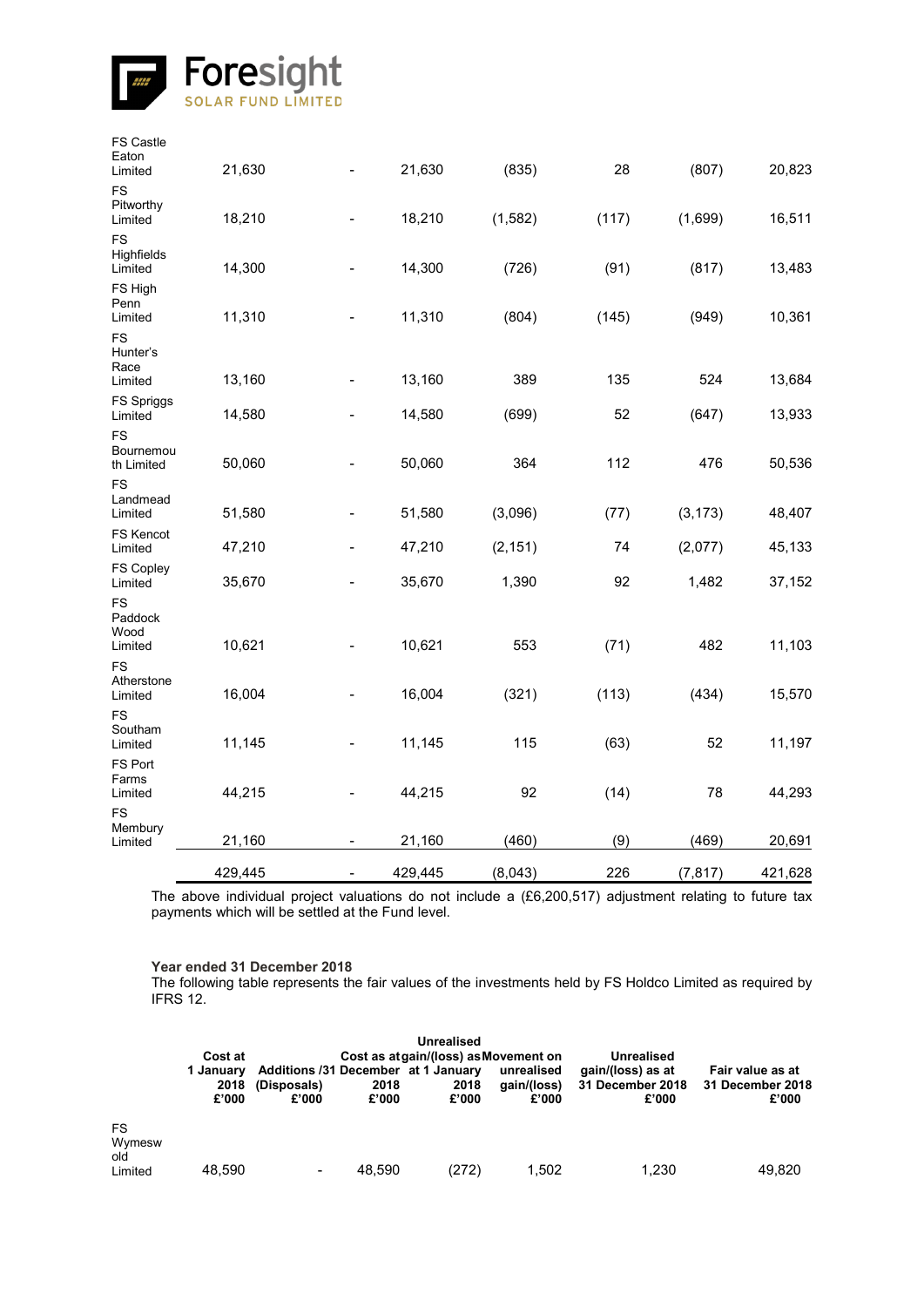![](_page_40_Picture_0.jpeg)

| <b>FS Castle</b><br>Eaton<br>Limited | 21,630  |                          | 21,630  | (835)    | 28    | (807)    | 20,823  |
|--------------------------------------|---------|--------------------------|---------|----------|-------|----------|---------|
| <b>FS</b><br>Pitworthy<br>Limited    | 18,210  |                          | 18,210  | (1, 582) | (117) | (1,699)  | 16,511  |
| <b>FS</b><br>Highfields<br>Limited   | 14,300  |                          | 14,300  | (726)    | (91)  | (817)    | 13,483  |
| FS High<br>Penn<br>Limited           | 11,310  |                          | 11,310  | (804)    | (145) | (949)    | 10,361  |
| <b>FS</b><br>Hunter's<br>Race        |         |                          |         |          |       |          |         |
| Limited                              | 13,160  |                          | 13,160  | 389      | 135   | 524      | 13,684  |
| FS Spriggs<br>Limited                | 14,580  |                          | 14,580  | (699)    | 52    | (647)    | 13,933  |
| FS<br>Bournemou<br>th Limited        | 50,060  |                          | 50,060  | 364      | 112   | 476      | 50,536  |
| <b>FS</b><br>Landmead<br>Limited     | 51,580  |                          | 51,580  | (3,096)  | (77)  | (3, 173) | 48,407  |
| <b>FS Kencot</b><br>Limited          | 47,210  |                          | 47,210  | (2, 151) | 74    | (2,077)  | 45,133  |
| <b>FS Copley</b><br>Limited          | 35,670  |                          | 35,670  | 1,390    | 92    | 1,482    | 37,152  |
| FS<br>Paddock<br>Wood<br>Limited     | 10,621  |                          | 10,621  | 553      | (71)  | 482      | 11,103  |
| <b>FS</b>                            |         |                          |         |          |       |          |         |
| Atherstone<br>Limited                | 16,004  |                          | 16,004  | (321)    | (113) | (434)    | 15,570  |
| <b>FS</b><br>Southam<br>Limited      | 11,145  |                          | 11,145  | 115      | (63)  | 52       | 11,197  |
| FS Port<br>Farms<br>Limited          | 44,215  |                          | 44,215  | 92       | (14)  | 78       | 44,293  |
| <b>FS</b><br>Membury<br>Limited      | 21,160  |                          | 21,160  | (460)    | (9)   | (469)    | 20,691  |
|                                      | 429,445 | $\overline{\phantom{a}}$ | 429,445 | (8,043)  | 226   | (7, 817) | 421,628 |

The above individual project valuations do not include a (£6,200,517) adjustment relating to future tax payments which will be settled at the Fund level.

# **Year ended 31 December 2018**

The following table represents the fair values of the investments held by FS Holdco Limited as required by IFRS 12.

|                                       | <b>Unrealised</b><br>Cost as atgain/(loss) as Movement on<br>Cost at<br><b>Unrealised</b> |                      |               |                                                      |                                    |                                                |                                               |  |  |  |  |  |
|---------------------------------------|-------------------------------------------------------------------------------------------|----------------------|---------------|------------------------------------------------------|------------------------------------|------------------------------------------------|-----------------------------------------------|--|--|--|--|--|
|                                       | 1 January<br>2018<br>£'000                                                                | (Disposals)<br>£'000 | 2018<br>£'000 | Additions /31 December at 1 January<br>2018<br>£'000 | unrealised<br>aain/(loss)<br>£'000 | gain/(loss) as at<br>31 December 2018<br>£'000 | Fair value as at<br>31 December 2018<br>£'000 |  |  |  |  |  |
| <b>FS</b><br>Wymesw<br>old<br>Limited | 48.590                                                                                    | $\,$                 | 48.590        | (272)                                                | 1.502                              | 1.230                                          | 49,820                                        |  |  |  |  |  |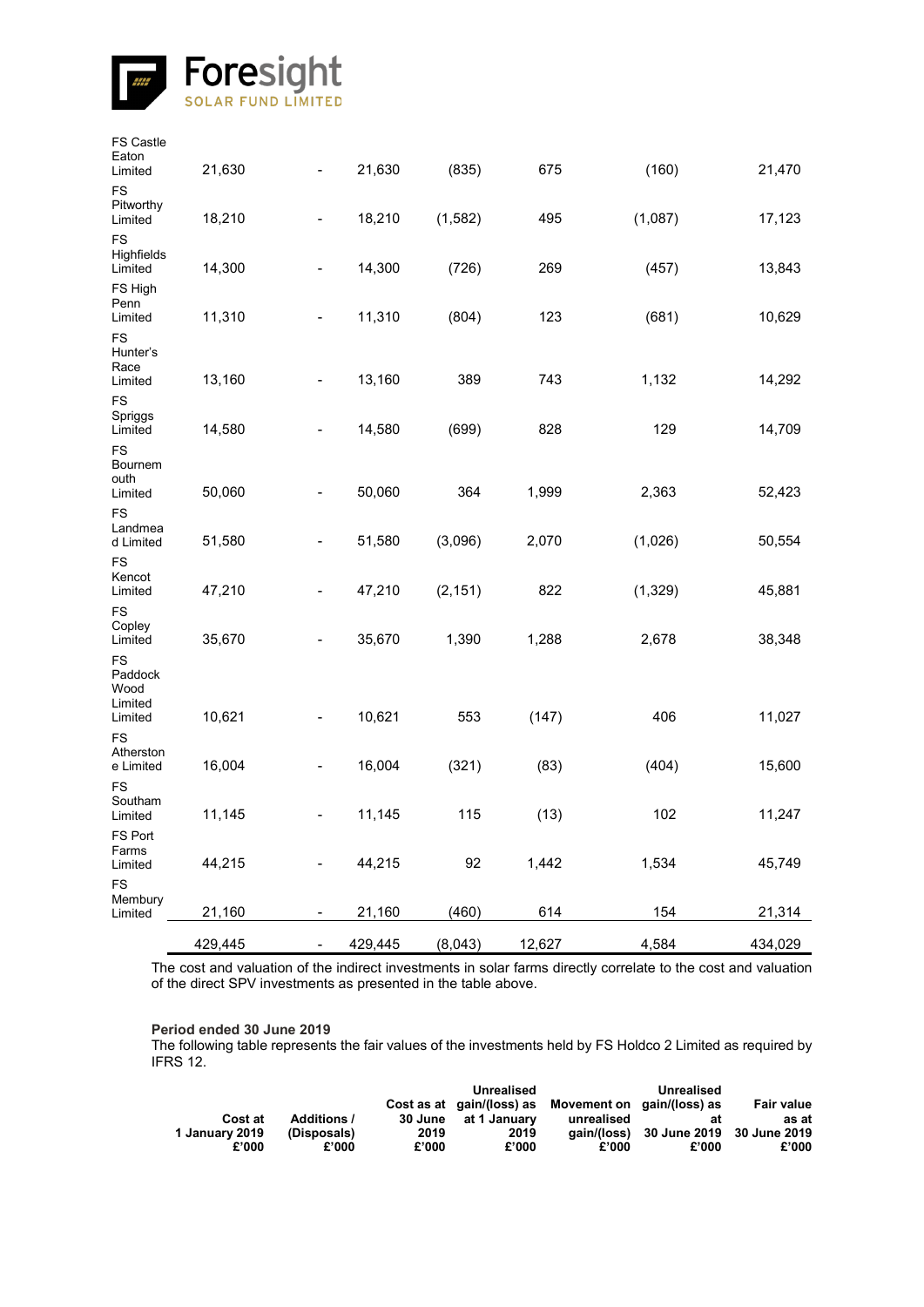![](_page_41_Picture_0.jpeg)

| FS Castle<br>Eaton<br>Limited      | 21,630  | $\overline{\phantom{0}}$     | 21,630  | (835)    | 675    | (160)    | 21,470  |
|------------------------------------|---------|------------------------------|---------|----------|--------|----------|---------|
| FS<br>Pitworthy<br>Limited         | 18,210  | $\overline{\phantom{0}}$     | 18,210  | (1, 582) | 495    | (1,087)  | 17,123  |
| <b>FS</b><br>Highfields<br>Limited | 14,300  | $\overline{\phantom{0}}$     | 14,300  | (726)    | 269    | (457)    | 13,843  |
| FS High<br>Penn<br>Limited         | 11,310  | $\overline{\phantom{0}}$     | 11,310  | (804)    | 123    | (681)    | 10,629  |
| <b>FS</b><br>Hunter's<br>Race      |         |                              |         |          |        |          |         |
| Limited                            | 13,160  |                              | 13,160  | 389      | 743    | 1,132    | 14,292  |
| FS<br>Spriggs<br>Limited           | 14,580  | $\overline{\phantom{0}}$     | 14,580  | (699)    | 828    | 129      | 14,709  |
| <b>FS</b><br>Bournem<br>outh       |         |                              |         |          |        |          |         |
| Limited                            | 50,060  | -                            | 50,060  | 364      | 1,999  | 2,363    | 52,423  |
| <b>FS</b><br>Landmea<br>d Limited  | 51,580  | $\overline{\phantom{0}}$     | 51,580  | (3,096)  | 2,070  | (1,026)  | 50,554  |
| <b>FS</b><br>Kencot<br>Limited     | 47,210  | -                            | 47,210  | (2, 151) | 822    | (1, 329) | 45,881  |
| FS<br>Copley<br>Limited            | 35,670  | -                            | 35,670  | 1,390    | 1,288  | 2,678    | 38,348  |
| <b>FS</b><br>Paddock<br>Wood       |         |                              |         |          |        |          |         |
| Limited<br>Limited                 | 10,621  | $\qquad \qquad \blacksquare$ | 10,621  | 553      | (147)  | 406      | 11,027  |
| FS<br>Atherston<br>e Limited       | 16,004  | -                            | 16,004  | (321)    | (83)   | (404)    | 15,600  |
| <b>FS</b><br>Southam<br>Limited    | 11,145  | -                            | 11,145  | 115      | (13)   | 102      | 11,247  |
| FS Port<br>Farms<br>Limited        | 44,215  |                              | 44,215  | 92       | 1,442  | 1,534    | 45,749  |
| <b>FS</b>                          |         |                              |         |          |        |          |         |
| Membury<br>Limited                 | 21,160  | -                            | 21,160  | (460)    | 614    | 154      | 21,314  |
|                                    | 429,445 | $\qquad \qquad \blacksquare$ | 429,445 | (8,043)  | 12,627 | 4,584    | 434,029 |

The cost and valuation of the indirect investments in solar farms directly correlate to the cost and valuation of the direct SPV investments as presented in the table above.

### **Period ended 30 June 2019**

The following table represents the fair values of the investments held by FS Holdco 2 Limited as required by IFRS 12.

|                |                    |       | Unrealised           |                                                      | Unrealised                            |                   |
|----------------|--------------------|-------|----------------------|------------------------------------------------------|---------------------------------------|-------------------|
|                |                    |       |                      | Cost as at gain/(loss) as Movement on gain/(loss) as |                                       | <b>Fair value</b> |
| Cost at        | <b>Additions /</b> |       | 30 June at 1 January | unrealised                                           | at                                    | as at             |
| 1 January 2019 | (Disposals)        | 2019  | 2019                 |                                                      | gain/(loss) 30 June 2019 30 June 2019 |                   |
| £'000          | £'000              | £'000 | £'000                | £'000                                                | £'000                                 | £'000             |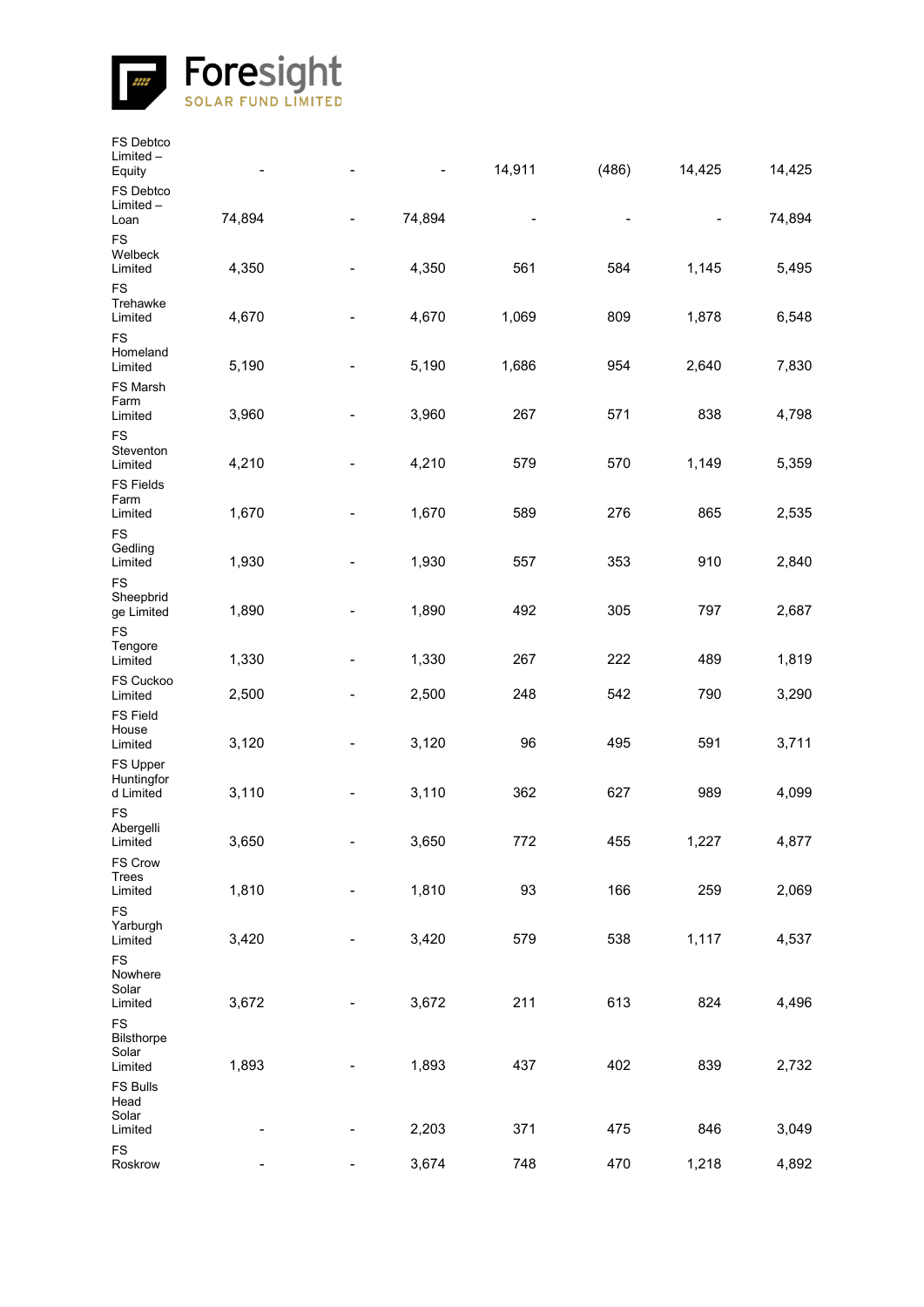![](_page_42_Picture_0.jpeg)

| FS Debtco<br>Limited-<br>Equity             |        |                          |        | 14,911 | (486) | 14,425 | 14,425 |
|---------------------------------------------|--------|--------------------------|--------|--------|-------|--------|--------|
| FS Debtco<br>Limited-<br>Loan               | 74,894 |                          | 74,894 |        |       |        | 74,894 |
| <b>FS</b><br>Welbeck<br>Limited             | 4,350  | $\blacksquare$           | 4,350  | 561    | 584   | 1,145  | 5,495  |
| <b>FS</b><br>Trehawke<br>Limited            | 4,670  |                          | 4,670  | 1,069  | 809   | 1,878  | 6,548  |
| <b>FS</b><br>Homeland<br>Limited            | 5,190  |                          | 5,190  | 1,686  | 954   | 2,640  | 7,830  |
| FS Marsh<br>Farm<br>Limited                 | 3,960  |                          | 3,960  | 267    | 571   | 838    | 4,798  |
| <b>FS</b><br>Steventon<br>Limited           | 4,210  |                          | 4,210  | 579    | 570   | 1,149  | 5,359  |
| <b>FS Fields</b><br>Farm<br>Limited         | 1,670  |                          | 1,670  | 589    | 276   | 865    | 2,535  |
| <b>FS</b><br>Gedling<br>Limited             | 1,930  |                          | 1,930  | 557    | 353   | 910    | 2,840  |
| <b>FS</b><br>Sheepbrid<br>ge Limited<br>FS  | 1,890  |                          | 1,890  | 492    | 305   | 797    | 2,687  |
| Tengore<br>Limited                          | 1,330  | $\overline{\phantom{a}}$ | 1,330  | 267    | 222   | 489    | 1,819  |
| FS Cuckoo<br>Limited                        | 2,500  | -                        | 2,500  | 248    | 542   | 790    | 3,290  |
| <b>FS Field</b><br>House<br>Limited         | 3,120  | $\overline{\phantom{a}}$ | 3,120  | 96     | 495   | 591    | 3,711  |
| FS Upper<br>Huntingfor<br>d Limited         | 3,110  |                          | 3,110  | 362    | 627   | 989    | 4,099  |
| <b>FS</b><br>Abergelli<br>Limited           | 3,650  |                          | 3,650  | 772    | 455   | 1,227  | 4,877  |
| FS Crow<br>Trees<br>Limited                 | 1,810  |                          | 1,810  | 93     | 166   | 259    | 2,069  |
| <b>FS</b><br>Yarburgh<br>Limited            | 3,420  |                          | 3,420  | 579    | 538   | 1,117  | 4,537  |
| FS<br>Nowhere<br>Solar<br>Limited           | 3,672  |                          | 3,672  | 211    | 613   | 824    | 4,496  |
| <b>FS</b><br>Bilsthorpe<br>Solar<br>Limited | 1,893  |                          | 1,893  | 437    | 402   | 839    | 2,732  |
| FS Bulls<br>Head<br>Solar                   |        |                          |        |        |       |        |        |
| Limited                                     |        |                          | 2,203  | 371    | 475   | 846    | 3,049  |
| FS<br>Roskrow                               |        |                          | 3,674  | 748    | 470   | 1,218  | 4,892  |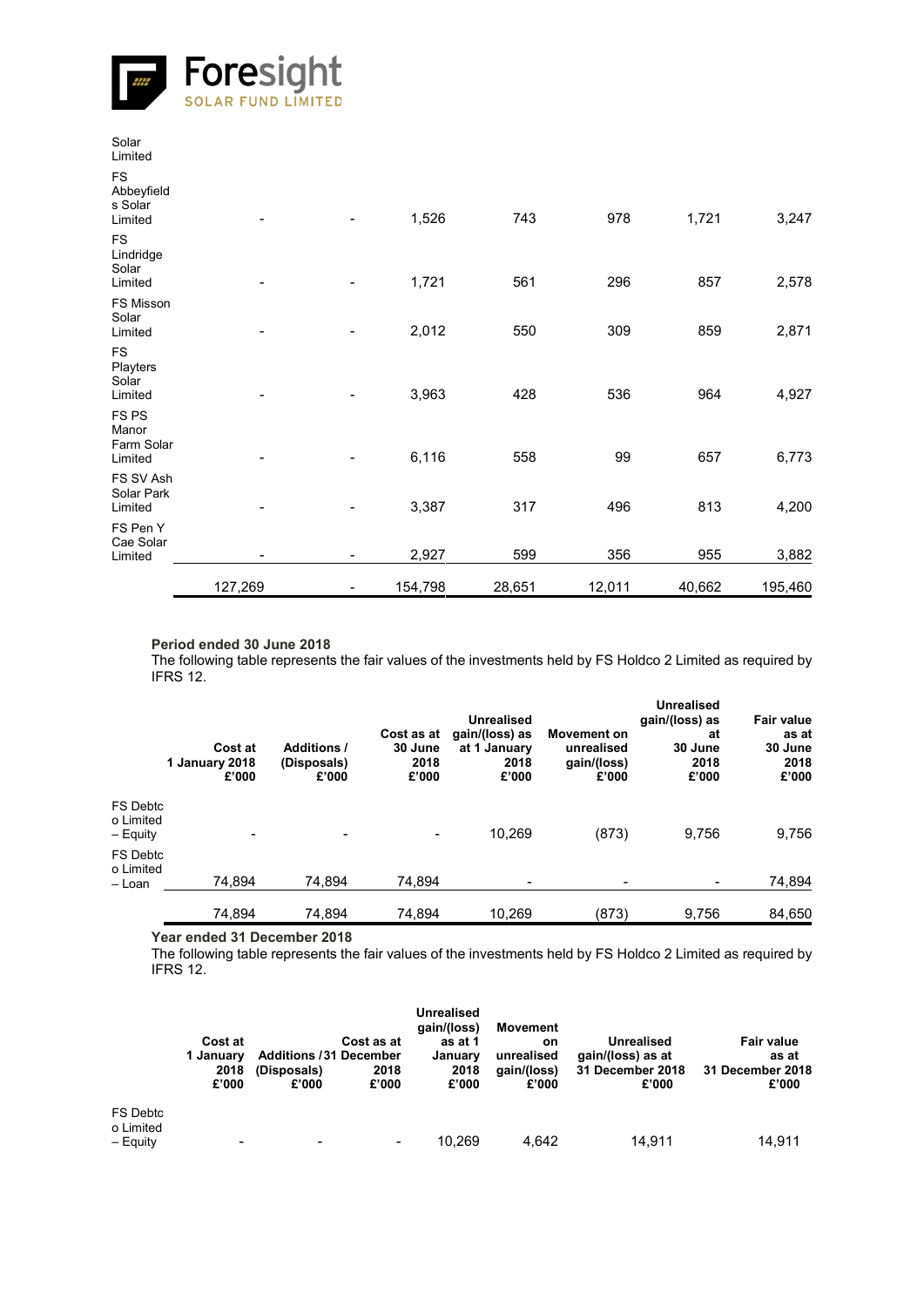![](_page_43_Picture_0.jpeg)

|                                               | 127,269 | 154,798 | 28,651 | 12,011 | 40,662 | 195,460 |
|-----------------------------------------------|---------|---------|--------|--------|--------|---------|
| FS Pen Y<br>Cae Solar<br>Limited              |         | 2,927   | 599    | 356    | 955    | 3,882   |
| FS SV Ash<br>Solar Park<br>Limited            |         | 3,387   | 317    | 496    | 813    | 4,200   |
| <b>FSPS</b><br>Manor<br>Farm Solar<br>Limited |         | 6,116   | 558    | 99     | 657    | 6,773   |
| <b>FS</b><br>Playters<br>Solar<br>Limited     |         | 3,963   | 428    | 536    | 964    | 4,927   |
| FS Misson<br>Solar<br>Limited                 |         | 2,012   | 550    | 309    | 859    | 2,871   |
| <b>FS</b><br>Lindridge<br>Solar<br>Limited    |         | 1,721   | 561    | 296    | 857    | 2,578   |
| <b>FS</b><br>Abbeyfield<br>s Solar<br>Limited |         | 1,526   | 743    | 978    | 1,721  | 3,247   |
| Solar<br>Limited                              |         |         |        |        |        |         |

#### **Period ended 30 June 2018**

The following table represents the fair values of the investments held by FS Holdco 2 Limited as required by IFRS 12.

|                                   | Cost at<br>1 January 2018<br>£'000 | <b>Additions /</b><br>(Disposals)<br>£'000 | Cost as at<br>30 June<br>2018<br>£'000 | Unrealised<br>gain/(loss) as<br>at 1 January<br>2018<br>£'000 | <b>Movement on</b><br>unrealised<br>gain/(loss)<br>£'000 | <b>Unrealised</b><br>gain/(loss) as<br>at<br>30 June<br>2018<br>£'000 | <b>Fair value</b><br>as at<br>30 June<br>2018<br>£'000 |
|-----------------------------------|------------------------------------|--------------------------------------------|----------------------------------------|---------------------------------------------------------------|----------------------------------------------------------|-----------------------------------------------------------------------|--------------------------------------------------------|
| FS Debtc<br>o Limited<br>– Equity | -                                  | $\overline{\phantom{a}}$                   | $\blacksquare$                         | 10.269                                                        | (873)                                                    | 9,756                                                                 | 9,756                                                  |
| FS Debtc<br>o Limited<br>– Loan   | 74,894                             | 74,894                                     | 74,894                                 | $\,$                                                          |                                                          | $\overline{\phantom{a}}$                                              | 74,894                                                 |
|                                   | 74,894                             | 74,894                                     | 74,894                                 | 10,269                                                        | (873)                                                    | 9,756                                                                 | 84,650                                                 |

**Year ended 31 December 2018**

The following table represents the fair values of the investments held by FS Holdco 2 Limited as required by IFRS 12.

|                                          | Cost at<br>1 Januarv<br>2018<br>£'000 | Cost as at<br><b>Additions /31 December</b><br>(Disposals)<br>2018<br>£'000<br>£'000 | <b>Unrealised</b><br>gain/(loss)<br>as at 1<br>January<br>2018<br>£'000 | Movement<br>on<br>unrealised<br>gain/(loss)<br>£'000 | <b>Unrealised</b><br>gain/(loss) as at<br>31 December 2018<br>£'000 | <b>Fair value</b><br>as at<br>31 December 2018<br>£'000 |
|------------------------------------------|---------------------------------------|--------------------------------------------------------------------------------------|-------------------------------------------------------------------------|------------------------------------------------------|---------------------------------------------------------------------|---------------------------------------------------------|
| <b>FS Debtc</b><br>o Limited<br>- Equity | -                                     | $\overline{\phantom{a}}$                                                             | 10.269<br>$\blacksquare$                                                | 4.642                                                | 14.911                                                              | 14,911                                                  |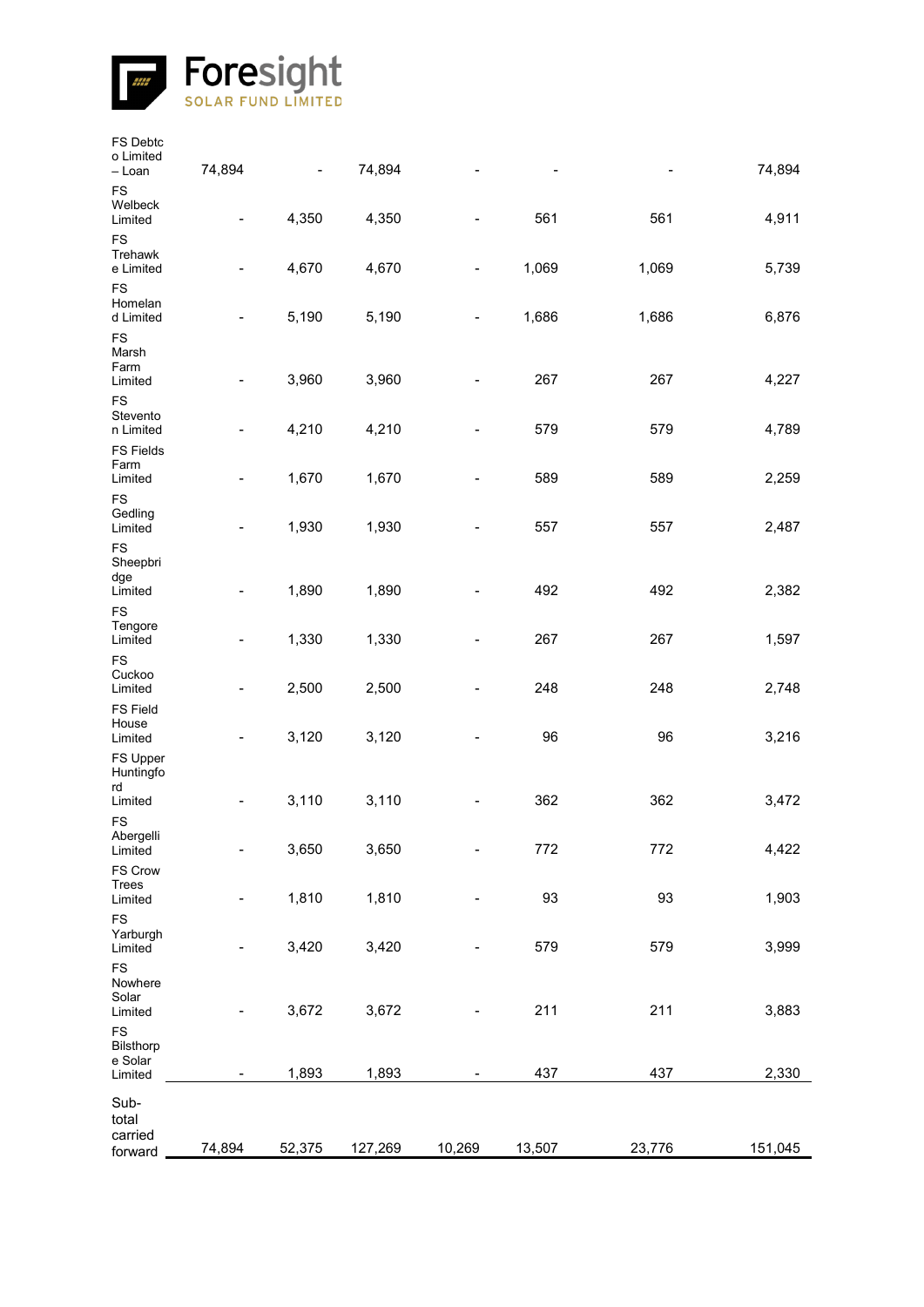![](_page_44_Picture_0.jpeg)

| FS Debtc<br>o Limited<br>– Loan     | 74,894                       | $\overline{\phantom{0}}$ | 74,894  |                          |        |        | 74,894  |
|-------------------------------------|------------------------------|--------------------------|---------|--------------------------|--------|--------|---------|
| FS<br>Welbeck<br>Limited            | $\qquad \qquad \blacksquare$ | 4,350                    | 4,350   |                          | 561    | 561    | 4,911   |
| <b>FS</b><br>Trehawk<br>e Limited   | $\qquad \qquad \blacksquare$ | 4,670                    | 4,670   | $\overline{\phantom{0}}$ | 1,069  | 1,069  | 5,739   |
| <b>FS</b><br>Homelan<br>d Limited   | -                            | 5,190                    | 5,190   |                          | 1,686  | 1,686  | 6,876   |
| FS<br>Marsh<br>Farm<br>Limited      | $\qquad \qquad \blacksquare$ | 3,960                    | 3,960   |                          | 267    | 267    | 4,227   |
| <b>FS</b><br>Stevento<br>n Limited  | -                            | 4,210                    | 4,210   |                          | 579    | 579    | 4,789   |
| <b>FS Fields</b><br>Farm<br>Limited |                              | 1,670                    | 1,670   |                          | 589    | 589    | 2,259   |
| FS<br>Gedling<br>Limited            | -                            | 1,930                    | 1,930   |                          | 557    | 557    | 2,487   |
| <b>FS</b><br>Sheepbri<br>dge        |                              |                          |         |                          |        |        |         |
| Limited<br><b>FS</b>                |                              | 1,890                    | 1,890   |                          | 492    | 492    | 2,382   |
| Tengore<br>Limited                  | -                            | 1,330                    | 1,330   |                          | 267    | 267    | 1,597   |
| <b>FS</b><br>Cuckoo<br>Limited      | -                            | 2,500                    | 2,500   |                          | 248    | 248    | 2,748   |
| <b>FS Field</b><br>House<br>Limited | -                            | 3,120                    | 3,120   |                          | 96     | 96     | 3,216   |
| FS Upper<br>Huntingfo<br>rd         |                              |                          |         |                          |        |        |         |
| Limited<br><b>FS</b>                |                              | 3,110                    | 3,110   |                          | 362    | 362    | 3,472   |
| Abergelli<br>Limited                | -                            | 3,650                    | 3,650   |                          | 772    | 772    | 4,422   |
| FS Crow<br>Trees<br>Limited         | -                            | 1,810                    | 1,810   |                          | 93     | 93     | 1,903   |
| FS<br>Yarburgh<br>Limited           | -                            | 3,420                    | 3,420   |                          | 579    | 579    | 3,999   |
| FS<br>Nowhere                       |                              |                          |         |                          |        |        |         |
| Solar<br>Limited<br>FS              |                              | 3,672                    | 3,672   |                          | 211    | 211    | 3,883   |
| Bilsthorp<br>e Solar<br>Limited     | -                            | 1,893                    | 1,893   |                          | 437    | 437    | 2,330   |
| Sub-<br>total                       |                              |                          |         |                          |        |        |         |
| carried<br>forward                  | 74,894                       | 52,375                   | 127,269 | 10,269                   | 13,507 | 23,776 | 151,045 |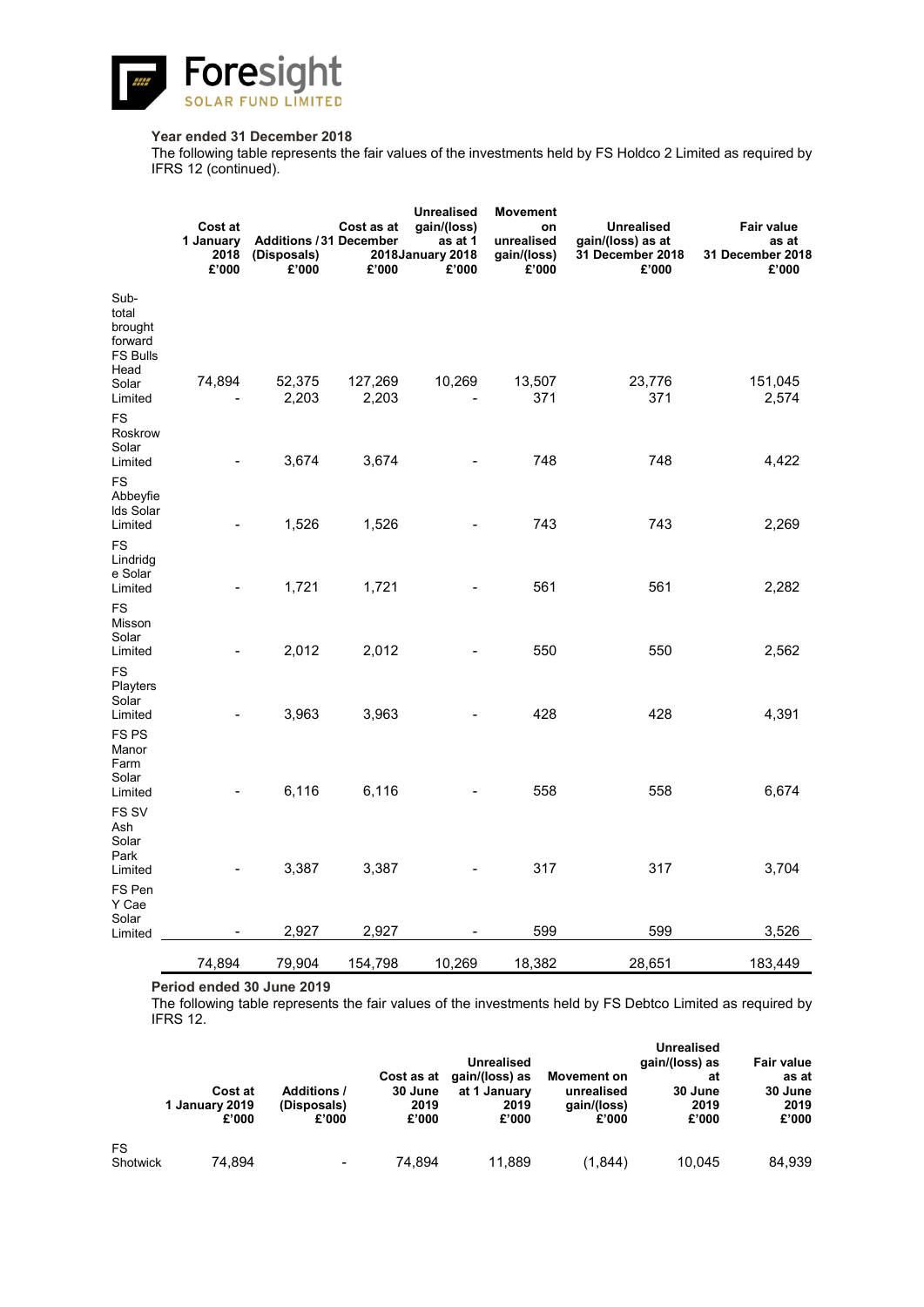![](_page_45_Picture_0.jpeg)

### **Year ended 31 December 2018**

The following table represents the fair values of the investments held by FS Holdco 2 Limited as required by IFRS 12 (continued).

|                                                                         | Cost at<br>1 January<br>2018<br>£'000 | <b>Additions / 31 December</b><br>(Disposals)<br>£'000 | Cost as at<br>£'000 | <b>Unrealised</b><br>gain/(loss)<br>as at 1<br>2018 January 2018<br>£'000 | <b>Movement</b><br>on<br>unrealised<br>gain/(loss)<br>£'000 | <b>Unrealised</b><br>gain/(loss) as at<br>31 December 2018<br>£'000 | Fair value<br>as at<br>31 December 2018<br>£'000 |
|-------------------------------------------------------------------------|---------------------------------------|--------------------------------------------------------|---------------------|---------------------------------------------------------------------------|-------------------------------------------------------------|---------------------------------------------------------------------|--------------------------------------------------|
| Sub-<br>total<br>brought<br>forward<br><b>FS Bulls</b><br>Head<br>Solar | 74,894                                | 52,375                                                 | 127,269             | 10,269                                                                    | 13,507                                                      | 23,776                                                              | 151,045                                          |
| Limited<br><b>FS</b><br>Roskrow<br>Solar<br>Limited                     |                                       | 2,203<br>3,674                                         | 2,203<br>3,674      |                                                                           | 371<br>748                                                  | 371<br>748                                                          | 2,574<br>4,422                                   |
| <b>FS</b><br>Abbeyfie<br>Ids Solar<br>Limited                           |                                       | 1,526                                                  | 1,526               |                                                                           | 743                                                         | 743                                                                 | 2,269                                            |
| FS<br>Lindridg<br>e Solar<br>Limited                                    |                                       | 1,721                                                  | 1,721               |                                                                           | 561                                                         | 561                                                                 | 2,282                                            |
| <b>FS</b><br>Misson<br>Solar<br>Limited                                 |                                       | 2,012                                                  | 2,012               |                                                                           | 550                                                         | 550                                                                 | 2,562                                            |
| <b>FS</b><br>Playters<br>Solar<br>Limited                               |                                       | 3,963                                                  | 3,963               |                                                                           | 428                                                         | 428                                                                 | 4,391                                            |
| FS <sub>PS</sub><br>Manor<br>Farm<br>Solar<br>Limited                   |                                       | 6,116                                                  | 6,116               |                                                                           | 558                                                         | 558                                                                 | 6,674                                            |
| FS SV<br>Ash<br>Solar<br>Park<br>Limited                                |                                       | 3,387                                                  | 3,387               |                                                                           | 317                                                         | 317                                                                 | 3,704                                            |
| FS Pen<br>Y Cae<br>Solar<br>Limited                                     |                                       | 2,927                                                  | 2,927               |                                                                           | 599                                                         | 599                                                                 | 3,526                                            |
|                                                                         | 74,894                                | 79,904                                                 | 154,798             | 10,269                                                                    | 18,382                                                      | 28,651                                                              | 183,449                                          |

**Period ended 30 June 2019**

The following table represents the fair values of the investments held by FS Debtco Limited as required by IFRS 12.

|                |                         |                      |                       | <b>Unrealised</b>              |                           | <b>Unrealised</b><br>gain/(loss) as | <b>Fair value</b> |  |
|----------------|-------------------------|----------------------|-----------------------|--------------------------------|---------------------------|-------------------------------------|-------------------|--|
|                | Cost at                 | <b>Additions /</b>   | Cost as at<br>30 June | gain/(loss) as<br>at 1 January | Movement on<br>unrealised | at<br>30 June                       | as at<br>30 June  |  |
|                | 1 January 2019<br>£'000 | (Disposals)<br>£'000 | 2019<br>£'000         | 2019<br>£'000                  | gain/(loss)<br>£'000      | 2019<br>£'000                       | 2019<br>£'000     |  |
| FS<br>Shotwick | 74.894                  | $\,$                 | 74.894                | 11.889                         | (1.844)                   | 10.045                              | 84.939            |  |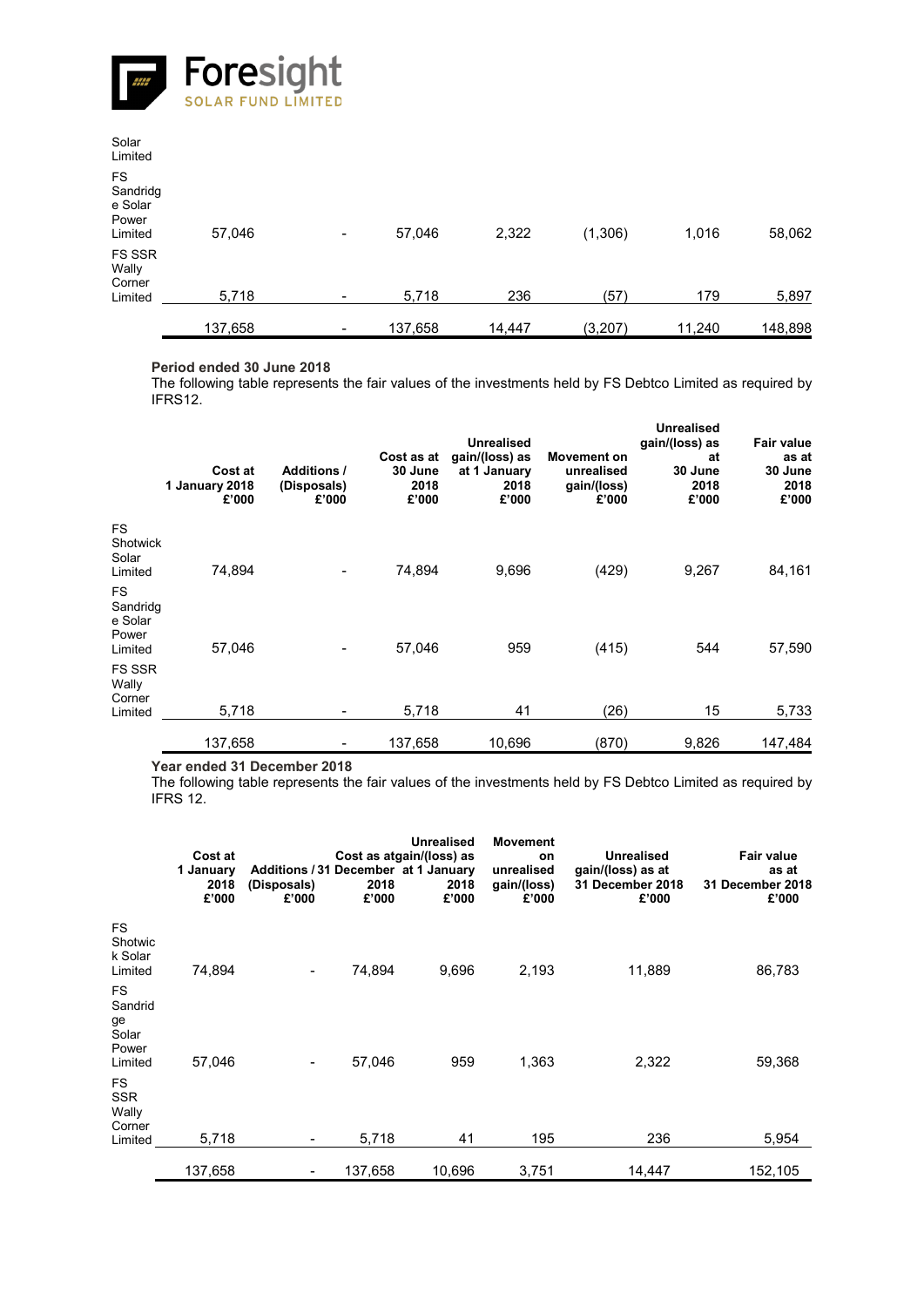![](_page_46_Picture_0.jpeg)

| Solar<br>Limited                                     |         |   |         |        |          |        |         |
|------------------------------------------------------|---------|---|---------|--------|----------|--------|---------|
| <b>FS</b><br>Sandridg<br>e Solar<br>Power<br>Limited | 57,046  | - | 57,046  | 2,322  | (1,306)  | 1,016  | 58,062  |
| FS SSR<br>Wally<br>Corner<br>Limited                 | 5,718   |   | 5,718   | 236    | (57)     | 179    | 5,897   |
|                                                      | 137,658 |   | 137,658 | 14,447 | (3, 207) | 11,240 | 148,898 |

### **Period ended 30 June 2018**

The following table represents the fair values of the investments held by FS Debtco Limited as required by IFRS12.

|                                                      | Cost at<br>1 January 2018<br>£'000 | <b>Additions /</b><br>(Disposals)<br>£'000 | Cost as at<br>30 June<br>2018<br>£'000 | <b>Unrealised</b><br>gain/(loss) as<br>at 1 January<br>2018<br>£'000 | Movement on<br>unrealised<br>gain/(loss)<br>£'000 | <b>Unrealised</b><br>gain/(loss) as<br>at<br>30 June<br>2018<br>£'000 | Fair value<br>as at<br>30 June<br>2018<br>£'000 |
|------------------------------------------------------|------------------------------------|--------------------------------------------|----------------------------------------|----------------------------------------------------------------------|---------------------------------------------------|-----------------------------------------------------------------------|-------------------------------------------------|
| <b>FS</b><br>Shotwick<br>Solar<br>Limited            | 74.894                             |                                            | 74.894                                 | 9,696                                                                | (429)                                             | 9,267                                                                 | 84,161                                          |
| <b>FS</b><br>Sandridg<br>e Solar<br>Power<br>Limited | 57.046                             |                                            | 57,046                                 | 959                                                                  | (415)                                             | 544                                                                   | 57,590                                          |
| <b>FS SSR</b><br>Wally<br>Corner<br>Limited          | 5,718                              |                                            | 5,718                                  | 41                                                                   | (26)                                              | 15                                                                    | 5,733                                           |
|                                                      | 137,658                            |                                            | 137,658                                | 10,696                                                               | (870)                                             | 9,826                                                                 | 147,484                                         |

**Year ended 31 December 2018**

The following table represents the fair values of the investments held by FS Debtco Limited as required by IFRS 12.

|                                                         | Cost at<br>1 January<br>2018<br>£'000 | Additions / 31 December at 1 January<br>(Disposals)<br>£'000 | Cost as atgain/(loss) as<br>2018<br>£'000 | <b>Unrealised</b><br>2018<br>£'000 | <b>Movement</b><br>on<br>unrealised<br>gain/(loss)<br>£'000 | <b>Unrealised</b><br>gain/(loss) as at<br>31 December 2018<br>£'000 | <b>Fair value</b><br>as at<br>31 December 2018<br>£'000 |
|---------------------------------------------------------|---------------------------------------|--------------------------------------------------------------|-------------------------------------------|------------------------------------|-------------------------------------------------------------|---------------------------------------------------------------------|---------------------------------------------------------|
| <b>FS</b><br>Shotwic<br>k Solar<br>Limited              | 74,894                                | $\overline{\phantom{a}}$                                     | 74,894                                    | 9,696                              | 2,193                                                       | 11,889                                                              | 86,783                                                  |
| <b>FS</b><br>Sandrid<br>ge<br>Solar<br>Power<br>Limited | 57.046                                | $\qquad \qquad \blacksquare$                                 | 57,046                                    | 959                                | 1,363                                                       | 2,322                                                               | 59,368                                                  |
| <b>FS</b><br><b>SSR</b><br>Wally<br>Corner<br>Limited   | 5,718                                 |                                                              | 5,718                                     | 41                                 | 195                                                         | 236                                                                 | 5,954                                                   |
|                                                         | 137,658                               |                                                              | 137,658                                   | 10,696                             | 3,751                                                       | 14,447                                                              | 152,105                                                 |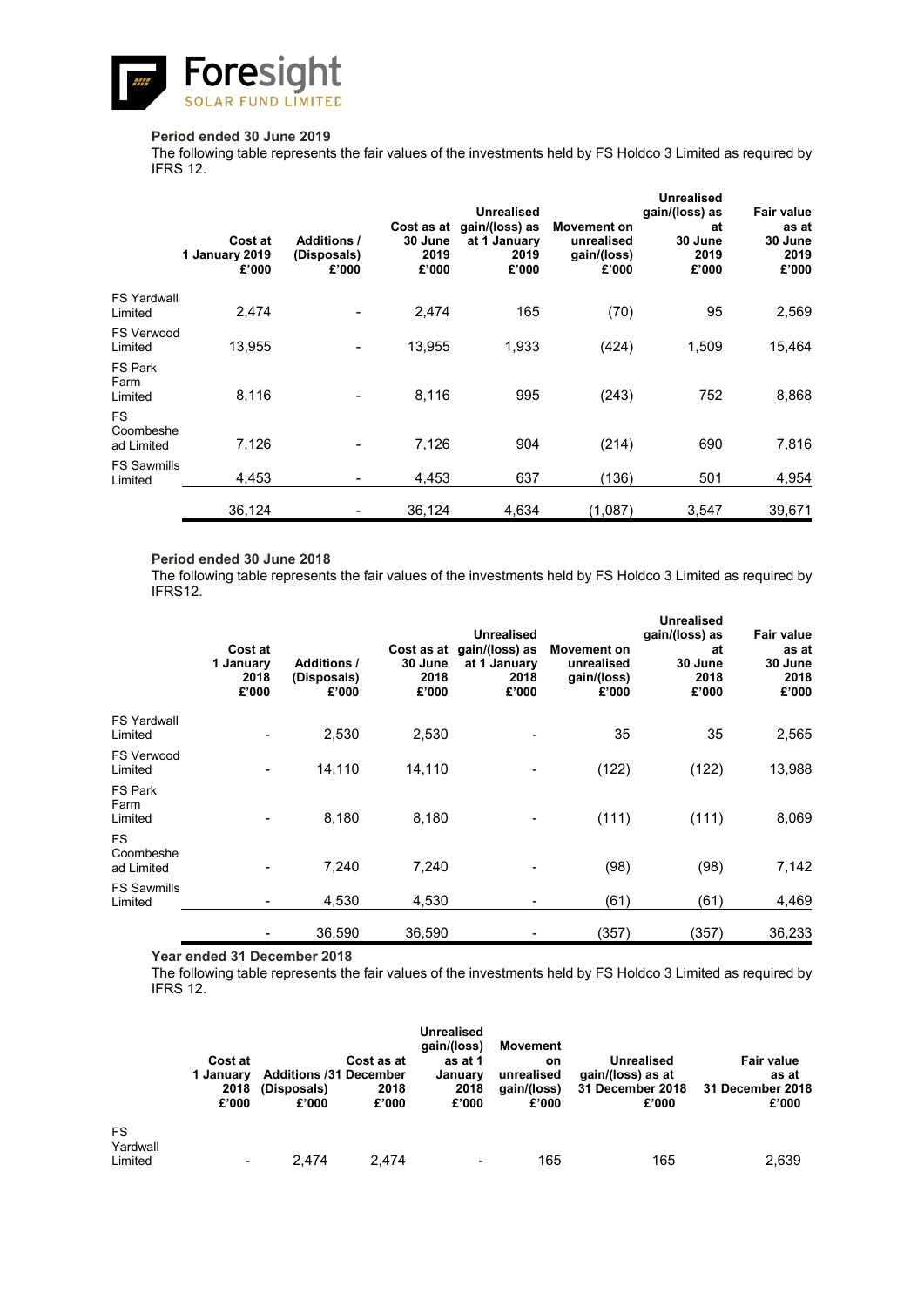![](_page_47_Picture_0.jpeg)

### **Period ended 30 June 2019**

The following table represents the fair values of the investments held by FS Holdco 3 Limited as required by IFRS 12.

|                                      | Cost at<br>1 January 2019<br>£'000 | <b>Additions /</b><br>(Disposals)<br>£'000 | Cost as at<br>30 June<br>2019<br>£'000 | <b>Unrealised</b><br>gain/(loss) as<br>at 1 January<br>2019<br>£'000 | Movement on<br>unrealised<br>gain/(loss)<br>£'000 | Unrealised<br>gain/(loss) as<br>at<br>30 June<br>2019<br>£'000 | Fair value<br>as at<br>30 June<br>2019<br>£'000 |
|--------------------------------------|------------------------------------|--------------------------------------------|----------------------------------------|----------------------------------------------------------------------|---------------------------------------------------|----------------------------------------------------------------|-------------------------------------------------|
| <b>FS Yardwall</b><br>Limited        | 2,474                              |                                            | 2,474                                  | 165                                                                  | (70)                                              | 95                                                             | 2,569                                           |
| <b>FS Verwood</b><br>Limited         | 13,955                             |                                            | 13,955                                 | 1,933                                                                | (424)                                             | 1,509                                                          | 15,464                                          |
| FS Park<br>Farm<br>Limited           | 8,116                              |                                            | 8,116                                  | 995                                                                  | (243)                                             | 752                                                            | 8,868                                           |
| <b>FS</b><br>Coombeshe<br>ad Limited | 7,126                              | $\blacksquare$                             | 7,126                                  | 904                                                                  | (214)                                             | 690                                                            | 7,816                                           |
| <b>FS Sawmills</b><br>Limited        | 4.453                              | -                                          | 4,453                                  | 637                                                                  | (136)                                             | 501                                                            | 4,954                                           |
|                                      | 36,124                             |                                            | 36,124                                 | 4,634                                                                | (1,087)                                           | 3,547                                                          | 39,671                                          |

### **Period ended 30 June 2018**

The following table represents the fair values of the investments held by FS Holdco 3 Limited as required by IFRS12.

|                                      | Cost at<br>1 January<br>2018<br>£'000 | <b>Additions /</b><br>(Disposals)<br>£'000 | 30 June<br>2018<br>£'000 | <b>Unrealised</b><br>Cost as at gain/(loss) as<br>at 1 January<br>2018<br>£'000 | Movement on<br>unrealised<br>gain/(loss)<br>£'000 | <b>Unrealised</b><br>gain/(loss) as<br>at<br>30 June<br>2018<br>£'000 | <b>Fair value</b><br>as at<br>30 June<br>2018<br>£'000 |
|--------------------------------------|---------------------------------------|--------------------------------------------|--------------------------|---------------------------------------------------------------------------------|---------------------------------------------------|-----------------------------------------------------------------------|--------------------------------------------------------|
| <b>FS Yardwall</b><br>Limited        |                                       | 2,530                                      | 2,530                    |                                                                                 | 35                                                | 35                                                                    | 2,565                                                  |
| <b>FS Verwood</b><br>Limited         |                                       | 14,110                                     | 14,110                   |                                                                                 | (122)                                             | (122)                                                                 | 13,988                                                 |
| FS Park<br>Farm<br>Limited           |                                       | 8,180                                      | 8,180                    |                                                                                 | (111)                                             | (111)                                                                 | 8,069                                                  |
| <b>FS</b><br>Coombeshe<br>ad Limited |                                       | 7,240                                      | 7,240                    |                                                                                 | (98)                                              | (98)                                                                  | 7,142                                                  |
| <b>FS Sawmills</b><br>Limited        |                                       | 4,530                                      | 4,530                    |                                                                                 | (61)                                              | (61)                                                                  | 4,469                                                  |
|                                      |                                       | 36,590                                     | 36,590                   |                                                                                 | (357)                                             | (357)                                                                 | 36,233                                                 |

**Year ended 31 December 2018**

The following table represents the fair values of the investments held by FS Holdco 3 Limited as required by IFRS 12.

| Cost at<br>1 January<br>2018<br>£'000 | (Disposals)<br>£'000                                                                                                                              | Cost as at<br>2018<br>£'000 | <b>Unrealised</b><br>gain/(loss)<br>as at 1<br>January<br>2018<br>£'000 | Movement<br>on<br>unrealised<br>(aain/(loss)<br>£'000 | <b>Unrealised</b><br>gain/(loss) as at<br>31 December 2018<br>£'000 | <b>Fair value</b><br>as at<br>31 December 2018<br>£'000 |
|---------------------------------------|---------------------------------------------------------------------------------------------------------------------------------------------------|-----------------------------|-------------------------------------------------------------------------|-------------------------------------------------------|---------------------------------------------------------------------|---------------------------------------------------------|
|                                       |                                                                                                                                                   |                             |                                                                         |                                                       |                                                                     | 2,639                                                   |
|                                       | $\hskip1.6pt\hskip1.6pt\hskip1.6pt\hskip1.6pt\hskip1.6pt\hskip1.6pt\hskip1.6pt\hskip1.6pt\hskip1.6pt\hskip1.6pt\hskip1.6pt\hskip1.6pt\hskip1.6pt$ | 2.474                       | <b>Additions /31 December</b><br>2.474                                  | $\,$                                                  | 165                                                                 | 165                                                     |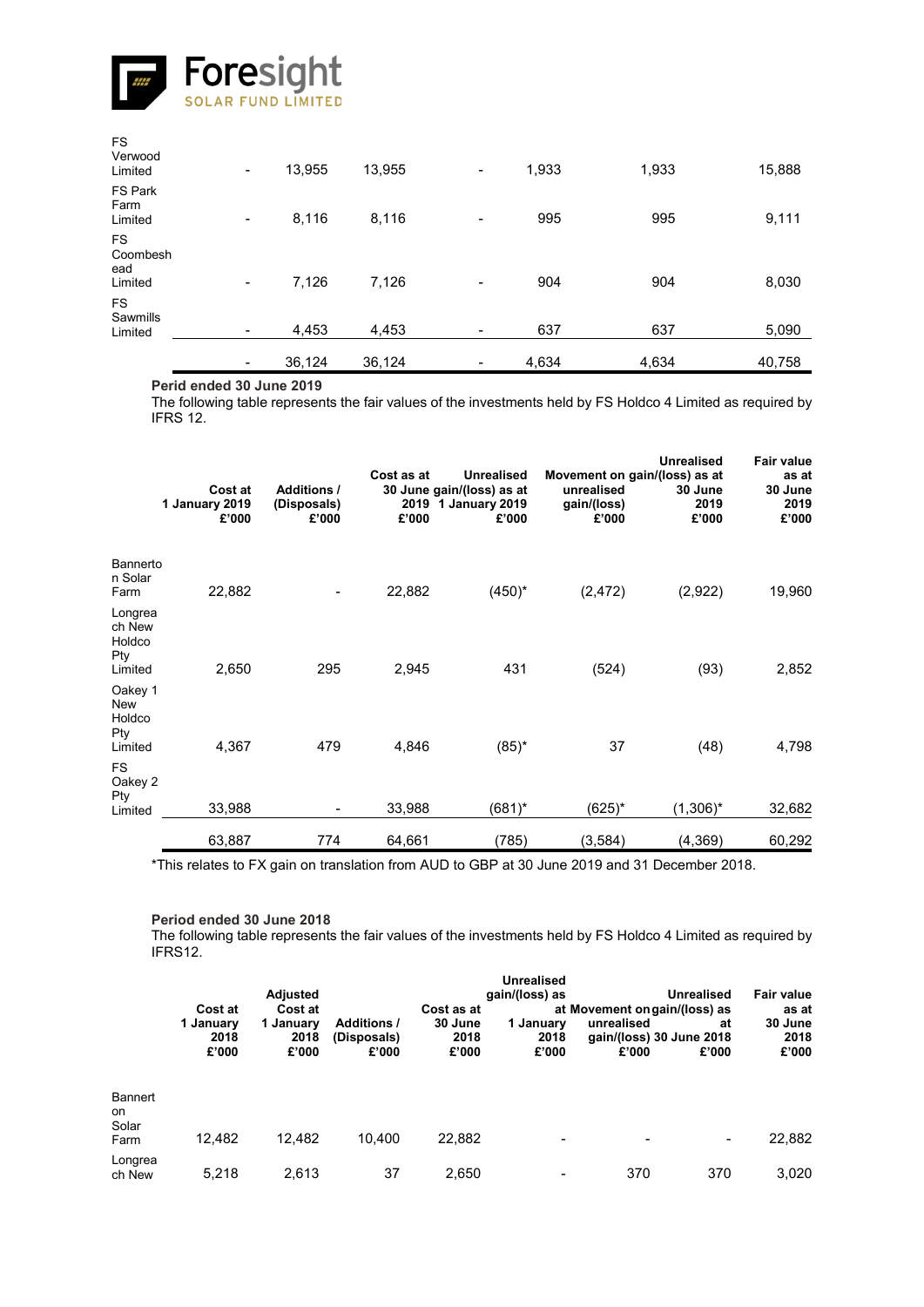![](_page_48_Picture_0.jpeg)

| <b>FS</b><br>Verwood<br>Limited         | $\blacksquare$ | 13,955 | 13,955 | $\overline{\phantom{a}}$ | 1,933 | 1,933 | 15,888 |
|-----------------------------------------|----------------|--------|--------|--------------------------|-------|-------|--------|
| <b>FS Park</b><br>Farm<br>Limited       | $\blacksquare$ | 8,116  | 8,116  | $\overline{\phantom{a}}$ | 995   | 995   | 9,111  |
| <b>FS</b><br>Coombesh<br>ead<br>Limited | $\blacksquare$ | 7,126  | 7,126  | $\overline{\phantom{a}}$ | 904   | 904   | 8,030  |
| <b>FS</b><br>Sawmills<br>Limited        | $\blacksquare$ | 4,453  | 4,453  | $\overline{\phantom{a}}$ | 637   | 637   | 5,090  |
|                                         | $\blacksquare$ | 36,124 | 36,124 | -                        | 4,634 | 4,634 | 40,758 |

### **Perid ended 30 June 2019**

The following table represents the fair values of the investments held by FS Holdco 4 Limited as required by IFRS 12.

|                                               | Cost at<br>1 January 2019<br>£'000 | <b>Additions /</b><br>(Disposals)<br>£'000 | Cost as at<br>£'000 | <b>Unrealised</b><br>30 June gain/(loss) as at<br>2019 1 January 2019<br>£'000 | unrealised<br>gain/(loss)<br>£'000 | <b>Unrealised</b><br>Movement on gain/(loss) as at<br>30 June<br>2019<br>£'000 | <b>Fair value</b><br>as at<br>30 June<br>2019<br>£'000 |
|-----------------------------------------------|------------------------------------|--------------------------------------------|---------------------|--------------------------------------------------------------------------------|------------------------------------|--------------------------------------------------------------------------------|--------------------------------------------------------|
| Bannerto<br>n Solar<br>Farm                   | 22,882                             |                                            | 22,882              | $(450)^{*}$                                                                    | (2, 472)                           | (2,922)                                                                        | 19,960                                                 |
| Longrea<br>ch New<br>Holdco<br>Pty<br>Limited | 2,650                              | 295                                        | 2,945               | 431                                                                            | (524)                              | (93)                                                                           | 2,852                                                  |
| Oakey 1<br>New<br>Holdco<br>Pty<br>Limited    | 4,367                              | 479                                        | 4,846               | $(85)^*$                                                                       | 37                                 | (48)                                                                           | 4,798                                                  |
| <b>FS</b><br>Oakey 2<br>Pty<br>Limited        | 33,988                             | $\overline{\phantom{a}}$                   | 33,988              | (681)*                                                                         | (625)*                             | $(1,306)^*$                                                                    | 32,682                                                 |
|                                               | 63,887                             | 774                                        | 64,661              | (785)                                                                          | (3,584)                            | (4, 369)                                                                       | 60,292                                                 |

\*This relates to FX gain on translation from AUD to GBP at 30 June 2019 and 31 December 2018.

#### **Period ended 30 June 2018**

The following table represents the fair values of the investments held by FS Holdco 4 Limited as required by IFRS12.

|                                | Cost at<br>1 January<br>2018<br>£'000 | Adjusted<br>Cost at<br>1 January<br>2018<br>£'000 | <b>Additions /</b><br>(Disposals)<br>£'000 | Cost as at<br>30 June<br>2018<br>£'000 | <b>Unrealised</b><br>gain/(loss) as<br>1 January<br>2018<br>£'000 | at Movement on gain/(loss) as<br>unrealised<br>gain/(loss) 30 June 2018<br>£'000 | <b>Unrealised</b><br>at<br>£'000 | Fair value<br>as at<br>30 June<br>2018<br>£'000 |
|--------------------------------|---------------------------------------|---------------------------------------------------|--------------------------------------------|----------------------------------------|-------------------------------------------------------------------|----------------------------------------------------------------------------------|----------------------------------|-------------------------------------------------|
| Bannert<br>on<br>Solar<br>Farm | 12.482                                | 12,482                                            | 10.400                                     | 22,882                                 | -                                                                 |                                                                                  | $\qquad \qquad$                  | 22,882                                          |
| Longrea<br>ch New              | 5.218                                 | 2.613                                             | 37                                         | 2.650                                  |                                                                   | 370                                                                              | 370                              | 3,020                                           |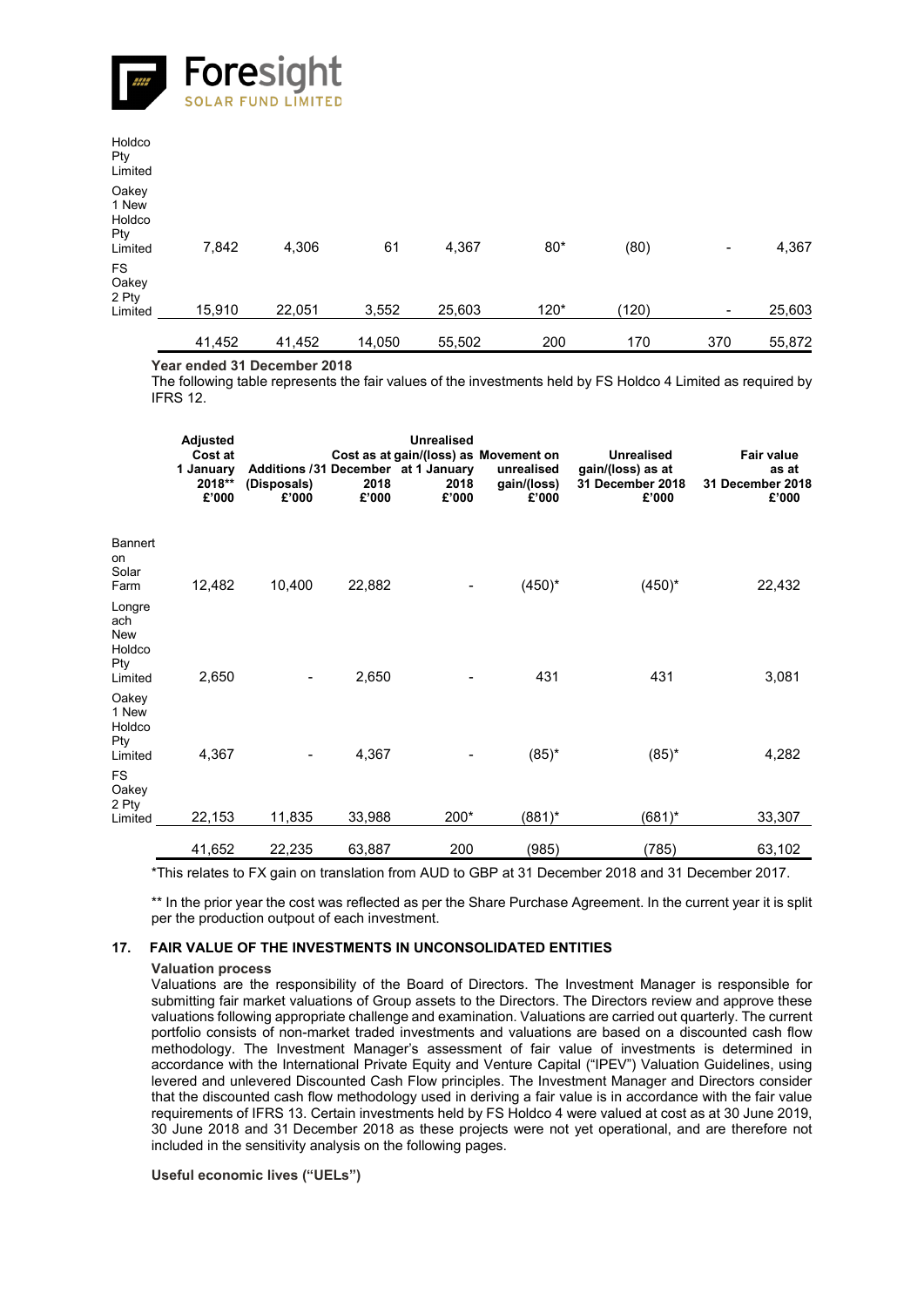![](_page_49_Picture_0.jpeg)

|                                            | 41,452 | 41,452 | 14,050 | 55,502 | 200   | 170   | 370            | 55,872 |
|--------------------------------------------|--------|--------|--------|--------|-------|-------|----------------|--------|
| <b>FS</b><br>Oakey<br>2 Pty<br>Limited     | 15,910 | 22,051 | 3,552  | 25,603 | 120*  | (120) | $\blacksquare$ | 25,603 |
| Oakey<br>1 New<br>Holdco<br>Pty<br>Limited | 7,842  | 4,306  | 61     | 4,367  | $80*$ | (80)  | $\blacksquare$ | 4,367  |
| Holdco<br>Pty<br>Limited                   |        |        |        |        |       |       |                |        |

**Year ended 31 December 2018**

The following table represents the fair values of the investments held by FS Holdco 4 Limited as required by IFRS 12.

|                                                  | <b>Adjusted</b><br>Cost at<br>1 January<br>2018**<br>£'000 | (Disposals)<br>£'000 | Cost as at gain/(loss) as Movement on<br>Additions /31 December at 1 January<br>2018<br>£'000 | <b>Unrealised</b><br>2018<br>£'000 | unrealised<br>gain/(loss)<br>£'000 | <b>Unrealised</b><br>gain/(loss) as at<br>31 December 2018<br>£'000 | <b>Fair value</b><br>as at<br>31 December 2018<br>£'000 |
|--------------------------------------------------|------------------------------------------------------------|----------------------|-----------------------------------------------------------------------------------------------|------------------------------------|------------------------------------|---------------------------------------------------------------------|---------------------------------------------------------|
| Bannert<br>on<br>Solar<br>Farm                   | 12,482                                                     | 10,400               | 22,882                                                                                        |                                    | $(450)^{*}$                        | $(450)^{*}$                                                         | 22,432                                                  |
| Longre<br>ach<br>New<br>Holdco<br>Pty<br>Limited | 2,650                                                      |                      | 2,650                                                                                         |                                    | 431                                | 431                                                                 | 3,081                                                   |
| Oakey<br>1 New<br>Holdco<br>Pty<br>Limited       | 4,367                                                      |                      | 4,367                                                                                         |                                    | $(85)^*$                           | $(85)^*$                                                            | 4,282                                                   |
| FS<br>Oakey<br>2 Pty<br>Limited                  | 22,153                                                     | 11,835               | 33,988                                                                                        | $200*$                             | (881)*                             | (681)*                                                              | 33,307                                                  |
|                                                  | 41,652                                                     | 22,235               | 63,887                                                                                        | 200                                | (985)                              | (785)                                                               | 63,102                                                  |

\*This relates to FX gain on translation from AUD to GBP at 31 December 2018 and 31 December 2017.

\*\* In the prior year the cost was reflected as per the Share Purchase Agreement. In the current year it is split per the production outpout of each investment.

### **17. FAIR VALUE OF THE INVESTMENTS IN UNCONSOLIDATED ENTITIES**

#### **Valuation process**

Valuations are the responsibility of the Board of Directors. The Investment Manager is responsible for submitting fair market valuations of Group assets to the Directors. The Directors review and approve these valuations following appropriate challenge and examination. Valuations are carried out quarterly. The current portfolio consists of non-market traded investments and valuations are based on a discounted cash flow methodology. The Investment Manager's assessment of fair value of investments is determined in accordance with the International Private Equity and Venture Capital ("IPEV") Valuation Guidelines, using levered and unlevered Discounted Cash Flow principles. The Investment Manager and Directors consider that the discounted cash flow methodology used in deriving a fair value is in accordance with the fair value requirements of IFRS 13. Certain investments held by FS Holdco 4 were valued at cost as at 30 June 2019, 30 June 2018 and 31 December 2018 as these projects were not yet operational, and are therefore not included in the sensitivity analysis on the following pages.

**Useful economic lives ("UELs")**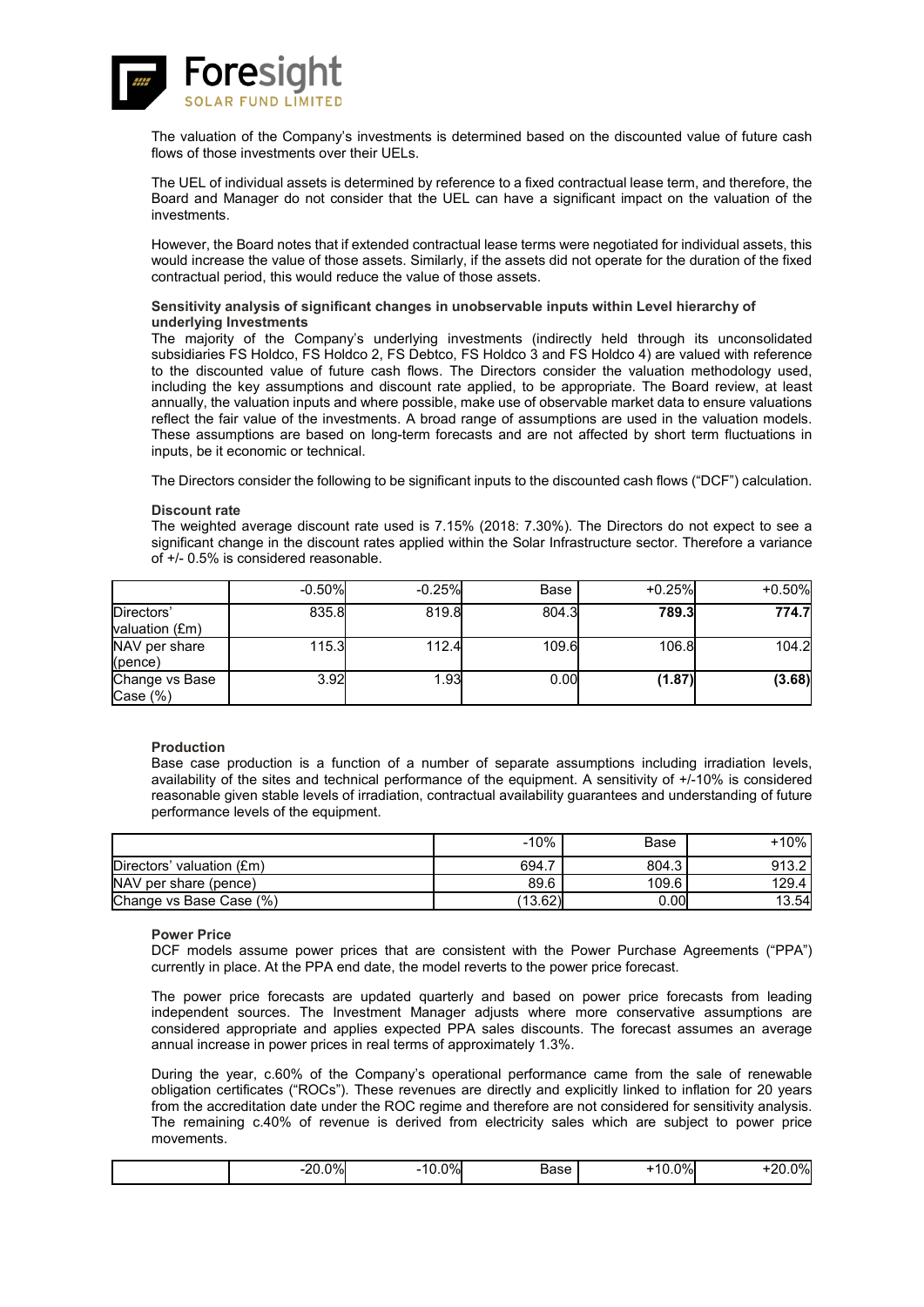![](_page_50_Picture_0.jpeg)

The valuation of the Company's investments is determined based on the discounted value of future cash flows of those investments over their UELs.

The UEL of individual assets is determined by reference to a fixed contractual lease term, and therefore, the Board and Manager do not consider that the UEL can have a significant impact on the valuation of the investments.

However, the Board notes that if extended contractual lease terms were negotiated for individual assets, this would increase the value of those assets. Similarly, if the assets did not operate for the duration of the fixed contractual period, this would reduce the value of those assets.

### **Sensitivity analysis of significant changes in unobservable inputs within Level hierarchy of underlying Investments**

The majority of the Company's underlying investments (indirectly held through its unconsolidated subsidiaries FS Holdco, FS Holdco 2, FS Debtco, FS Holdco 3 and FS Holdco 4) are valued with reference to the discounted value of future cash flows. The Directors consider the valuation methodology used, including the key assumptions and discount rate applied, to be appropriate. The Board review, at least annually, the valuation inputs and where possible, make use of observable market data to ensure valuations reflect the fair value of the investments. A broad range of assumptions are used in the valuation models. These assumptions are based on long-term forecasts and are not affected by short term fluctuations in inputs, be it economic or technical.

The Directors consider the following to be significant inputs to the discounted cash flows ("DCF") calculation.

### **Discount rate**

The weighted average discount rate used is 7.15% (2018: 7.30%). The Directors do not expect to see a significant change in the discount rates applied within the Solar Infrastructure sector. Therefore a variance of +/- 0.5% is considered reasonable.

|                               | $-0.50%$ | $-0.25%$ | Base  | $+0.25%$ | $+0.50%$ |
|-------------------------------|----------|----------|-------|----------|----------|
| Directors'<br>valuation (£m)  | 835.8    | 819.8    | 804.3 | 789.3    | 774.7    |
| NAV per share<br>(pence)      | 115.3    | 112.4    | 109.6 | 106.8    | 104.2    |
| Change vs Base<br>Case $(\%)$ | 3.92     | 1.93     | 0.00  | (1.87)   | (3.68)   |

### **Production**

Base case production is a function of a number of separate assumptions including irradiation levels, availability of the sites and technical performance of the equipment. A sensitivity of +/-10% is considered reasonable given stable levels of irradiation, contractual availability guarantees and understanding of future performance levels of the equipment.

|                           | $-10%$  | Base  | +10%  |
|---------------------------|---------|-------|-------|
| Directors' valuation (£m) | 694.7   | 804.3 | 913.2 |
| NAV per share (pence)     | 89.6    | 109.6 | 129.4 |
| Change vs Base Case (%)   | (13.62) | 0.00  | 13.54 |

**Power Price**

DCF models assume power prices that are consistent with the Power Purchase Agreements ("PPA") currently in place. At the PPA end date, the model reverts to the power price forecast.

The power price forecasts are updated quarterly and based on power price forecasts from leading independent sources. The Investment Manager adjusts where more conservative assumptions are considered appropriate and applies expected PPA sales discounts. The forecast assumes an average annual increase in power prices in real terms of approximately 1.3%.

During the year, c.60% of the Company's operational performance came from the sale of renewable obligation certificates ("ROCs"). These revenues are directly and explicitly linked to inflation for 20 years from the accreditation date under the ROC regime and therefore are not considered for sensitivity analysis. The remaining c.40% of revenue is derived from electricity sales which are subject to power price movements.

| 0%<br>ว∩<br>10.U<br><br>$\sim$ $\sim$ | 0%<br>⊿ase<br>---- | 0%)<br>ע.ט | 0%<br>nr.<br>-- |
|---------------------------------------|--------------------|------------|-----------------|
|---------------------------------------|--------------------|------------|-----------------|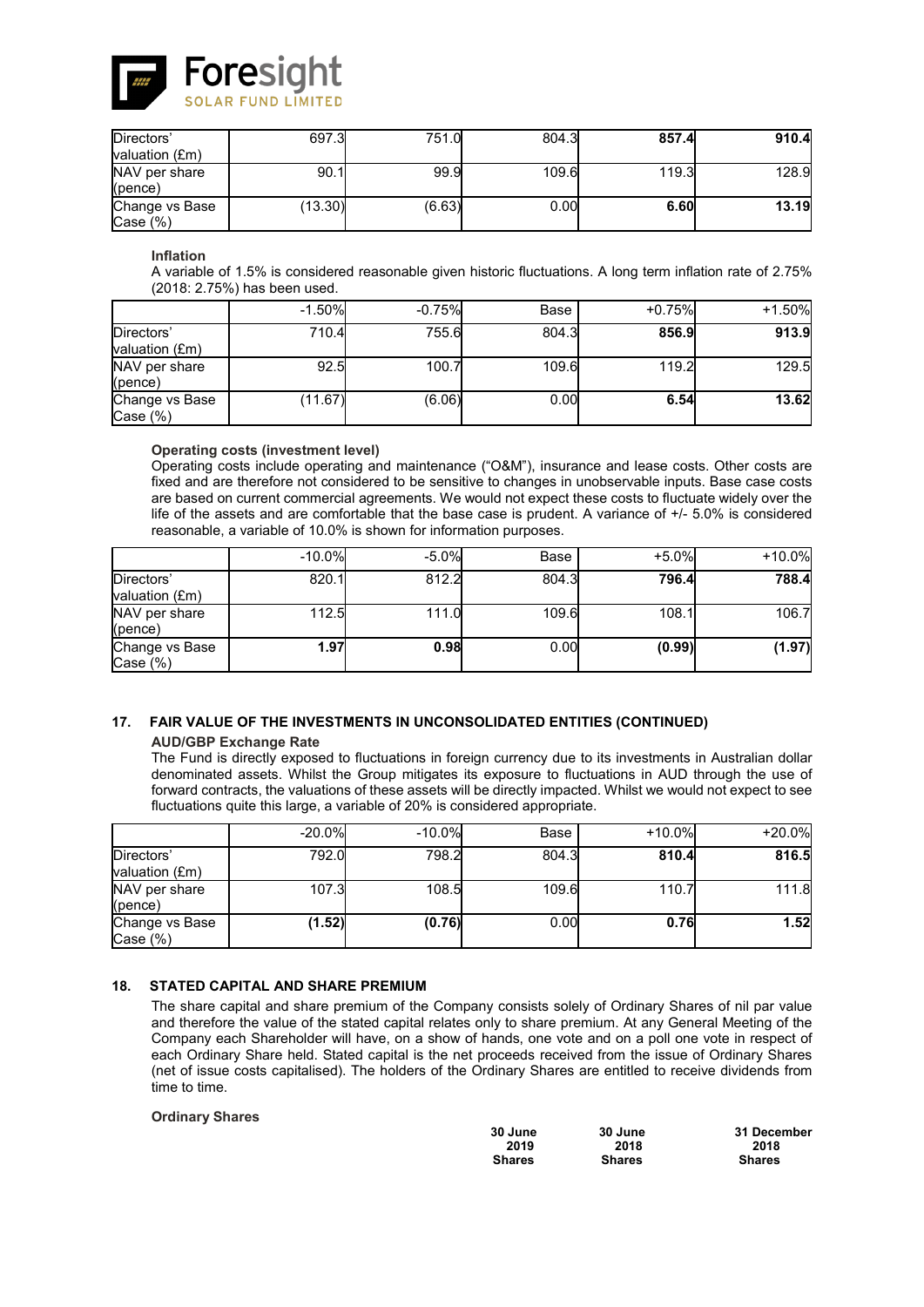![](_page_51_Picture_0.jpeg)

| Directors'                    | 697.3   | 751.0  | 804.3 | 857.4 | 910.4 |
|-------------------------------|---------|--------|-------|-------|-------|
| valuation (£m)                |         |        |       |       |       |
| NAV per share<br>(pence)      | 90.1    | 99.9   | 109.6 | 119.3 | 128.9 |
| Change vs Base<br>Case $(\%)$ | (13.30) | (6.63) | 0.00  | 6.60  | 13.19 |

### **Inflation**

A variable of 1.5% is considered reasonable given historic fluctuations. A long term inflation rate of 2.75% (2018: 2.75%) has been used.

|                              | $-1.50%$ | $-0.75%$ | Base  | $+0.75%$ | $+1.50%$ |
|------------------------------|----------|----------|-------|----------|----------|
| Directors'<br>valuation (£m) | 710.4    | 755.6    | 804.3 | 856.9    | 913.9    |
| NAV per share<br>(pence)     | 92.5     | 100.7    | 109.6 | 119.2    | 129.5    |
| Change vs Base<br>Case (%)   | (11.67)  | (6.06)   | 0.00  | 6.54     | 13.62    |

### **Operating costs (investment level)**

Operating costs include operating and maintenance ("O&M"), insurance and lease costs. Other costs are fixed and are therefore not considered to be sensitive to changes in unobservable inputs. Base case costs are based on current commercial agreements. We would not expect these costs to fluctuate widely over the life of the assets and are comfortable that the base case is prudent. A variance of +/- 5.0% is considered reasonable, a variable of 10.0% is shown for information purposes.

|                              | $-10.0%$ | $-5.0%$ | Base  | $+5.0%$ | $+10.0%$ |
|------------------------------|----------|---------|-------|---------|----------|
| Directors'<br>valuation (£m) | 820.1    | 812.2   | 804.3 | 796.4   | 788.4    |
| NAV per share<br>(pence)     | 112.5    | 111.0   | 109.6 | 108.1   | 106.7    |
| Change vs Base<br>Case (%)   | 1.97     | 0.98    | 0.00  | (0.99)  | (1.97)   |

# **17. FAIR VALUE OF THE INVESTMENTS IN UNCONSOLIDATED ENTITIES (CONTINUED)**

### **AUD/GBP Exchange Rate**

The Fund is directly exposed to fluctuations in foreign currency due to its investments in Australian dollar denominated assets. Whilst the Group mitigates its exposure to fluctuations in AUD through the use of forward contracts, the valuations of these assets will be directly impacted. Whilst we would not expect to see fluctuations quite this large, a variable of 20% is considered appropriate.

|                               | $-20.0%$ | $-10.0%$ | Base  | $+10.0%$ | $+20.0%$ |
|-------------------------------|----------|----------|-------|----------|----------|
| Directors'<br>valuation (£m)  | 792.0    | 798.2    | 804.3 | 810.4    | 816.5    |
| NAV per share<br>(pence)      | 107.3    | 108.5    | 109.6 | 110.7    | 111.8    |
| Change vs Base<br>Case $(\%)$ | (1.52)   | (0.76)   | 0.00  | 0.76     | 1.52     |

### **18. STATED CAPITAL AND SHARE PREMIUM**

The share capital and share premium of the Company consists solely of Ordinary Shares of nil par value and therefore the value of the stated capital relates only to share premium. At any General Meeting of the Company each Shareholder will have, on a show of hands, one vote and on a poll one vote in respect of each Ordinary Share held. Stated capital is the net proceeds received from the issue of Ordinary Shares (net of issue costs capitalised). The holders of the Ordinary Shares are entitled to receive dividends from time to time.

### **Ordinary Shares**

| 30 June       | 30 June       | 31 December   |
|---------------|---------------|---------------|
| 2019          | 2018          | 2018          |
| <b>Shares</b> | <b>Shares</b> | <b>Shares</b> |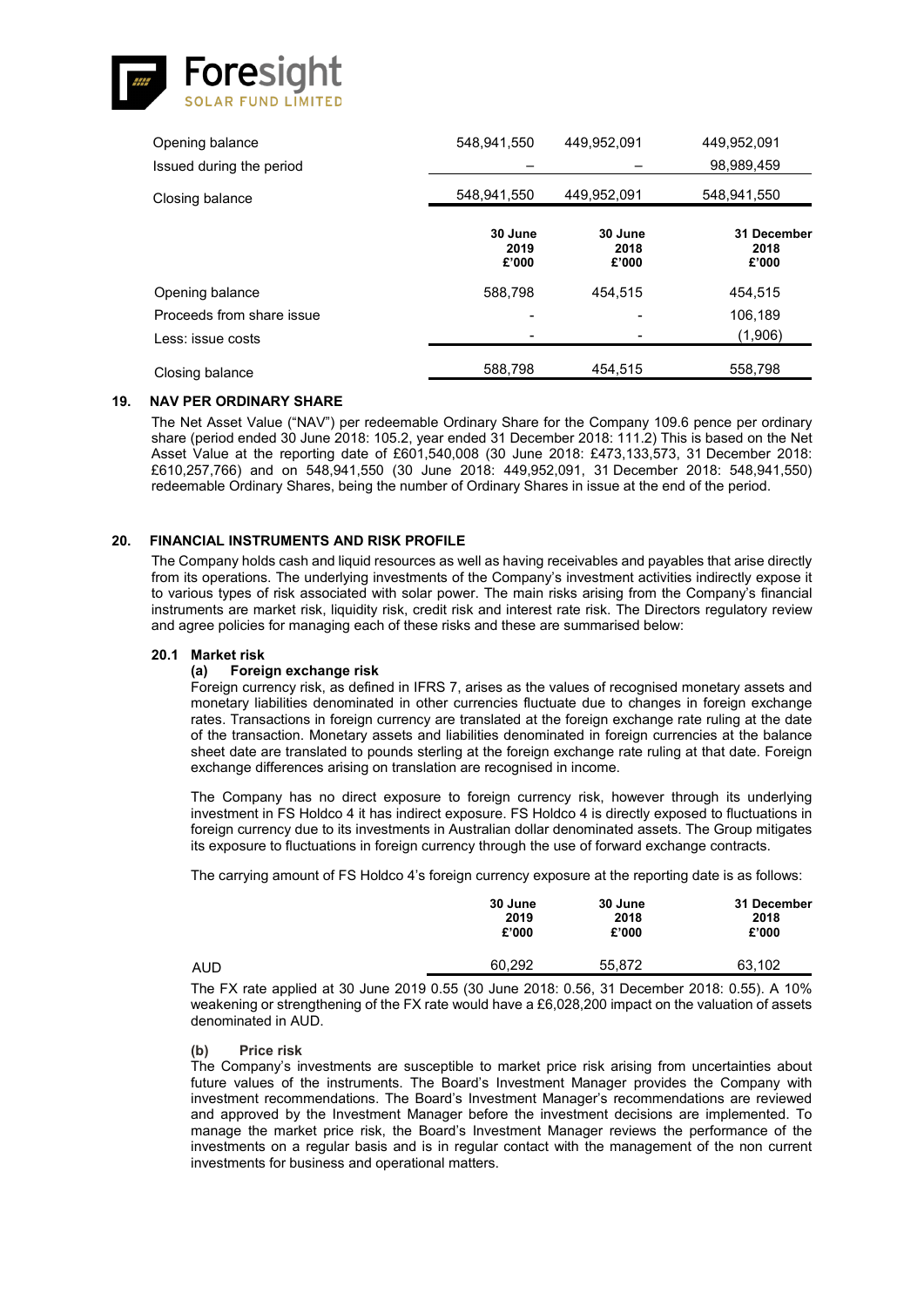![](_page_52_Picture_0.jpeg)

| Opening balance           | 548,941,550              | 449,952,091              | 449,952,091                  |
|---------------------------|--------------------------|--------------------------|------------------------------|
| Issued during the period  |                          |                          | 98,989,459                   |
| Closing balance           | 548,941,550              | 449,952,091              | 548,941,550                  |
|                           | 30 June<br>2019<br>£'000 | 30 June<br>2018<br>£'000 | 31 December<br>2018<br>£'000 |
| Opening balance           | 588.798                  | 454.515                  | 454.515                      |
| Proceeds from share issue |                          |                          | 106,189                      |
| Less: issue costs         |                          |                          | (1,906)                      |
| Closing balance           | 588,798                  | 454.515                  | 558,798                      |

### **19. NAV PER ORDINARY SHARE**

The Net Asset Value ("NAV") per redeemable Ordinary Share for the Company 109.6 pence per ordinary share (period ended 30 June 2018: 105.2, year ended 31 December 2018: 111.2) This is based on the Net Asset Value at the reporting date of £601,540,008 (30 June 2018: £473,133,573, 31 December 2018: £610,257,766) and on 548,941,550 (30 June 2018: 449,952,091, 31 December 2018: 548,941,550) redeemable Ordinary Shares, being the number of Ordinary Shares in issue at the end of the period.

### **20. FINANCIAL INSTRUMENTS AND RISK PROFILE**

The Company holds cash and liquid resources as well as having receivables and payables that arise directly from its operations. The underlying investments of the Company's investment activities indirectly expose it to various types of risk associated with solar power. The main risks arising from the Company's financial instruments are market risk, liquidity risk, credit risk and interest rate risk. The Directors regulatory review and agree policies for managing each of these risks and these are summarised below:

# **20.1 Market risk**

### **(a) Foreign exchange risk**

Foreign currency risk, as defined in IFRS 7, arises as the values of recognised monetary assets and monetary liabilities denominated in other currencies fluctuate due to changes in foreign exchange rates. Transactions in foreign currency are translated at the foreign exchange rate ruling at the date of the transaction. Monetary assets and liabilities denominated in foreign currencies at the balance sheet date are translated to pounds sterling at the foreign exchange rate ruling at that date. Foreign exchange differences arising on translation are recognised in income.

The Company has no direct exposure to foreign currency risk, however through its underlying investment in FS Holdco 4 it has indirect exposure. FS Holdco 4 is directly exposed to fluctuations in foreign currency due to its investments in Australian dollar denominated assets. The Group mitigates its exposure to fluctuations in foreign currency through the use of forward exchange contracts.

The carrying amount of FS Holdco 4's foreign currency exposure at the reporting date is as follows:

|     | 30 June | 30 June | 31 December |
|-----|---------|---------|-------------|
|     | 2019    | 2018    | 2018        |
|     | £'000   | £'000   | £'000       |
| aud | 60.292  | 55.872  | 63,102      |

The FX rate applied at 30 June 2019 0.55 (30 June 2018: 0.56, 31 December 2018: 0.55). A 10% weakening or strengthening of the FX rate would have a £6,028,200 impact on the valuation of assets denominated in AUD.

#### **(b) Price risk**

The Company's investments are susceptible to market price risk arising from uncertainties about future values of the instruments. The Board's Investment Manager provides the Company with investment recommendations. The Board's Investment Manager's recommendations are reviewed and approved by the Investment Manager before the investment decisions are implemented. To manage the market price risk, the Board's Investment Manager reviews the performance of the investments on a regular basis and is in regular contact with the management of the non current investments for business and operational matters.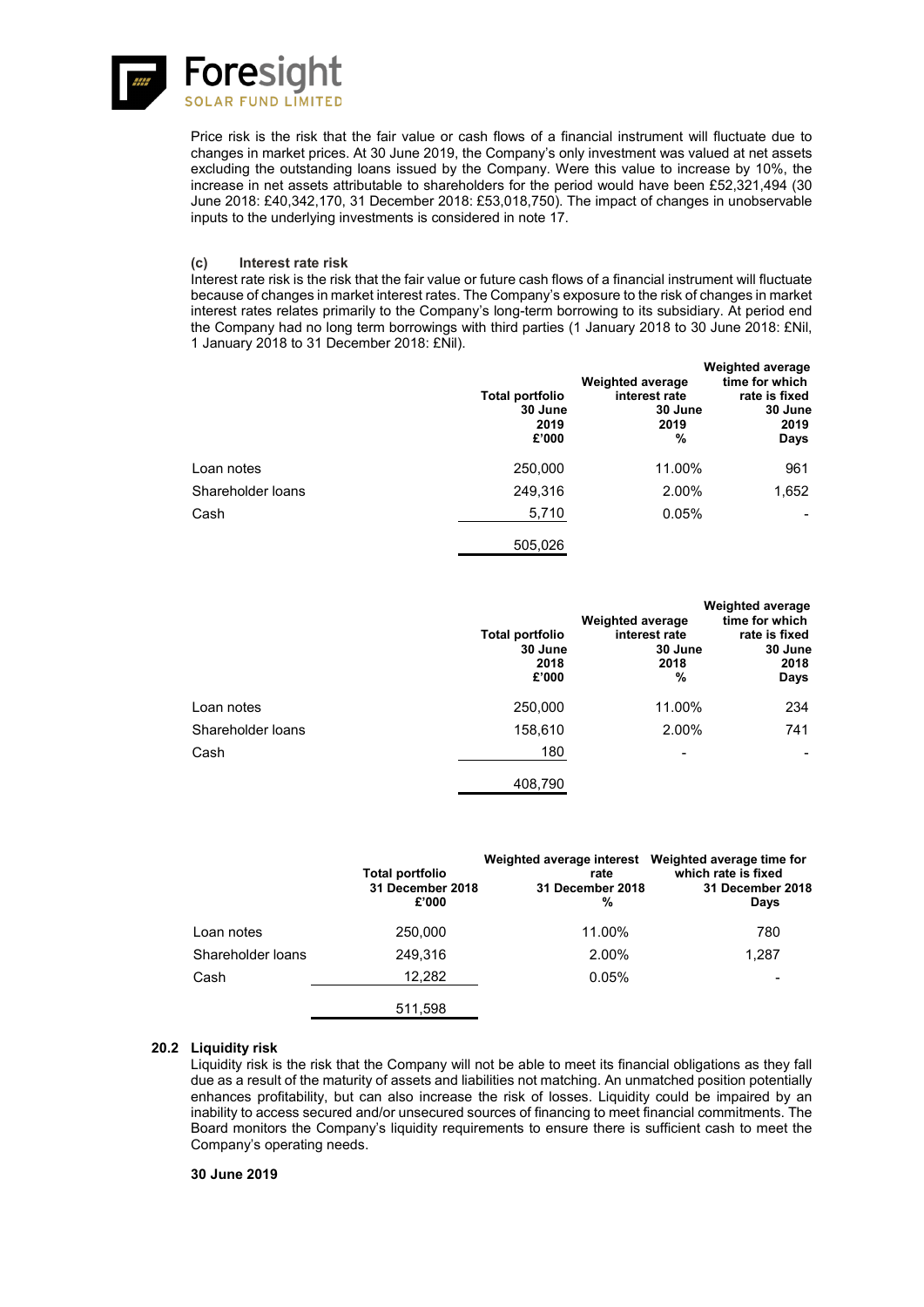![](_page_53_Picture_0.jpeg)

Price risk is the risk that the fair value or cash flows of a financial instrument will fluctuate due to changes in market prices. At 30 June 2019, the Company's only investment was valued at net assets excluding the outstanding loans issued by the Company. Were this value to increase by 10%, the increase in net assets attributable to shareholders for the period would have been £52,321,494 (30 June 2018: £40,342,170, 31 December 2018: £53,018,750). The impact of changes in unobservable inputs to the underlying investments is considered in note 17.

### **(c) Interest rate risk**

Interest rate risk is the risk that the fair value or future cash flows of a financial instrument will fluctuate because of changes in market interest rates. The Company's exposure to the risk of changes in market interest rates relates primarily to the Company's long-term borrowing to its subsidiary. At period end the Company had no long term borrowings with third parties (1 January 2018 to 30 June 2018: £Nil, 1 January 2018 to 31 December 2018: £Nil).

|                   | Total portfolio<br>30 June<br>2019<br>£'000 | <b>Weighted average</b><br>interest rate<br>30 June<br>2019<br>% | <b>Weighted average</b><br>time for which<br>rate is fixed<br>30 June<br>2019<br>Days |
|-------------------|---------------------------------------------|------------------------------------------------------------------|---------------------------------------------------------------------------------------|
| Loan notes        | 250,000                                     | 11.00%                                                           | 961                                                                                   |
| Shareholder Ioans | 249,316                                     | 2.00%                                                            | 1,652                                                                                 |
| Cash              | 5,710                                       | 0.05%                                                            |                                                                                       |
|                   | 505,026                                     |                                                                  |                                                                                       |

|                   | Total portfolio<br>30 June<br>2018<br>£'000 | <b>Weighted average</b><br>interest rate<br>30 June<br>2018<br>% | <b>Weighted average</b><br>time for which<br>rate is fixed<br>30 June<br>2018<br>Days |
|-------------------|---------------------------------------------|------------------------------------------------------------------|---------------------------------------------------------------------------------------|
| Loan notes        | 250,000                                     | 11.00%                                                           | 234                                                                                   |
| Shareholder Ioans | 158,610                                     | 2.00%                                                            | 741                                                                                   |
| Cash              | 180                                         | ۰                                                                |                                                                                       |
|                   | 408,790                                     |                                                                  |                                                                                       |

|                   | Total portfolio<br>31 December 2018<br>£'000 | Weighted average interest Weighted average time for<br>rate<br>31 December 2018<br>% | which rate is fixed<br>31 December 2018<br>Days |
|-------------------|----------------------------------------------|--------------------------------------------------------------------------------------|-------------------------------------------------|
| Loan notes        | 250,000                                      | 11.00%                                                                               | 780                                             |
| Shareholder loans | 249.316                                      | 2.00%                                                                                | 1.287                                           |
| Cash              | 12,282                                       | 0.05%                                                                                |                                                 |
|                   | 511,598                                      |                                                                                      |                                                 |

### **20.2 Liquidity risk**

Liquidity risk is the risk that the Company will not be able to meet its financial obligations as they fall due as a result of the maturity of assets and liabilities not matching. An unmatched position potentially enhances profitability, but can also increase the risk of losses. Liquidity could be impaired by an inability to access secured and/or unsecured sources of financing to meet financial commitments. The Board monitors the Company's liquidity requirements to ensure there is sufficient cash to meet the Company's operating needs.

### **30 June 2019**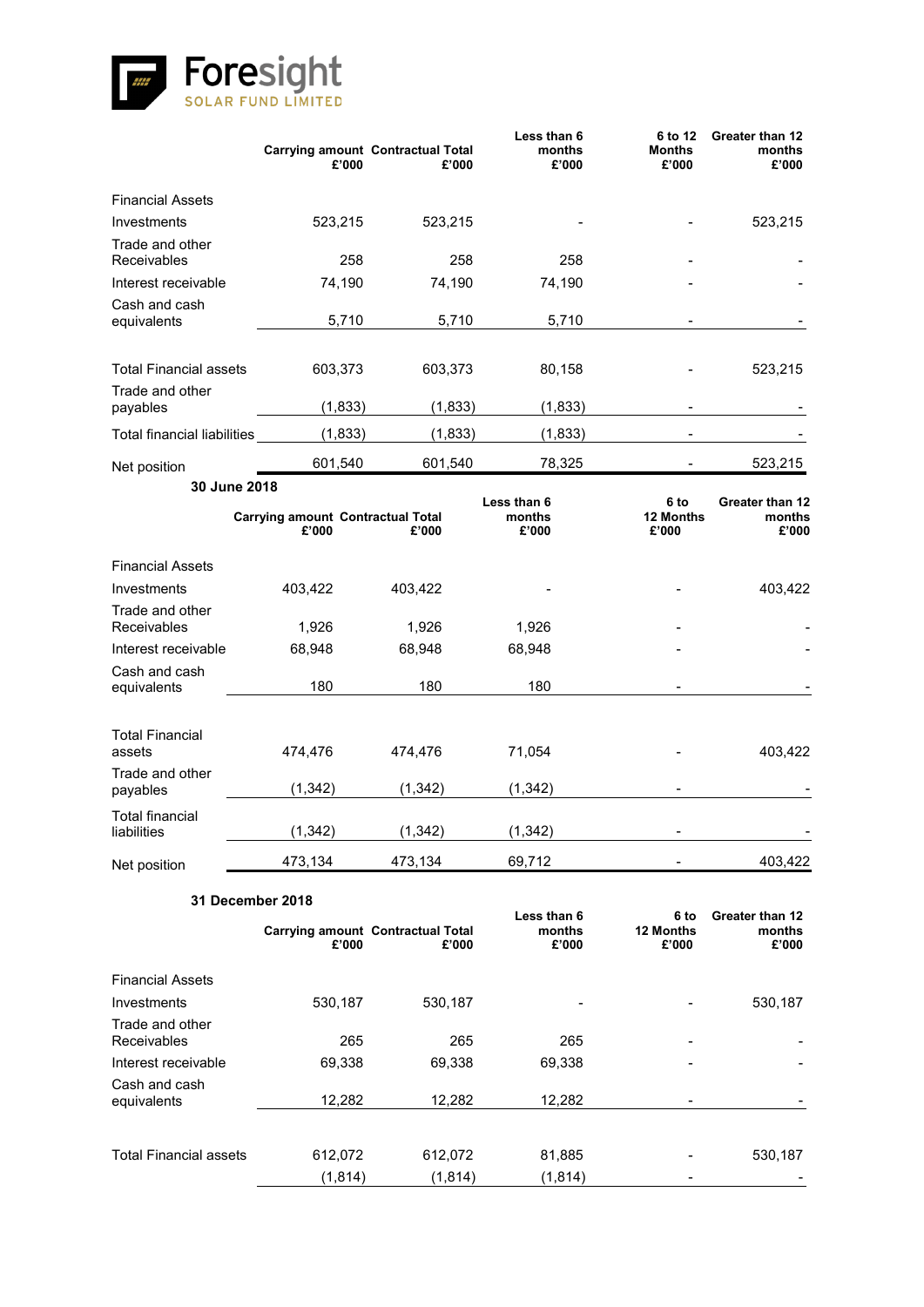![](_page_54_Picture_0.jpeg)

|                                    | £'000                                             | <b>Carrying amount Contractual Total</b><br>£'000 | Less than 6<br>months<br>£'000 | 6 to 12<br><b>Months</b><br>£'000 | Greater than 12<br>months<br>£'000 |
|------------------------------------|---------------------------------------------------|---------------------------------------------------|--------------------------------|-----------------------------------|------------------------------------|
| <b>Financial Assets</b>            |                                                   |                                                   |                                |                                   |                                    |
| Investments                        | 523,215                                           | 523,215                                           |                                |                                   | 523,215                            |
| Trade and other<br>Receivables     | 258                                               | 258                                               | 258                            |                                   |                                    |
| Interest receivable                | 74,190                                            | 74,190                                            | 74,190                         |                                   |                                    |
| Cash and cash<br>equivalents       | 5,710                                             | 5,710                                             | 5,710                          |                                   |                                    |
| <b>Total Financial assets</b>      | 603,373                                           | 603,373                                           | 80,158                         |                                   | 523,215                            |
| Trade and other<br>payables        | (1, 833)                                          | (1, 833)                                          | (1, 833)                       |                                   |                                    |
| <b>Total financial liabilities</b> | (1, 833)                                          | (1, 833)                                          | (1, 833)                       |                                   |                                    |
|                                    |                                                   |                                                   |                                |                                   |                                    |
| Net position                       | 601,540                                           | 601,540                                           | 78,325                         |                                   | 523,215                            |
| 30 June 2018                       | <b>Carrying amount Contractual Total</b><br>£'000 | £'000                                             | Less than 6<br>months<br>£'000 | 6 to<br>12 Months<br>£'000        | Greater than 12<br>months<br>£'000 |
| <b>Financial Assets</b>            |                                                   |                                                   |                                |                                   |                                    |
| Investments                        | 403,422                                           | 403,422                                           |                                |                                   | 403,422                            |
| Trade and other                    |                                                   |                                                   |                                |                                   |                                    |
| Receivables                        | 1,926                                             | 1,926                                             | 1,926                          |                                   |                                    |
| Interest receivable                | 68,948                                            | 68,948                                            | 68,948                         |                                   |                                    |
| Cash and cash<br>equivalents       | 180                                               | 180                                               | 180                            |                                   |                                    |
| <b>Total Financial</b><br>assets   | 474,476                                           | 474,476                                           | 71,054                         |                                   | 403,422                            |
| Trade and other<br>payables        | (1, 342)                                          | (1, 342)                                          | (1, 342)                       |                                   |                                    |
| Total financial<br>liabilities     | (1, 342)                                          | (1, 342)                                          | (1, 342)                       |                                   |                                    |
| Net position                       | 473,134                                           | 473,134                                           | 69,712                         |                                   | 403,422                            |
|                                    | 31 December 2018                                  |                                                   |                                |                                   |                                    |
|                                    | £'000                                             | <b>Carrying amount Contractual Total</b><br>£'000 | Less than 6<br>months<br>£'000 | 6 to<br>12 Months<br>£'000        | Greater than 12<br>months<br>£'000 |
| <b>Financial Assets</b>            |                                                   |                                                   |                                |                                   |                                    |
| Investments                        | 530,187                                           | 530,187                                           |                                |                                   | 530,187                            |
| Trade and other<br>Receivables     | 265                                               | 265                                               | 265                            |                                   |                                    |
| Interest receivable                | 69,338                                            | 69,338                                            | 69,338                         |                                   |                                    |
| Cash and cash<br>equivalents       | 12,282                                            | 12,282                                            | 12,282                         |                                   |                                    |

| equivalents            | 12.Z6Z                 | 12.ZOZ  | 12.Z6Z  | $\overline{\phantom{0}}$ |         |
|------------------------|------------------------|---------|---------|--------------------------|---------|
|                        |                        |         |         |                          |         |
|                        |                        |         |         |                          |         |
| Total Financial assets | 612,072                | 612.072 | 81,885  | $\overline{\phantom{0}}$ | 530,187 |
|                        | $\langle 1.814\rangle$ | (1,814) | (1,814) | $\overline{\phantom{0}}$ |         |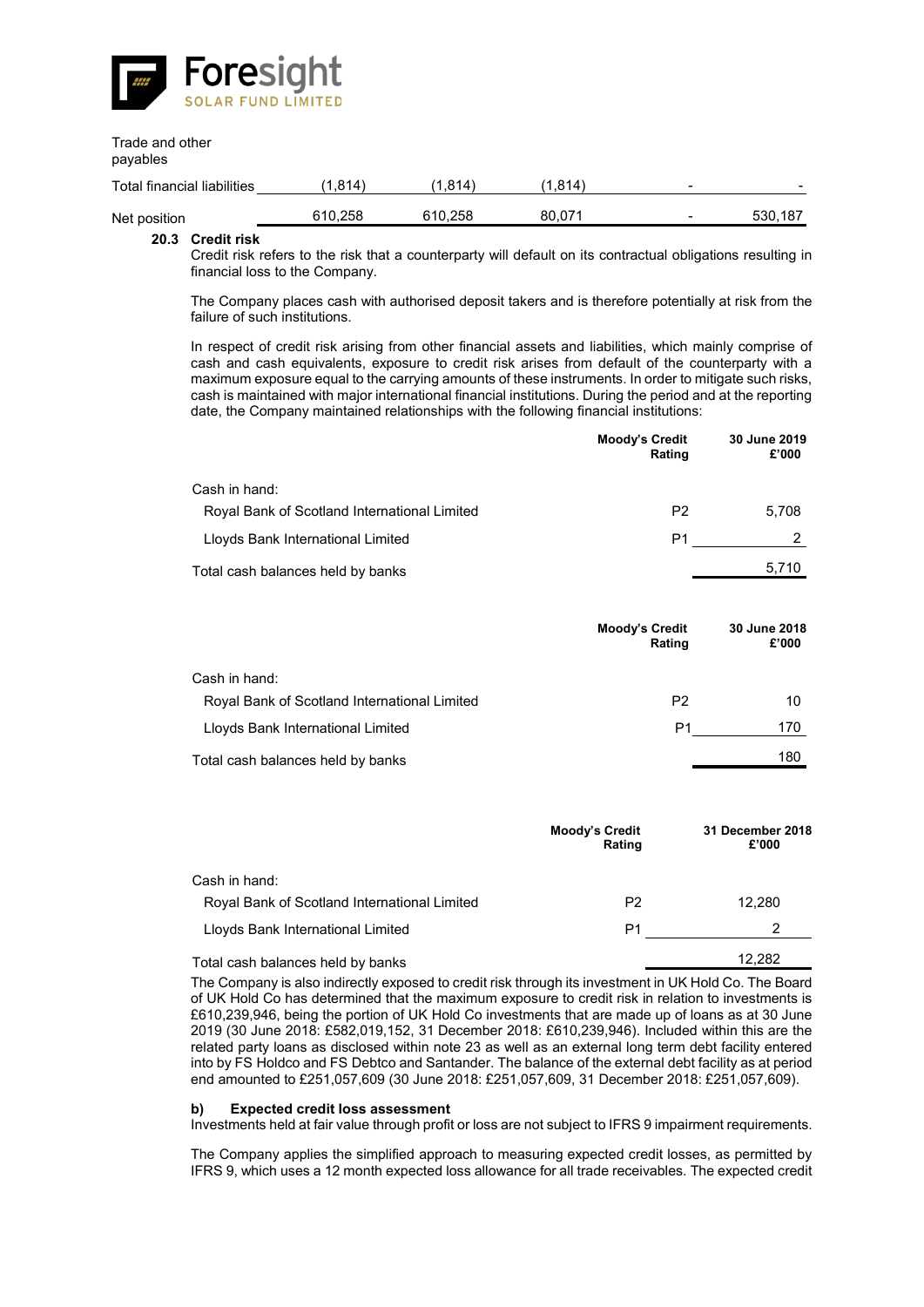![](_page_55_Picture_0.jpeg)

# Trade and other

payables

| Total financial liabilities | ,814    | 811     | ∆814.، | -                        | $\overline{\phantom{a}}$ |
|-----------------------------|---------|---------|--------|--------------------------|--------------------------|
| Net position                | 610.258 | 610.258 | 80.071 | $\overline{\phantom{a}}$ | 530.187                  |

### **20.3 Credit risk**

Credit risk refers to the risk that a counterparty will default on its contractual obligations resulting in financial loss to the Company.

The Company places cash with authorised deposit takers and is therefore potentially at risk from the failure of such institutions.

In respect of credit risk arising from other financial assets and liabilities, which mainly comprise of cash and cash equivalents, exposure to credit risk arises from default of the counterparty with a maximum exposure equal to the carrying amounts of these instruments. In order to mitigate such risks, cash is maintained with major international financial institutions. During the period and at the reporting date, the Company maintained relationships with the following financial institutions:

|                                              | <b>Moody's Credit</b><br>Rating | 30 June 2019<br>£'000 |
|----------------------------------------------|---------------------------------|-----------------------|
| Cash in hand:                                |                                 |                       |
| Royal Bank of Scotland International Limited | P <sub>2</sub>                  | 5.708                 |
| Lloyds Bank International Limited            | P1                              |                       |
| Total cash balances held by banks            |                                 | 5,710                 |

|                                              | Moody's Credit<br>Rating | 30 June 2018<br>£'000 |
|----------------------------------------------|--------------------------|-----------------------|
| Cash in hand:                                |                          |                       |
| Royal Bank of Scotland International Limited | P <sub>2</sub>           | 10                    |
| Lloyds Bank International Limited            | P1                       | 170                   |
| Total cash balances held by banks            |                          | 180                   |

|                                              | <b>Moody's Credit</b><br>Rating | 31 December 2018<br>£'000 |
|----------------------------------------------|---------------------------------|---------------------------|
| Cash in hand:                                |                                 |                           |
| Royal Bank of Scotland International Limited | P <sub>2</sub>                  | 12.280                    |
| Lloyds Bank International Limited            | P1                              | 2                         |
| Total cash balances held by banks            |                                 | 12.282                    |

The Company is also indirectly exposed to credit risk through its investment in UK Hold Co. The Board of UK Hold Co has determined that the maximum exposure to credit risk in relation to investments is £610,239,946, being the portion of UK Hold Co investments that are made up of loans as at 30 June 2019 (30 June 2018: £582,019,152, 31 December 2018: £610,239,946). Included within this are the related party loans as disclosed within note 23 as well as an external long term debt facility entered into by FS Holdco and FS Debtco and Santander. The balance of the external debt facility as at period end amounted to £251,057,609 (30 June 2018: £251,057,609, 31 December 2018: £251,057,609).

### **b) Expected credit loss assessment**

Investments held at fair value through profit or loss are not subject to IFRS 9 impairment requirements.

The Company applies the simplified approach to measuring expected credit losses, as permitted by IFRS 9, which uses a 12 month expected loss allowance for all trade receivables. The expected credit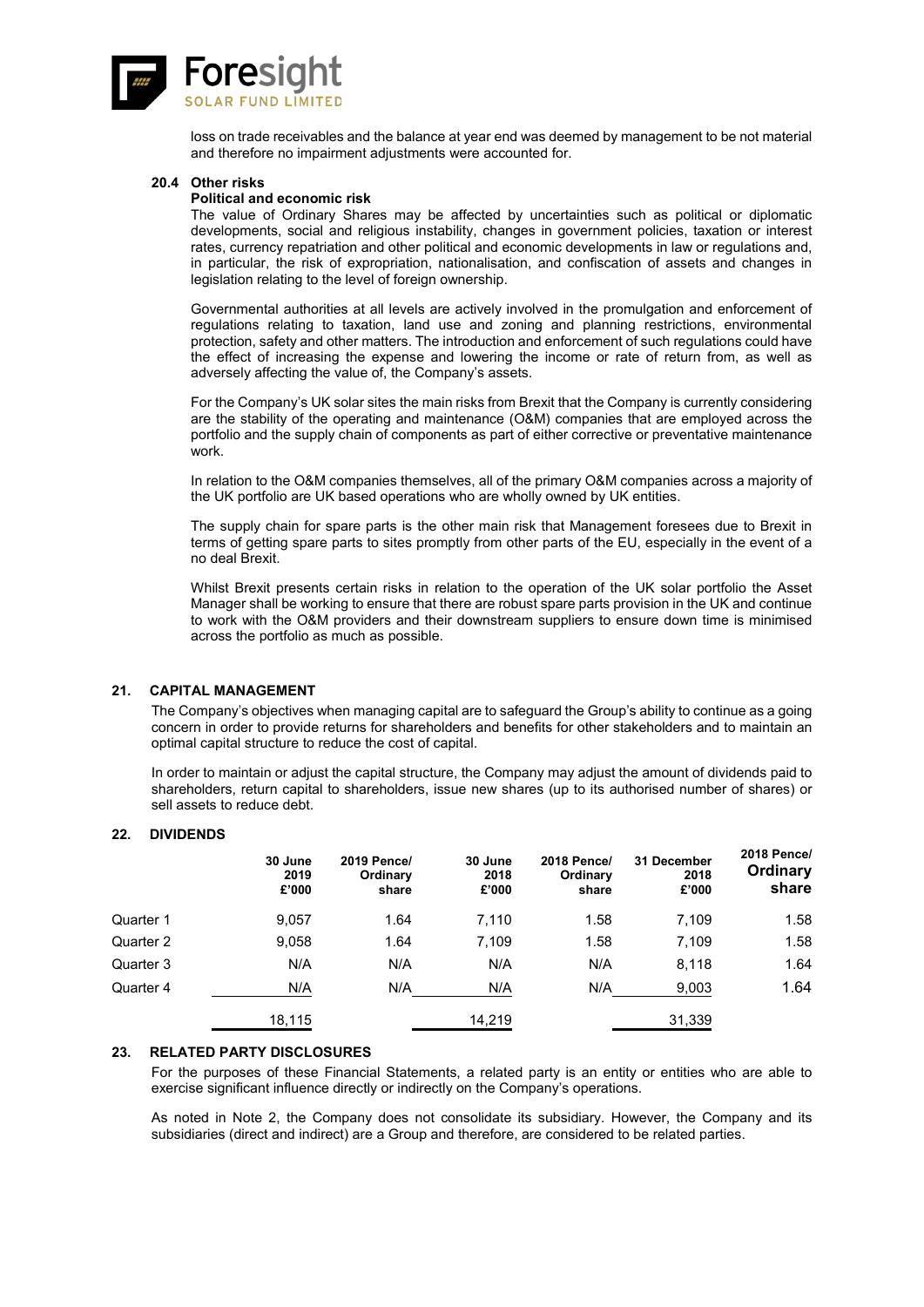![](_page_56_Picture_0.jpeg)

loss on trade receivables and the balance at year end was deemed by management to be not material and therefore no impairment adjustments were accounted for.

#### **20.4 Other risks**

### **Political and economic risk**

The value of Ordinary Shares may be affected by uncertainties such as political or diplomatic developments, social and religious instability, changes in government policies, taxation or interest rates, currency repatriation and other political and economic developments in law or regulations and, in particular, the risk of expropriation, nationalisation, and confiscation of assets and changes in legislation relating to the level of foreign ownership.

Governmental authorities at all levels are actively involved in the promulgation and enforcement of regulations relating to taxation, land use and zoning and planning restrictions, environmental protection, safety and other matters. The introduction and enforcement of such regulations could have the effect of increasing the expense and lowering the income or rate of return from, as well as adversely affecting the value of, the Company's assets.

For the Company's UK solar sites the main risks from Brexit that the Company is currently considering are the stability of the operating and maintenance (O&M) companies that are employed across the portfolio and the supply chain of components as part of either corrective or preventative maintenance work.

In relation to the O&M companies themselves, all of the primary O&M companies across a majority of the UK portfolio are UK based operations who are wholly owned by UK entities.

The supply chain for spare parts is the other main risk that Management foresees due to Brexit in terms of getting spare parts to sites promptly from other parts of the EU, especially in the event of a no deal Brexit.

Whilst Brexit presents certain risks in relation to the operation of the UK solar portfolio the Asset Manager shall be working to ensure that there are robust spare parts provision in the UK and continue to work with the O&M providers and their downstream suppliers to ensure down time is minimised across the portfolio as much as possible.

### **21. CAPITAL MANAGEMENT**

The Company's objectives when managing capital are to safeguard the Group's ability to continue as a going concern in order to provide returns for shareholders and benefits for other stakeholders and to maintain an optimal capital structure to reduce the cost of capital.

In order to maintain or adjust the capital structure, the Company may adjust the amount of dividends paid to shareholders, return capital to shareholders, issue new shares (up to its authorised number of shares) or sell assets to reduce debt.

#### **22. DIVIDENDS**

|           | 30 June<br>2019<br>£'000 | 2019 Pence/<br>Ordinary<br>share | 30 June<br>2018<br>£'000 | <b>2018 Pence/</b><br>Ordinary<br>share | 31 December<br>2018<br>£'000 | <b>2018 Pence/</b><br>Ordinary<br>share |
|-----------|--------------------------|----------------------------------|--------------------------|-----------------------------------------|------------------------------|-----------------------------------------|
| Quarter 1 | 9,057                    | 1.64                             | 7,110                    | 1.58                                    | 7,109                        | 1.58                                    |
| Quarter 2 | 9,058                    | 1.64                             | 7,109                    | 1.58                                    | 7,109                        | 1.58                                    |
| Quarter 3 | N/A                      | N/A                              | N/A                      | N/A                                     | 8,118                        | 1.64                                    |
| Quarter 4 | N/A                      | N/A                              | N/A                      | N/A                                     | 9,003                        | 1.64                                    |
|           | 18,115                   |                                  | 14,219                   |                                         | 31,339                       |                                         |

### 23. RELATED PARTY DISCLOSURES

For the purposes of these Financial Statements, a related party is an entity or entities who are able to exercise significant influence directly or indirectly on the Company's operations.

As noted in Note 2, the Company does not consolidate its subsidiary. However, the Company and its subsidiaries (direct and indirect) are a Group and therefore, are considered to be related parties.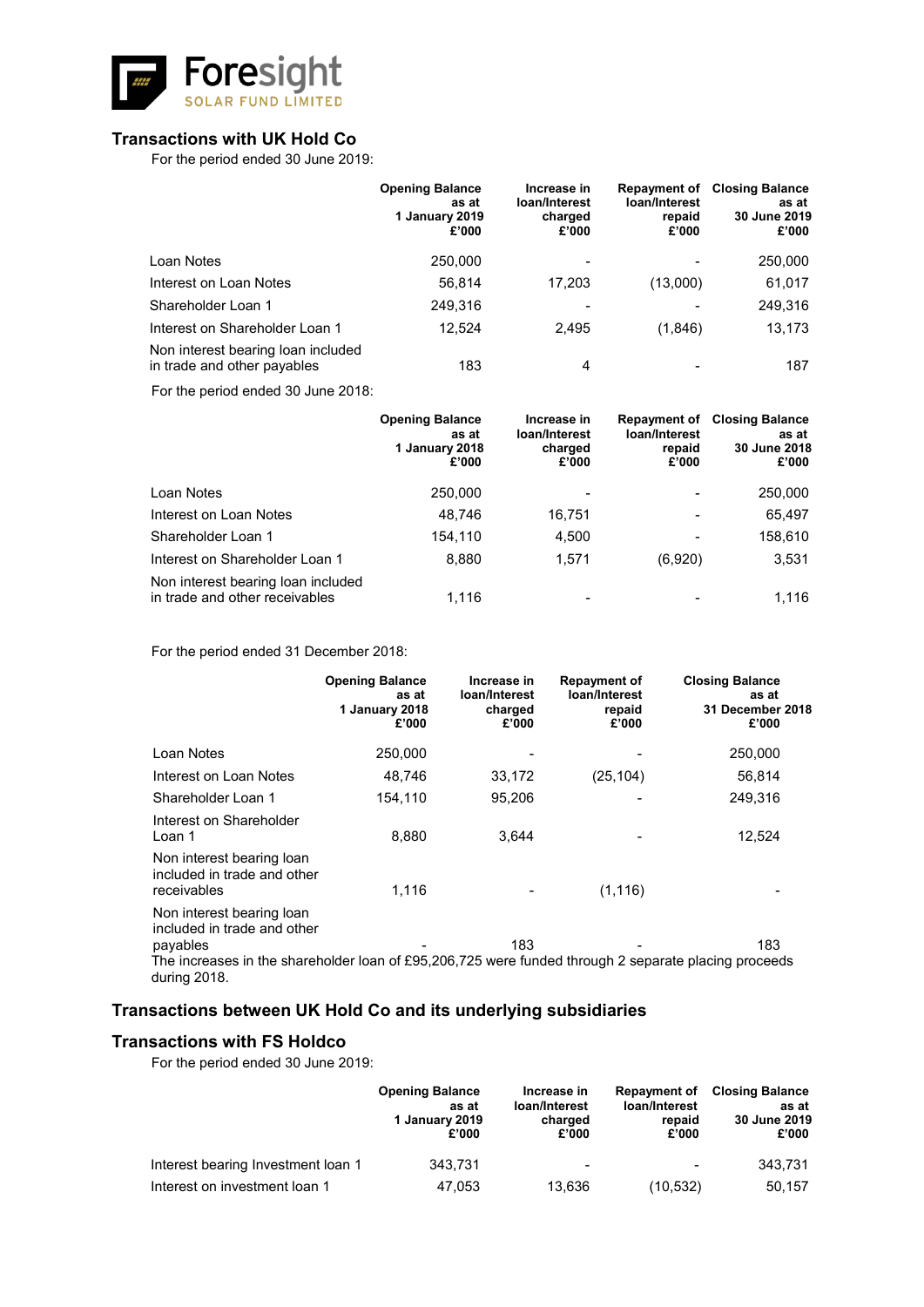![](_page_57_Picture_0.jpeg)

# **Transactions with UK Hold Co**

For the period ended 30 June 2019:

|                                                                   | <b>Opening Balance</b><br>as at<br>1 January 2019<br>£'000 | Increase in<br>loan/Interest<br>charged<br>£'000 | <b>Repayment of</b><br>loan/Interest<br>repaid<br>£'000 | <b>Closing Balance</b><br>as at<br>30 June 2019<br>£'000 |
|-------------------------------------------------------------------|------------------------------------------------------------|--------------------------------------------------|---------------------------------------------------------|----------------------------------------------------------|
| Loan Notes                                                        | 250,000                                                    |                                                  |                                                         | 250,000                                                  |
| Interest on Loan Notes                                            | 56.814                                                     | 17,203                                           | (13,000)                                                | 61,017                                                   |
| Shareholder Loan 1                                                | 249.316                                                    |                                                  |                                                         | 249,316                                                  |
| Interest on Shareholder Loan 1                                    | 12.524                                                     | 2.495                                            | (1,846)                                                 | 13,173                                                   |
| Non interest bearing loan included<br>in trade and other payables | 183                                                        | 4                                                |                                                         | 187                                                      |

For the period ended 30 June 2018:

|                                                                      | <b>Opening Balance</b><br>as at<br>1 January 2018<br>£'000 | Increase in<br>loan/Interest<br>charged<br>£'000 | loan/Interest<br>repaid<br>£'000 | <b>Repayment of Closing Balance</b><br>as at<br>30 June 2018<br>£'000 |
|----------------------------------------------------------------------|------------------------------------------------------------|--------------------------------------------------|----------------------------------|-----------------------------------------------------------------------|
| Loan Notes                                                           | 250,000                                                    |                                                  |                                  | 250,000                                                               |
| Interest on Loan Notes                                               | 48,746                                                     | 16,751                                           |                                  | 65,497                                                                |
| Shareholder Loan 1                                                   | 154,110                                                    | 4,500                                            |                                  | 158,610                                                               |
| Interest on Shareholder Loan 1                                       | 8,880                                                      | 1,571                                            | (6,920)                          | 3,531                                                                 |
| Non interest bearing loan included<br>in trade and other receivables | 1.116                                                      | $\overline{\phantom{a}}$                         |                                  | 1.116                                                                 |

For the period ended 31 December 2018:

|                                                                                                                                                                              | <b>Opening Balance</b><br>as at<br>1 January 2018<br>£'000 | Increase in<br>loan/Interest<br>charged<br>£'000 | Repayment of<br>loan/Interest<br>repaid<br>£'000 | <b>Closing Balance</b><br>as at<br>31 December 2018<br>£'000 |
|------------------------------------------------------------------------------------------------------------------------------------------------------------------------------|------------------------------------------------------------|--------------------------------------------------|--------------------------------------------------|--------------------------------------------------------------|
| Loan Notes                                                                                                                                                                   | 250,000                                                    |                                                  |                                                  | 250,000                                                      |
| Interest on Loan Notes                                                                                                                                                       | 48,746                                                     | 33,172                                           | (25, 104)                                        | 56,814                                                       |
| Shareholder Loan 1                                                                                                                                                           | 154,110                                                    | 95,206                                           |                                                  | 249,316                                                      |
| Interest on Shareholder<br>Loan 1                                                                                                                                            | 8,880                                                      | 3,644                                            |                                                  | 12,524                                                       |
| Non interest bearing loan<br>included in trade and other<br>receivables                                                                                                      | 1,116                                                      |                                                  | (1, 116)                                         |                                                              |
| Non interest bearing loan<br>included in trade and other<br>payables<br>The increases in the shareholder loan of £95,206,725 were funded through 2 separate placing proceeds |                                                            | 183                                              |                                                  | 183                                                          |
| during 2018.                                                                                                                                                                 |                                                            |                                                  |                                                  |                                                              |

# **Transactions between UK Hold Co and its underlying subsidiaries**

# **Transactions with FS Holdco**

For the period ended 30 June 2019:

|                                    | <b>Opening Balance</b><br>as at<br>1 January 2019<br>£'000 | Increase in<br>loan/Interest<br>charged<br>£'000 | <b>Repayment of</b><br>loan/Interest<br>repaid<br>£'000 | <b>Closing Balance</b><br>as at<br>30 June 2019<br>£'000 |
|------------------------------------|------------------------------------------------------------|--------------------------------------------------|---------------------------------------------------------|----------------------------------------------------------|
| Interest bearing Investment loan 1 | 343.731                                                    | $\overline{\phantom{0}}$                         | $\blacksquare$                                          | 343.731                                                  |
| Interest on investment loan 1      | 47.053                                                     | 13.636                                           | (10, 532)                                               | 50,157                                                   |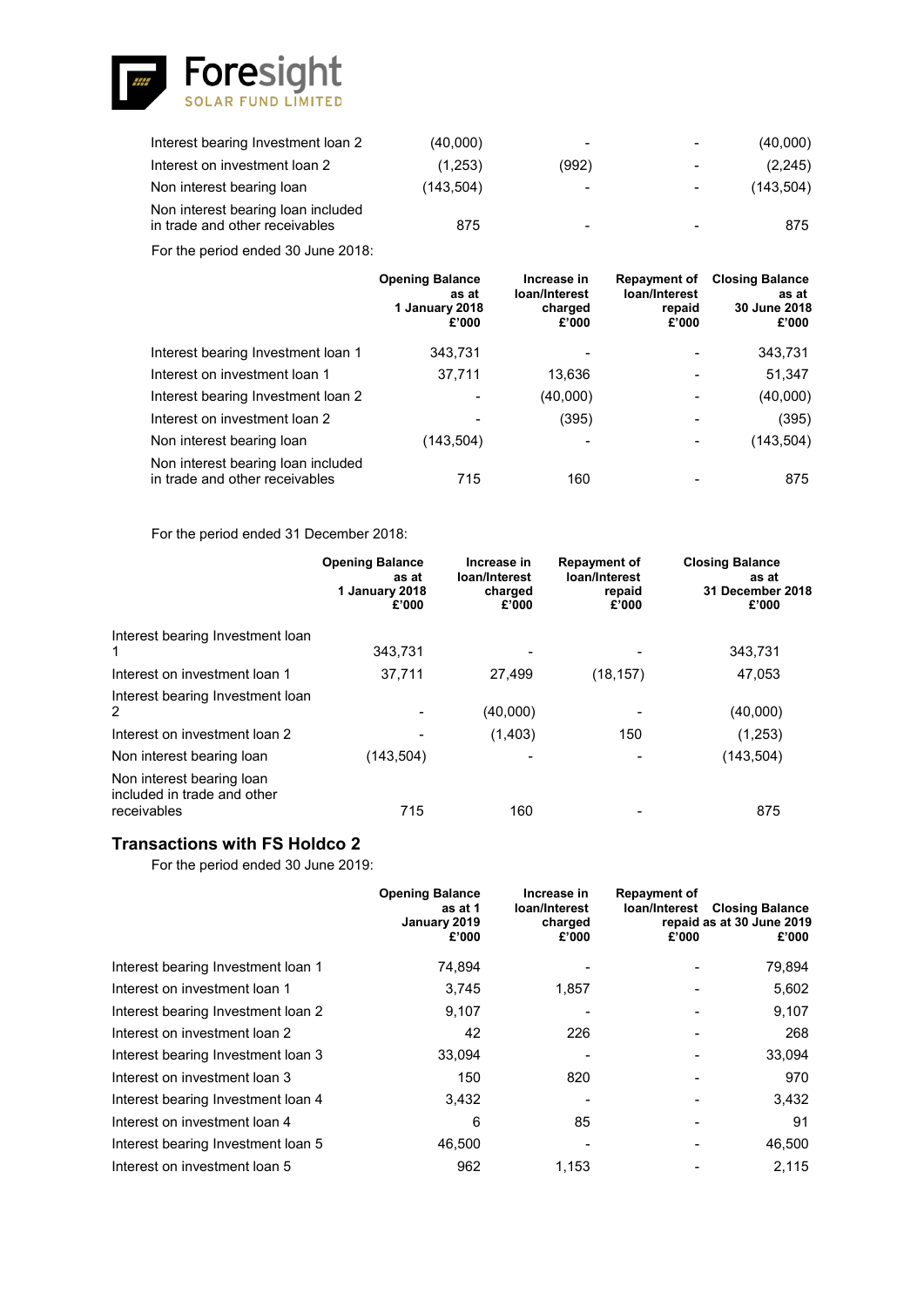![](_page_58_Picture_0.jpeg)

| Interest bearing Investment loan 2                                   | (40,000)   | $\,$                     | $\overline{\phantom{a}}$ | (40,000)   |
|----------------------------------------------------------------------|------------|--------------------------|--------------------------|------------|
| Interest on investment loan 2                                        | (1,253)    | (992)                    | $\blacksquare$           | (2,245)    |
| Non interest bearing loan                                            | (143, 504) | $\overline{\phantom{a}}$ | $\blacksquare$           | (143, 504) |
| Non interest bearing loan included<br>in trade and other receivables | 875        | $\overline{\phantom{0}}$ |                          | 875        |

For the period ended 30 June 2018:

|                                                                      | <b>Opening Balance</b><br>as at<br>1 January 2018<br>£'000 | Increase in<br>loan/Interest<br>charged<br>£'000 | <b>Repayment of</b><br>loan/Interest<br>repaid<br>£'000 | <b>Closing Balance</b><br>as at<br>30 June 2018<br>£'000 |
|----------------------------------------------------------------------|------------------------------------------------------------|--------------------------------------------------|---------------------------------------------------------|----------------------------------------------------------|
| Interest bearing Investment loan 1                                   | 343,731                                                    |                                                  |                                                         | 343,731                                                  |
| Interest on investment loan 1                                        | 37.711                                                     | 13,636                                           |                                                         | 51,347                                                   |
| Interest bearing Investment Ioan 2                                   | $\overline{\phantom{a}}$                                   | (40,000)                                         |                                                         | (40,000)                                                 |
| Interest on investment loan 2                                        |                                                            | (395)                                            |                                                         | (395)                                                    |
| Non interest bearing loan                                            | (143,504)                                                  |                                                  |                                                         | (143, 504)                                               |
| Non interest bearing loan included<br>in trade and other receivables | 715                                                        | 160                                              |                                                         | 875                                                      |

For the period ended 31 December 2018:

|                                                                         | <b>Opening Balance</b><br>as at<br>1 January 2018<br>£'000 | Increase in<br>loan/Interest<br>charged<br>£'000 | <b>Repayment of</b><br>loan/Interest<br>repaid<br>£'000 | <b>Closing Balance</b><br>as at<br>31 December 2018<br>£'000 |
|-------------------------------------------------------------------------|------------------------------------------------------------|--------------------------------------------------|---------------------------------------------------------|--------------------------------------------------------------|
| Interest bearing Investment loan<br>1                                   | 343.731                                                    |                                                  |                                                         | 343,731                                                      |
| Interest on investment loan 1                                           | 37,711                                                     | 27.499                                           | (18, 157)                                               | 47,053                                                       |
| Interest bearing Investment loan<br>$\overline{2}$                      |                                                            | (40,000)                                         |                                                         | (40,000)                                                     |
| Interest on investment loan 2                                           |                                                            | (1,403)                                          | 150                                                     | (1,253)                                                      |
| Non interest bearing loan                                               | (143, 504)                                                 |                                                  |                                                         | (143, 504)                                                   |
| Non interest bearing loan<br>included in trade and other<br>receivables | 715                                                        | 160                                              |                                                         | 875                                                          |

# **Transactions with FS Holdco 2**

For the period ended 30 June 2019:

|                                    | <b>Opening Balance</b><br>as at 1<br>January 2019<br>£'000 | Increase in<br>loan/Interest<br>charged<br>£'000 | <b>Repayment of</b><br>loan/Interest<br>£'000 | <b>Closing Balance</b><br>repaid as at 30 June 2019<br>£'000 |
|------------------------------------|------------------------------------------------------------|--------------------------------------------------|-----------------------------------------------|--------------------------------------------------------------|
| Interest bearing Investment loan 1 | 74,894                                                     |                                                  |                                               | 79,894                                                       |
| Interest on investment loan 1      | 3,745                                                      | 1,857                                            |                                               | 5,602                                                        |
| Interest bearing Investment Ioan 2 | 9,107                                                      |                                                  |                                               | 9,107                                                        |
| Interest on investment loan 2      | 42                                                         | 226                                              |                                               | 268                                                          |
| Interest bearing Investment Ioan 3 | 33,094                                                     |                                                  |                                               | 33,094                                                       |
| Interest on investment loan 3      | 150                                                        | 820                                              |                                               | 970                                                          |
| Interest bearing Investment loan 4 | 3,432                                                      |                                                  |                                               | 3,432                                                        |
| Interest on investment loan 4      | 6                                                          | 85                                               |                                               | 91                                                           |
| Interest bearing Investment Ioan 5 | 46,500                                                     |                                                  |                                               | 46,500                                                       |
| Interest on investment loan 5      | 962                                                        | 1.153                                            |                                               | 2,115                                                        |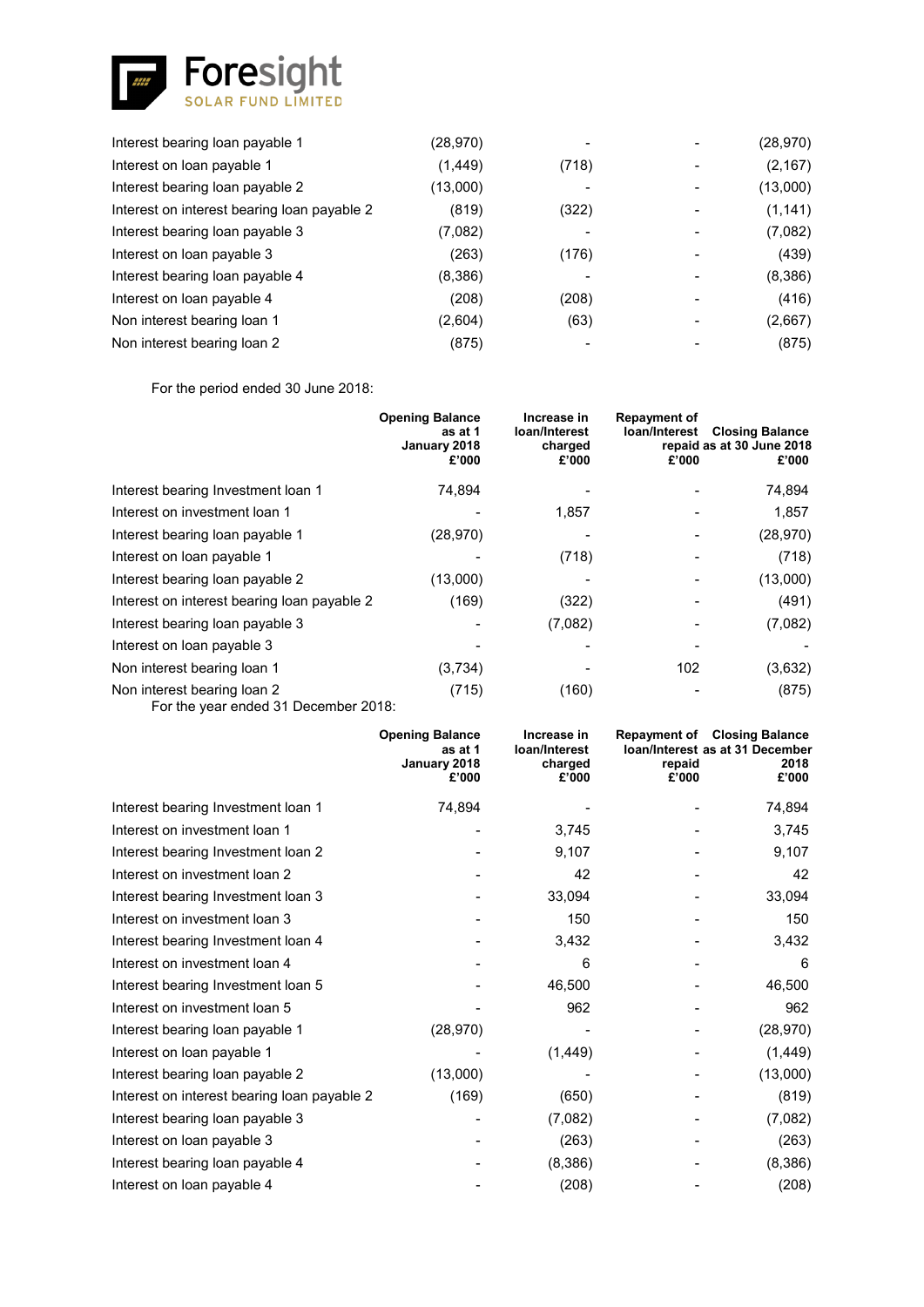![](_page_59_Picture_0.jpeg)

| Interest bearing loan payable 1             | (28,970) |       | (28, 970) |
|---------------------------------------------|----------|-------|-----------|
| Interest on loan payable 1                  | (1, 449) | (718) | (2, 167)  |
| Interest bearing loan payable 2             | (13,000) |       | (13,000)  |
| Interest on interest bearing loan payable 2 | (819)    | (322) | (1, 141)  |
| Interest bearing loan payable 3             | (7,082)  |       | (7,082)   |
| Interest on loan payable 3                  | (263)    | (176) | (439)     |
| Interest bearing loan payable 4             | (8,386)  |       | (8,386)   |
| Interest on loan payable 4                  | (208)    | (208) | (416)     |
| Non interest bearing loan 1                 | (2,604)  | (63)  | (2,667)   |
| Non interest bearing loan 2                 | (875)    |       | (875)     |

For the period ended 30 June 2018:

|                                                                    | <b>Opening Balance</b><br>as at 1<br>January 2018<br>£'000 | Increase in<br>loan/Interest<br>charged<br>£'000 | <b>Repayment of</b><br>loan/Interest<br>£'000 | <b>Closing Balance</b><br>repaid as at 30 June 2018<br>£'000 |
|--------------------------------------------------------------------|------------------------------------------------------------|--------------------------------------------------|-----------------------------------------------|--------------------------------------------------------------|
| Interest bearing Investment loan 1                                 | 74,894                                                     |                                                  |                                               | 74,894                                                       |
| Interest on investment loan 1                                      |                                                            | 1,857                                            |                                               | 1,857                                                        |
| Interest bearing loan payable 1                                    | (28, 970)                                                  |                                                  |                                               | (28, 970)                                                    |
| Interest on loan payable 1                                         |                                                            | (718)                                            |                                               | (718)                                                        |
| Interest bearing loan payable 2                                    | (13,000)                                                   |                                                  |                                               | (13,000)                                                     |
| Interest on interest bearing loan payable 2                        | (169)                                                      | (322)                                            |                                               | (491)                                                        |
| Interest bearing loan payable 3                                    |                                                            | (7,082)                                          |                                               | (7,082)                                                      |
| Interest on loan payable 3                                         |                                                            |                                                  |                                               |                                                              |
| Non interest bearing loan 1                                        | (3,734)                                                    |                                                  | 102                                           | (3,632)                                                      |
| Non interest bearing loan 2<br>Fartha user anded 21 Desember 2010. | (715)                                                      | (160)                                            |                                               | (875)                                                        |

For the year ended 31 December 2018:

|                                             | <b>Opening Balance</b><br>as at 1<br>January 2018<br>£'000 | Increase in<br>loan/Interest<br>charged<br>£'000 | repaid<br>£'000 | <b>Repayment of Closing Balance</b><br><b>Ioan/Interest as at 31 December</b><br>2018<br>£'000 |
|---------------------------------------------|------------------------------------------------------------|--------------------------------------------------|-----------------|------------------------------------------------------------------------------------------------|
| Interest bearing Investment loan 1          | 74,894                                                     |                                                  |                 | 74,894                                                                                         |
| Interest on investment loan 1               |                                                            | 3,745                                            |                 | 3,745                                                                                          |
| Interest bearing Investment loan 2          |                                                            | 9,107                                            |                 | 9,107                                                                                          |
| Interest on investment loan 2               |                                                            | 42                                               |                 | 42                                                                                             |
| Interest bearing Investment loan 3          |                                                            | 33,094                                           |                 | 33,094                                                                                         |
| Interest on investment loan 3               |                                                            | 150                                              |                 | 150                                                                                            |
| Interest bearing Investment loan 4          |                                                            | 3,432                                            |                 | 3,432                                                                                          |
| Interest on investment loan 4               |                                                            | 6                                                |                 | 6                                                                                              |
| Interest bearing Investment loan 5          |                                                            | 46,500                                           |                 | 46,500                                                                                         |
| Interest on investment loan 5               |                                                            | 962                                              |                 | 962                                                                                            |
| Interest bearing loan payable 1             | (28, 970)                                                  |                                                  |                 | (28, 970)                                                                                      |
| Interest on loan payable 1                  |                                                            | (1, 449)                                         |                 | (1, 449)                                                                                       |
| Interest bearing loan payable 2             | (13,000)                                                   |                                                  |                 | (13,000)                                                                                       |
| Interest on interest bearing loan payable 2 | (169)                                                      | (650)                                            |                 | (819)                                                                                          |
| Interest bearing loan payable 3             |                                                            | (7,082)                                          |                 | (7,082)                                                                                        |
| Interest on loan payable 3                  |                                                            | (263)                                            |                 | (263)                                                                                          |
| Interest bearing loan payable 4             |                                                            | (8,386)                                          |                 | (8,386)                                                                                        |
| Interest on loan payable 4                  |                                                            | (208)                                            |                 | (208)                                                                                          |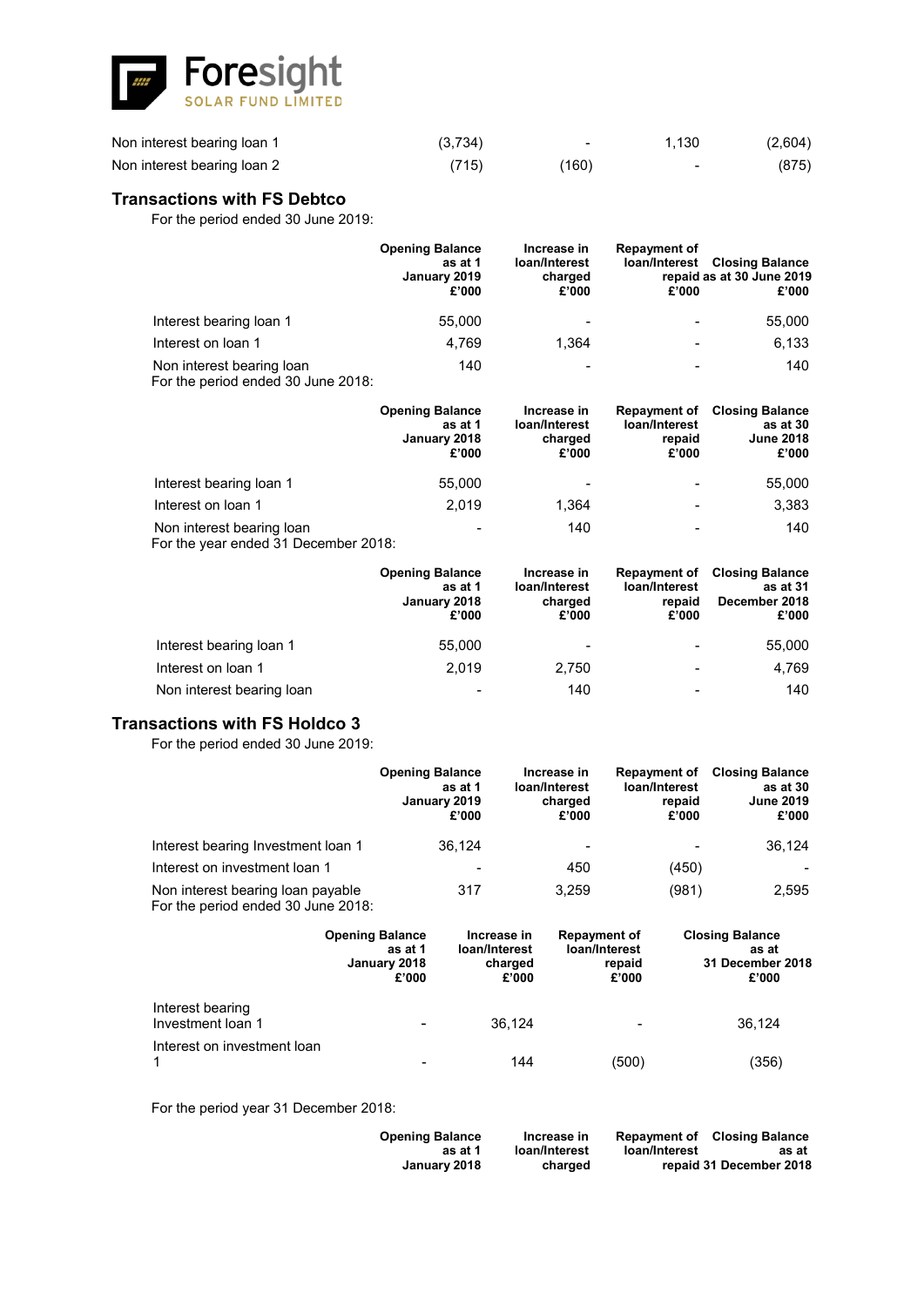![](_page_60_Picture_0.jpeg)

| Non interest bearing loan 1 | (3,734) | $\qquad \qquad$ | 1,130  | (2,604) |
|-----------------------------|---------|-----------------|--------|---------|
| Non interest bearing loan 2 | (715)   | (160)           | $\sim$ | (875)   |

# **Transactions with FS Debtco**

For the period ended 30 June 2019:

|                                                                 | <b>Opening Balance</b><br>as at 1<br>January 2019<br>£'000 | Increase in<br>loan/Interest<br>charged<br>£'000 | <b>Repayment of</b><br>loan/Interest<br>£'000 | <b>Closing Balance</b><br>repaid as at 30 June 2019<br>£'000 |
|-----------------------------------------------------------------|------------------------------------------------------------|--------------------------------------------------|-----------------------------------------------|--------------------------------------------------------------|
| Interest bearing loan 1                                         | 55,000                                                     | $\overline{\phantom{a}}$                         |                                               | 55,000                                                       |
| Interest on loan 1                                              | 4.769                                                      | 1.364                                            |                                               | 6,133                                                        |
| Non interest bearing loan<br>For the period ended 30 June 2018: | 140                                                        |                                                  |                                               | 140                                                          |

|                                                                   | <b>Opening Balance</b><br>as at 1<br>January 2018<br>£'000 | Increase in<br>loan/Interest<br>charged<br>£'000 | <b>Repayment of</b><br>loan/Interest<br>repaid<br>£'000 | <b>Closing Balance</b><br>as at 30<br><b>June 2018</b><br>£'000 |
|-------------------------------------------------------------------|------------------------------------------------------------|--------------------------------------------------|---------------------------------------------------------|-----------------------------------------------------------------|
| Interest bearing loan 1                                           | 55,000                                                     | $\,$                                             | $\blacksquare$                                          | 55,000                                                          |
| Interest on loan 1                                                | 2.019                                                      | 1,364                                            | $\overline{\phantom{0}}$                                | 3,383                                                           |
| Non interest bearing loan<br>Ear the veer anded 21 December 2019. | -                                                          | 140                                              | $\overline{\phantom{0}}$                                | 140                                                             |

For the year ended 31 December 2018:

|                           | <b>Opening Balance</b><br>as at 1<br>January 2018<br>£'000 | Increase in<br>loan/Interest<br>charged<br>£'000 | <b>Repayment of</b><br>loan/Interest<br>repaid<br>£'000 | <b>Closing Balance</b><br>as at 31<br>December 2018<br>£'000 |
|---------------------------|------------------------------------------------------------|--------------------------------------------------|---------------------------------------------------------|--------------------------------------------------------------|
| Interest bearing loan 1   | 55,000                                                     | $\overline{\phantom{a}}$                         | $\overline{\phantom{0}}$                                | 55,000                                                       |
| Interest on loan 1        | 2.019                                                      | 2,750                                            |                                                         | 4.769                                                        |
| Non interest bearing loan | $\,$                                                       | 140                                              |                                                         | 140                                                          |

# **Transactions with FS Holdco 3**

For the period ended 30 June 2019:

|                                                                         | <b>Opening Balance</b><br>as at 1<br>January 2019<br>£'000 | Increase in<br>loan/Interest<br>charged<br>£'000 | <b>Repayment of</b><br>loan/Interest<br>repaid<br>£'000 | <b>Closing Balance</b><br>as at 30<br><b>June 2019</b><br>£'000 |
|-------------------------------------------------------------------------|------------------------------------------------------------|--------------------------------------------------|---------------------------------------------------------|-----------------------------------------------------------------|
| Interest bearing Investment loan 1                                      | 36.124                                                     |                                                  |                                                         | 36,124                                                          |
| Interest on investment loan 1                                           | $\overline{\phantom{a}}$                                   | 450                                              | (450)                                                   |                                                                 |
| Non interest bearing loan payable<br>For the period ended 30 June 2018: | 317                                                        | 3.259                                            | (981)                                                   | 2,595                                                           |

|                                       | <b>Opening Balance</b><br>as at 1<br>January 2018<br>£'000 | Increase in<br>loan/Interest<br>charged<br>£'000 | <b>Repayment of</b><br>loan/Interest<br>repaid<br>£'000 | <b>Closing Balance</b><br>as at<br>31 December 2018<br>£'000 |
|---------------------------------------|------------------------------------------------------------|--------------------------------------------------|---------------------------------------------------------|--------------------------------------------------------------|
| Interest bearing<br>Investment loan 1 |                                                            | 36.124                                           | $\overline{\phantom{a}}$                                | 36.124                                                       |
| Interest on investment loan           |                                                            | 144                                              | (500)                                                   | (356)                                                        |

For the period year 31 December 2018:

| <b>Opening Balance</b> | Increase in   | loan/Interest | <b>Repayment of Closing Balance</b> |
|------------------------|---------------|---------------|-------------------------------------|
| as at 1                | loan/Interest |               | as at                               |
| January 2018           | charged       |               | repaid 31 December 2018             |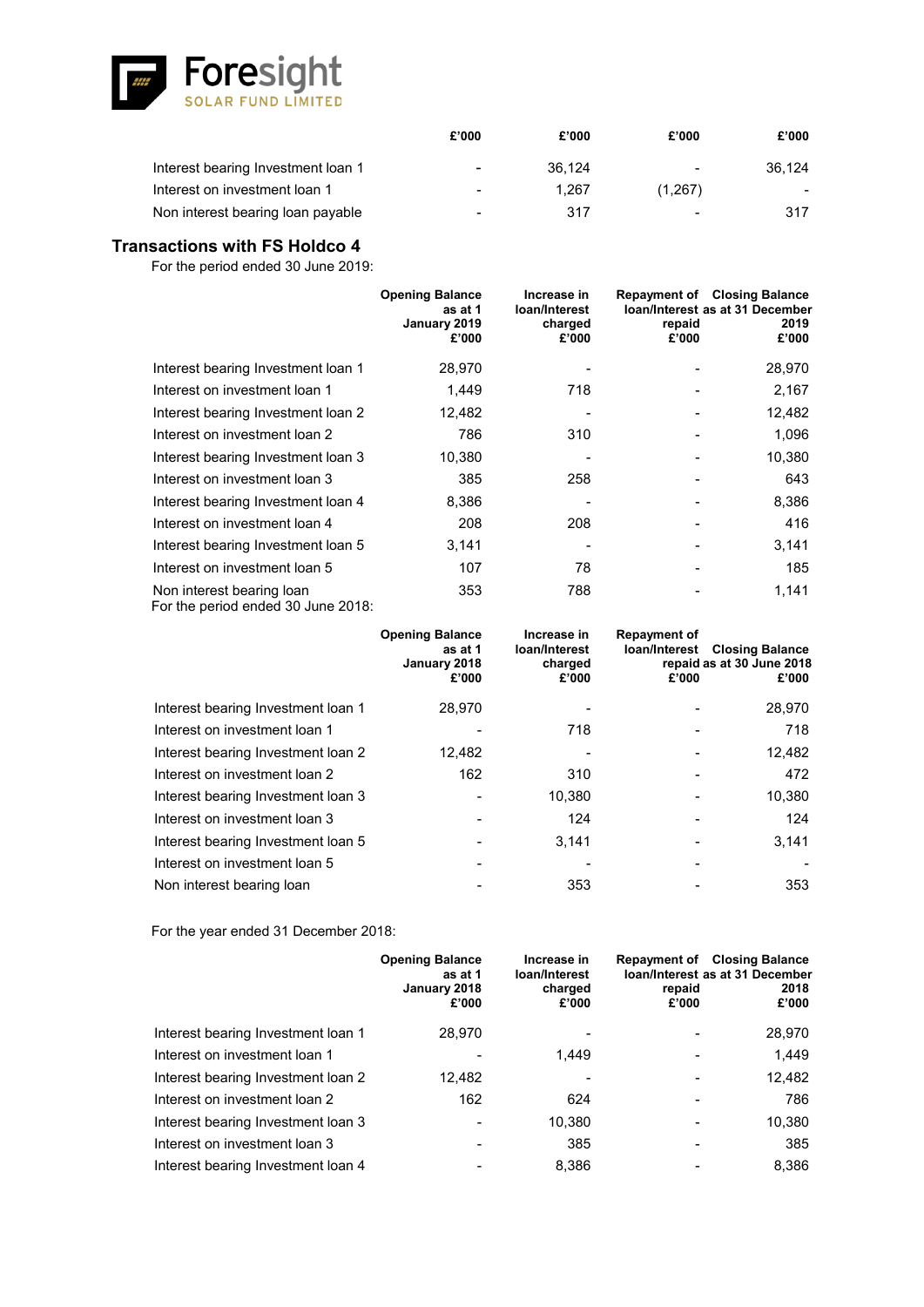![](_page_61_Picture_0.jpeg)

|                                    | £'000 | £'000  | £'000                    | £'000  |
|------------------------------------|-------|--------|--------------------------|--------|
| Interest bearing Investment loan 1 | ٠     | 36.124 | $\overline{\phantom{0}}$ | 36.124 |
| Interest on investment loan 1      | -     | 1.267  | (1,267)                  |        |
| Non interest bearing loan payable  | -     | 317    | $\sim$                   | 317    |

# **Transactions with FS Holdco 4**

For the period ended 30 June 2019:

|                                                                 | <b>Opening Balance</b><br>as at 1<br>January 2019<br>£'000 | Increase in<br>loan/Interest<br>charged<br>£'000 | repaid<br>£'000 | <b>Repayment of Closing Balance</b><br><b>Ioan/Interest as at 31 December</b><br>2019<br>£'000 |
|-----------------------------------------------------------------|------------------------------------------------------------|--------------------------------------------------|-----------------|------------------------------------------------------------------------------------------------|
| Interest bearing Investment loan 1                              | 28,970                                                     |                                                  |                 | 28,970                                                                                         |
| Interest on investment loan 1                                   | 1,449                                                      | 718                                              |                 | 2,167                                                                                          |
| Interest bearing Investment loan 2                              | 12,482                                                     |                                                  |                 | 12,482                                                                                         |
| Interest on investment loan 2                                   | 786                                                        | 310                                              |                 | 1,096                                                                                          |
| Interest bearing Investment loan 3                              | 10,380                                                     |                                                  |                 | 10,380                                                                                         |
| Interest on investment loan 3                                   | 385                                                        | 258                                              |                 | 643                                                                                            |
| Interest bearing Investment loan 4                              | 8,386                                                      |                                                  |                 | 8,386                                                                                          |
| Interest on investment loan 4                                   | 208                                                        | 208                                              |                 | 416                                                                                            |
| Interest bearing Investment loan 5                              | 3,141                                                      |                                                  |                 | 3,141                                                                                          |
| Interest on investment loan 5                                   | 107                                                        | 78                                               |                 | 185                                                                                            |
| Non interest bearing loan<br>For the period ended 30 June 2018: | 353                                                        | 788                                              |                 | 1,141                                                                                          |

|                                    | <b>Opening Balance</b><br>as at 1<br>January 2018<br>£'000 | Increase in<br>loan/Interest<br>charged<br>£'000 | <b>Repayment of</b><br>loan/Interest<br>£'000 | <b>Closing Balance</b><br>repaid as at 30 June 2018<br>£'000 |
|------------------------------------|------------------------------------------------------------|--------------------------------------------------|-----------------------------------------------|--------------------------------------------------------------|
| Interest bearing Investment loan 1 | 28,970                                                     |                                                  |                                               | 28,970                                                       |
| Interest on investment loan 1      |                                                            | 718                                              |                                               | 718                                                          |
| Interest bearing Investment loan 2 | 12.482                                                     |                                                  |                                               | 12,482                                                       |
| Interest on investment loan 2      | 162                                                        | 310                                              |                                               | 472                                                          |
| Interest bearing Investment loan 3 |                                                            | 10.380                                           |                                               | 10,380                                                       |
| Interest on investment loan 3      |                                                            | 124                                              |                                               | 124                                                          |
| Interest bearing Investment loan 5 |                                                            | 3.141                                            |                                               | 3,141                                                        |
| Interest on investment loan 5      |                                                            |                                                  |                                               |                                                              |
| Non interest bearing loan          |                                                            | 353                                              |                                               | 353                                                          |

For the year ended 31 December 2018:

|                                    | <b>Opening Balance</b><br>as at 1<br>January 2018<br>£'000 | Increase in<br>loan/Interest<br>charged<br>£'000 | repaid<br>£'000 | <b>Repayment of Closing Balance</b><br>Ioan/Interest as at 31 December<br>2018<br>£'000 |
|------------------------------------|------------------------------------------------------------|--------------------------------------------------|-----------------|-----------------------------------------------------------------------------------------|
| Interest bearing Investment loan 1 | 28,970                                                     |                                                  |                 | 28,970                                                                                  |
| Interest on investment loan 1      |                                                            | 1.449                                            |                 | 1,449                                                                                   |
| Interest bearing Investment Ioan 2 | 12,482                                                     |                                                  |                 | 12,482                                                                                  |
| Interest on investment loan 2      | 162                                                        | 624                                              |                 | 786                                                                                     |
| Interest bearing Investment loan 3 |                                                            | 10,380                                           |                 | 10,380                                                                                  |
| Interest on investment loan 3      |                                                            | 385                                              |                 | 385                                                                                     |
| Interest bearing Investment loan 4 |                                                            | 8.386                                            |                 | 8,386                                                                                   |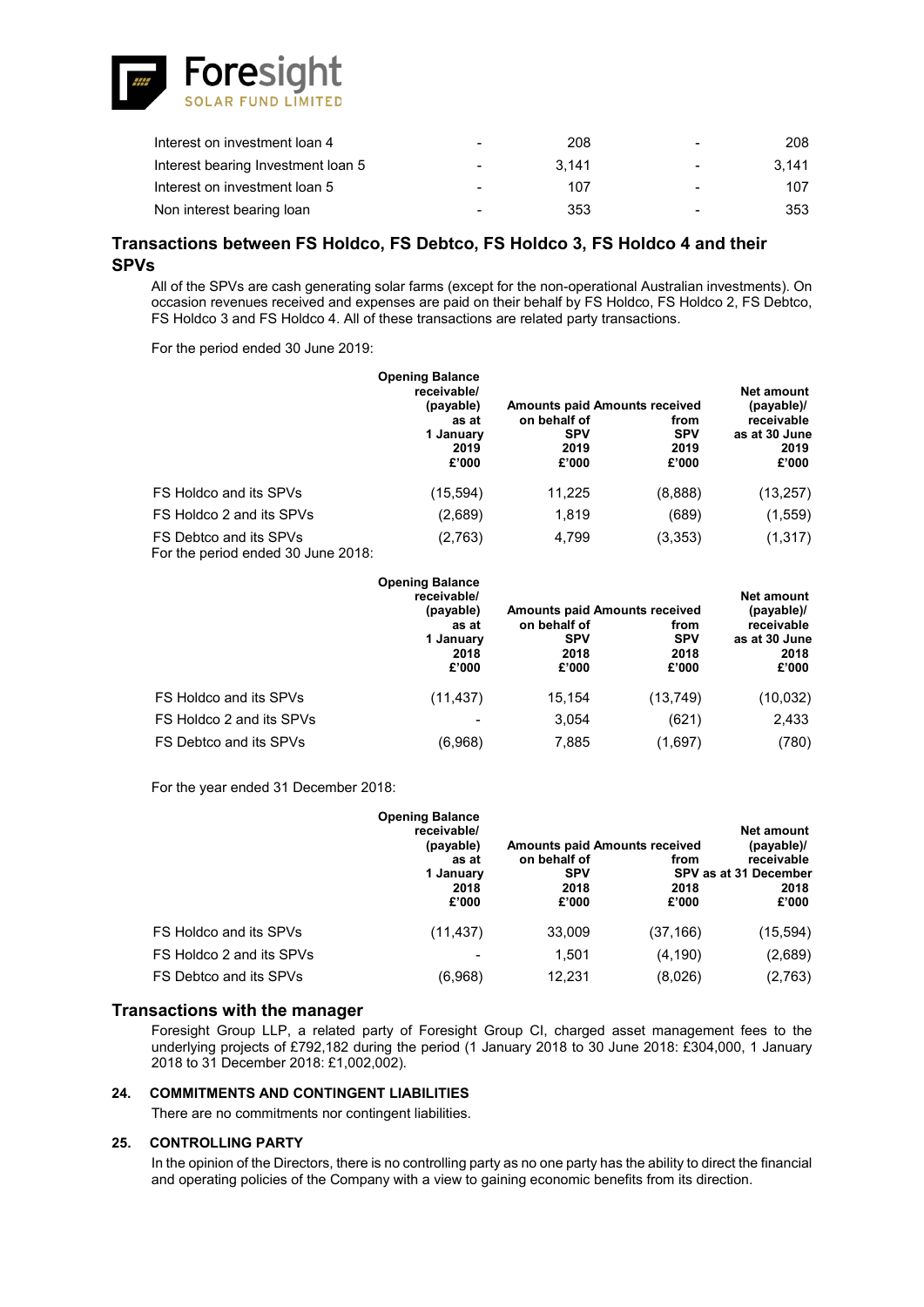![](_page_62_Picture_0.jpeg)

| Interest on investment loan 4      |   | 208   | -                        | 208   |
|------------------------------------|---|-------|--------------------------|-------|
| Interest bearing Investment loan 5 | - | 3.141 | $\overline{\phantom{a}}$ | 3.141 |
| Interest on investment loan 5      | - | 107   | -                        | 107   |
| Non interest bearing loan          | - | 353   |                          | 353   |

# **Transactions between FS Holdco, FS Debtco, FS Holdco 3, FS Holdco 4 and their SPVs**

All of the SPVs are cash generating solar farms (except for the non-operational Australian investments). On occasion revenues received and expenses are paid on their behalf by FS Holdco, FS Holdco 2, FS Debtco, FS Holdco 3 and FS Holdco 4. All of these transactions are related party transactions.

For the period ended 30 June 2019:

|                                                              | <b>Opening Balance</b><br>receivable/<br>(payable) | <b>Amounts paid Amounts received</b>        | Net amount<br>(payable)/            |                                              |
|--------------------------------------------------------------|----------------------------------------------------|---------------------------------------------|-------------------------------------|----------------------------------------------|
|                                                              | as at<br>1 January<br>2019<br>£'000                | on behalf of<br><b>SPV</b><br>2019<br>£'000 | from<br><b>SPV</b><br>2019<br>£'000 | receivable<br>as at 30 June<br>2019<br>£'000 |
| FS Holdco and its SPVs                                       | (15, 594)                                          | 11,225                                      | (8,888)                             | (13, 257)                                    |
| FS Holdco 2 and its SPVs                                     | (2,689)                                            | 1,819                                       | (689)                               | (1, 559)                                     |
| FS Debtco and its SPVs<br>For the period ended 30 June 2018: | (2,763)                                            | 4,799                                       | (3,353)                             | (1, 317)                                     |

|                          | <b>Opening Balance</b><br>receivable/<br>(payable)<br>as at<br>1 January<br>2018<br>£'000 | <b>Amounts paid Amounts received</b>        | Net amount<br>(payable)/            |                                              |
|--------------------------|-------------------------------------------------------------------------------------------|---------------------------------------------|-------------------------------------|----------------------------------------------|
|                          |                                                                                           | on behalf of<br><b>SPV</b><br>2018<br>£'000 | from<br><b>SPV</b><br>2018<br>£'000 | receivable<br>as at 30 June<br>2018<br>£'000 |
| FS Holdco and its SPVs   | (11, 437)                                                                                 | 15,154                                      | (13,749)                            | (10, 032)                                    |
| FS Holdco 2 and its SPVs |                                                                                           | 3,054                                       | (621)                               | 2,433                                        |
| FS Debtco and its SPVs   | (6.968)                                                                                   | 7,885                                       | (1,697)                             | (780)                                        |

For the year ended 31 December 2018:

|                          | <b>Opening Balance</b><br>receivable/<br>(payable)<br>as at<br>1 January | <b>Amounts paid Amounts received</b><br>on behalf of<br><b>SPV</b> | from          | Net amount<br>(payable)/<br>receivable<br>SPV as at 31 December |
|--------------------------|--------------------------------------------------------------------------|--------------------------------------------------------------------|---------------|-----------------------------------------------------------------|
|                          | 2018<br>£'000                                                            | 2018<br>£'000                                                      | 2018<br>£'000 | 2018<br>£'000                                                   |
| FS Holdco and its SPVs   | (11, 437)                                                                | 33,009                                                             | (37,166)      | (15, 594)                                                       |
| FS Holdco 2 and its SPVs |                                                                          | 1.501                                                              | (4, 190)      | (2,689)                                                         |
| FS Debtco and its SPVs   | (6,968)                                                                  | 12,231                                                             | (8,026)       | (2,763)                                                         |

### **Transactions with the manager**

Foresight Group LLP, a related party of Foresight Group CI, charged asset management fees to the underlying projects of £792,182 during the period (1 January 2018 to 30 June 2018: £304,000, 1 January 2018 to 31 December 2018: £1,002,002).

### **24. COMMITMENTS AND CONTINGENT LIABILITIES**

There are no commitments nor contingent liabilities.

### **25. CONTROLLING PARTY**

In the opinion of the Directors, there is no controlling party as no one party has the ability to direct the financial and operating policies of the Company with a view to gaining economic benefits from its direction.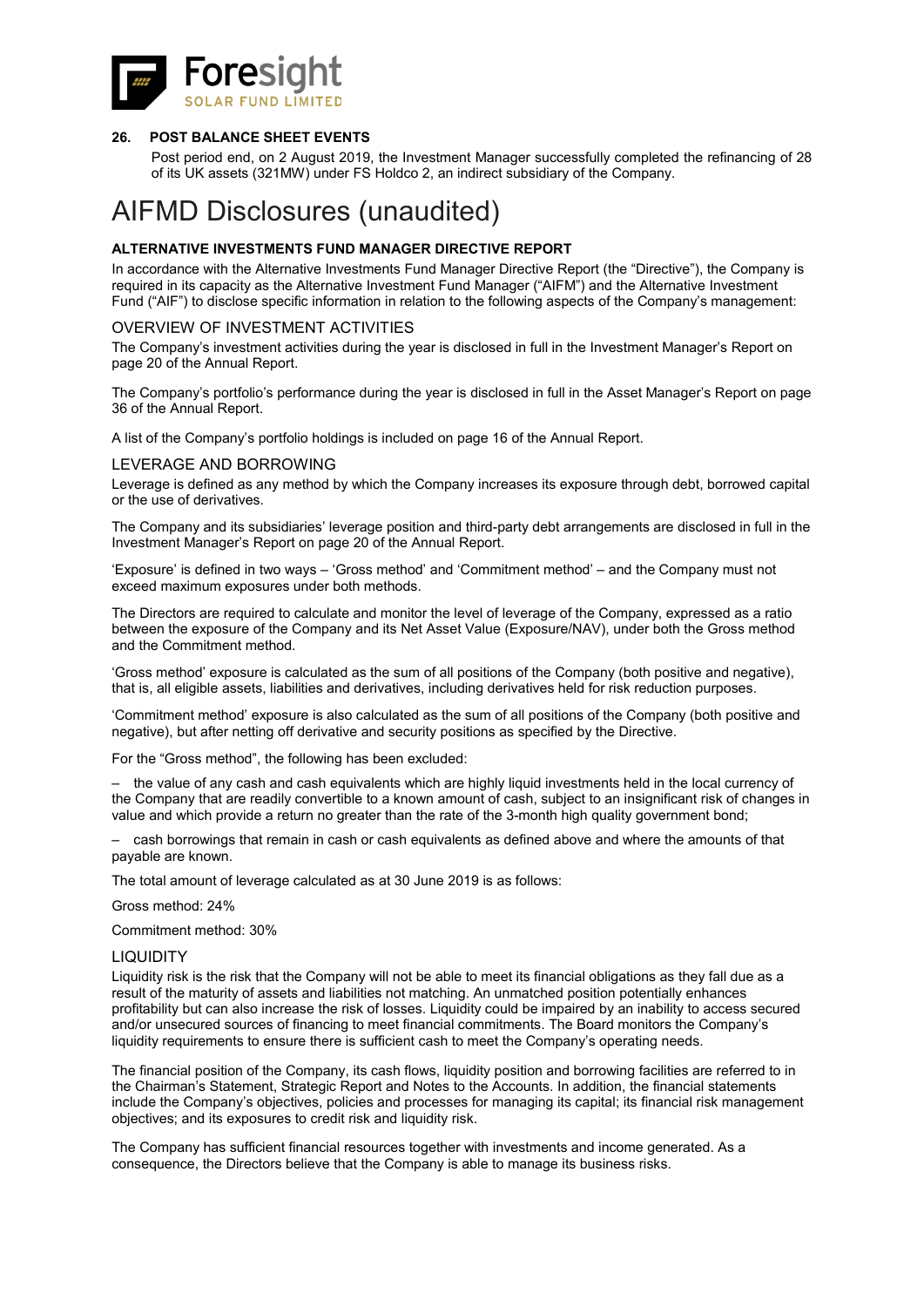![](_page_63_Picture_0.jpeg)

### **26. POST BALANCE SHEET EVENTS**

Post period end, on 2 August 2019, the Investment Manager successfully completed the refinancing of 28 of its UK assets (321MW) under FS Holdco 2, an indirect subsidiary of the Company.

# AIFMD Disclosures (unaudited)

### **ALTERNATIVE INVESTMENTS FUND MANAGER DIRECTIVE REPORT**

In accordance with the Alternative Investments Fund Manager Directive Report (the "Directive"), the Company is required in its capacity as the Alternative Investment Fund Manager ("AIFM") and the Alternative Investment Fund ("AIF") to disclose specific information in relation to the following aspects of the Company's management:

### OVERVIEW OF INVESTMENT ACTIVITIES

The Company's investment activities during the year is disclosed in full in the Investment Manager's Report on page 20 of the Annual Report.

The Company's portfolio's performance during the year is disclosed in full in the Asset Manager's Report on page 36 of the Annual Report.

A list of the Company's portfolio holdings is included on page 16 of the Annual Report.

### LEVERAGE AND BORROWING

Leverage is defined as any method by which the Company increases its exposure through debt, borrowed capital or the use of derivatives.

The Company and its subsidiaries' leverage position and third-party debt arrangements are disclosed in full in the Investment Manager's Report on page 20 of the Annual Report.

'Exposure' is defined in two ways – 'Gross method' and 'Commitment method' – and the Company must not exceed maximum exposures under both methods.

The Directors are required to calculate and monitor the level of leverage of the Company, expressed as a ratio between the exposure of the Company and its Net Asset Value (Exposure/NAV), under both the Gross method and the Commitment method.

'Gross method' exposure is calculated as the sum of all positions of the Company (both positive and negative), that is, all eligible assets, liabilities and derivatives, including derivatives held for risk reduction purposes.

'Commitment method' exposure is also calculated as the sum of all positions of the Company (both positive and negative), but after netting off derivative and security positions as specified by the Directive.

For the "Gross method", the following has been excluded:

– the value of any cash and cash equivalents which are highly liquid investments held in the local currency of the Company that are readily convertible to a known amount of cash, subject to an insignificant risk of changes in value and which provide a return no greater than the rate of the 3-month high quality government bond;

– cash borrowings that remain in cash or cash equivalents as defined above and where the amounts of that payable are known.

The total amount of leverage calculated as at 30 June 2019 is as follows:

Gross method: 24%

Commitment method: 30%

### **LIQUIDITY**

Liquidity risk is the risk that the Company will not be able to meet its financial obligations as they fall due as a result of the maturity of assets and liabilities not matching. An unmatched position potentially enhances profitability but can also increase the risk of losses. Liquidity could be impaired by an inability to access secured and/or unsecured sources of financing to meet financial commitments. The Board monitors the Company's liquidity requirements to ensure there is sufficient cash to meet the Company's operating needs.

The financial position of the Company, its cash flows, liquidity position and borrowing facilities are referred to in the Chairman's Statement, Strategic Report and Notes to the Accounts. In addition, the financial statements include the Company's objectives, policies and processes for managing its capital; its financial risk management objectives; and its exposures to credit risk and liquidity risk.

The Company has sufficient financial resources together with investments and income generated. As a consequence, the Directors believe that the Company is able to manage its business risks.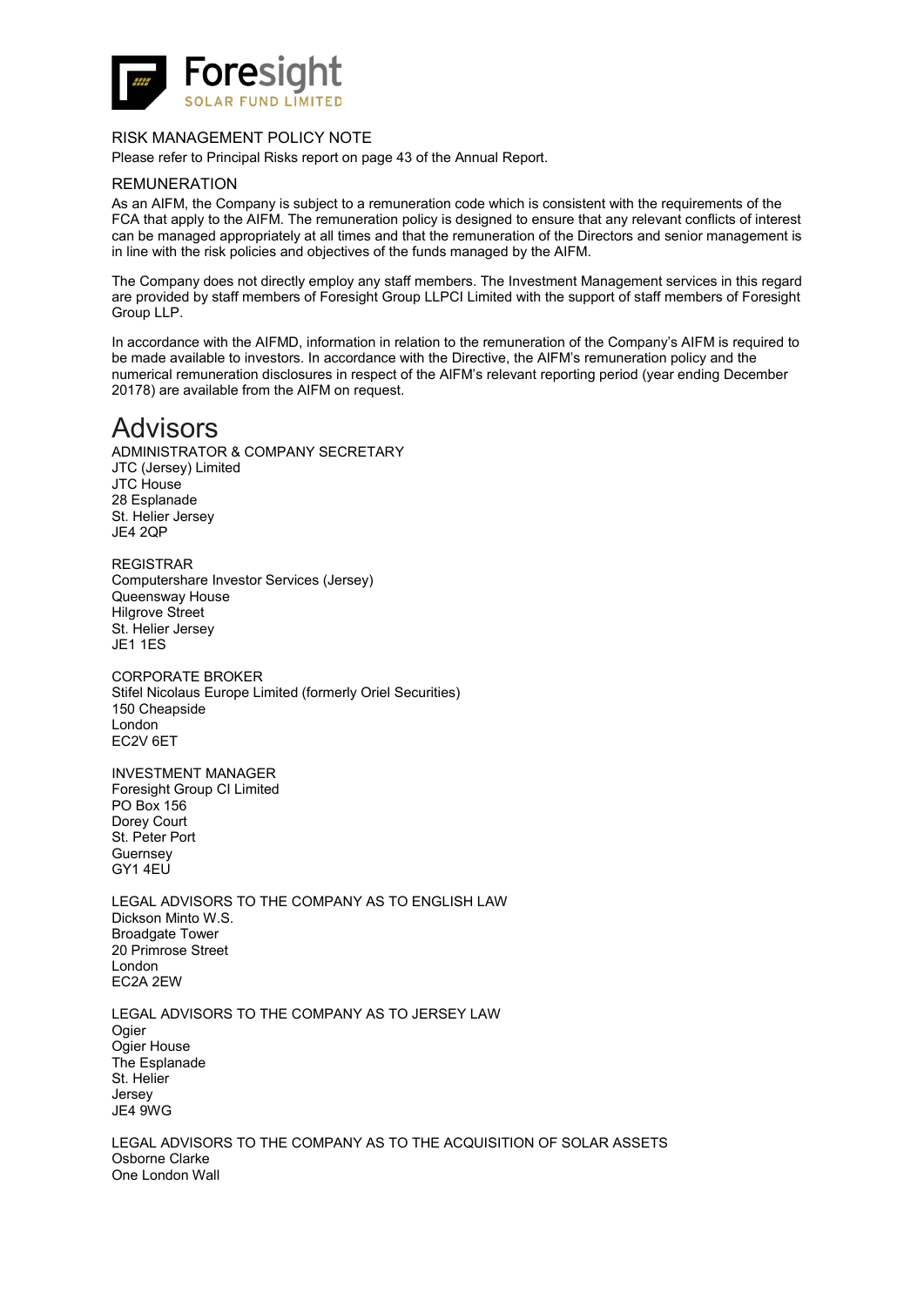![](_page_64_Picture_0.jpeg)

### RISK MANAGEMENT POLICY NOTE

Please refer to Principal Risks report on page 43 of the Annual Report.

### REMUNERATION

As an AIFM, the Company is subject to a remuneration code which is consistent with the requirements of the FCA that apply to the AIFM. The remuneration policy is designed to ensure that any relevant conflicts of interest can be managed appropriately at all times and that the remuneration of the Directors and senior management is in line with the risk policies and objectives of the funds managed by the AIFM.

The Company does not directly employ any staff members. The Investment Management services in this regard are provided by staff members of Foresight Group LLPCI Limited with the support of staff members of Foresight Group LLP.

In accordance with the AIFMD, information in relation to the remuneration of the Company's AIFM is required to be made available to investors. In accordance with the Directive, the AIFM's remuneration policy and the numerical remuneration disclosures in respect of the AIFM's relevant reporting period (year ending December 20178) are available from the AIFM on request.

# Advisors

ADMINISTRATOR & COMPANY SECRETARY JTC (Jersey) Limited JTC House 28 Esplanade St. Helier Jersey JE4 2QP

REGISTRAR Computershare Investor Services (Jersey) Queensway House Hilgrove Street St. Helier Jersey JE1 1ES

CORPORATE BROKER Stifel Nicolaus Europe Limited (formerly Oriel Securities) 150 Cheapside London EC2V 6ET

INVESTMENT MANAGER Foresight Group CI Limited PO Box 156 Dorey Court St. Peter Port **Guernsey** GY1 4EU

LEGAL ADVISORS TO THE COMPANY AS TO ENGLISH LAW Dickson Minto W.S. Broadgate Tower 20 Primrose Street London EC2A 2EW

LEGAL ADVISORS TO THE COMPANY AS TO JERSEY LAW Ogier Ogier House The Esplanade St. Helier Jersey JE4 9WG

LEGAL ADVISORS TO THE COMPANY AS TO THE ACQUISITION OF SOLAR ASSETS Osborne Clarke One London Wall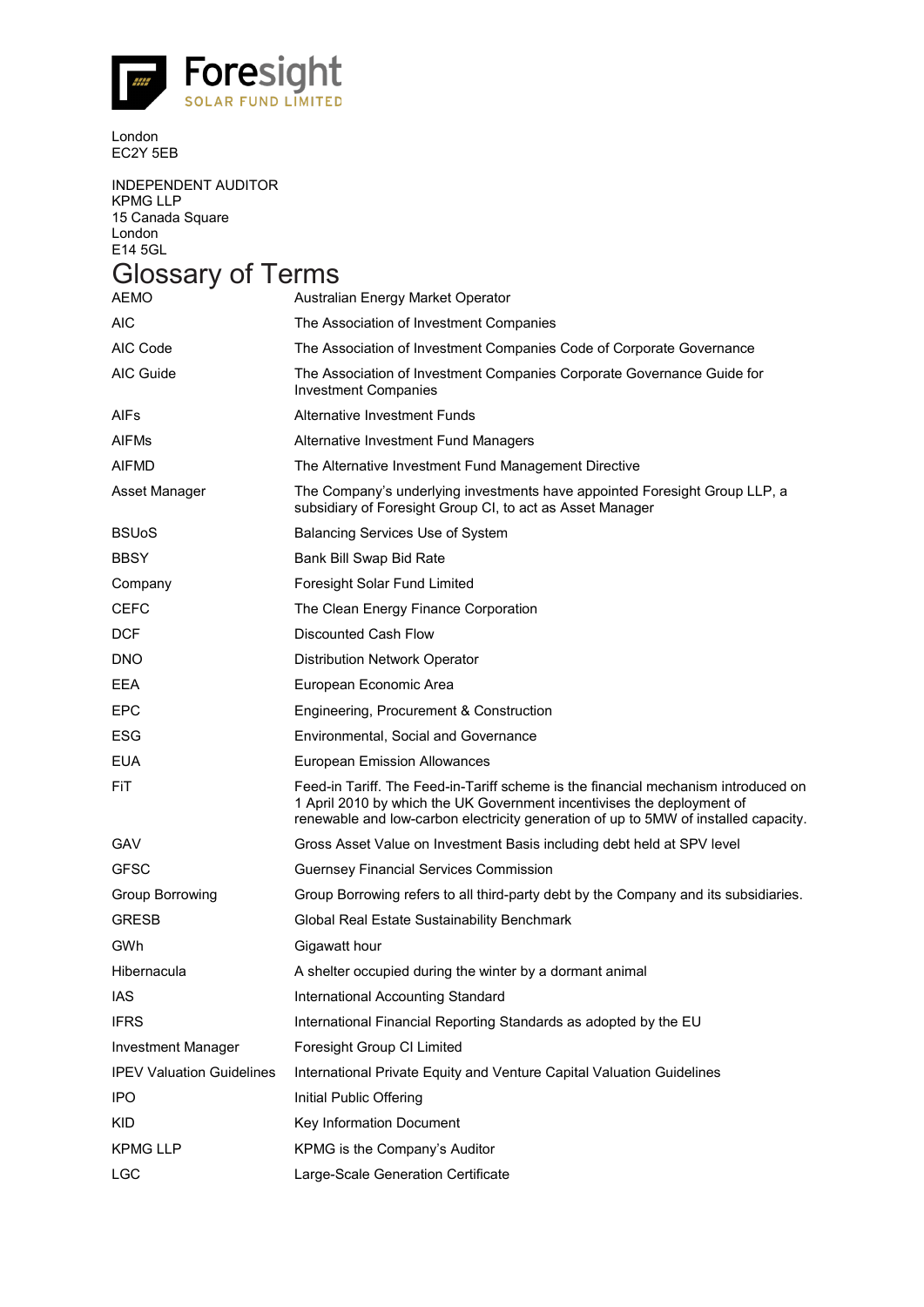![](_page_65_Picture_0.jpeg)

London EC2Y 5EB

INDEPENDENT AUDITOR KPMG LLP 15 Canada Square London E14 5GL

# Glossary of Terms

| AEMO                             | Australian Energy Market Operator                                                                                                                                                                                                                   |
|----------------------------------|-----------------------------------------------------------------------------------------------------------------------------------------------------------------------------------------------------------------------------------------------------|
| <b>AIC</b>                       | The Association of Investment Companies                                                                                                                                                                                                             |
| AIC Code                         | The Association of Investment Companies Code of Corporate Governance                                                                                                                                                                                |
| AIC Guide                        | The Association of Investment Companies Corporate Governance Guide for<br><b>Investment Companies</b>                                                                                                                                               |
| AIFs                             | <b>Alternative Investment Funds</b>                                                                                                                                                                                                                 |
| <b>AIFMs</b>                     | Alternative Investment Fund Managers                                                                                                                                                                                                                |
| <b>AIFMD</b>                     | The Alternative Investment Fund Management Directive                                                                                                                                                                                                |
| Asset Manager                    | The Company's underlying investments have appointed Foresight Group LLP, a<br>subsidiary of Foresight Group CI, to act as Asset Manager                                                                                                             |
| <b>BSU<sub>o</sub>S</b>          | <b>Balancing Services Use of System</b>                                                                                                                                                                                                             |
| <b>BBSY</b>                      | Bank Bill Swap Bid Rate                                                                                                                                                                                                                             |
| Company                          | Foresight Solar Fund Limited                                                                                                                                                                                                                        |
| CEFC                             | The Clean Energy Finance Corporation                                                                                                                                                                                                                |
| <b>DCF</b>                       | <b>Discounted Cash Flow</b>                                                                                                                                                                                                                         |
| <b>DNO</b>                       | Distribution Network Operator                                                                                                                                                                                                                       |
| EEA                              | European Economic Area                                                                                                                                                                                                                              |
| <b>EPC</b>                       | Engineering, Procurement & Construction                                                                                                                                                                                                             |
| ESG                              | <b>Environmental, Social and Governance</b>                                                                                                                                                                                                         |
| <b>EUA</b>                       | <b>European Emission Allowances</b>                                                                                                                                                                                                                 |
| FiT                              | Feed-in Tariff. The Feed-in-Tariff scheme is the financial mechanism introduced on<br>1 April 2010 by which the UK Government incentivises the deployment of<br>renewable and low-carbon electricity generation of up to 5MW of installed capacity. |
| <b>GAV</b>                       | Gross Asset Value on Investment Basis including debt held at SPV level                                                                                                                                                                              |
| GFSC                             | <b>Guernsey Financial Services Commission</b>                                                                                                                                                                                                       |
| Group Borrowing                  | Group Borrowing refers to all third-party debt by the Company and its subsidiaries.                                                                                                                                                                 |
| <b>GRESB</b>                     | Global Real Estate Sustainability Benchmark                                                                                                                                                                                                         |
| GWh                              | Gigawatt hour                                                                                                                                                                                                                                       |
| Hibernacula                      | A shelter occupied during the winter by a dormant animal                                                                                                                                                                                            |
| IAS                              | International Accounting Standard                                                                                                                                                                                                                   |
| <b>IFRS</b>                      | International Financial Reporting Standards as adopted by the EU                                                                                                                                                                                    |
| Investment Manager               | Foresight Group CI Limited                                                                                                                                                                                                                          |
| <b>IPEV Valuation Guidelines</b> | International Private Equity and Venture Capital Valuation Guidelines                                                                                                                                                                               |
| <b>IPO</b>                       | Initial Public Offering                                                                                                                                                                                                                             |
| <b>KID</b>                       | Key Information Document                                                                                                                                                                                                                            |
| <b>KPMG LLP</b>                  | KPMG is the Company's Auditor                                                                                                                                                                                                                       |
| <b>LGC</b>                       | Large-Scale Generation Certificate                                                                                                                                                                                                                  |